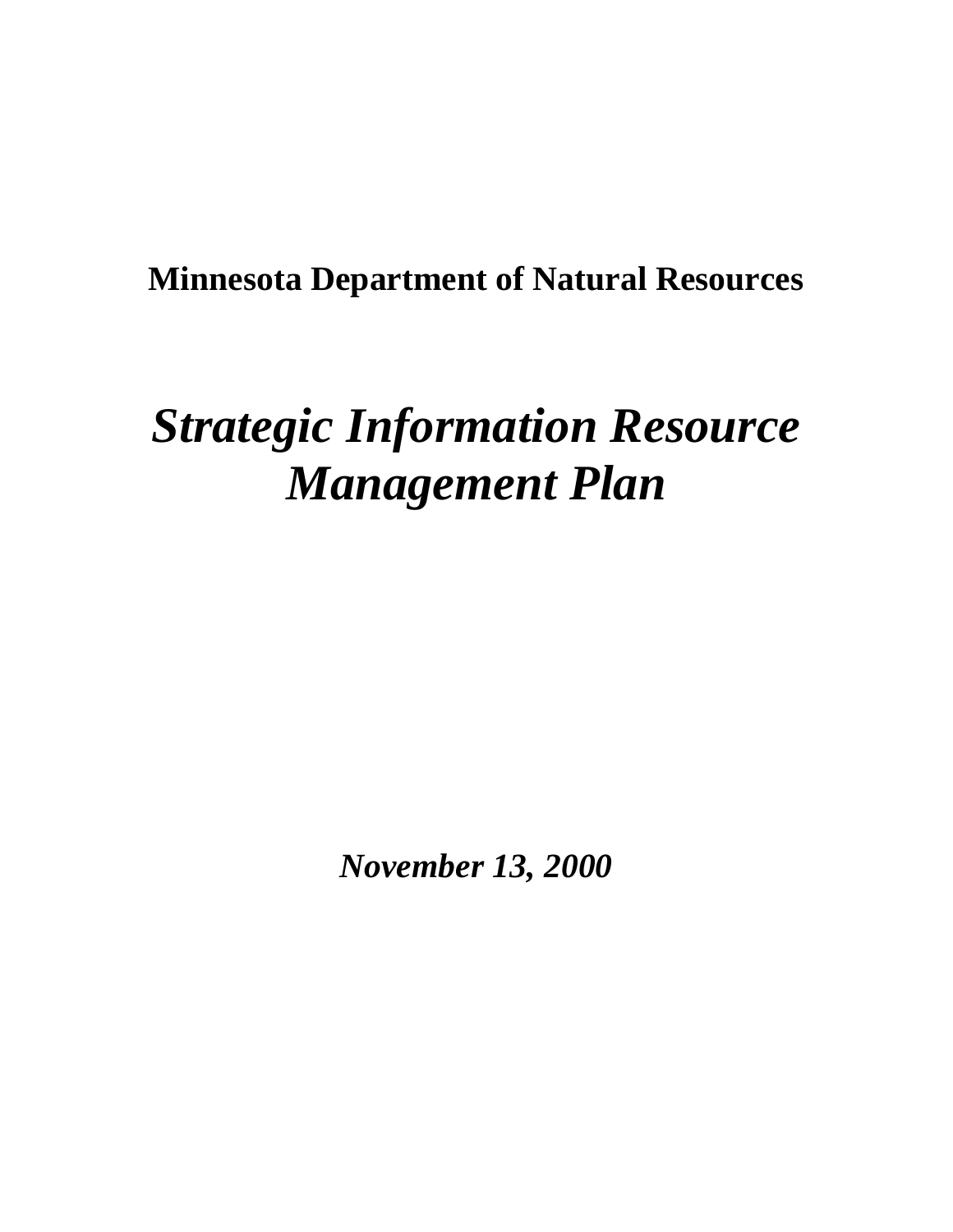## **Minnesota Department of Natural Resources**

# *Strategic Information Resource Management Plan*

*November 13, 2000*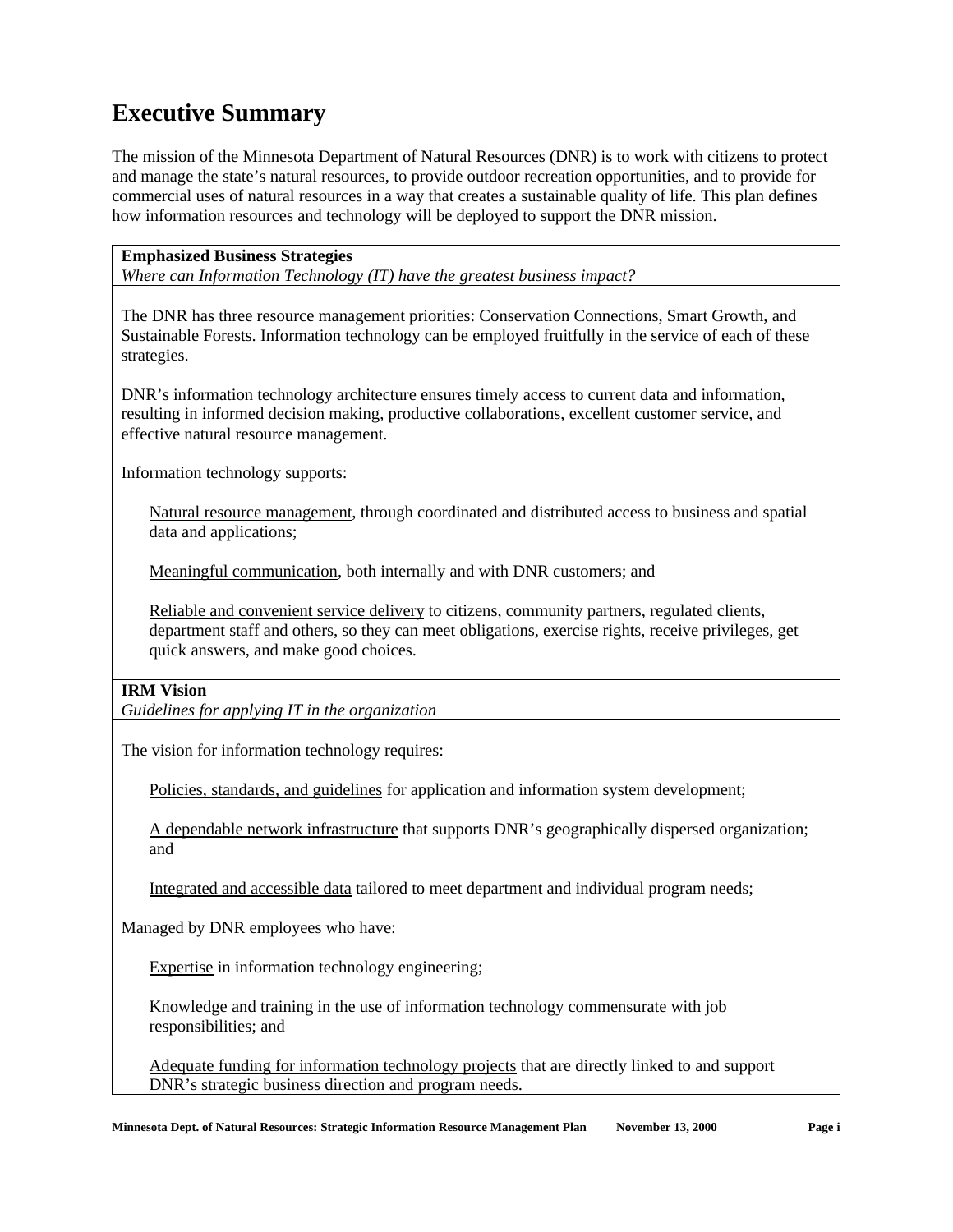### **Executive Summary**

The mission of the Minnesota Department of Natural Resources (DNR) is to work with citizens to protect and manage the state's natural resources, to provide outdoor recreation opportunities, and to provide for commercial uses of natural resources in a way that creates a sustainable quality of life. This plan defines how information resources and technology will be deployed to support the DNR mission.

#### **Emphasized Business Strategies**

*Where can Information Technology (IT) have the greatest business impact?*

The DNR has three resource management priorities: Conservation Connections, Smart Growth, and Sustainable Forests. Information technology can be employed fruitfully in the service of each of these strategies.

DNR's information technology architecture ensures timely access to current data and information, resulting in informed decision making, productive collaborations, excellent customer service, and effective natural resource management.

Information technology supports:

Natural resource management, through coordinated and distributed access to business and spatial data and applications;

Meaningful communication, both internally and with DNR customers; and

Reliable and convenient service delivery to citizens, community partners, regulated clients, department staff and others, so they can meet obligations, exercise rights, receive privileges, get quick answers, and make good choices.

#### **IRM Vision**

*Guidelines for applying IT in the organization*

The vision for information technology requires:

Policies, standards, and guidelines for application and information system development;

A dependable network infrastructure that supports DNR's geographically dispersed organization; and

Integrated and accessible data tailored to meet department and individual program needs;

Managed by DNR employees who have:

Expertise in information technology engineering;

Knowledge and training in the use of information technology commensurate with job responsibilities; and

Adequate funding for information technology projects that are directly linked to and support DNR's strategic business direction and program needs.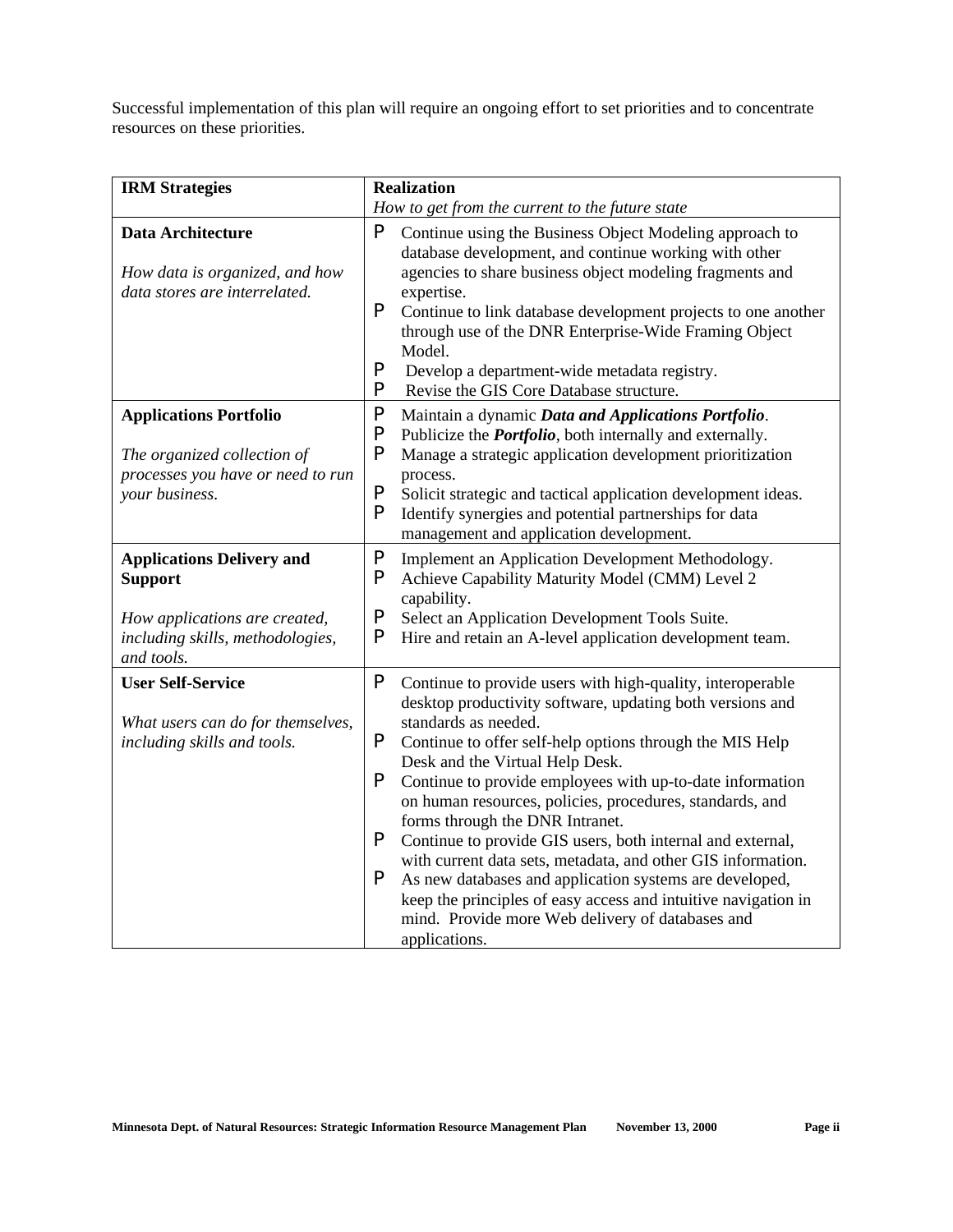Successful implementation of this plan will require an ongoing effort to set priorities and to concentrate resources on these priorities.

| <b>IRM</b> Strategies                                                                                                                 | <b>Realization</b>                                                                                                                                                                                                                                                                                                                                                                                                                                                                                                                                                                                                                                                                                                                                                  |  |
|---------------------------------------------------------------------------------------------------------------------------------------|---------------------------------------------------------------------------------------------------------------------------------------------------------------------------------------------------------------------------------------------------------------------------------------------------------------------------------------------------------------------------------------------------------------------------------------------------------------------------------------------------------------------------------------------------------------------------------------------------------------------------------------------------------------------------------------------------------------------------------------------------------------------|--|
|                                                                                                                                       | How to get from the current to the future state                                                                                                                                                                                                                                                                                                                                                                                                                                                                                                                                                                                                                                                                                                                     |  |
| <b>Data Architecture</b><br>How data is organized, and how<br>data stores are interrelated.                                           | P<br>Continue using the Business Object Modeling approach to<br>database development, and continue working with other<br>agencies to share business object modeling fragments and<br>expertise.<br>P<br>Continue to link database development projects to one another<br>through use of the DNR Enterprise-Wide Framing Object<br>Model.<br>P<br>Develop a department-wide metadata registry.<br>P<br>Revise the GIS Core Database structure.                                                                                                                                                                                                                                                                                                                       |  |
| <b>Applications Portfolio</b><br>The organized collection of<br>processes you have or need to run<br>your business.                   | P<br>Maintain a dynamic Data and Applications Portfolio.<br>P<br>Publicize the <i>Portfolio</i> , both internally and externally.<br>P<br>Manage a strategic application development prioritization<br>process.<br>P<br>Solicit strategic and tactical application development ideas.<br>P<br>Identify synergies and potential partnerships for data<br>management and application development.                                                                                                                                                                                                                                                                                                                                                                     |  |
| <b>Applications Delivery and</b><br><b>Support</b><br>How applications are created,<br>including skills, methodologies,<br>and tools. | P<br>Implement an Application Development Methodology.<br>P<br>Achieve Capability Maturity Model (CMM) Level 2<br>capability.<br>P<br>Select an Application Development Tools Suite.<br>P<br>Hire and retain an A-level application development team.                                                                                                                                                                                                                                                                                                                                                                                                                                                                                                               |  |
| <b>User Self-Service</b><br>What users can do for themselves,<br>including skills and tools.                                          | P<br>Continue to provide users with high-quality, interoperable<br>desktop productivity software, updating both versions and<br>standards as needed.<br>P<br>Continue to offer self-help options through the MIS Help<br>Desk and the Virtual Help Desk.<br>P<br>Continue to provide employees with up-to-date information<br>on human resources, policies, procedures, standards, and<br>forms through the DNR Intranet.<br>P<br>Continue to provide GIS users, both internal and external,<br>with current data sets, metadata, and other GIS information.<br>P<br>As new databases and application systems are developed,<br>keep the principles of easy access and intuitive navigation in<br>mind. Provide more Web delivery of databases and<br>applications. |  |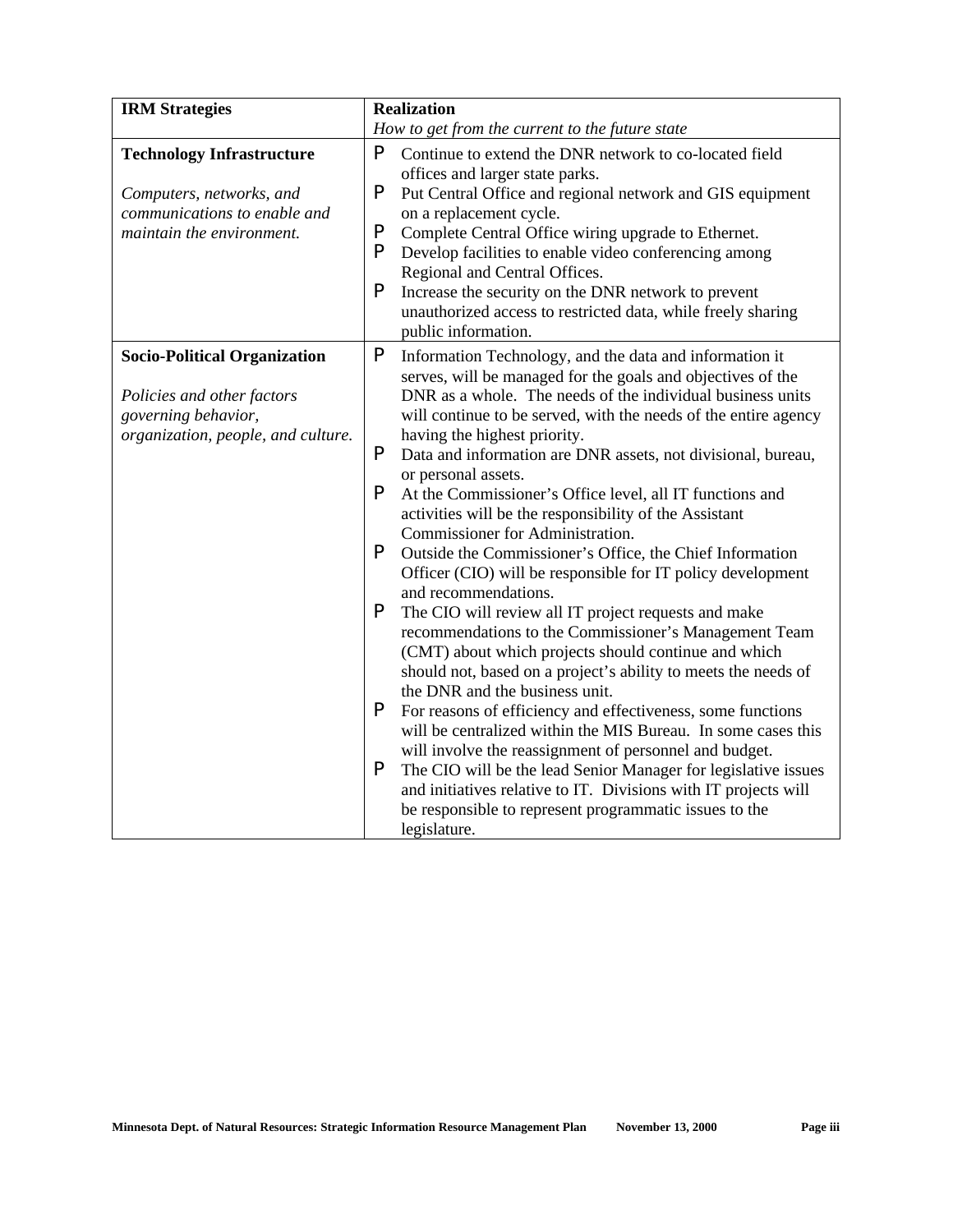| <b>IRM</b> Strategies                                    |        | <b>Realization</b>                                                                                                                         |
|----------------------------------------------------------|--------|--------------------------------------------------------------------------------------------------------------------------------------------|
|                                                          |        | How to get from the current to the future state                                                                                            |
| <b>Technology Infrastructure</b>                         | P      | Continue to extend the DNR network to co-located field<br>offices and larger state parks.                                                  |
| Computers, networks, and<br>communications to enable and | P      | Put Central Office and regional network and GIS equipment<br>on a replacement cycle.                                                       |
| maintain the environment.                                | P<br>P | Complete Central Office wiring upgrade to Ethernet.<br>Develop facilities to enable video conferencing among                               |
|                                                          | P      | Regional and Central Offices.                                                                                                              |
|                                                          |        | Increase the security on the DNR network to prevent<br>unauthorized access to restricted data, while freely sharing<br>public information. |
| <b>Socio-Political Organization</b>                      | P      | Information Technology, and the data and information it<br>serves, will be managed for the goals and objectives of the                     |
| Policies and other factors                               |        | DNR as a whole. The needs of the individual business units                                                                                 |
| governing behavior,                                      |        | will continue to be served, with the needs of the entire agency                                                                            |
| organization, people, and culture.                       | P      | having the highest priority.<br>Data and information are DNR assets, not divisional, bureau,                                               |
|                                                          |        | or personal assets.                                                                                                                        |
|                                                          | P      | At the Commissioner's Office level, all IT functions and                                                                                   |
|                                                          |        | activities will be the responsibility of the Assistant                                                                                     |
|                                                          |        | Commissioner for Administration.                                                                                                           |
|                                                          | P      | Outside the Commissioner's Office, the Chief Information                                                                                   |
|                                                          |        | Officer (CIO) will be responsible for IT policy development<br>and recommendations.                                                        |
|                                                          | P      | The CIO will review all IT project requests and make                                                                                       |
|                                                          |        | recommendations to the Commissioner's Management Team                                                                                      |
|                                                          |        | (CMT) about which projects should continue and which                                                                                       |
|                                                          |        | should not, based on a project's ability to meets the needs of                                                                             |
|                                                          |        | the DNR and the business unit.                                                                                                             |
|                                                          | P      | For reasons of efficiency and effectiveness, some functions                                                                                |
|                                                          |        | will be centralized within the MIS Bureau. In some cases this<br>will involve the reassignment of personnel and budget.                    |
|                                                          | P      | The CIO will be the lead Senior Manager for legislative issues                                                                             |
|                                                          |        | and initiatives relative to IT. Divisions with IT projects will                                                                            |
|                                                          |        | be responsible to represent programmatic issues to the                                                                                     |
|                                                          |        | legislature.                                                                                                                               |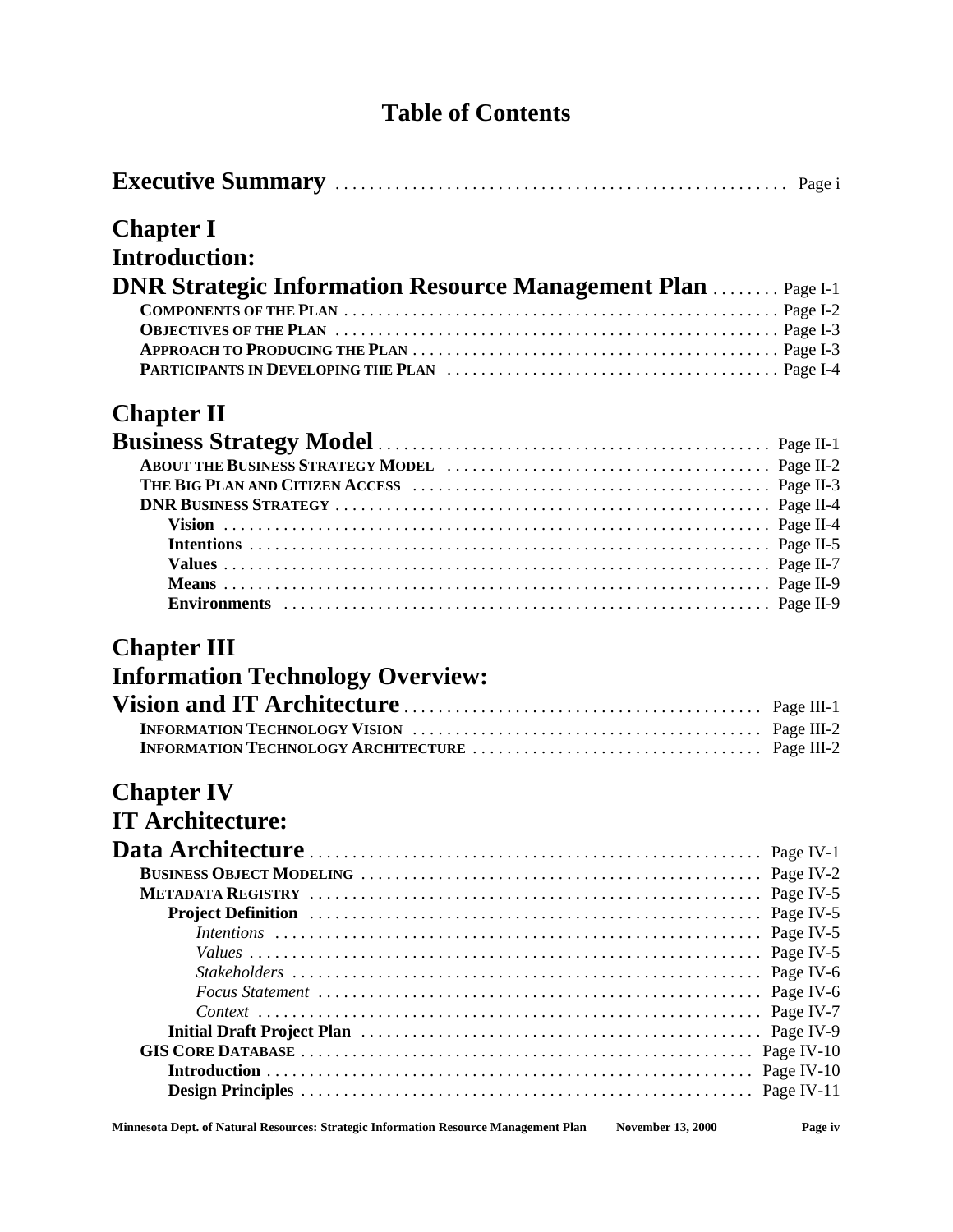### **Table of Contents**

|--|--|--|

### **Chapter I**

| <b>Introduction:</b>                                                |  |
|---------------------------------------------------------------------|--|
| <b>DNR Strategic Information Resource Management Plan  Page I-1</b> |  |
|                                                                     |  |
|                                                                     |  |
|                                                                     |  |
|                                                                     |  |

### **Chapter II**

### **Chapter III**

## **Information Technology Overview:**

### **Chapter IV**

### **IT Architecture:**

| Minnesota Dept. of Natural Resources: Strategic Information Resource Management Plan | <b>November 13, 2000</b> | Page iv |
|--------------------------------------------------------------------------------------|--------------------------|---------|
|--------------------------------------------------------------------------------------|--------------------------|---------|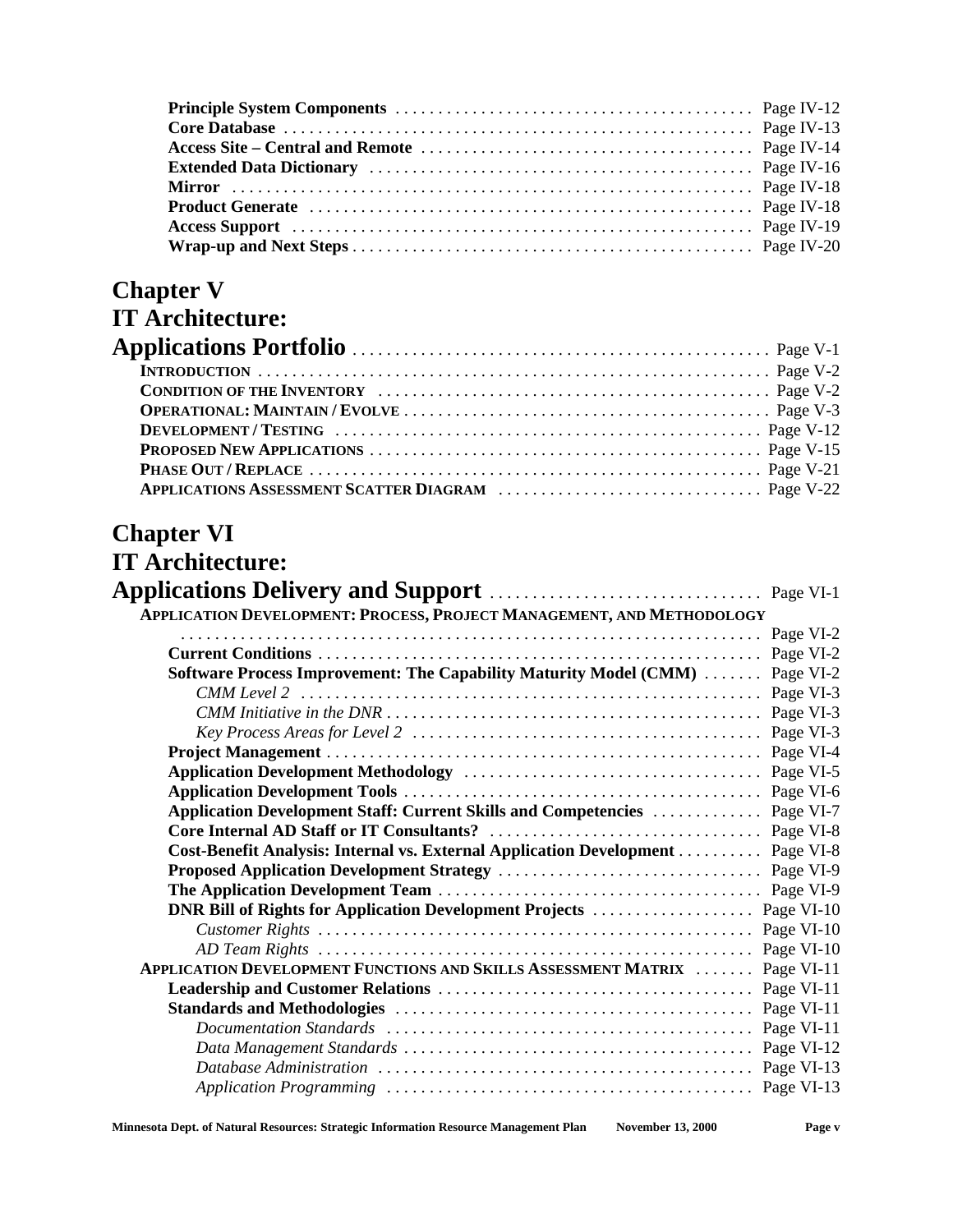| Access Site – Central and Remote manufactured in the contract of Page IV-14 |  |
|-----------------------------------------------------------------------------|--|
|                                                                             |  |
|                                                                             |  |
|                                                                             |  |
|                                                                             |  |
|                                                                             |  |

### **Chapter V**

| <b>IT Architecture:</b> |  |
|-------------------------|--|
|                         |  |
|                         |  |
|                         |  |
|                         |  |
|                         |  |
|                         |  |
|                         |  |
|                         |  |

### **Chapter VI**

| <b>IT Architecture:</b>                                                                                              |            |
|----------------------------------------------------------------------------------------------------------------------|------------|
|                                                                                                                      |            |
| APPLICATION DEVELOPMENT: PROCESS, PROJECT MANAGEMENT, AND METHODOLOGY                                                |            |
|                                                                                                                      | Page VI-2  |
|                                                                                                                      | Page VI-2  |
| Software Process Improvement: The Capability Maturity Model (CMM)                                                    | Page VI-2  |
|                                                                                                                      |            |
|                                                                                                                      |            |
|                                                                                                                      |            |
|                                                                                                                      |            |
|                                                                                                                      |            |
|                                                                                                                      |            |
| Application Development Staff: Current Skills and Competencies  Page VI-7                                            |            |
|                                                                                                                      |            |
| Cost-Benefit Analysis: Internal vs. External Application Development                                                 | Page VI-8  |
|                                                                                                                      | Page VI-9  |
|                                                                                                                      |            |
| DNR Bill of Rights for Application Development Projects                                                              | Page VI-10 |
|                                                                                                                      | Page VI-10 |
|                                                                                                                      | Page VI-10 |
| <b>APPLICATION DEVELOPMENT FUNCTIONS AND SKILLS ASSESSMENT MATRIX </b>                                               | Page VI-11 |
|                                                                                                                      | Page VI-11 |
|                                                                                                                      |            |
| Documentation Standards $\ldots \ldots \ldots \ldots \ldots \ldots \ldots \ldots \ldots \ldots \ldots \ldots \ldots$ | Page VI-11 |
|                                                                                                                      | Page VI-12 |
|                                                                                                                      |            |
|                                                                                                                      |            |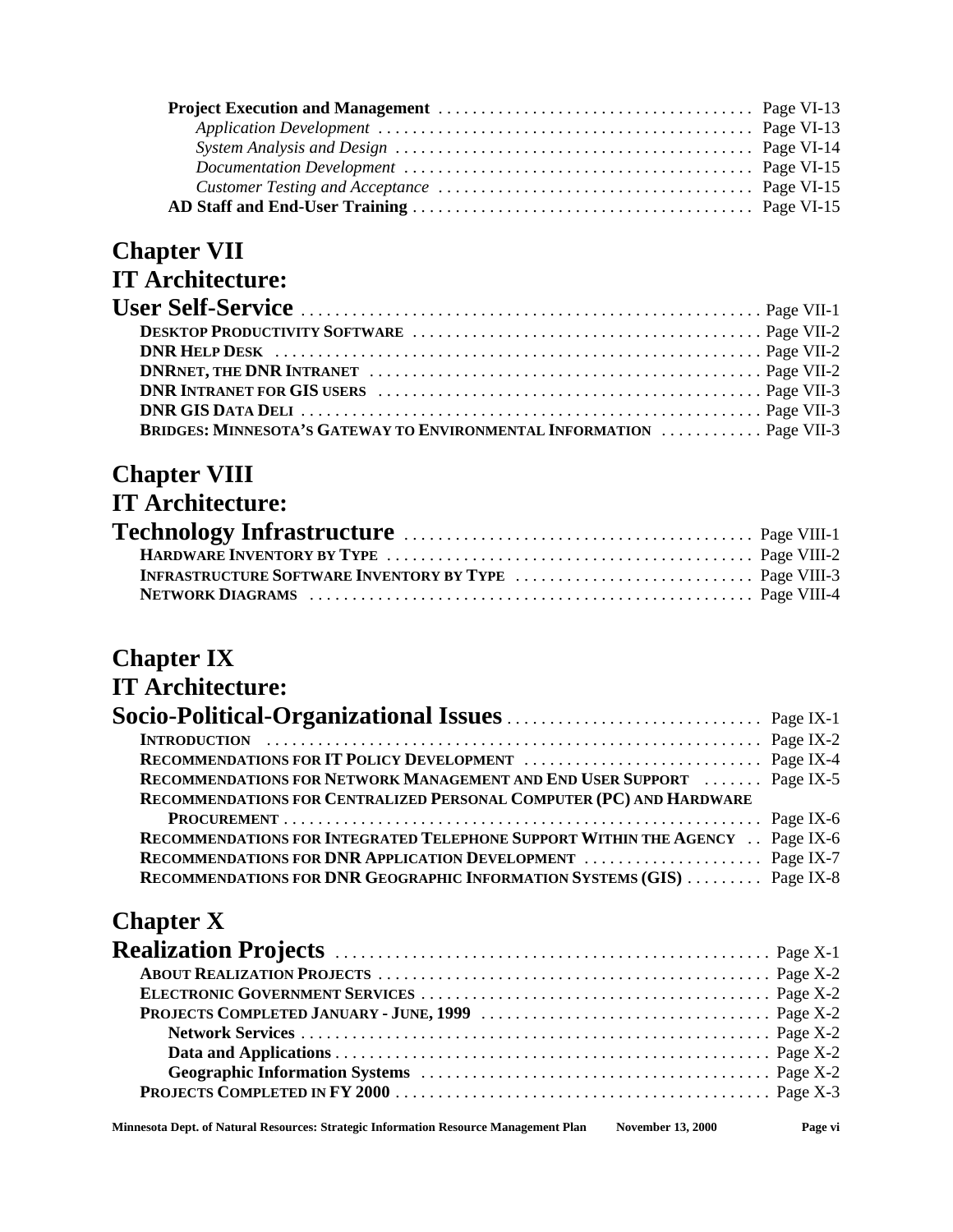## **Chapter VII**

### **IT Architecture:**

| <b>BRIDGES: MINNESOTA'S GATEWAY TO ENVIRONMENTAL INFORMATION  Page VII-3</b> |  |
|------------------------------------------------------------------------------|--|

## **Chapter VIII**

| <b>IT Architecture:</b> |  |
|-------------------------|--|
|                         |  |
|                         |  |
|                         |  |
|                         |  |

### **Chapter IX**

### **IT Architecture:**

| RECOMMENDATIONS FOR NETWORK MANAGEMENT AND END USER SUPPORT  Page IX-5       |  |
|------------------------------------------------------------------------------|--|
| RECOMMENDATIONS FOR CENTRALIZED PERSONAL COMPUTER (PC) AND HARDWARE          |  |
|                                                                              |  |
| RECOMMENDATIONS FOR INTEGRATED TELEPHONE SUPPORT WITHIN THE AGENCY Page IX-6 |  |
|                                                                              |  |
| RECOMMENDATIONS FOR DNR GEOGRAPHIC INFORMATION SYSTEMS (GIS)  Page IX-8      |  |

### **Chapter X**

**Minnesota Dept. of Natural Resources: Strategic Information Resource Management Plan November 13, 2000 Page vi**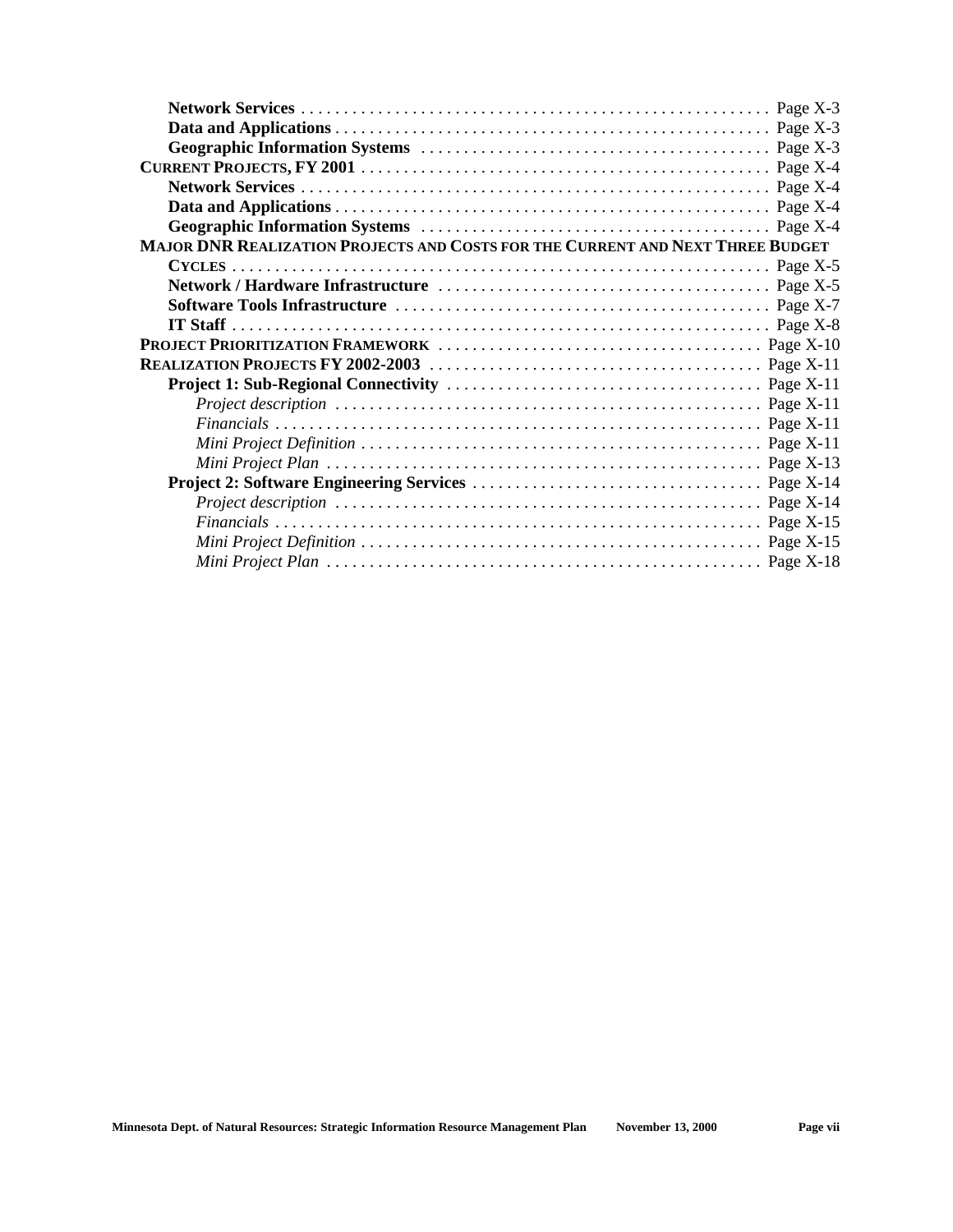| MAJOR DNR REALIZATION PROJECTS AND COSTS FOR THE CURRENT AND NEXT THREE BUDGET |  |
|--------------------------------------------------------------------------------|--|
|                                                                                |  |
|                                                                                |  |
|                                                                                |  |
|                                                                                |  |
|                                                                                |  |
|                                                                                |  |
|                                                                                |  |
|                                                                                |  |
|                                                                                |  |
|                                                                                |  |
|                                                                                |  |
|                                                                                |  |
|                                                                                |  |
|                                                                                |  |
|                                                                                |  |
|                                                                                |  |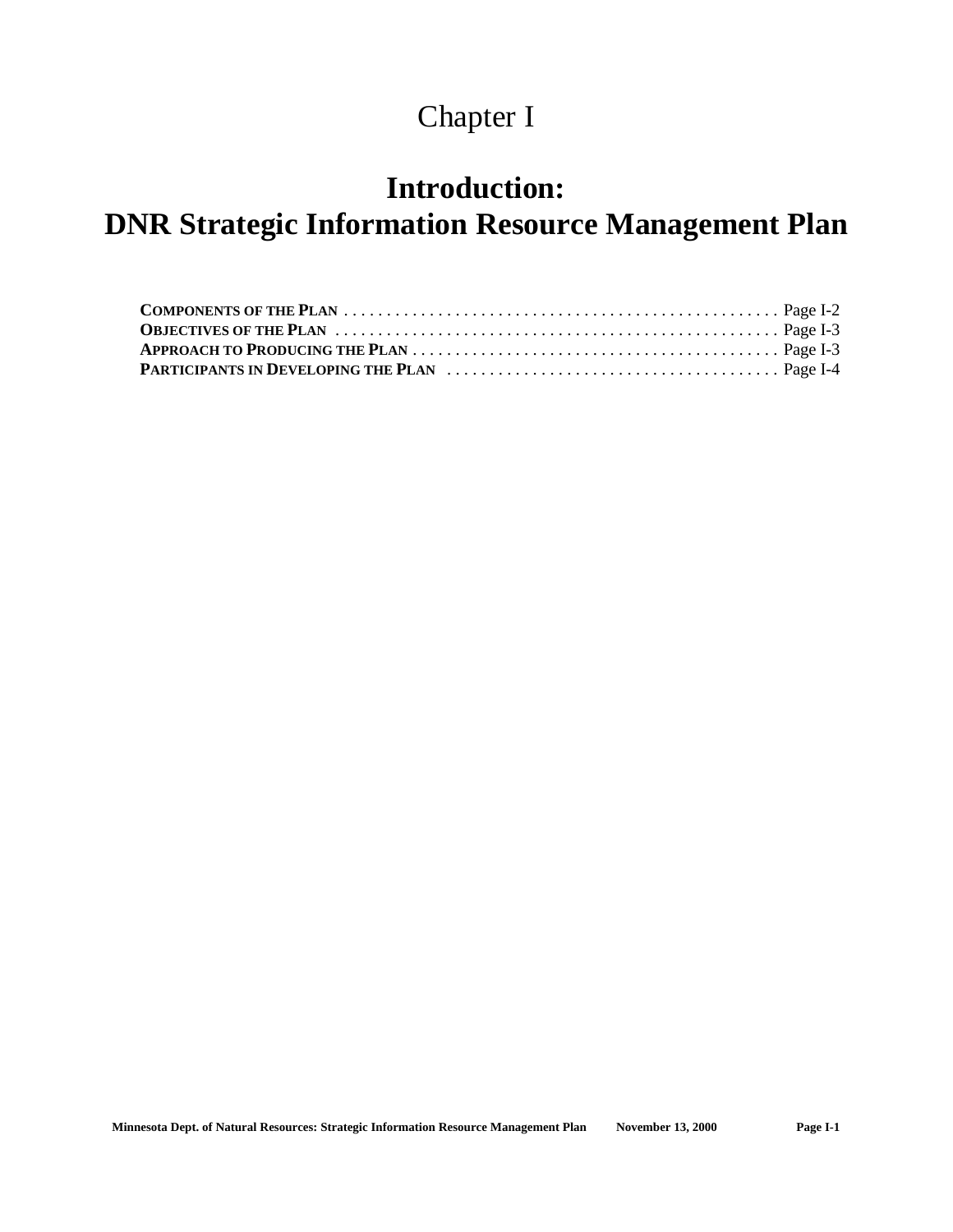## Chapter I

## **Introduction:**

## **DNR Strategic Information Resource Management Plan**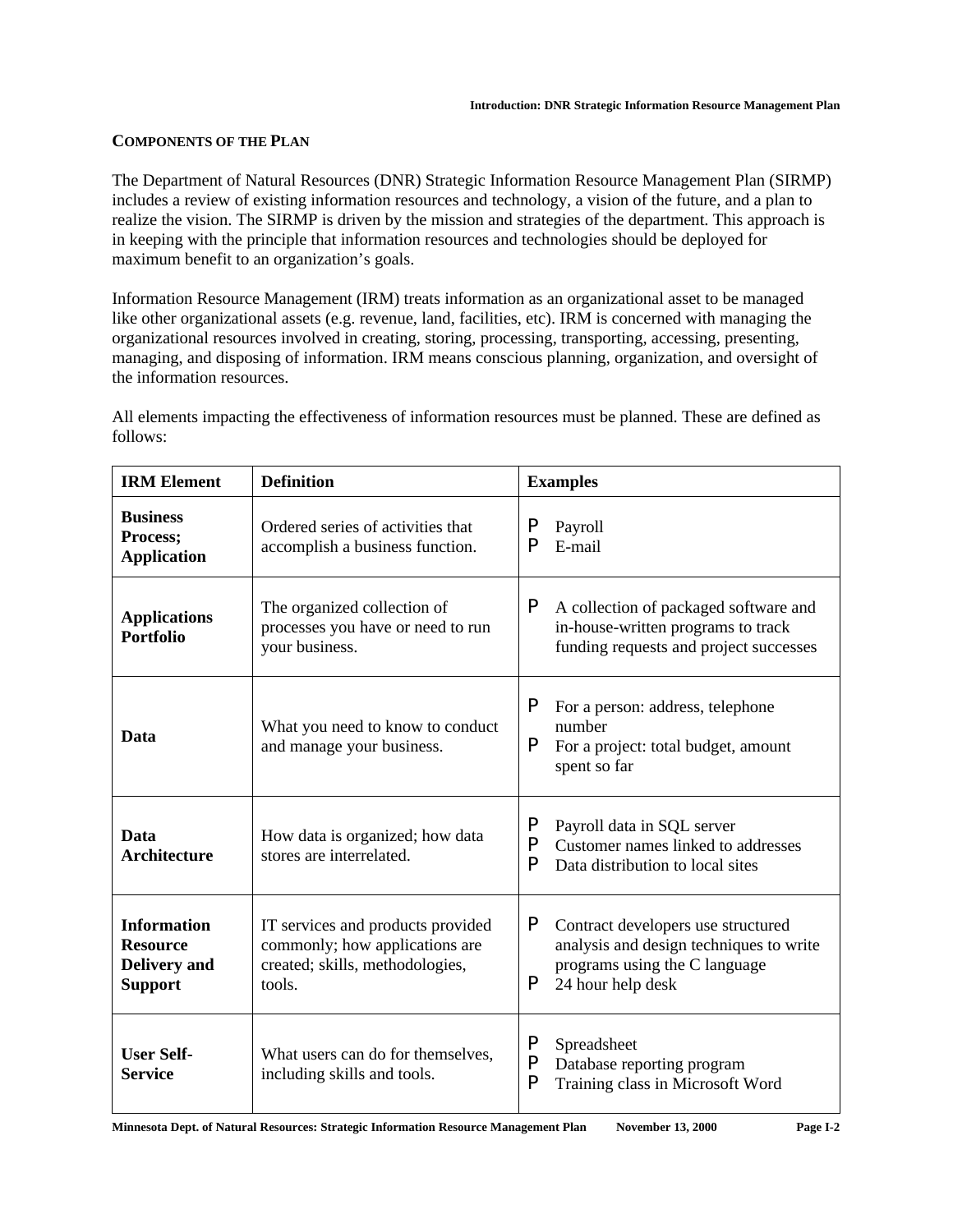#### **COMPONENTS OF THE PLAN**

The Department of Natural Resources (DNR) Strategic Information Resource Management Plan (SIRMP) includes a review of existing information resources and technology, a vision of the future, and a plan to realize the vision. The SIRMP is driven by the mission and strategies of the department. This approach is in keeping with the principle that information resources and technologies should be deployed for maximum benefit to an organization's goals.

Information Resource Management (IRM) treats information as an organizational asset to be managed like other organizational assets (e.g. revenue, land, facilities, etc). IRM is concerned with managing the organizational resources involved in creating, storing, processing, transporting, accessing, presenting, managing, and disposing of information. IRM means conscious planning, organization, and oversight of the information resources.

| <b>IRM Element</b>                                                             | <b>Definition</b>                                                                                                | <b>Examples</b>                                                                                                                               |
|--------------------------------------------------------------------------------|------------------------------------------------------------------------------------------------------------------|-----------------------------------------------------------------------------------------------------------------------------------------------|
| <b>Business</b><br>Process;<br><b>Application</b>                              | Ordered series of activities that<br>accomplish a business function.                                             | P<br>Payroll<br>P<br>E-mail                                                                                                                   |
| <b>Applications</b><br><b>Portfolio</b>                                        | The organized collection of<br>processes you have or need to run<br>your business.                               | P<br>A collection of packaged software and<br>in-house-written programs to track<br>funding requests and project successes                    |
| Data                                                                           | What you need to know to conduct<br>and manage your business.                                                    | P<br>For a person: address, telephone<br>number<br>P<br>For a project: total budget, amount<br>spent so far                                   |
| Data<br><b>Architecture</b>                                                    | How data is organized; how data<br>stores are interrelated.                                                      | P<br>Payroll data in SQL server<br>P<br>Customer names linked to addresses<br>P<br>Data distribution to local sites                           |
| <b>Information</b><br><b>Resource</b><br><b>Delivery</b> and<br><b>Support</b> | IT services and products provided<br>commonly; how applications are<br>created; skills, methodologies,<br>tools. | P<br>Contract developers use structured<br>analysis and design techniques to write<br>programs using the C language<br>P<br>24 hour help desk |
| <b>User Self-</b><br><b>Service</b>                                            | What users can do for themselves,<br>including skills and tools.                                                 | P<br>Spreadsheet<br>P<br>Database reporting program<br>P<br>Training class in Microsoft Word                                                  |

All elements impacting the effectiveness of information resources must be planned. These are defined as follows: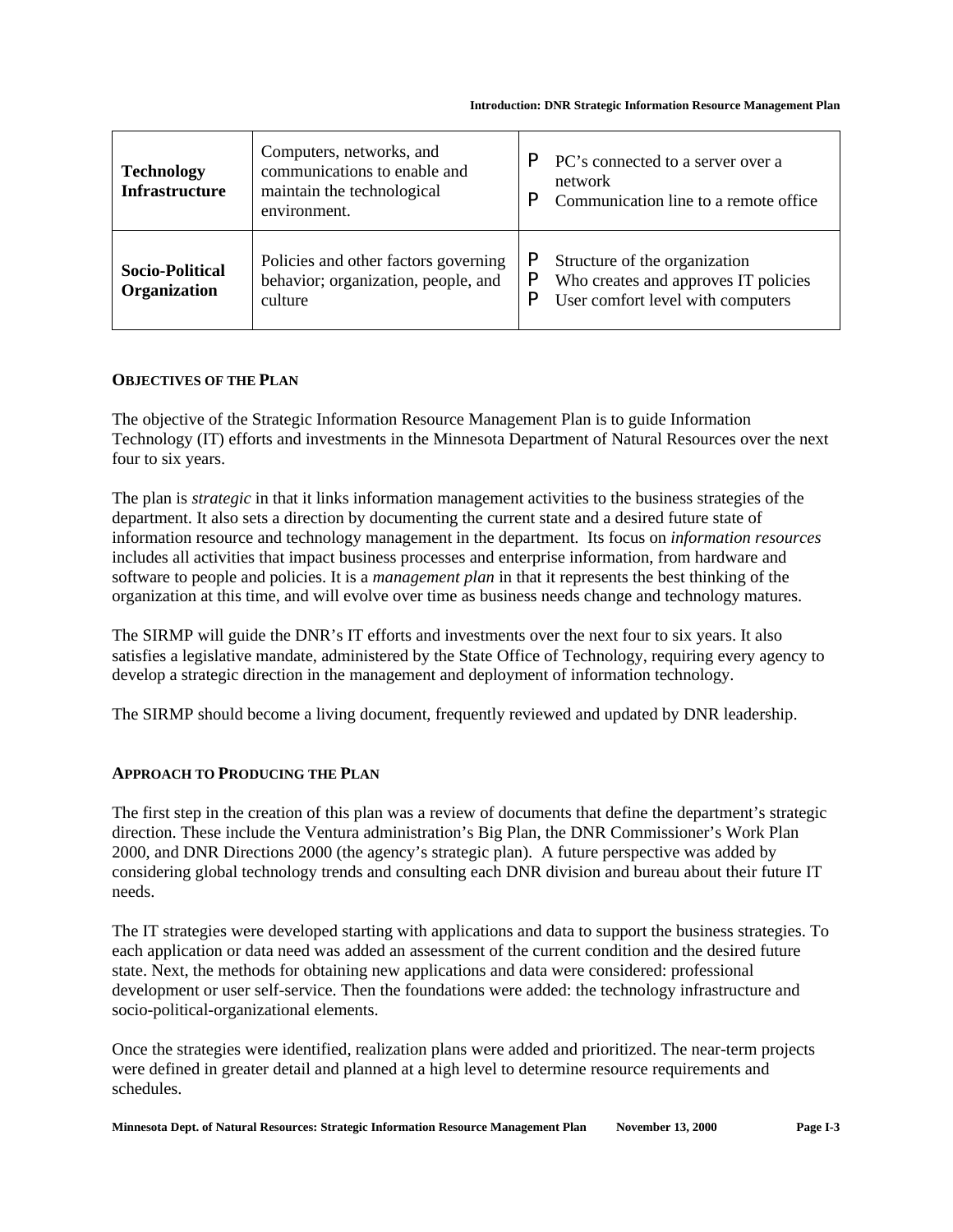| <b>Technology</b><br><b>Infrastructure</b> | Computers, networks, and<br>communications to enable and<br>maintain the technological<br>environment. | PC's connected to a server over a<br>network<br>Communication line to a remote office.                     |
|--------------------------------------------|--------------------------------------------------------------------------------------------------------|------------------------------------------------------------------------------------------------------------|
| <b>Socio-Political</b><br>Organization     | Policies and other factors governing<br>behavior; organization, people, and<br>culture                 | Structure of the organization<br>Who creates and approves IT policies<br>User comfort level with computers |

#### **OBJECTIVES OF THE PLAN**

The objective of the Strategic Information Resource Management Plan is to guide Information Technology (IT) efforts and investments in the Minnesota Department of Natural Resources over the next four to six years.

The plan is *strategic* in that it links information management activities to the business strategies of the department. It also sets a direction by documenting the current state and a desired future state of information resource and technology management in the department. Its focus on *information resources* includes all activities that impact business processes and enterprise information, from hardware and software to people and policies. It is a *management plan* in that it represents the best thinking of the organization at this time, and will evolve over time as business needs change and technology matures.

The SIRMP will guide the DNR's IT efforts and investments over the next four to six years. It also satisfies a legislative mandate, administered by the State Office of Technology, requiring every agency to develop a strategic direction in the management and deployment of information technology.

The SIRMP should become a living document, frequently reviewed and updated by DNR leadership.

#### **APPROACH TO PRODUCING THE PLAN**

The first step in the creation of this plan was a review of documents that define the department's strategic direction. These include the Ventura administration's Big Plan, the DNR Commissioner's Work Plan 2000, and DNR Directions 2000 (the agency's strategic plan). A future perspective was added by considering global technology trends and consulting each DNR division and bureau about their future IT needs.

The IT strategies were developed starting with applications and data to support the business strategies. To each application or data need was added an assessment of the current condition and the desired future state. Next, the methods for obtaining new applications and data were considered: professional development or user self-service. Then the foundations were added: the technology infrastructure and socio-political-organizational elements.

Once the strategies were identified, realization plans were added and prioritized. The near-term projects were defined in greater detail and planned at a high level to determine resource requirements and schedules.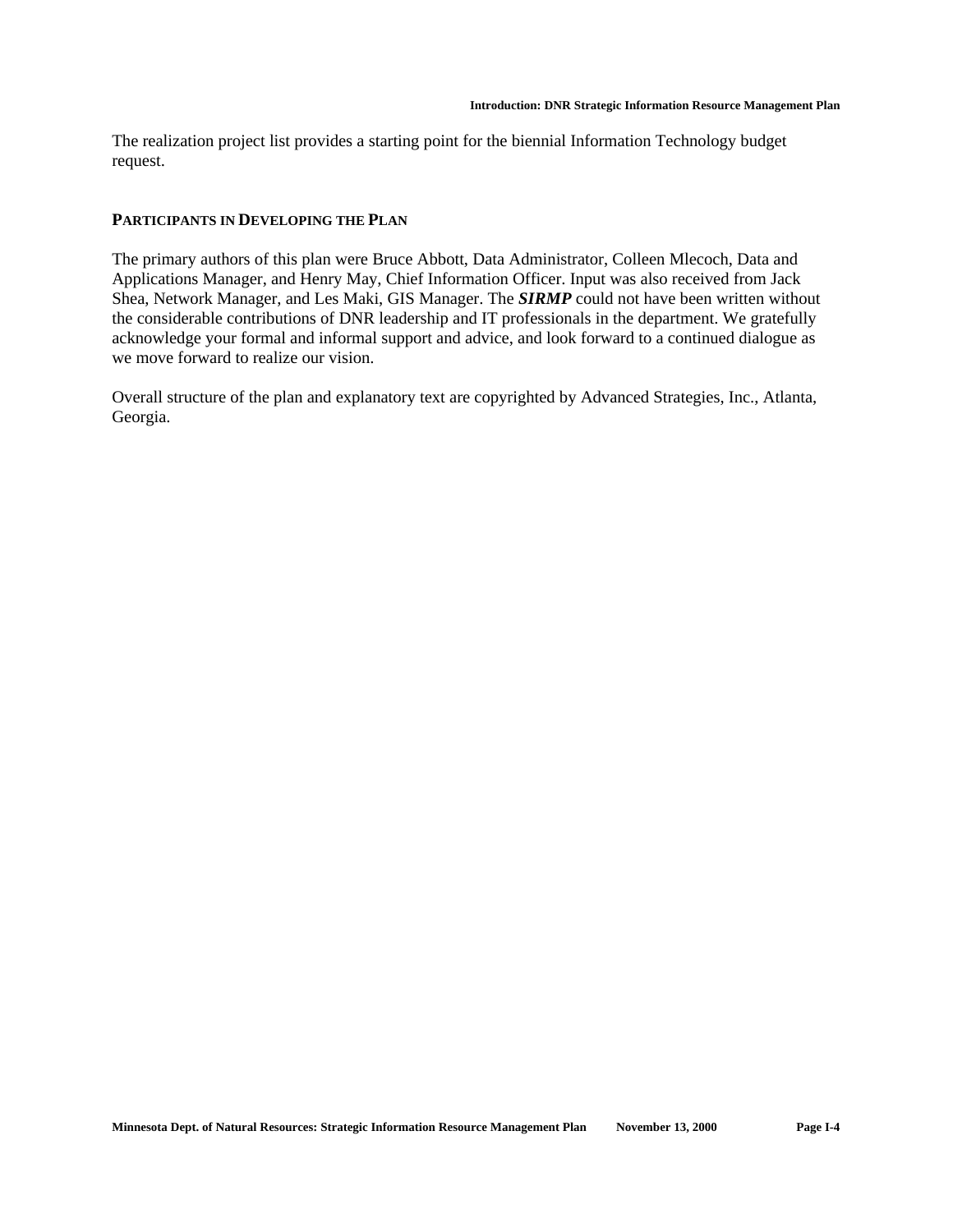The realization project list provides a starting point for the biennial Information Technology budget request.

#### **PARTICIPANTS IN DEVELOPING THE PLAN**

The primary authors of this plan were Bruce Abbott, Data Administrator, Colleen Mlecoch, Data and Applications Manager, and Henry May, Chief Information Officer. Input was also received from Jack Shea, Network Manager, and Les Maki, GIS Manager. The *SIRMP* could not have been written without the considerable contributions of DNR leadership and IT professionals in the department. We gratefully acknowledge your formal and informal support and advice, and look forward to a continued dialogue as we move forward to realize our vision.

Overall structure of the plan and explanatory text are copyrighted by Advanced Strategies, Inc., Atlanta, Georgia.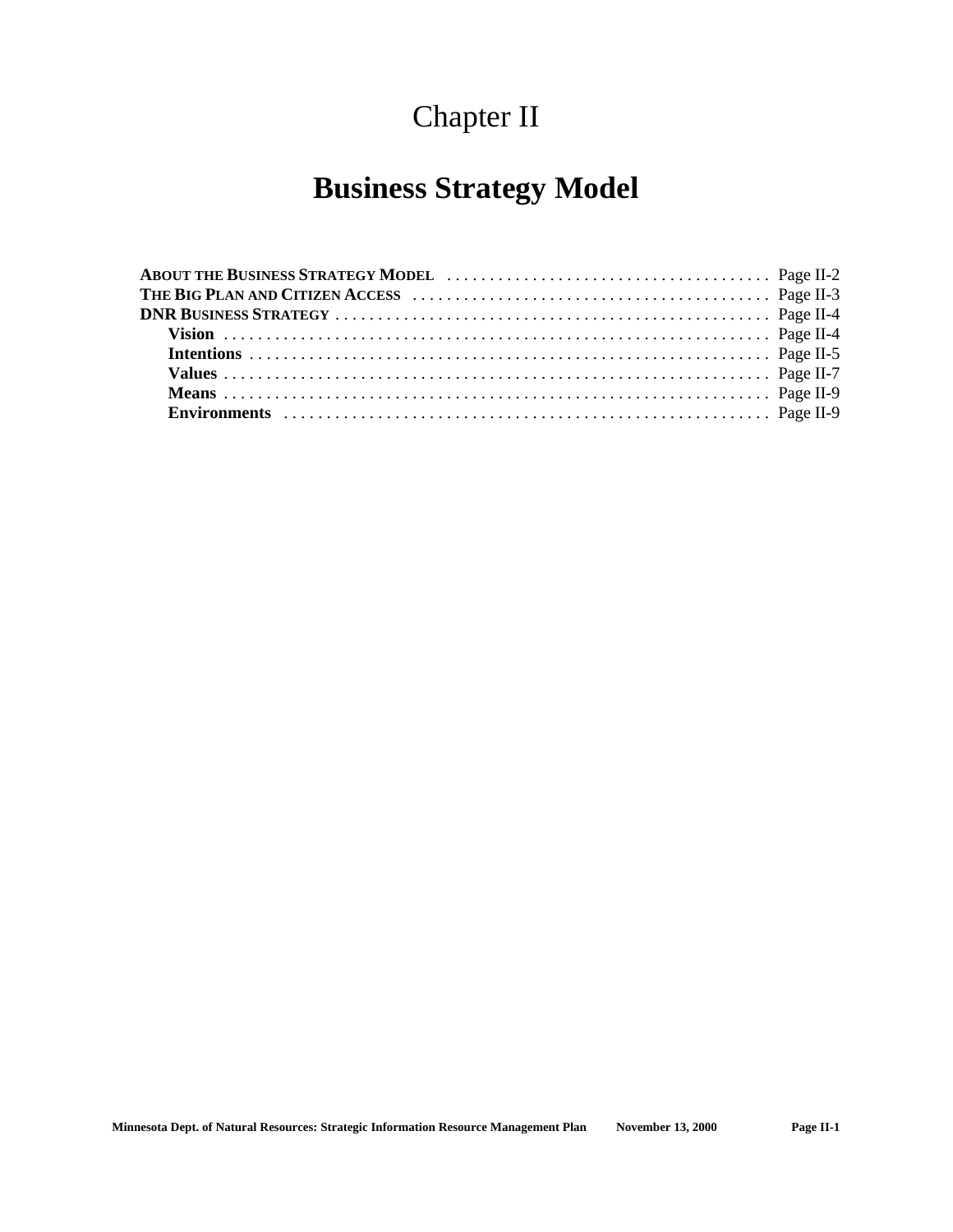## Chapter II

## **Business Strategy Model**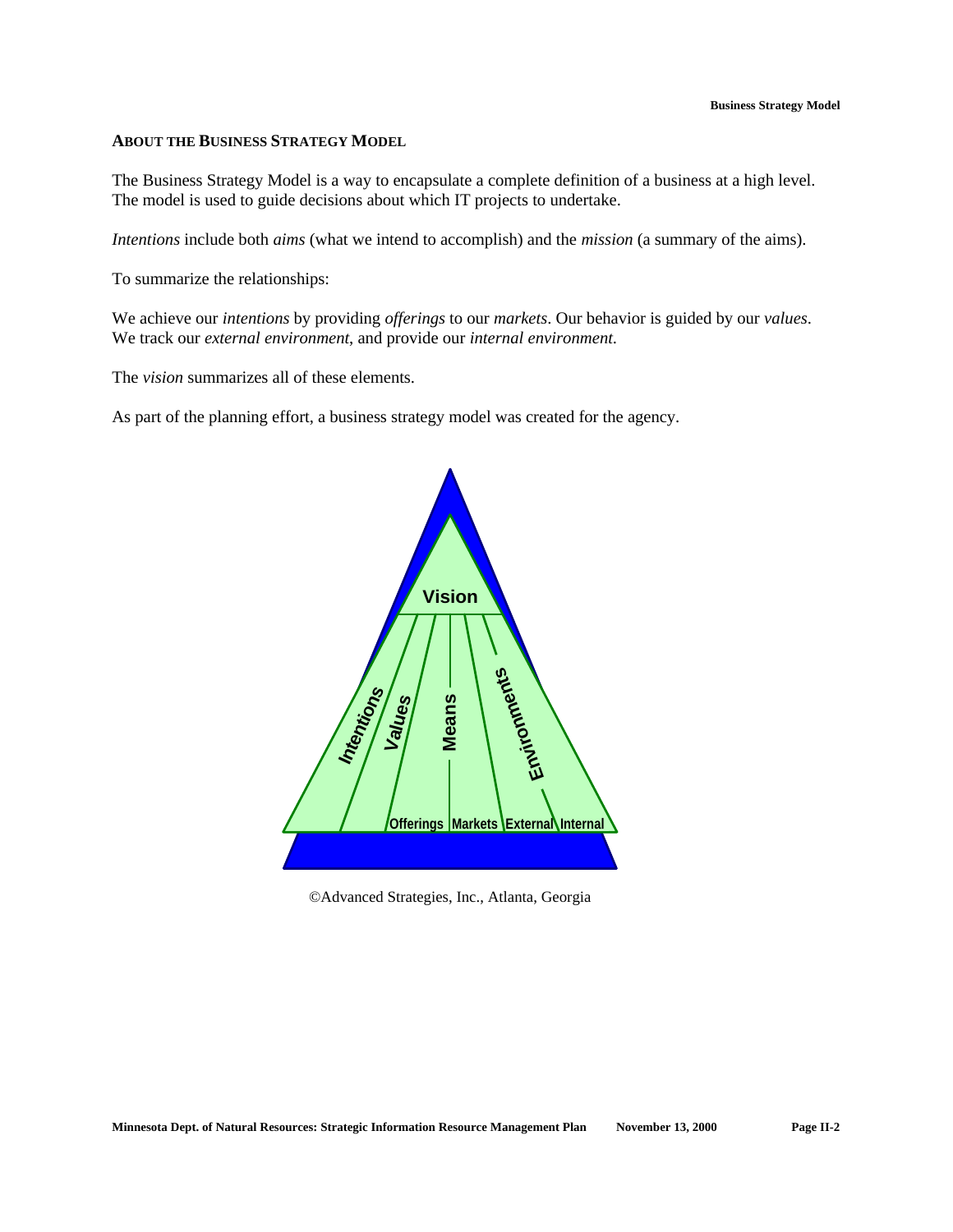#### **ABOUT THE BUSINESS STRATEGY MODEL**

The Business Strategy Model is a way to encapsulate a complete definition of a business at a high level. The model is used to guide decisions about which IT projects to undertake.

*Intentions* include both *aims* (what we intend to accomplish) and the *mission* (a summary of the aims).

To summarize the relationships:

We achieve our *intentions* by providing *offerings* to our *markets*. Our behavior is guided by our *values*. We track our *external environment*, and provide our *internal environment*.

The *vision* summarizes all of these elements.

As part of the planning effort, a business strategy model was created for the agency.



©Advanced Strategies, Inc., Atlanta, Georgia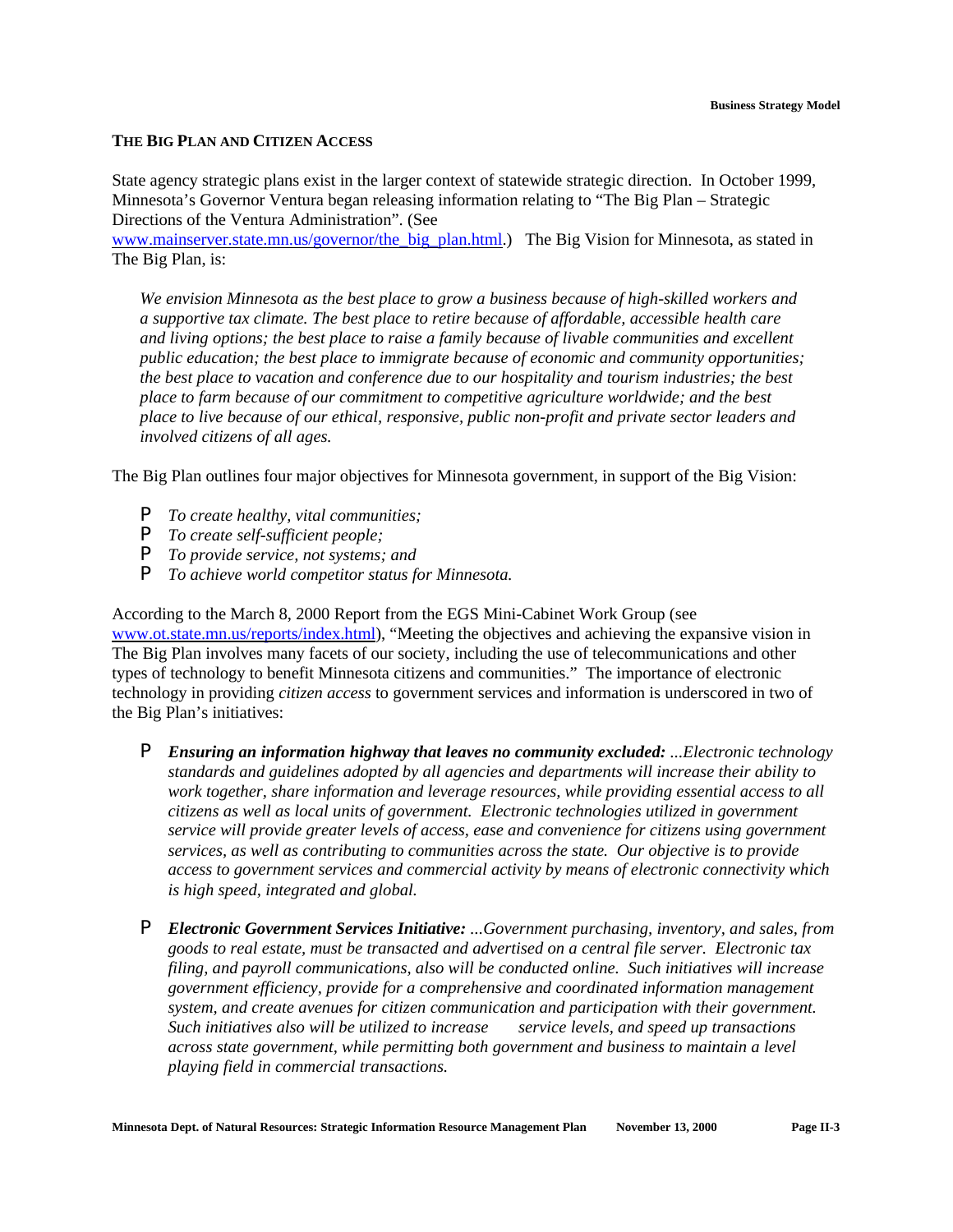#### **THE BIG PLAN AND CITIZEN ACCESS**

State agency strategic plans exist in the larger context of statewide strategic direction. In October 1999, Minnesota's Governor Ventura began releasing information relating to "The Big Plan – Strategic Directions of the Ventura Administration". (See

www.mainserver.state.mn.us/governor/the\_big\_plan.html.) The Big Vision for Minnesota, as stated in The Big Plan, is:

*We envision Minnesota as the best place to grow a business because of high-skilled workers and a supportive tax climate. The best place to retire because of affordable, accessible health care and living options; the best place to raise a family because of livable communities and excellent public education; the best place to immigrate because of economic and community opportunities; the best place to vacation and conference due to our hospitality and tourism industries; the best place to farm because of our commitment to competitive agriculture worldwide; and the best place to live because of our ethical, responsive, public non-profit and private sector leaders and involved citizens of all ages.*

The Big Plan outlines four major objectives for Minnesota government, in support of the Big Vision:

- P *To create healthy, vital communities;*
- P *To create self-sufficient people;*
- P *To provide service, not systems; and*
- P *To achieve world competitor status for Minnesota.*

According to the March 8, 2000 Report from the EGS Mini-Cabinet Work Group (see www.ot.state.mn.us/reports/index.html), "Meeting the objectives and achieving the expansive vision in The Big Plan involves many facets of our society, including the use of telecommunications and other types of technology to benefit Minnesota citizens and communities." The importance of electronic technology in providing *citizen access* to government services and information is underscored in two of the Big Plan's initiatives:

- P *Ensuring an information highway that leaves no community excluded: ...Electronic technology standards and guidelines adopted by all agencies and departments will increase their ability to work together, share information and leverage resources, while providing essential access to all citizens as well as local units of government. Electronic technologies utilized in government service will provide greater levels of access, ease and convenience for citizens using government services, as well as contributing to communities across the state. Our objective is to provide access to government services and commercial activity by means of electronic connectivity which is high speed, integrated and global.*
- P *Electronic Government Services Initiative: ...Government purchasing, inventory, and sales, from goods to real estate, must be transacted and advertised on a central file server. Electronic tax filing, and payroll communications, also will be conducted online. Such initiatives will increase government efficiency, provide for a comprehensive and coordinated information management system, and create avenues for citizen communication and participation with their government. Such initiatives also will be utilized to increase service levels, and speed up transactions across state government, while permitting both government and business to maintain a level playing field in commercial transactions.*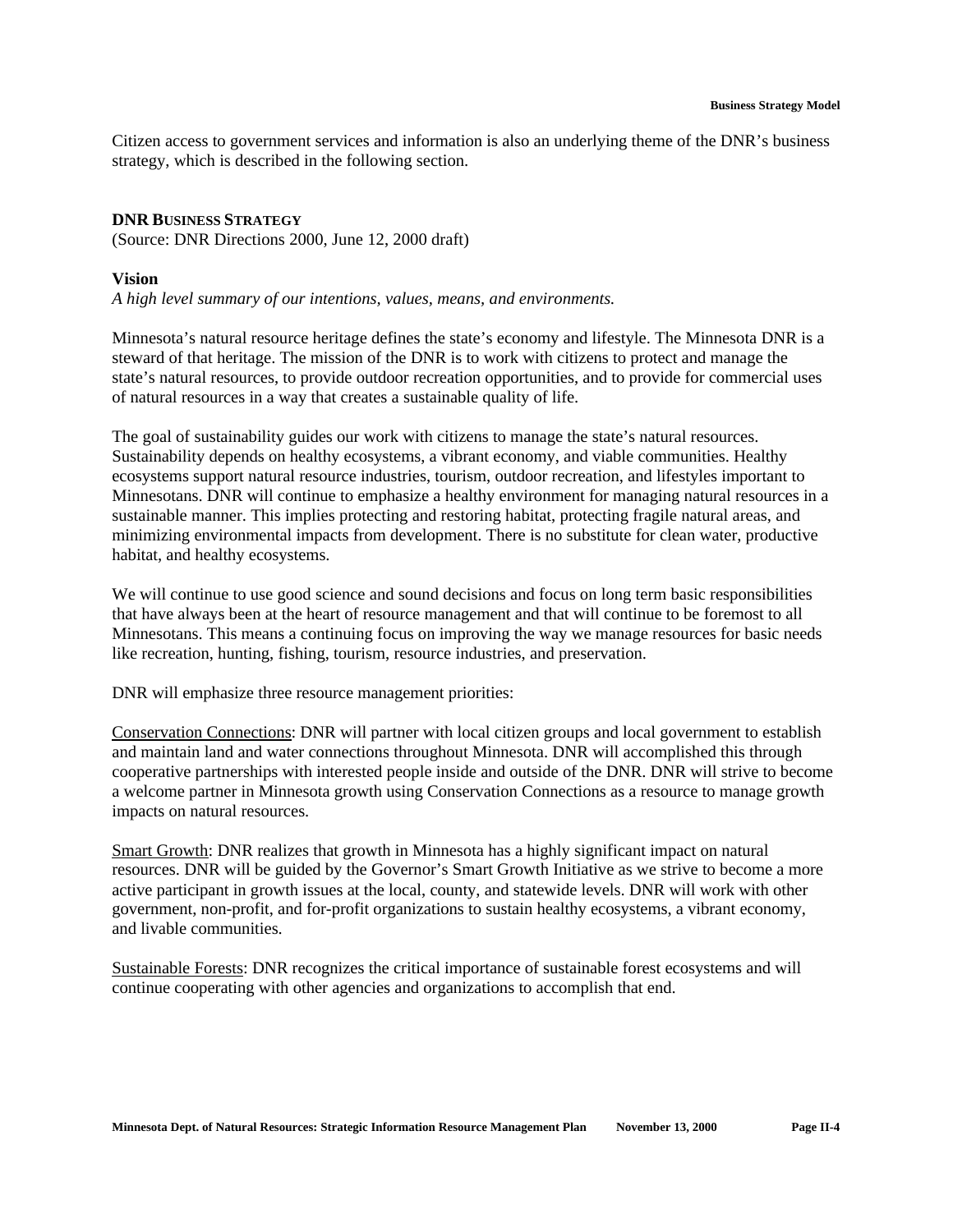Citizen access to government services and information is also an underlying theme of the DNR's business strategy, which is described in the following section.

#### **DNR BUSINESS STRATEGY**

(Source: DNR Directions 2000, June 12, 2000 draft)

#### **Vision**

*A high level summary of our intentions, values, means, and environments.*

Minnesota's natural resource heritage defines the state's economy and lifestyle. The Minnesota DNR is a steward of that heritage. The mission of the DNR is to work with citizens to protect and manage the state's natural resources, to provide outdoor recreation opportunities, and to provide for commercial uses of natural resources in a way that creates a sustainable quality of life.

The goal of sustainability guides our work with citizens to manage the state's natural resources. Sustainability depends on healthy ecosystems, a vibrant economy, and viable communities. Healthy ecosystems support natural resource industries, tourism, outdoor recreation, and lifestyles important to Minnesotans. DNR will continue to emphasize a healthy environment for managing natural resources in a sustainable manner. This implies protecting and restoring habitat, protecting fragile natural areas, and minimizing environmental impacts from development. There is no substitute for clean water, productive habitat, and healthy ecosystems.

We will continue to use good science and sound decisions and focus on long term basic responsibilities that have always been at the heart of resource management and that will continue to be foremost to all Minnesotans. This means a continuing focus on improving the way we manage resources for basic needs like recreation, hunting, fishing, tourism, resource industries, and preservation.

DNR will emphasize three resource management priorities:

Conservation Connections: DNR will partner with local citizen groups and local government to establish and maintain land and water connections throughout Minnesota. DNR will accomplished this through cooperative partnerships with interested people inside and outside of the DNR. DNR will strive to become a welcome partner in Minnesota growth using Conservation Connections as a resource to manage growth impacts on natural resources.

Smart Growth: DNR realizes that growth in Minnesota has a highly significant impact on natural resources. DNR will be guided by the Governor's Smart Growth Initiative as we strive to become a more active participant in growth issues at the local, county, and statewide levels. DNR will work with other government, non-profit, and for-profit organizations to sustain healthy ecosystems, a vibrant economy, and livable communities.

Sustainable Forests: DNR recognizes the critical importance of sustainable forest ecosystems and will continue cooperating with other agencies and organizations to accomplish that end.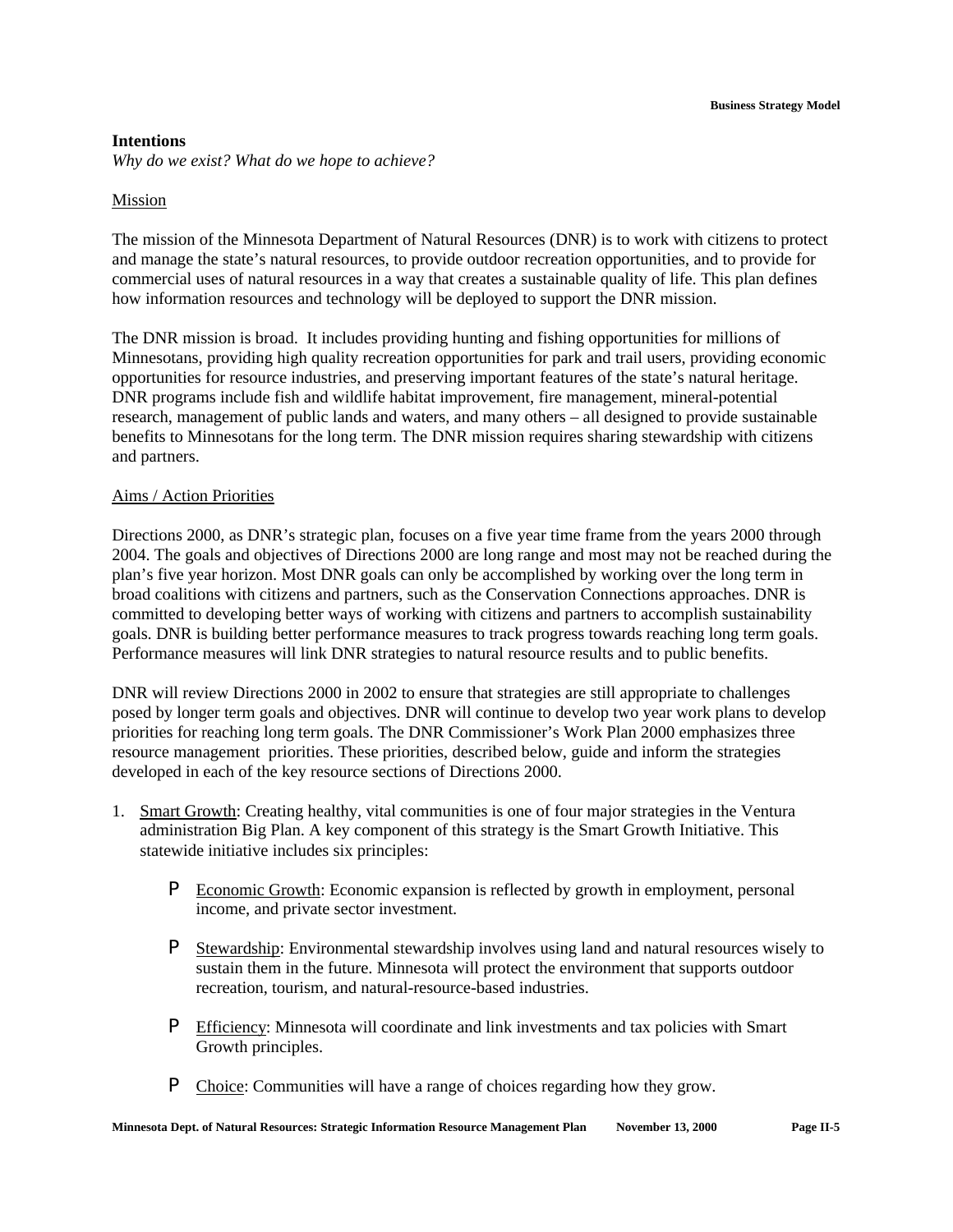#### **Intentions**

*Why do we exist? What do we hope to achieve?*

#### Mission

The mission of the Minnesota Department of Natural Resources (DNR) is to work with citizens to protect and manage the state's natural resources, to provide outdoor recreation opportunities, and to provide for commercial uses of natural resources in a way that creates a sustainable quality of life. This plan defines how information resources and technology will be deployed to support the DNR mission.

The DNR mission is broad. It includes providing hunting and fishing opportunities for millions of Minnesotans, providing high quality recreation opportunities for park and trail users, providing economic opportunities for resource industries, and preserving important features of the state's natural heritage. DNR programs include fish and wildlife habitat improvement, fire management, mineral-potential research, management of public lands and waters, and many others – all designed to provide sustainable benefits to Minnesotans for the long term. The DNR mission requires sharing stewardship with citizens and partners.

#### Aims / Action Priorities

Directions 2000, as DNR's strategic plan, focuses on a five year time frame from the years 2000 through 2004. The goals and objectives of Directions 2000 are long range and most may not be reached during the plan's five year horizon. Most DNR goals can only be accomplished by working over the long term in broad coalitions with citizens and partners, such as the Conservation Connections approaches. DNR is committed to developing better ways of working with citizens and partners to accomplish sustainability goals. DNR is building better performance measures to track progress towards reaching long term goals. Performance measures will link DNR strategies to natural resource results and to public benefits.

DNR will review Directions 2000 in 2002 to ensure that strategies are still appropriate to challenges posed by longer term goals and objectives. DNR will continue to develop two year work plans to develop priorities for reaching long term goals. The DNR Commissioner's Work Plan 2000 emphasizes three resource management priorities. These priorities, described below, guide and inform the strategies developed in each of the key resource sections of Directions 2000.

- 1. Smart Growth: Creating healthy, vital communities is one of four major strategies in the Ventura administration Big Plan. A key component of this strategy is the Smart Growth Initiative. This statewide initiative includes six principles:
	- P Economic Growth: Economic expansion is reflected by growth in employment, personal income, and private sector investment.
	- P Stewardship: Environmental stewardship involves using land and natural resources wisely to sustain them in the future. Minnesota will protect the environment that supports outdoor recreation, tourism, and natural-resource-based industries.
	- P Efficiency: Minnesota will coordinate and link investments and tax policies with Smart Growth principles.
	- P Choice: Communities will have a range of choices regarding how they grow.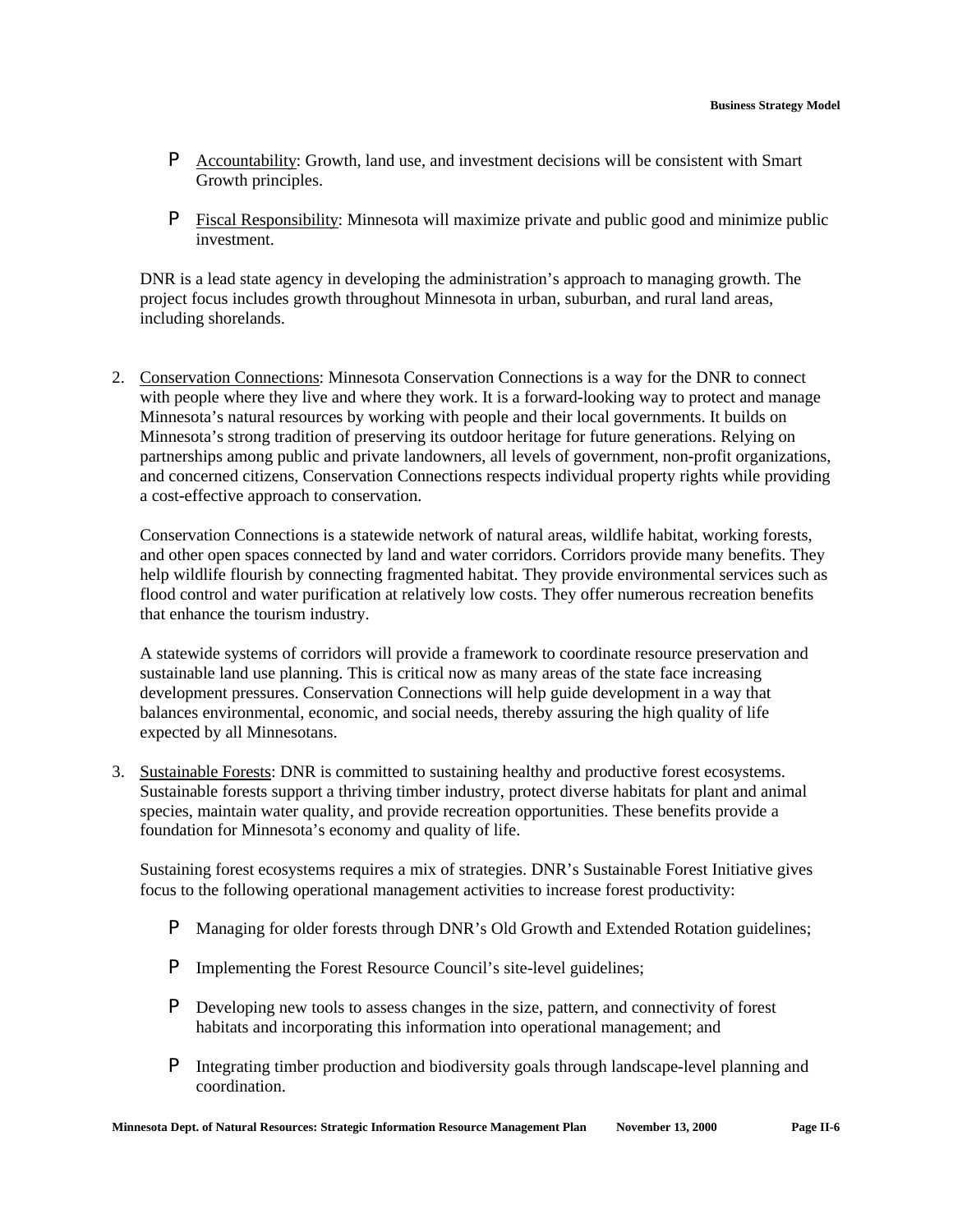- P Accountability: Growth, land use, and investment decisions will be consistent with Smart Growth principles.
- P Fiscal Responsibility: Minnesota will maximize private and public good and minimize public investment.

DNR is a lead state agency in developing the administration's approach to managing growth. The project focus includes growth throughout Minnesota in urban, suburban, and rural land areas, including shorelands.

2. Conservation Connections: Minnesota Conservation Connections is a way for the DNR to connect with people where they live and where they work. It is a forward-looking way to protect and manage Minnesota's natural resources by working with people and their local governments. It builds on Minnesota's strong tradition of preserving its outdoor heritage for future generations. Relying on partnerships among public and private landowners, all levels of government, non-profit organizations, and concerned citizens, Conservation Connections respects individual property rights while providing a cost-effective approach to conservation.

Conservation Connections is a statewide network of natural areas, wildlife habitat, working forests, and other open spaces connected by land and water corridors. Corridors provide many benefits. They help wildlife flourish by connecting fragmented habitat. They provide environmental services such as flood control and water purification at relatively low costs. They offer numerous recreation benefits that enhance the tourism industry.

A statewide systems of corridors will provide a framework to coordinate resource preservation and sustainable land use planning. This is critical now as many areas of the state face increasing development pressures. Conservation Connections will help guide development in a way that balances environmental, economic, and social needs, thereby assuring the high quality of life expected by all Minnesotans.

3. Sustainable Forests: DNR is committed to sustaining healthy and productive forest ecosystems. Sustainable forests support a thriving timber industry, protect diverse habitats for plant and animal species, maintain water quality, and provide recreation opportunities. These benefits provide a foundation for Minnesota's economy and quality of life.

Sustaining forest ecosystems requires a mix of strategies. DNR's Sustainable Forest Initiative gives focus to the following operational management activities to increase forest productivity:

- P Managing for older forests through DNR's Old Growth and Extended Rotation guidelines;
- P Implementing the Forest Resource Council's site-level guidelines;
- P Developing new tools to assess changes in the size, pattern, and connectivity of forest habitats and incorporating this information into operational management; and
- P Integrating timber production and biodiversity goals through landscape-level planning and coordination.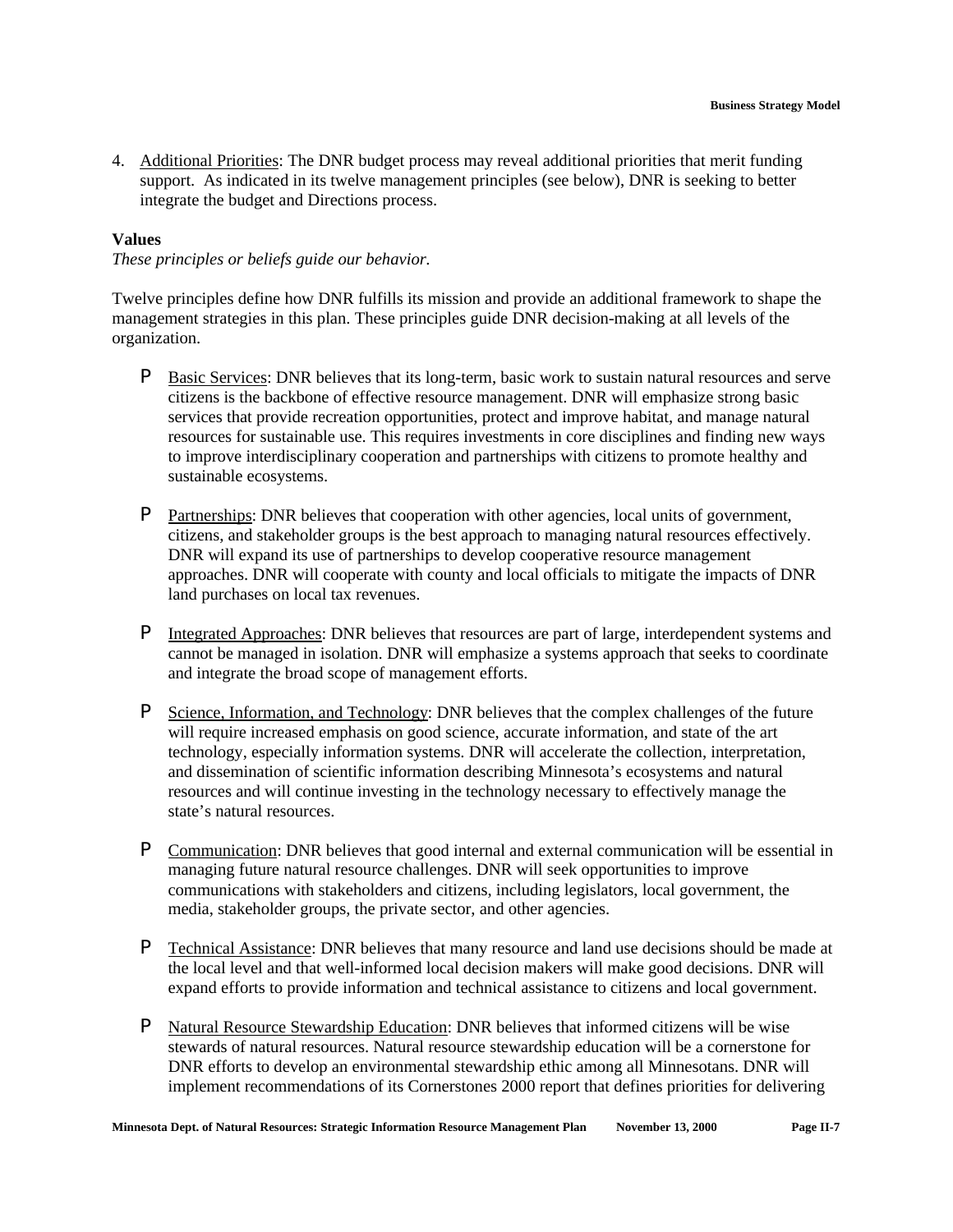4. Additional Priorities: The DNR budget process may reveal additional priorities that merit funding support. As indicated in its twelve management principles (see below), DNR is seeking to better integrate the budget and Directions process.

#### **Values**

*These principles or beliefs guide our behavior.*

Twelve principles define how DNR fulfills its mission and provide an additional framework to shape the management strategies in this plan. These principles guide DNR decision-making at all levels of the organization.

- P Basic Services: DNR believes that its long-term, basic work to sustain natural resources and serve citizens is the backbone of effective resource management. DNR will emphasize strong basic services that provide recreation opportunities, protect and improve habitat, and manage natural resources for sustainable use. This requires investments in core disciplines and finding new ways to improve interdisciplinary cooperation and partnerships with citizens to promote healthy and sustainable ecosystems.
- P Partnerships: DNR believes that cooperation with other agencies, local units of government, citizens, and stakeholder groups is the best approach to managing natural resources effectively. DNR will expand its use of partnerships to develop cooperative resource management approaches. DNR will cooperate with county and local officials to mitigate the impacts of DNR land purchases on local tax revenues.
- P Integrated Approaches: DNR believes that resources are part of large, interdependent systems and cannot be managed in isolation. DNR will emphasize a systems approach that seeks to coordinate and integrate the broad scope of management efforts.
- **P** Science, Information, and Technology: DNR believes that the complex challenges of the future will require increased emphasis on good science, accurate information, and state of the art technology, especially information systems. DNR will accelerate the collection, interpretation, and dissemination of scientific information describing Minnesota's ecosystems and natural resources and will continue investing in the technology necessary to effectively manage the state's natural resources.
- P Communication: DNR believes that good internal and external communication will be essential in managing future natural resource challenges. DNR will seek opportunities to improve communications with stakeholders and citizens, including legislators, local government, the media, stakeholder groups, the private sector, and other agencies.
- **P** Technical Assistance: DNR believes that many resource and land use decisions should be made at the local level and that well-informed local decision makers will make good decisions. DNR will expand efforts to provide information and technical assistance to citizens and local government.
- P Natural Resource Stewardship Education: DNR believes that informed citizens will be wise stewards of natural resources. Natural resource stewardship education will be a cornerstone for DNR efforts to develop an environmental stewardship ethic among all Minnesotans. DNR will implement recommendations of its Cornerstones 2000 report that defines priorities for delivering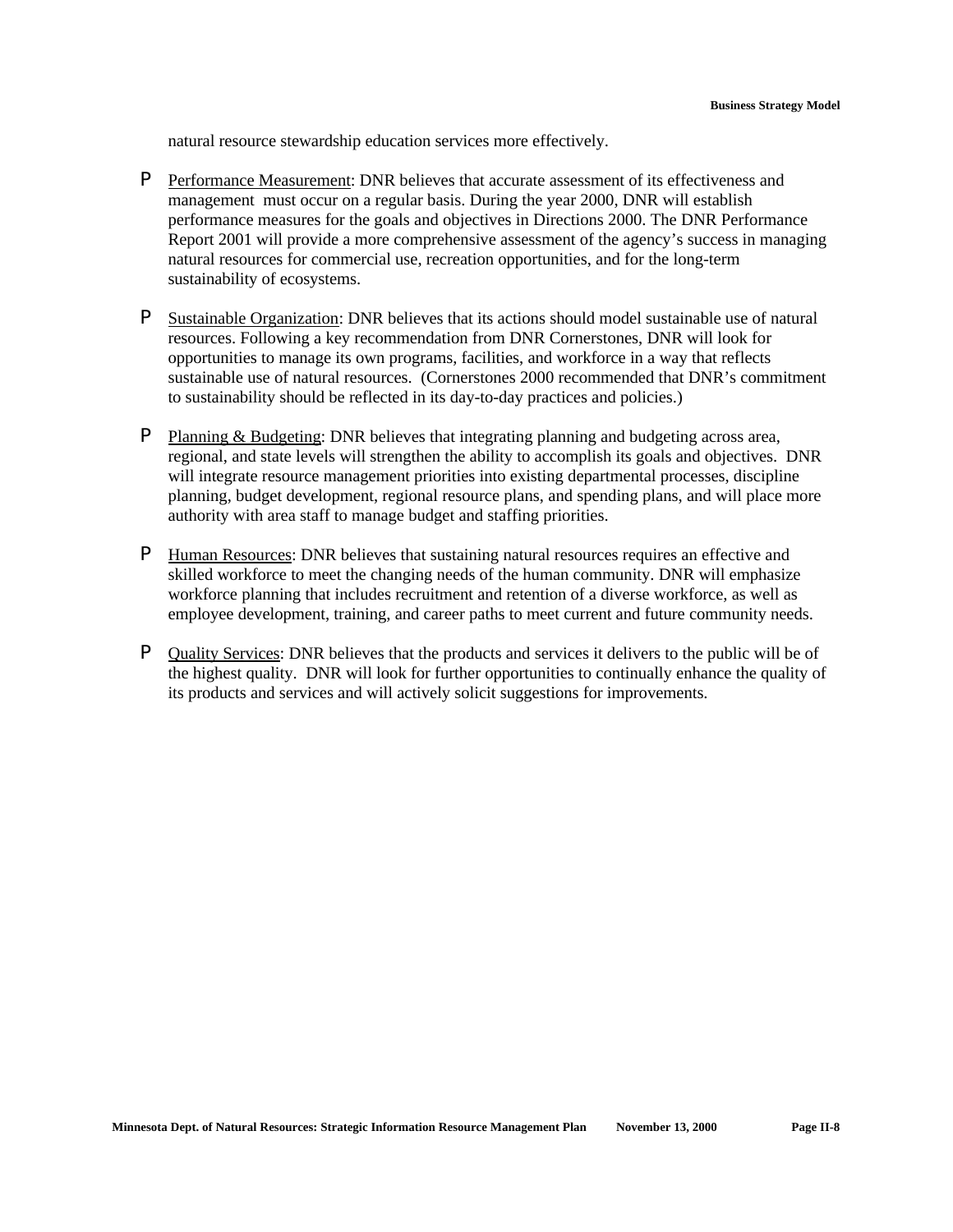natural resource stewardship education services more effectively.

- P Performance Measurement: DNR believes that accurate assessment of its effectiveness and management must occur on a regular basis. During the year 2000, DNR will establish performance measures for the goals and objectives in Directions 2000. The DNR Performance Report 2001 will provide a more comprehensive assessment of the agency's success in managing natural resources for commercial use, recreation opportunities, and for the long-term sustainability of ecosystems.
- P Sustainable Organization: DNR believes that its actions should model sustainable use of natural resources. Following a key recommendation from DNR Cornerstones, DNR will look for opportunities to manage its own programs, facilities, and workforce in a way that reflects sustainable use of natural resources. (Cornerstones 2000 recommended that DNR's commitment to sustainability should be reflected in its day-to-day practices and policies.)
- P Planning & Budgeting: DNR believes that integrating planning and budgeting across area, regional, and state levels will strengthen the ability to accomplish its goals and objectives. DNR will integrate resource management priorities into existing departmental processes, discipline planning, budget development, regional resource plans, and spending plans, and will place more authority with area staff to manage budget and staffing priorities.
- P Human Resources: DNR believes that sustaining natural resources requires an effective and skilled workforce to meet the changing needs of the human community. DNR will emphasize workforce planning that includes recruitment and retention of a diverse workforce, as well as employee development, training, and career paths to meet current and future community needs.
- P Quality Services: DNR believes that the products and services it delivers to the public will be of the highest quality. DNR will look for further opportunities to continually enhance the quality of its products and services and will actively solicit suggestions for improvements.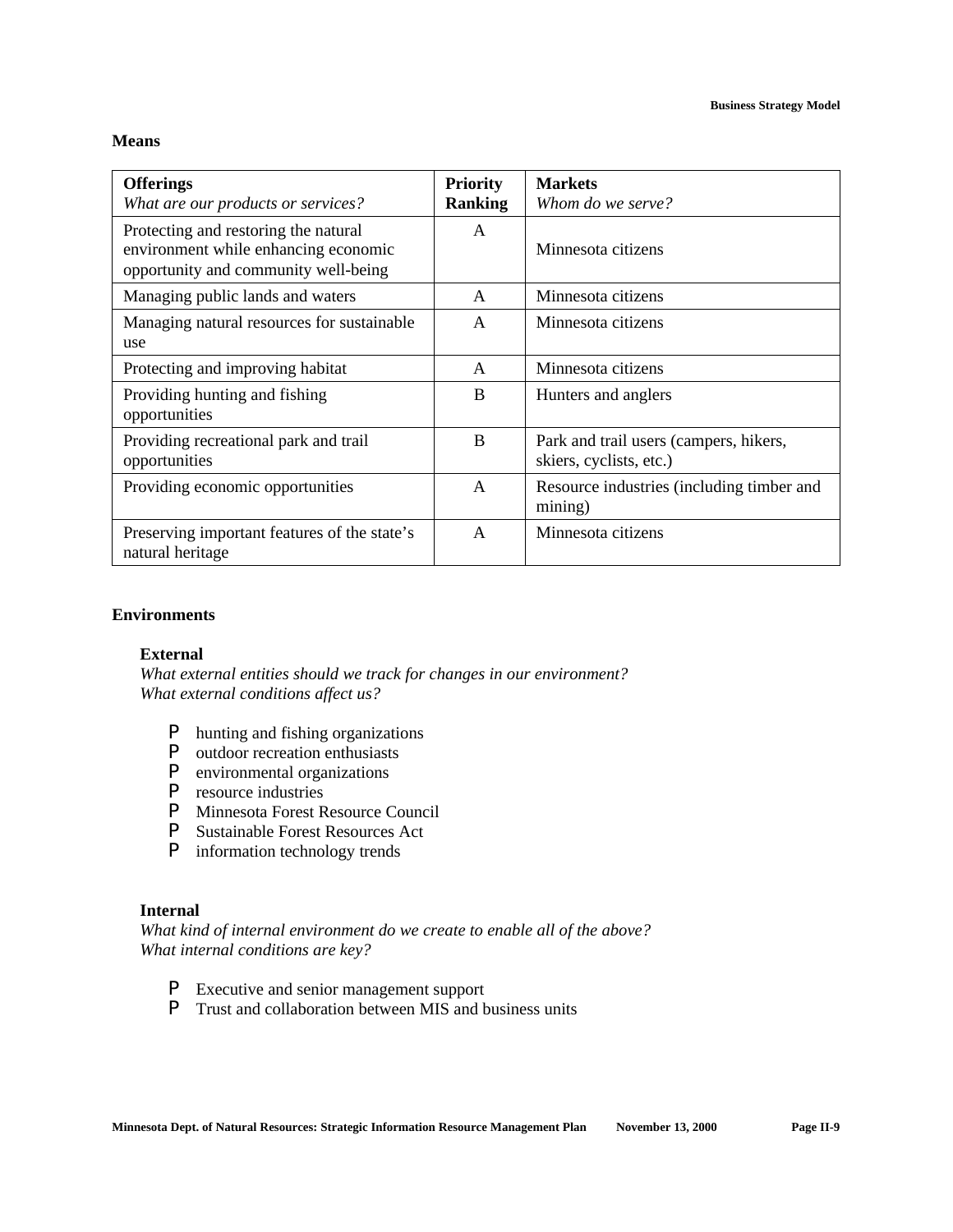#### **Means**

| <b>Offerings</b><br>What are our products or services?                                                               | <b>Priority</b><br><b>Ranking</b> | <b>Markets</b><br>Whom do we serve?                               |
|----------------------------------------------------------------------------------------------------------------------|-----------------------------------|-------------------------------------------------------------------|
| Protecting and restoring the natural<br>environment while enhancing economic<br>opportunity and community well-being | A                                 | Minnesota citizens                                                |
| Managing public lands and waters                                                                                     | A                                 | Minnesota citizens                                                |
| Managing natural resources for sustainable<br>use                                                                    | A                                 | Minnesota citizens                                                |
| Protecting and improving habitat                                                                                     | A                                 | Minnesota citizens                                                |
| Providing hunting and fishing<br>opportunities                                                                       | B                                 | Hunters and anglers                                               |
| Providing recreational park and trail<br>opportunities                                                               | B                                 | Park and trail users (campers, hikers,<br>skiers, cyclists, etc.) |
| Providing economic opportunities                                                                                     | A                                 | Resource industries (including timber and<br>mining)              |
| Preserving important features of the state's<br>natural heritage                                                     | $\mathsf{A}$                      | Minnesota citizens                                                |

#### **Environments**

#### **External**

*What external entities should we track for changes in our environment? What external conditions affect us?*

- **P** hunting and fishing organizations<br>**P** outdoor recreation enthusiasts
- **P** outdoor recreation enthusiasts<br>**P** environmental organizations
- environmental organizations
- P resource industries
- **P** Minnesota Forest Resource Council<br>**P** Sustainable Forest Resources Act
- **Sustainable Forest Resources Act**
- P information technology trends

#### **Internal**

*What kind of internal environment do we create to enable all of the above? What internal conditions are key?*

- P Executive and senior management support
- P Trust and collaboration between MIS and business units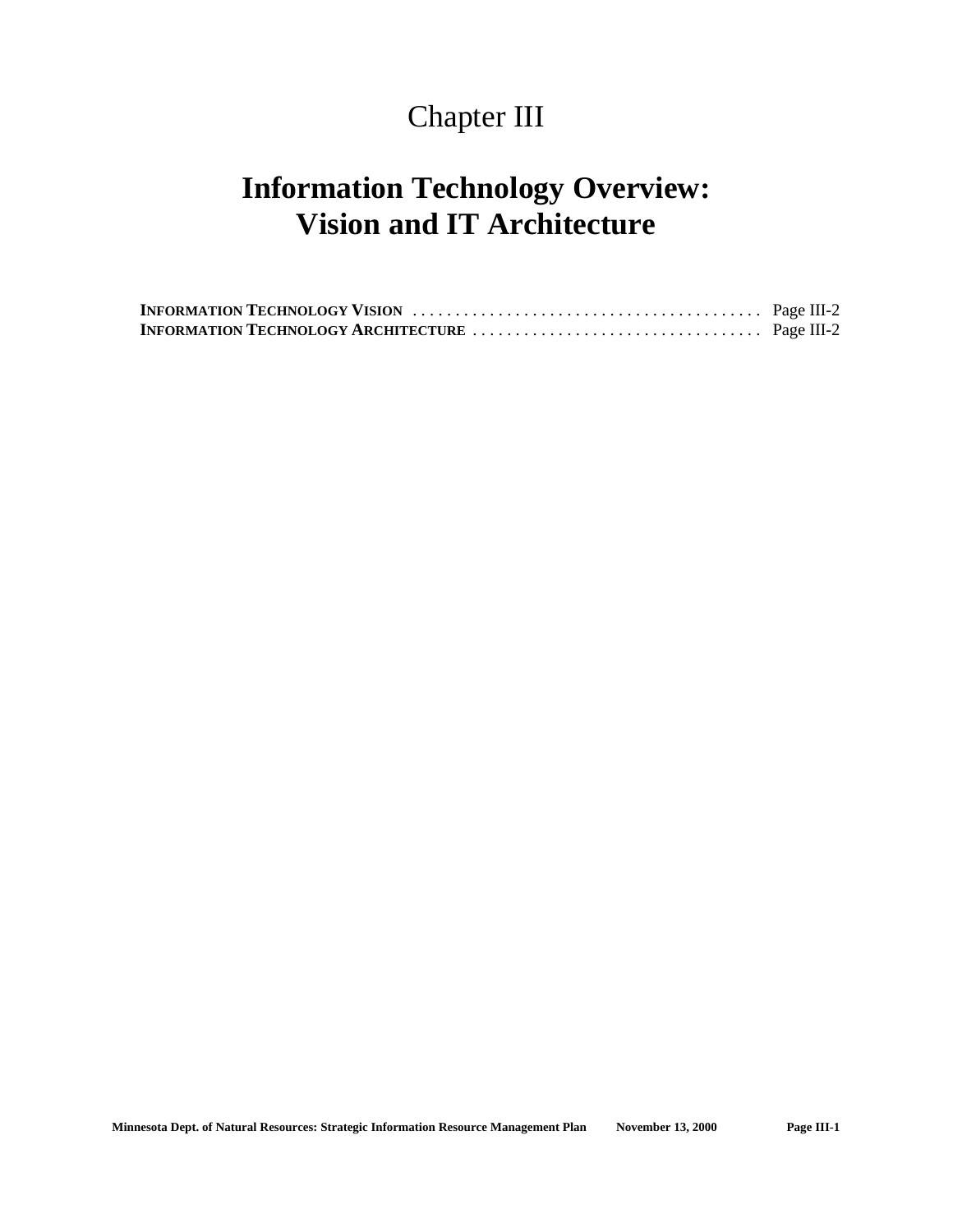## Chapter III

## **Information Technology Overview: Vision and IT Architecture**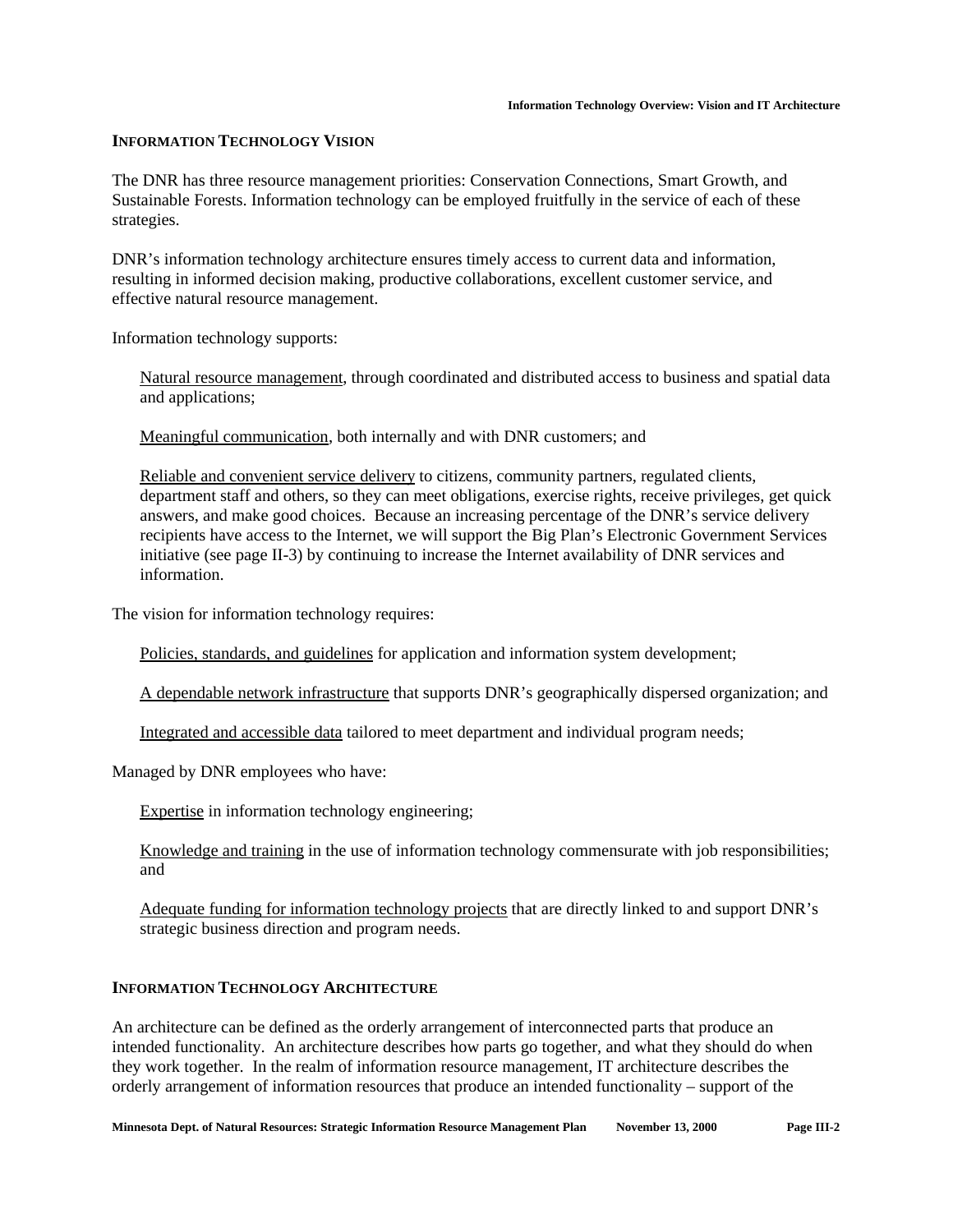#### **INFORMATION TECHNOLOGY VISION**

The DNR has three resource management priorities: Conservation Connections, Smart Growth, and Sustainable Forests. Information technology can be employed fruitfully in the service of each of these strategies.

DNR's information technology architecture ensures timely access to current data and information, resulting in informed decision making, productive collaborations, excellent customer service, and effective natural resource management.

Information technology supports:

Natural resource management, through coordinated and distributed access to business and spatial data and applications;

Meaningful communication, both internally and with DNR customers; and

Reliable and convenient service delivery to citizens, community partners, regulated clients, department staff and others, so they can meet obligations, exercise rights, receive privileges, get quick answers, and make good choices. Because an increasing percentage of the DNR's service delivery recipients have access to the Internet, we will support the Big Plan's Electronic Government Services initiative (see page II-3) by continuing to increase the Internet availability of DNR services and information.

The vision for information technology requires:

Policies, standards, and guidelines for application and information system development;

A dependable network infrastructure that supports DNR's geographically dispersed organization; and

Integrated and accessible data tailored to meet department and individual program needs;

Managed by DNR employees who have:

Expertise in information technology engineering;

Knowledge and training in the use of information technology commensurate with job responsibilities; and

Adequate funding for information technology projects that are directly linked to and support DNR's strategic business direction and program needs.

#### **INFORMATION TECHNOLOGY ARCHITECTURE**

An architecture can be defined as the orderly arrangement of interconnected parts that produce an intended functionality. An architecture describes how parts go together, and what they should do when they work together. In the realm of information resource management, IT architecture describes the orderly arrangement of information resources that produce an intended functionality – support of the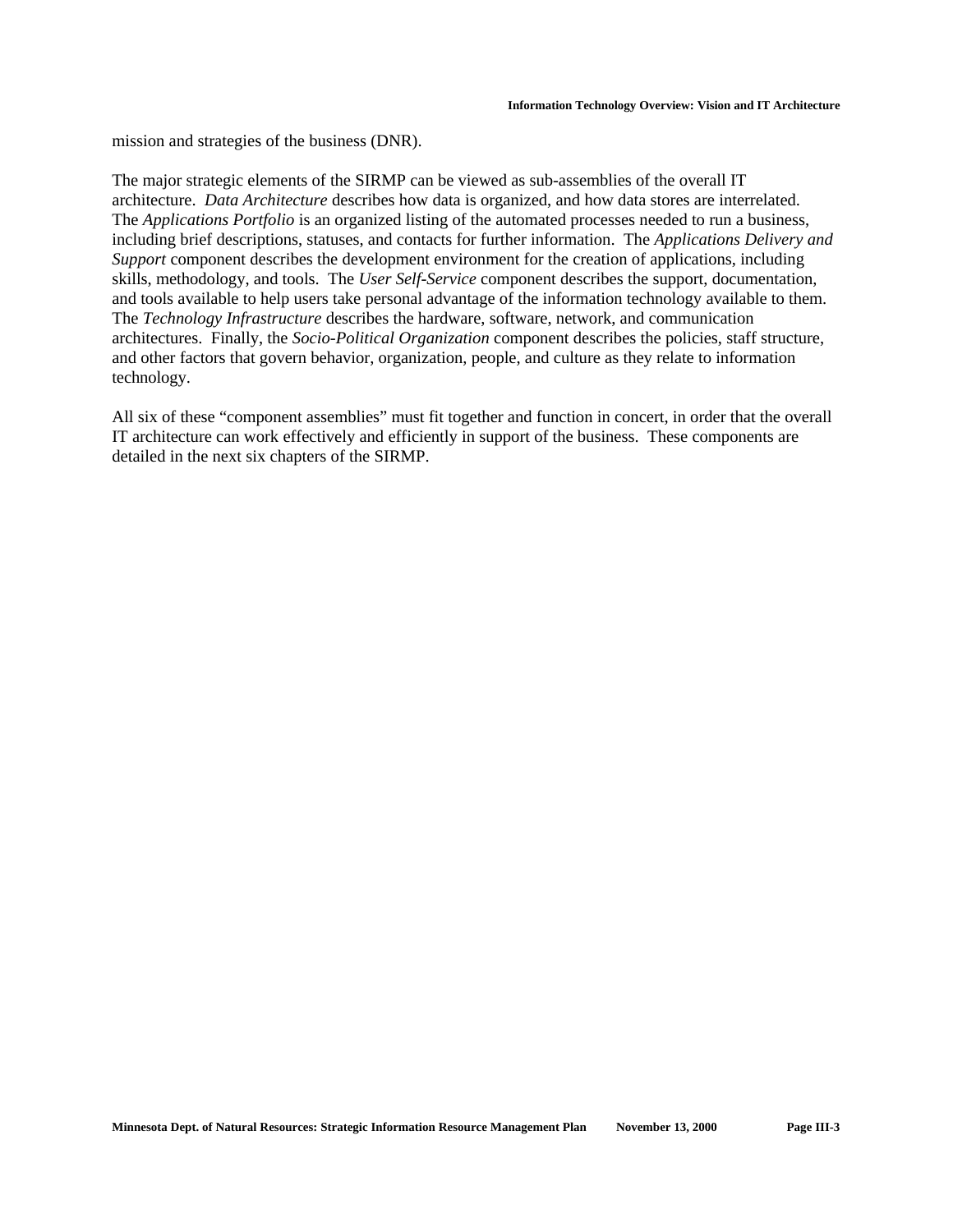mission and strategies of the business (DNR).

The major strategic elements of the SIRMP can be viewed as sub-assemblies of the overall IT architecture. *Data Architecture* describes how data is organized, and how data stores are interrelated. The *Applications Portfolio* is an organized listing of the automated processes needed to run a business, including brief descriptions, statuses, and contacts for further information. The *Applications Delivery and Support* component describes the development environment for the creation of applications, including skills, methodology, and tools. The *User Self-Service* component describes the support, documentation, and tools available to help users take personal advantage of the information technology available to them. The *Technology Infrastructure* describes the hardware, software, network, and communication architectures. Finally, the *Socio-Political Organization* component describes the policies, staff structure, and other factors that govern behavior, organization, people, and culture as they relate to information technology.

All six of these "component assemblies" must fit together and function in concert, in order that the overall IT architecture can work effectively and efficiently in support of the business. These components are detailed in the next six chapters of the SIRMP.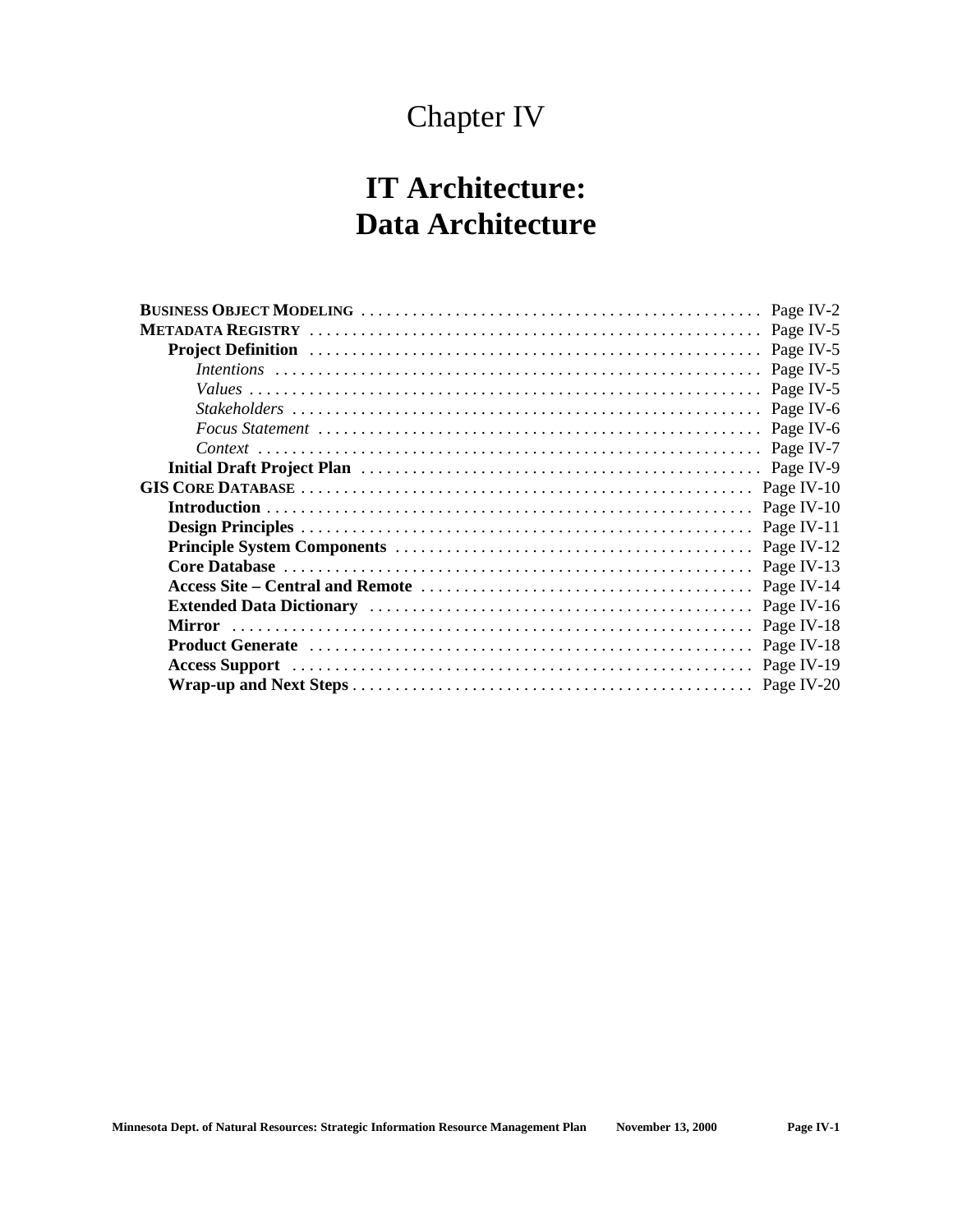## Chapter IV

## **IT Architecture: Data Architecture**

| Page IV-2  |
|------------|
|            |
|            |
|            |
| Page IV-5  |
| Page IV-6  |
| Page IV-6  |
| Page IV-7  |
| Page IV-9  |
| Page IV-10 |
| Page IV-10 |
| Page IV-11 |
| Page IV-12 |
| Page IV-13 |
| Page IV-14 |
| Page IV-16 |
| Page IV-18 |
| Page IV-18 |
|            |
|            |
|            |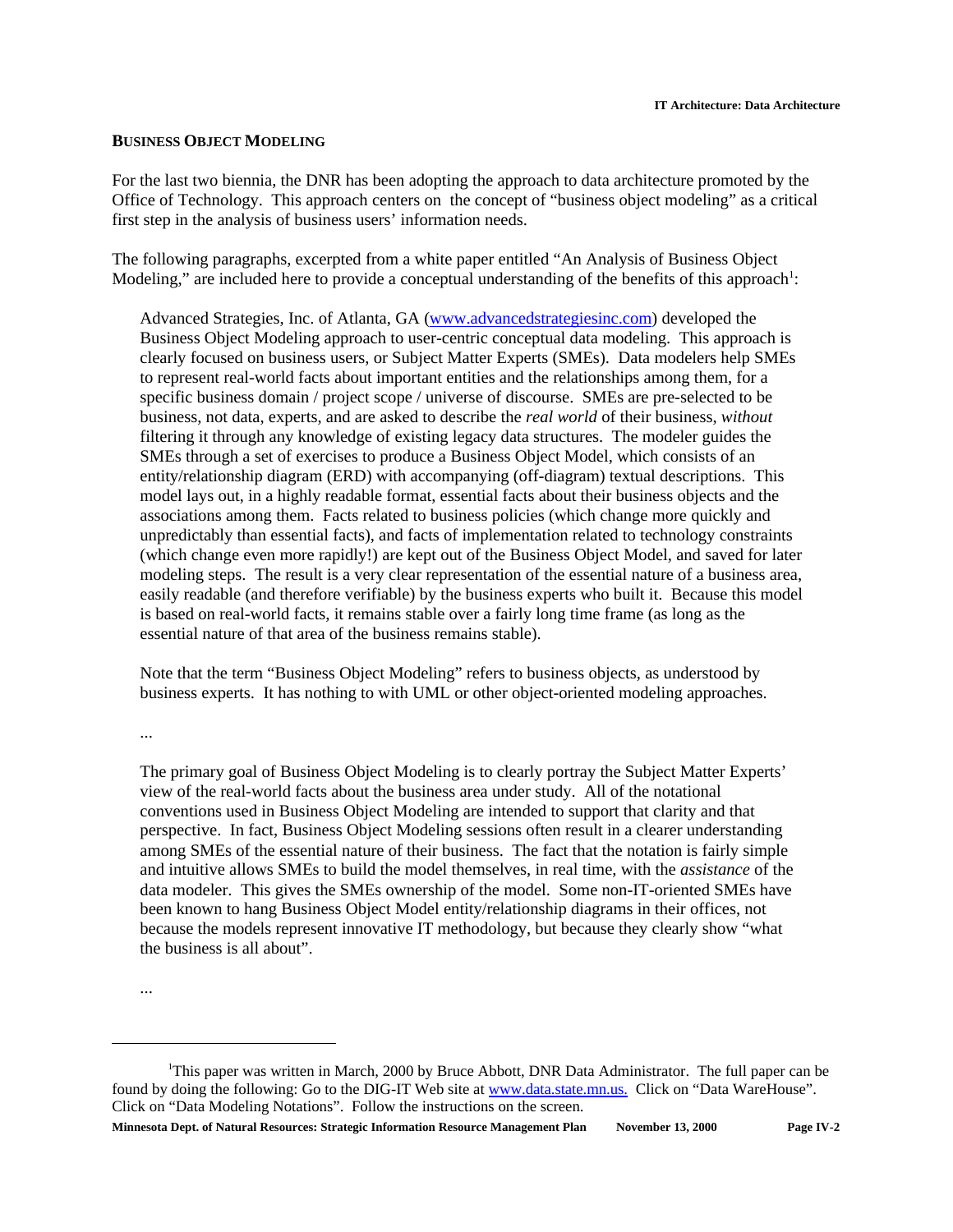#### **BUSINESS OBJECT MODELING**

For the last two biennia, the DNR has been adopting the approach to data architecture promoted by the Office of Technology. This approach centers on the concept of "business object modeling" as a critical first step in the analysis of business users' information needs.

The following paragraphs, excerpted from a white paper entitled "An Analysis of Business Object Modeling," are included here to provide a conceptual understanding of the benefits of this approach<sup>1</sup>:

Advanced Strategies, Inc. of Atlanta, GA (www.advancedstrategiesinc.com) developed the Business Object Modeling approach to user-centric conceptual data modeling. This approach is clearly focused on business users, or Subject Matter Experts (SMEs). Data modelers help SMEs to represent real-world facts about important entities and the relationships among them, for a specific business domain / project scope / universe of discourse. SMEs are pre-selected to be business, not data, experts, and are asked to describe the *real world* of their business, *without* filtering it through any knowledge of existing legacy data structures. The modeler guides the SMEs through a set of exercises to produce a Business Object Model, which consists of an entity/relationship diagram (ERD) with accompanying (off-diagram) textual descriptions. This model lays out, in a highly readable format, essential facts about their business objects and the associations among them. Facts related to business policies (which change more quickly and unpredictably than essential facts), and facts of implementation related to technology constraints (which change even more rapidly!) are kept out of the Business Object Model, and saved for later modeling steps. The result is a very clear representation of the essential nature of a business area, easily readable (and therefore verifiable) by the business experts who built it. Because this model is based on real-world facts, it remains stable over a fairly long time frame (as long as the essential nature of that area of the business remains stable).

Note that the term "Business Object Modeling" refers to business objects, as understood by business experts. It has nothing to with UML or other object-oriented modeling approaches.

...

The primary goal of Business Object Modeling is to clearly portray the Subject Matter Experts' view of the real-world facts about the business area under study. All of the notational conventions used in Business Object Modeling are intended to support that clarity and that perspective. In fact, Business Object Modeling sessions often result in a clearer understanding among SMEs of the essential nature of their business. The fact that the notation is fairly simple and intuitive allows SMEs to build the model themselves, in real time, with the *assistance* of the data modeler. This gives the SMEs ownership of the model. Some non-IT-oriented SMEs have been known to hang Business Object Model entity/relationship diagrams in their offices, not because the models represent innovative IT methodology, but because they clearly show "what the business is all about".

<sup>...</sup>

<sup>&</sup>lt;sup>1</sup>This paper was written in March, 2000 by Bruce Abbott, DNR Data Administrator. The full paper can be found by doing the following: Go to the DIG-IT Web site at www.data.state.mn.us. Click on "Data WareHouse". Click on "Data Modeling Notations". Follow the instructions on the screen.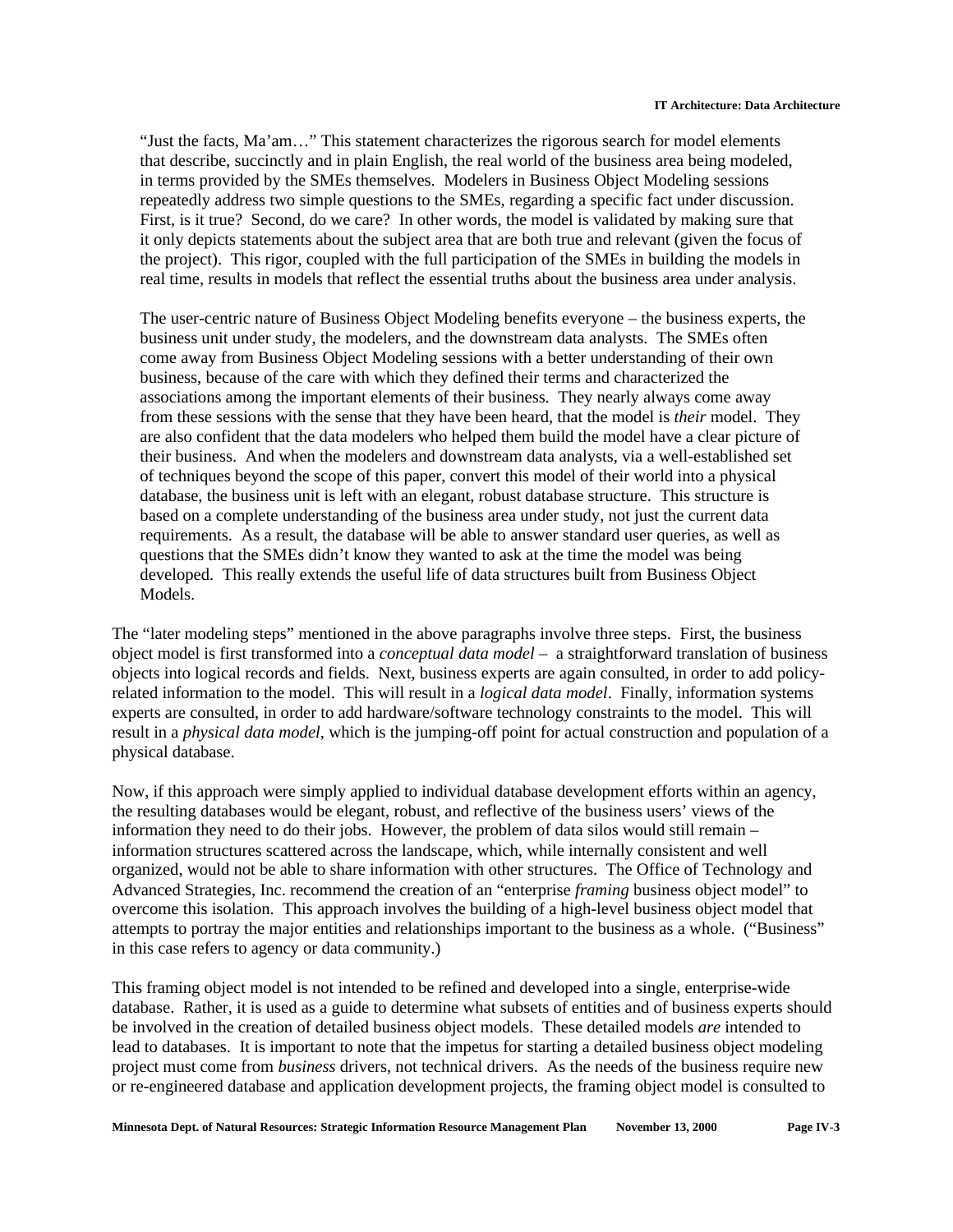"Just the facts, Ma'am…" This statement characterizes the rigorous search for model elements that describe, succinctly and in plain English, the real world of the business area being modeled, in terms provided by the SMEs themselves. Modelers in Business Object Modeling sessions repeatedly address two simple questions to the SMEs, regarding a specific fact under discussion. First, is it true? Second, do we care? In other words, the model is validated by making sure that it only depicts statements about the subject area that are both true and relevant (given the focus of the project). This rigor, coupled with the full participation of the SMEs in building the models in real time, results in models that reflect the essential truths about the business area under analysis.

The user-centric nature of Business Object Modeling benefits everyone – the business experts, the business unit under study, the modelers, and the downstream data analysts. The SMEs often come away from Business Object Modeling sessions with a better understanding of their own business, because of the care with which they defined their terms and characterized the associations among the important elements of their business. They nearly always come away from these sessions with the sense that they have been heard, that the model is *their* model. They are also confident that the data modelers who helped them build the model have a clear picture of their business. And when the modelers and downstream data analysts, via a well-established set of techniques beyond the scope of this paper, convert this model of their world into a physical database, the business unit is left with an elegant, robust database structure. This structure is based on a complete understanding of the business area under study, not just the current data requirements. As a result, the database will be able to answer standard user queries, as well as questions that the SMEs didn't know they wanted to ask at the time the model was being developed. This really extends the useful life of data structures built from Business Object Models.

The "later modeling steps" mentioned in the above paragraphs involve three steps. First, the business object model is first transformed into a *conceptual data model* – a straightforward translation of business objects into logical records and fields. Next, business experts are again consulted, in order to add policyrelated information to the model. This will result in a *logical data model*. Finally, information systems experts are consulted, in order to add hardware/software technology constraints to the model. This will result in a *physical data model*, which is the jumping-off point for actual construction and population of a physical database.

Now, if this approach were simply applied to individual database development efforts within an agency, the resulting databases would be elegant, robust, and reflective of the business users' views of the information they need to do their jobs. However, the problem of data silos would still remain – information structures scattered across the landscape, which, while internally consistent and well organized, would not be able to share information with other structures. The Office of Technology and Advanced Strategies, Inc. recommend the creation of an "enterprise *framing* business object model" to overcome this isolation. This approach involves the building of a high-level business object model that attempts to portray the major entities and relationships important to the business as a whole. ("Business" in this case refers to agency or data community.)

This framing object model is not intended to be refined and developed into a single, enterprise-wide database. Rather, it is used as a guide to determine what subsets of entities and of business experts should be involved in the creation of detailed business object models. These detailed models *are* intended to lead to databases. It is important to note that the impetus for starting a detailed business object modeling project must come from *business* drivers, not technical drivers. As the needs of the business require new or re-engineered database and application development projects, the framing object model is consulted to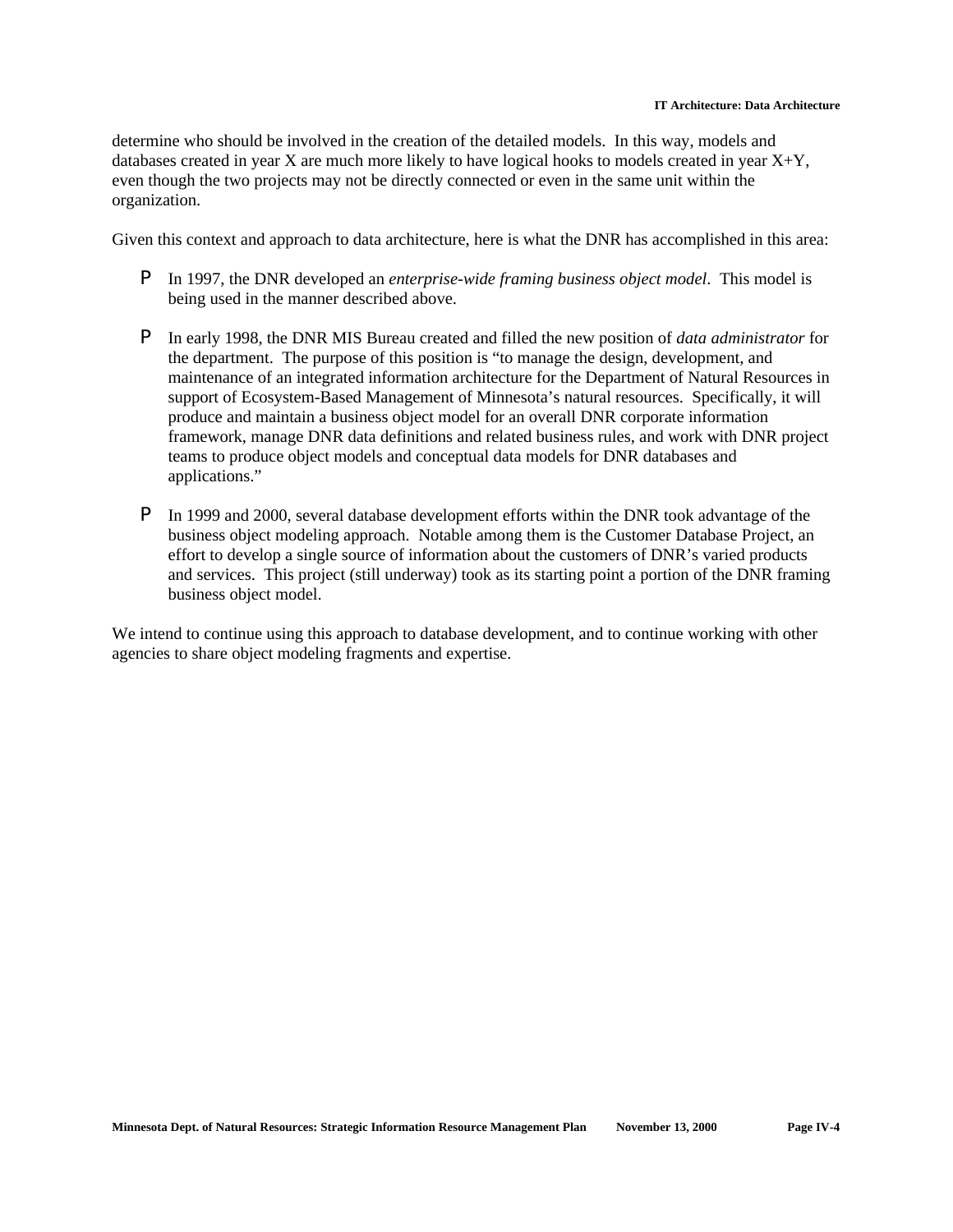determine who should be involved in the creation of the detailed models. In this way, models and databases created in year X are much more likely to have logical hooks to models created in year X+Y, even though the two projects may not be directly connected or even in the same unit within the organization.

Given this context and approach to data architecture, here is what the DNR has accomplished in this area:

- P In 1997, the DNR developed an *enterprise-wide framing business object model*. This model is being used in the manner described above.
- P In early 1998, the DNR MIS Bureau created and filled the new position of *data administrator* for the department. The purpose of this position is "to manage the design, development, and maintenance of an integrated information architecture for the Department of Natural Resources in support of Ecosystem-Based Management of Minnesota's natural resources. Specifically, it will produce and maintain a business object model for an overall DNR corporate information framework, manage DNR data definitions and related business rules, and work with DNR project teams to produce object models and conceptual data models for DNR databases and applications."
- P In 1999 and 2000, several database development efforts within the DNR took advantage of the business object modeling approach. Notable among them is the Customer Database Project, an effort to develop a single source of information about the customers of DNR's varied products and services. This project (still underway) took as its starting point a portion of the DNR framing business object model.

We intend to continue using this approach to database development, and to continue working with other agencies to share object modeling fragments and expertise.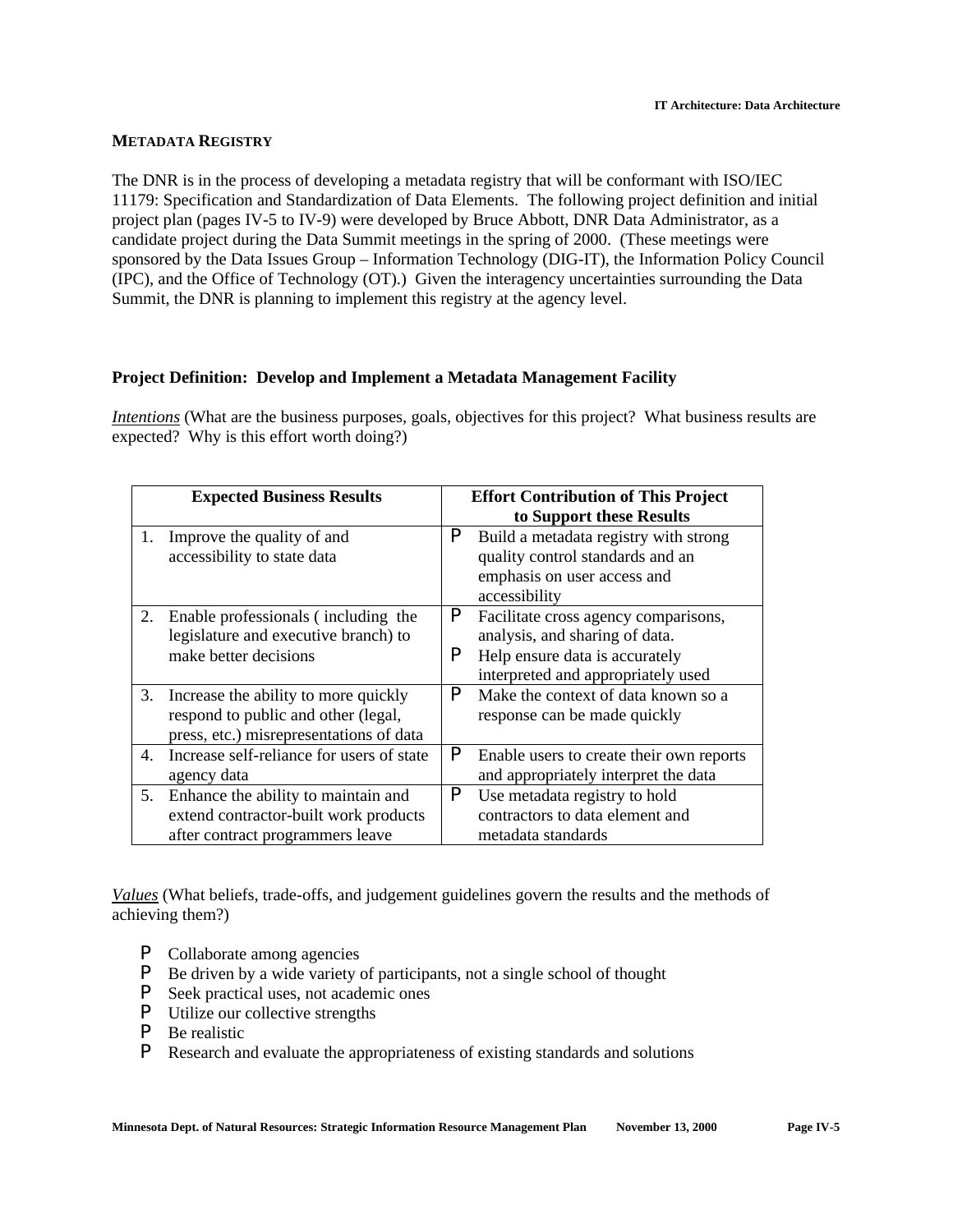#### **METADATA REGISTRY**

The DNR is in the process of developing a metadata registry that will be conformant with ISO/IEC 11179: Specification and Standardization of Data Elements. The following project definition and initial project plan (pages IV-5 to IV-9) were developed by Bruce Abbott, DNR Data Administrator, as a candidate project during the Data Summit meetings in the spring of 2000. (These meetings were sponsored by the Data Issues Group – Information Technology (DIG-IT), the Information Policy Council (IPC), and the Office of Technology (OT).) Given the interagency uncertainties surrounding the Data Summit, the DNR is planning to implement this registry at the agency level.

#### **Project Definition: Develop and Implement a Metadata Management Facility**

*Intentions* (What are the business purposes, goals, objectives for this project? What business results are expected? Why is this effort worth doing?)

| <b>Expected Business Results</b> |                                                                                                                        | <b>Effort Contribution of This Project</b> |                                                                                                                                                |
|----------------------------------|------------------------------------------------------------------------------------------------------------------------|--------------------------------------------|------------------------------------------------------------------------------------------------------------------------------------------------|
|                                  |                                                                                                                        |                                            | to Support these Results                                                                                                                       |
| 1.                               | Improve the quality of and<br>accessibility to state data                                                              | P                                          | Build a metadata registry with strong<br>quality control standards and an<br>emphasis on user access and<br>accessibility                      |
| 2.                               | Enable professionals (including the<br>legislature and executive branch) to<br>make better decisions                   | P<br>P                                     | Facilitate cross agency comparisons,<br>analysis, and sharing of data.<br>Help ensure data is accurately<br>interpreted and appropriately used |
| 3.                               | Increase the ability to more quickly<br>respond to public and other (legal,<br>press, etc.) misrepresentations of data | P                                          | Make the context of data known so a<br>response can be made quickly                                                                            |
| 4.                               | Increase self-reliance for users of state<br>agency data                                                               | P                                          | Enable users to create their own reports<br>and appropriately interpret the data                                                               |
| 5.                               | Enhance the ability to maintain and<br>extend contractor-built work products<br>after contract programmers leave       | P                                          | Use metadata registry to hold<br>contractors to data element and<br>metadata standards                                                         |

*Values* (What beliefs, trade-offs, and judgement guidelines govern the results and the methods of achieving them?)

- P Collaborate among agencies
- P Be driven by a wide variety of participants, not a single school of thought
- P Seek practical uses, not academic ones
- P Utilize our collective strengths
- P Be realistic
- P Research and evaluate the appropriateness of existing standards and solutions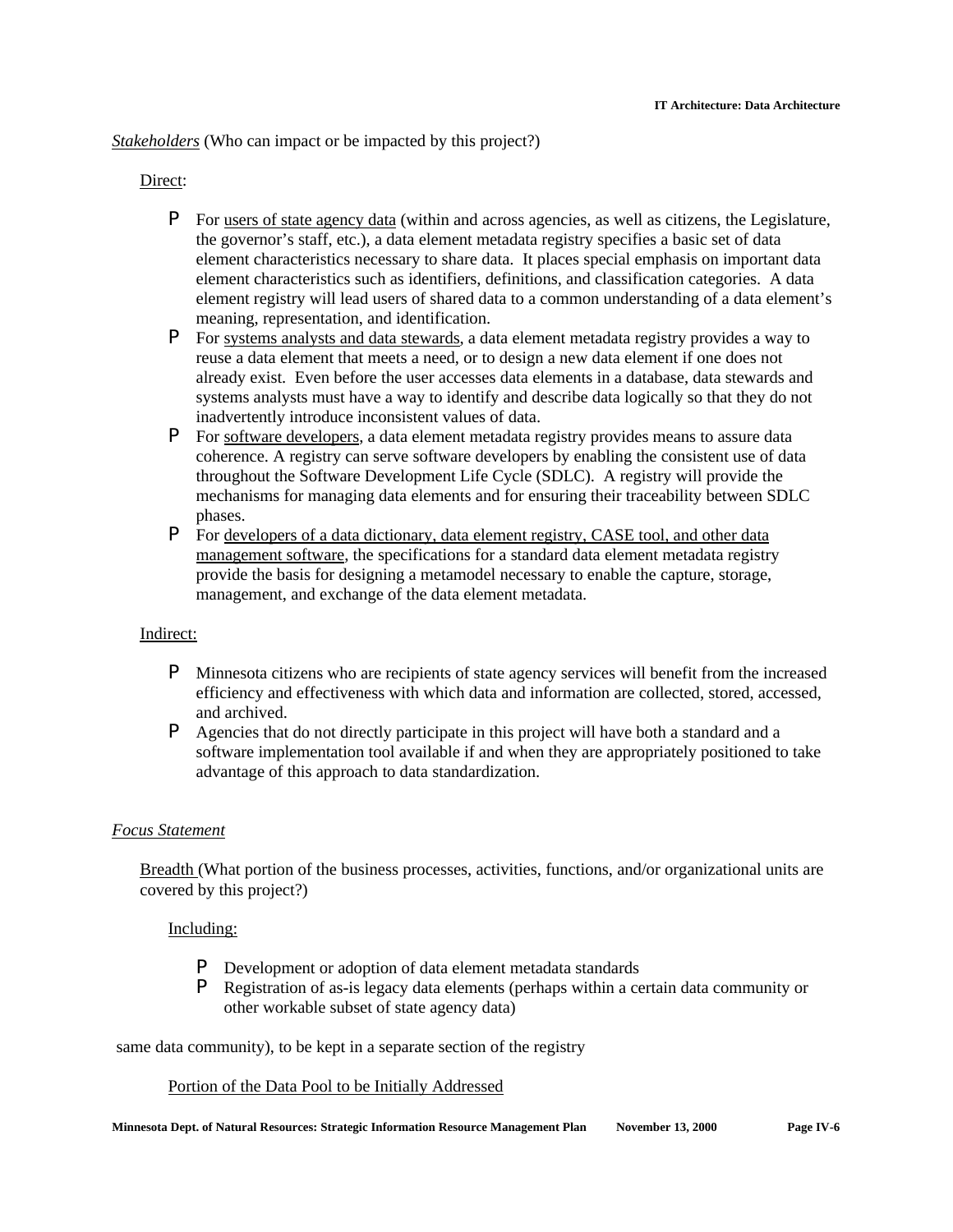*Stakeholders* (Who can impact or be impacted by this project?)

#### Direct:

- P For users of state agency data (within and across agencies, as well as citizens, the Legislature, the governor's staff, etc.), a data element metadata registry specifies a basic set of data element characteristics necessary to share data. It places special emphasis on important data element characteristics such as identifiers, definitions, and classification categories. A data element registry will lead users of shared data to a common understanding of a data element's meaning, representation, and identification.
- P For systems analysts and data stewards, a data element metadata registry provides a way to reuse a data element that meets a need, or to design a new data element if one does not already exist. Even before the user accesses data elements in a database, data stewards and systems analysts must have a way to identify and describe data logically so that they do not inadvertently introduce inconsistent values of data.
- P For software developers, a data element metadata registry provides means to assure data coherence. A registry can serve software developers by enabling the consistent use of data throughout the Software Development Life Cycle (SDLC). A registry will provide the mechanisms for managing data elements and for ensuring their traceability between SDLC phases.
- P For developers of a data dictionary, data element registry, CASE tool, and other data management software, the specifications for a standard data element metadata registry provide the basis for designing a metamodel necessary to enable the capture, storage, management, and exchange of the data element metadata.

#### Indirect:

- P Minnesota citizens who are recipients of state agency services will benefit from the increased efficiency and effectiveness with which data and information are collected, stored, accessed, and archived.
- P Agencies that do not directly participate in this project will have both a standard and a software implementation tool available if and when they are appropriately positioned to take advantage of this approach to data standardization.

#### *Focus Statement*

Breadth (What portion of the business processes, activities, functions, and/or organizational units are covered by this project?)

#### Including:

- P Development or adoption of data element metadata standards
- P Registration of as-is legacy data elements (perhaps within a certain data community or other workable subset of state agency data)

same data community), to be kept in a separate section of the registry

#### Portion of the Data Pool to be Initially Addressed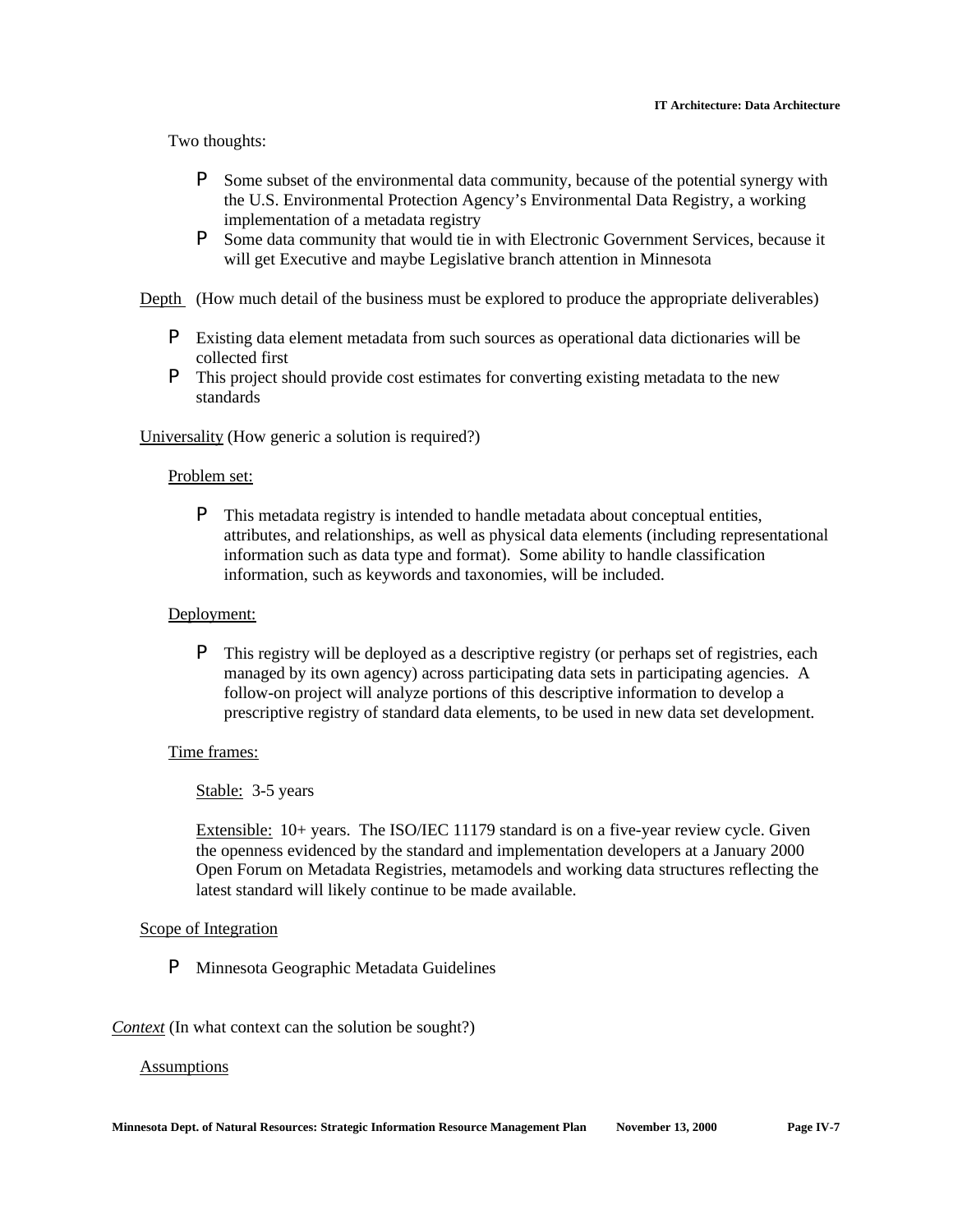Two thoughts:

- P Some subset of the environmental data community, because of the potential synergy with the U.S. Environmental Protection Agency's Environmental Data Registry, a working implementation of a metadata registry
- P Some data community that would tie in with Electronic Government Services, because it will get Executive and maybe Legislative branch attention in Minnesota

Depth (How much detail of the business must be explored to produce the appropriate deliverables)

- P Existing data element metadata from such sources as operational data dictionaries will be collected first
- P This project should provide cost estimates for converting existing metadata to the new standards

Universality (How generic a solution is required?)

#### Problem set:

P This metadata registry is intended to handle metadata about conceptual entities, attributes, and relationships, as well as physical data elements (including representational information such as data type and format). Some ability to handle classification information, such as keywords and taxonomies, will be included.

#### Deployment:

P This registry will be deployed as a descriptive registry (or perhaps set of registries, each managed by its own agency) across participating data sets in participating agencies. A follow-on project will analyze portions of this descriptive information to develop a prescriptive registry of standard data elements, to be used in new data set development.

#### Time frames:

Stable: 3-5 years

Extensible: 10+ years. The ISO/IEC 11179 standard is on a five-year review cycle. Given the openness evidenced by the standard and implementation developers at a January 2000 Open Forum on Metadata Registries, metamodels and working data structures reflecting the latest standard will likely continue to be made available.

#### Scope of Integration

P Minnesota Geographic Metadata Guidelines

*Context* (In what context can the solution be sought?)

#### Assumptions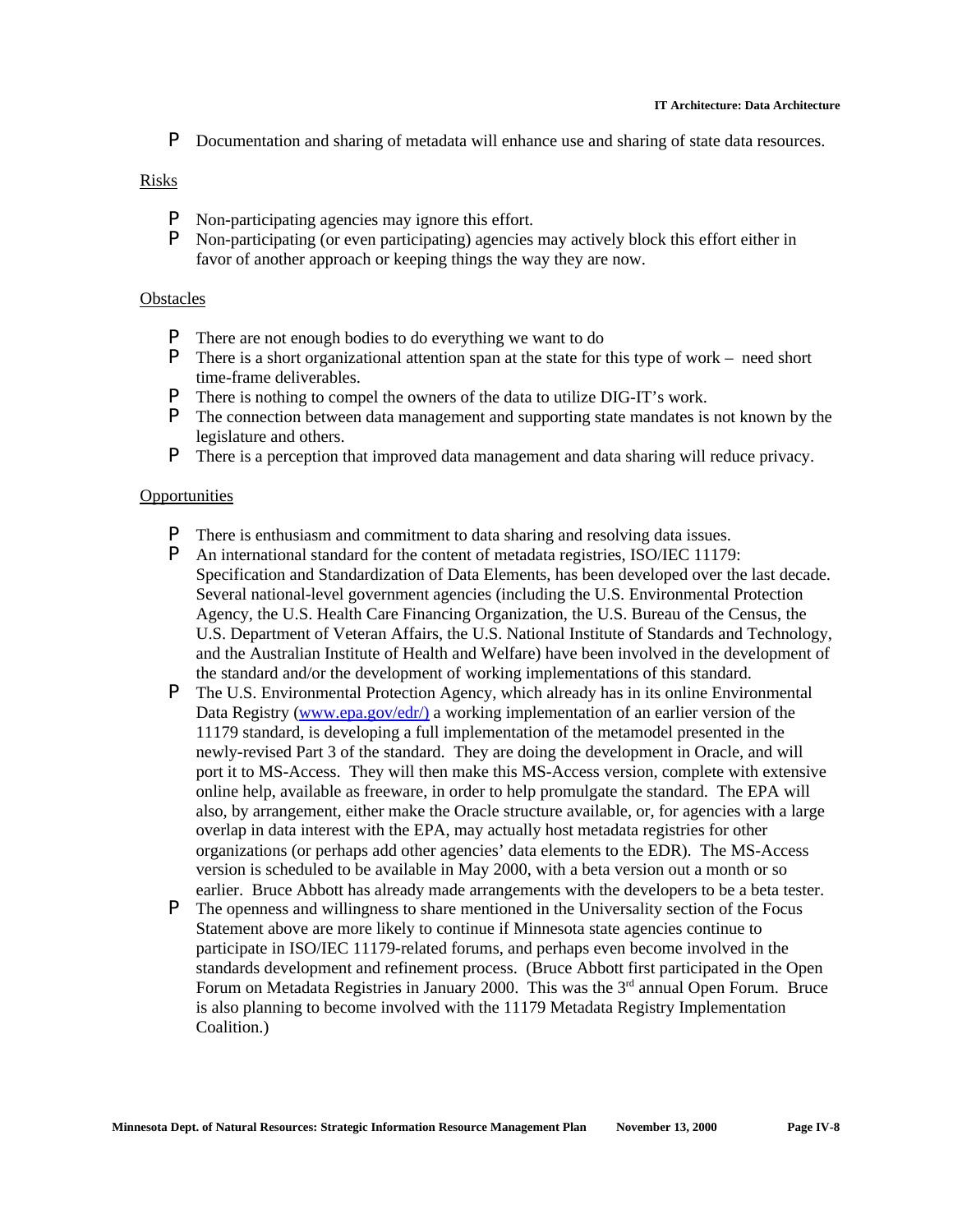P Documentation and sharing of metadata will enhance use and sharing of state data resources.

#### Risks

- P Non-participating agencies may ignore this effort.
- P Non-participating (or even participating) agencies may actively block this effort either in favor of another approach or keeping things the way they are now.

#### **Obstacles**

- P There are not enough bodies to do everything we want to do
- P There is a short organizational attention span at the state for this type of work need short time-frame deliverables.
- P There is nothing to compel the owners of the data to utilize DIG-IT's work.
- P The connection between data management and supporting state mandates is not known by the legislature and others.
- P There is a perception that improved data management and data sharing will reduce privacy.

#### **Opportunities**

- P There is enthusiasm and commitment to data sharing and resolving data issues.
- P An international standard for the content of metadata registries, ISO/IEC 11179: Specification and Standardization of Data Elements, has been developed over the last decade. Several national-level government agencies (including the U.S. Environmental Protection Agency, the U.S. Health Care Financing Organization, the U.S. Bureau of the Census, the U.S. Department of Veteran Affairs, the U.S. National Institute of Standards and Technology, and the Australian Institute of Health and Welfare) have been involved in the development of the standard and/or the development of working implementations of this standard.
- P The U.S. Environmental Protection Agency, which already has in its online Environmental Data Registry (www.epa.gov/edr/) a working implementation of an earlier version of the 11179 standard, is developing a full implementation of the metamodel presented in the newly-revised Part 3 of the standard. They are doing the development in Oracle, and will port it to MS-Access. They will then make this MS-Access version, complete with extensive online help, available as freeware, in order to help promulgate the standard. The EPA will also, by arrangement, either make the Oracle structure available, or, for agencies with a large overlap in data interest with the EPA, may actually host metadata registries for other organizations (or perhaps add other agencies' data elements to the EDR). The MS-Access version is scheduled to be available in May 2000, with a beta version out a month or so earlier. Bruce Abbott has already made arrangements with the developers to be a beta tester.
- P The openness and willingness to share mentioned in the Universality section of the Focus Statement above are more likely to continue if Minnesota state agencies continue to participate in ISO/IEC 11179-related forums, and perhaps even become involved in the standards development and refinement process. (Bruce Abbott first participated in the Open Forum on Metadata Registries in January 2000. This was the 3<sup>rd</sup> annual Open Forum. Bruce is also planning to become involved with the 11179 Metadata Registry Implementation Coalition.)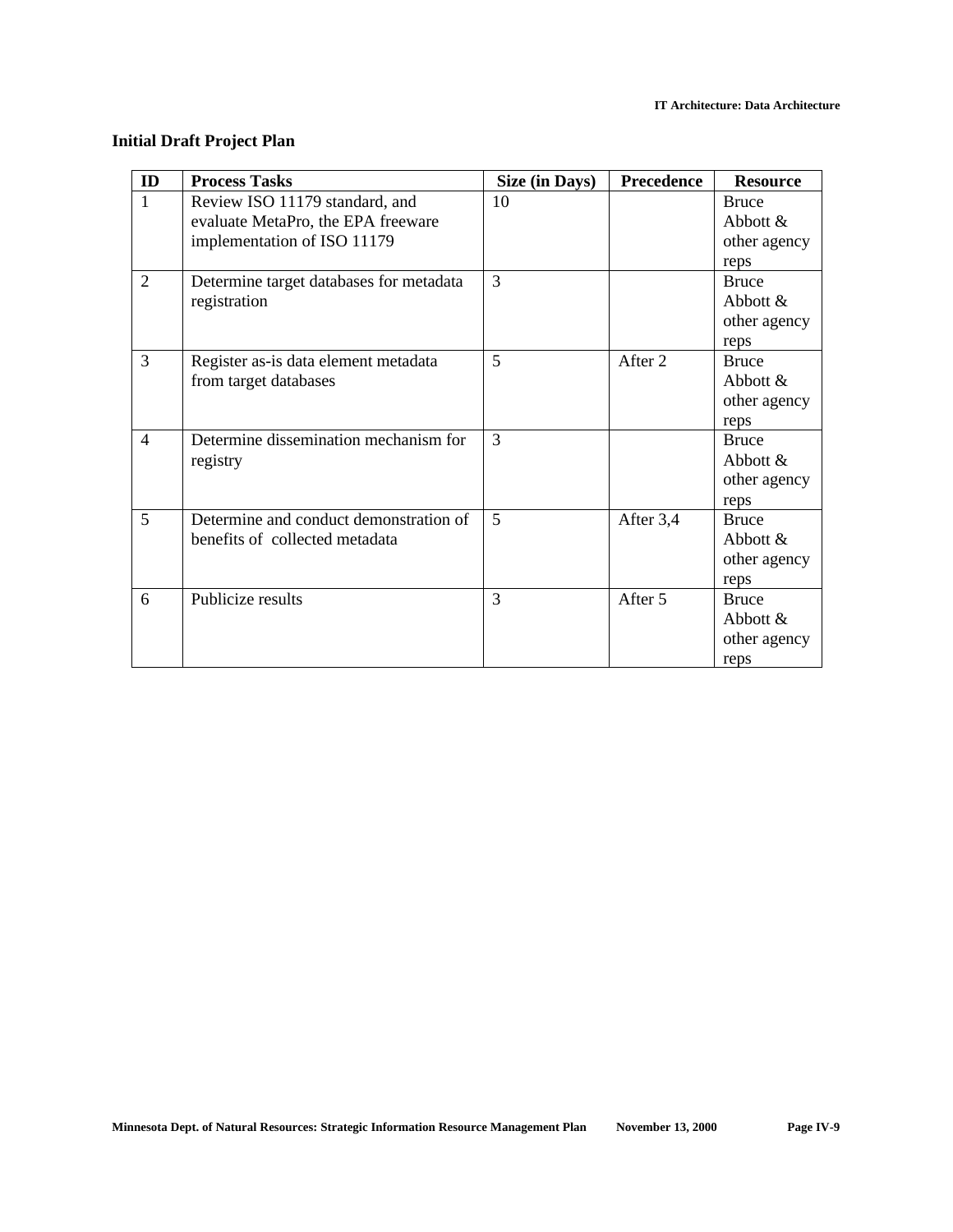#### **Initial Draft Project Plan**

| ID             | <b>Process Tasks</b>                    | Size (in Days) | Precedence | <b>Resource</b> |
|----------------|-----------------------------------------|----------------|------------|-----------------|
| $\mathbf{1}$   | Review ISO 11179 standard, and          | 10             |            | <b>Bruce</b>    |
|                | evaluate MetaPro, the EPA freeware      |                |            | Abbott $\&$     |
|                | implementation of ISO 11179             |                |            | other agency    |
|                |                                         |                |            | reps            |
| 2              | Determine target databases for metadata | 3              |            | <b>Bruce</b>    |
|                | registration                            |                |            | Abbott $\&$     |
|                |                                         |                |            | other agency    |
|                |                                         |                |            | reps            |
| 3              | Register as-is data element metadata    | 5              | After 2    | <b>Bruce</b>    |
|                | from target databases                   |                |            | Abbott $\&$     |
|                |                                         |                |            | other agency    |
|                |                                         |                |            | reps            |
| $\overline{4}$ | Determine dissemination mechanism for   | 3              |            | <b>Bruce</b>    |
|                | registry                                |                |            | Abbott $\&$     |
|                |                                         |                |            | other agency    |
|                |                                         |                |            | reps            |
| 5              | Determine and conduct demonstration of  | 5              | After 3,4  | <b>Bruce</b>    |
|                | benefits of collected metadata          |                |            | Abbott $\&$     |
|                |                                         |                |            | other agency    |
|                |                                         |                |            | reps            |
| 6              | Publicize results                       | 3              | After 5    | <b>Bruce</b>    |
|                |                                         |                |            | Abbott $&$      |
|                |                                         |                |            | other agency    |
|                |                                         |                |            | reps            |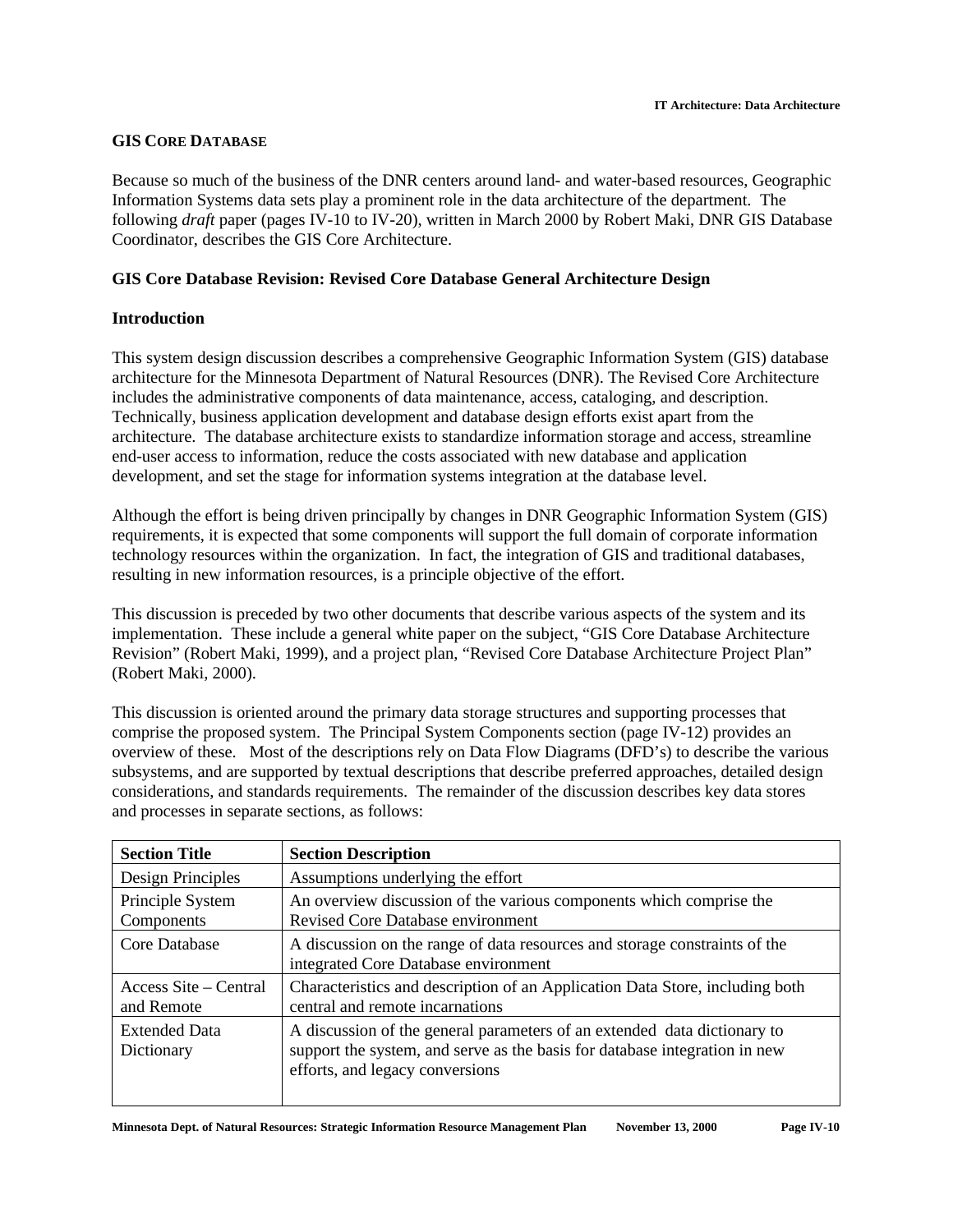#### **GIS CORE DATABASE**

Because so much of the business of the DNR centers around land- and water-based resources, Geographic Information Systems data sets play a prominent role in the data architecture of the department. The following *draft* paper (pages IV-10 to IV-20), written in March 2000 by Robert Maki, DNR GIS Database Coordinator, describes the GIS Core Architecture.

#### **GIS Core Database Revision: Revised Core Database General Architecture Design**

#### **Introduction**

This system design discussion describes a comprehensive Geographic Information System (GIS) database architecture for the Minnesota Department of Natural Resources (DNR). The Revised Core Architecture includes the administrative components of data maintenance, access, cataloging, and description. Technically, business application development and database design efforts exist apart from the architecture. The database architecture exists to standardize information storage and access, streamline end-user access to information, reduce the costs associated with new database and application development, and set the stage for information systems integration at the database level.

Although the effort is being driven principally by changes in DNR Geographic Information System (GIS) requirements, it is expected that some components will support the full domain of corporate information technology resources within the organization. In fact, the integration of GIS and traditional databases, resulting in new information resources, is a principle objective of the effort.

This discussion is preceded by two other documents that describe various aspects of the system and its implementation. These include a general white paper on the subject, "GIS Core Database Architecture Revision" (Robert Maki, 1999), and a project plan, "Revised Core Database Architecture Project Plan" (Robert Maki, 2000).

This discussion is oriented around the primary data storage structures and supporting processes that comprise the proposed system. The Principal System Components section (page IV-12) provides an overview of these. Most of the descriptions rely on Data Flow Diagrams (DFD's) to describe the various subsystems, and are supported by textual descriptions that describe preferred approaches, detailed design considerations, and standards requirements. The remainder of the discussion describes key data stores and processes in separate sections, as follows:

| <b>Section Title</b>                | <b>Section Description</b>                                                                                                                                                                |  |  |
|-------------------------------------|-------------------------------------------------------------------------------------------------------------------------------------------------------------------------------------------|--|--|
| Design Principles                   | Assumptions underlying the effort                                                                                                                                                         |  |  |
| Principle System<br>Components      | An overview discussion of the various components which comprise the<br><b>Revised Core Database environment</b>                                                                           |  |  |
| Core Database                       | A discussion on the range of data resources and storage constraints of the<br>integrated Core Database environment                                                                        |  |  |
| Access Site – Central<br>and Remote | Characteristics and description of an Application Data Store, including both<br>central and remote incarnations                                                                           |  |  |
| <b>Extended Data</b><br>Dictionary  | A discussion of the general parameters of an extended data dictionary to<br>support the system, and serve as the basis for database integration in new<br>efforts, and legacy conversions |  |  |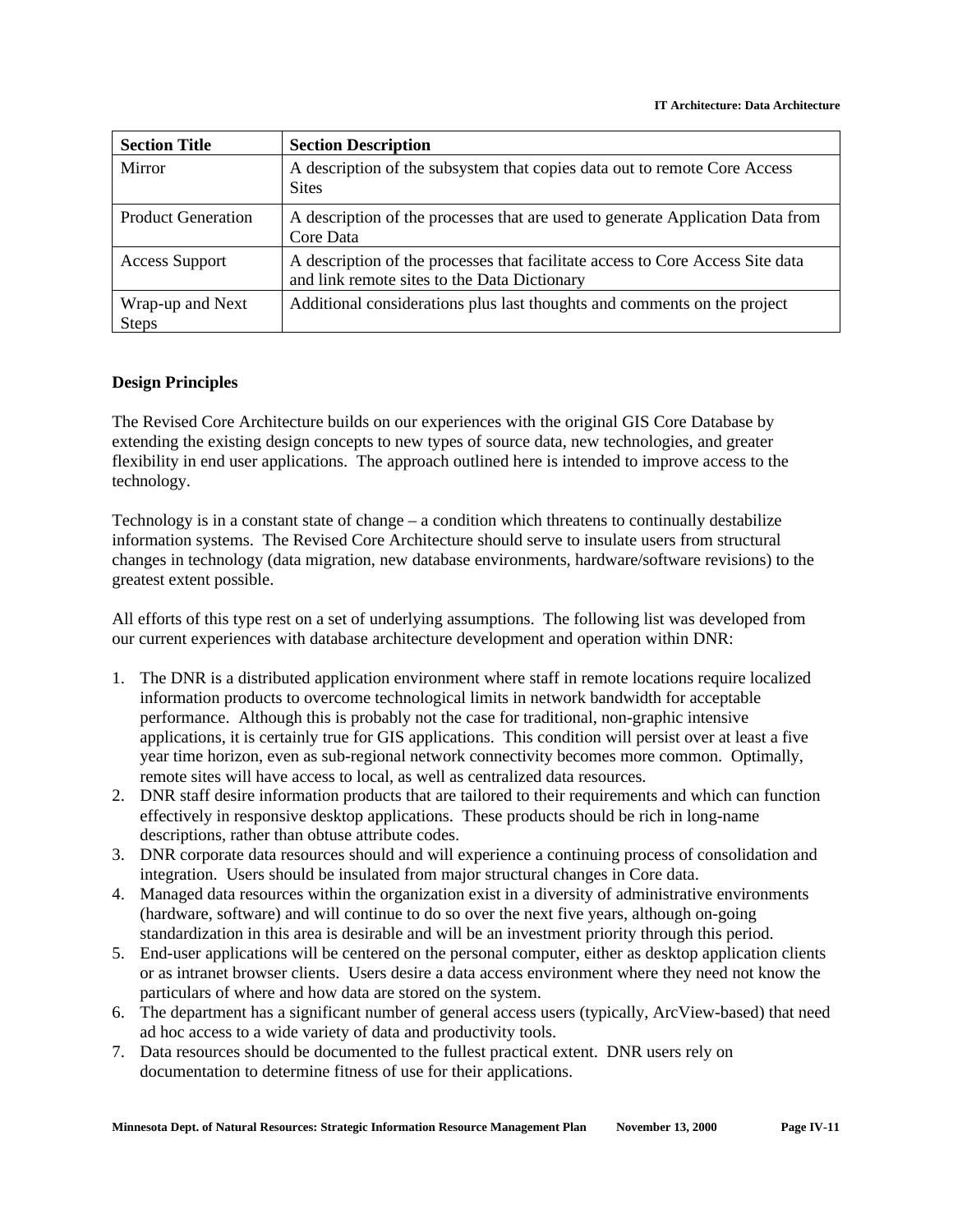| <b>Section Title</b>             | <b>Section Description</b>                                                                                                     |
|----------------------------------|--------------------------------------------------------------------------------------------------------------------------------|
| Mirror                           | A description of the subsystem that copies data out to remote Core Access<br><b>Sites</b>                                      |
| <b>Product Generation</b>        | A description of the processes that are used to generate Application Data from<br>Core Data                                    |
| <b>Access Support</b>            | A description of the processes that facilitate access to Core Access Site data<br>and link remote sites to the Data Dictionary |
| Wrap-up and Next<br><b>Steps</b> | Additional considerations plus last thoughts and comments on the project                                                       |

#### **Design Principles**

The Revised Core Architecture builds on our experiences with the original GIS Core Database by extending the existing design concepts to new types of source data, new technologies, and greater flexibility in end user applications. The approach outlined here is intended to improve access to the technology.

Technology is in a constant state of change – a condition which threatens to continually destabilize information systems. The Revised Core Architecture should serve to insulate users from structural changes in technology (data migration, new database environments, hardware/software revisions) to the greatest extent possible.

All efforts of this type rest on a set of underlying assumptions. The following list was developed from our current experiences with database architecture development and operation within DNR:

- 1. The DNR is a distributed application environment where staff in remote locations require localized information products to overcome technological limits in network bandwidth for acceptable performance. Although this is probably not the case for traditional, non-graphic intensive applications, it is certainly true for GIS applications. This condition will persist over at least a five year time horizon, even as sub-regional network connectivity becomes more common. Optimally, remote sites will have access to local, as well as centralized data resources.
- 2. DNR staff desire information products that are tailored to their requirements and which can function effectively in responsive desktop applications. These products should be rich in long-name descriptions, rather than obtuse attribute codes.
- 3. DNR corporate data resources should and will experience a continuing process of consolidation and integration. Users should be insulated from major structural changes in Core data.
- 4. Managed data resources within the organization exist in a diversity of administrative environments (hardware, software) and will continue to do so over the next five years, although on-going standardization in this area is desirable and will be an investment priority through this period.
- 5. End-user applications will be centered on the personal computer, either as desktop application clients or as intranet browser clients. Users desire a data access environment where they need not know the particulars of where and how data are stored on the system.
- 6. The department has a significant number of general access users (typically, ArcView-based) that need ad hoc access to a wide variety of data and productivity tools.
- 7. Data resources should be documented to the fullest practical extent. DNR users rely on documentation to determine fitness of use for their applications.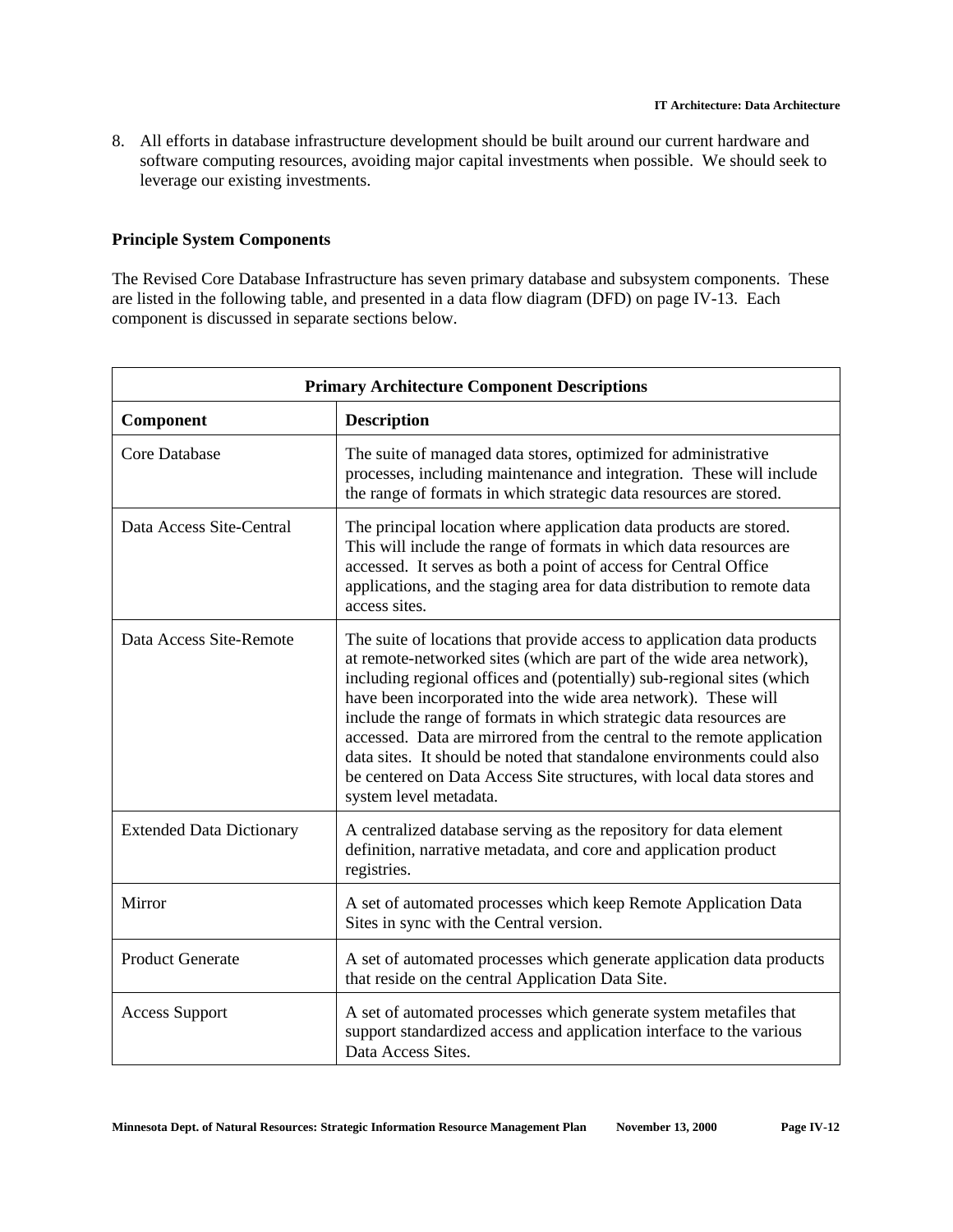8. All efforts in database infrastructure development should be built around our current hardware and software computing resources, avoiding major capital investments when possible. We should seek to leverage our existing investments.

### **Principle System Components**

The Revised Core Database Infrastructure has seven primary database and subsystem components. These are listed in the following table, and presented in a data flow diagram (DFD) on page IV-13. Each component is discussed in separate sections below.

| <b>Primary Architecture Component Descriptions</b> |                                                                                                                                                                                                                                                                                                                                                                                                                                                                                                                                                                                                                           |  |
|----------------------------------------------------|---------------------------------------------------------------------------------------------------------------------------------------------------------------------------------------------------------------------------------------------------------------------------------------------------------------------------------------------------------------------------------------------------------------------------------------------------------------------------------------------------------------------------------------------------------------------------------------------------------------------------|--|
| Component                                          | <b>Description</b>                                                                                                                                                                                                                                                                                                                                                                                                                                                                                                                                                                                                        |  |
| Core Database                                      | The suite of managed data stores, optimized for administrative<br>processes, including maintenance and integration. These will include<br>the range of formats in which strategic data resources are stored.                                                                                                                                                                                                                                                                                                                                                                                                              |  |
| Data Access Site-Central                           | The principal location where application data products are stored.<br>This will include the range of formats in which data resources are<br>accessed. It serves as both a point of access for Central Office<br>applications, and the staging area for data distribution to remote data<br>access sites.                                                                                                                                                                                                                                                                                                                  |  |
| Data Access Site-Remote                            | The suite of locations that provide access to application data products<br>at remote-networked sites (which are part of the wide area network),<br>including regional offices and (potentially) sub-regional sites (which<br>have been incorporated into the wide area network). These will<br>include the range of formats in which strategic data resources are<br>accessed. Data are mirrored from the central to the remote application<br>data sites. It should be noted that standalone environments could also<br>be centered on Data Access Site structures, with local data stores and<br>system level metadata. |  |
| <b>Extended Data Dictionary</b>                    | A centralized database serving as the repository for data element<br>definition, narrative metadata, and core and application product<br>registries.                                                                                                                                                                                                                                                                                                                                                                                                                                                                      |  |
| Mirror                                             | A set of automated processes which keep Remote Application Data<br>Sites in sync with the Central version.                                                                                                                                                                                                                                                                                                                                                                                                                                                                                                                |  |
| <b>Product Generate</b>                            | A set of automated processes which generate application data products<br>that reside on the central Application Data Site.                                                                                                                                                                                                                                                                                                                                                                                                                                                                                                |  |
| <b>Access Support</b>                              | A set of automated processes which generate system metafiles that<br>support standardized access and application interface to the various<br>Data Access Sites.                                                                                                                                                                                                                                                                                                                                                                                                                                                           |  |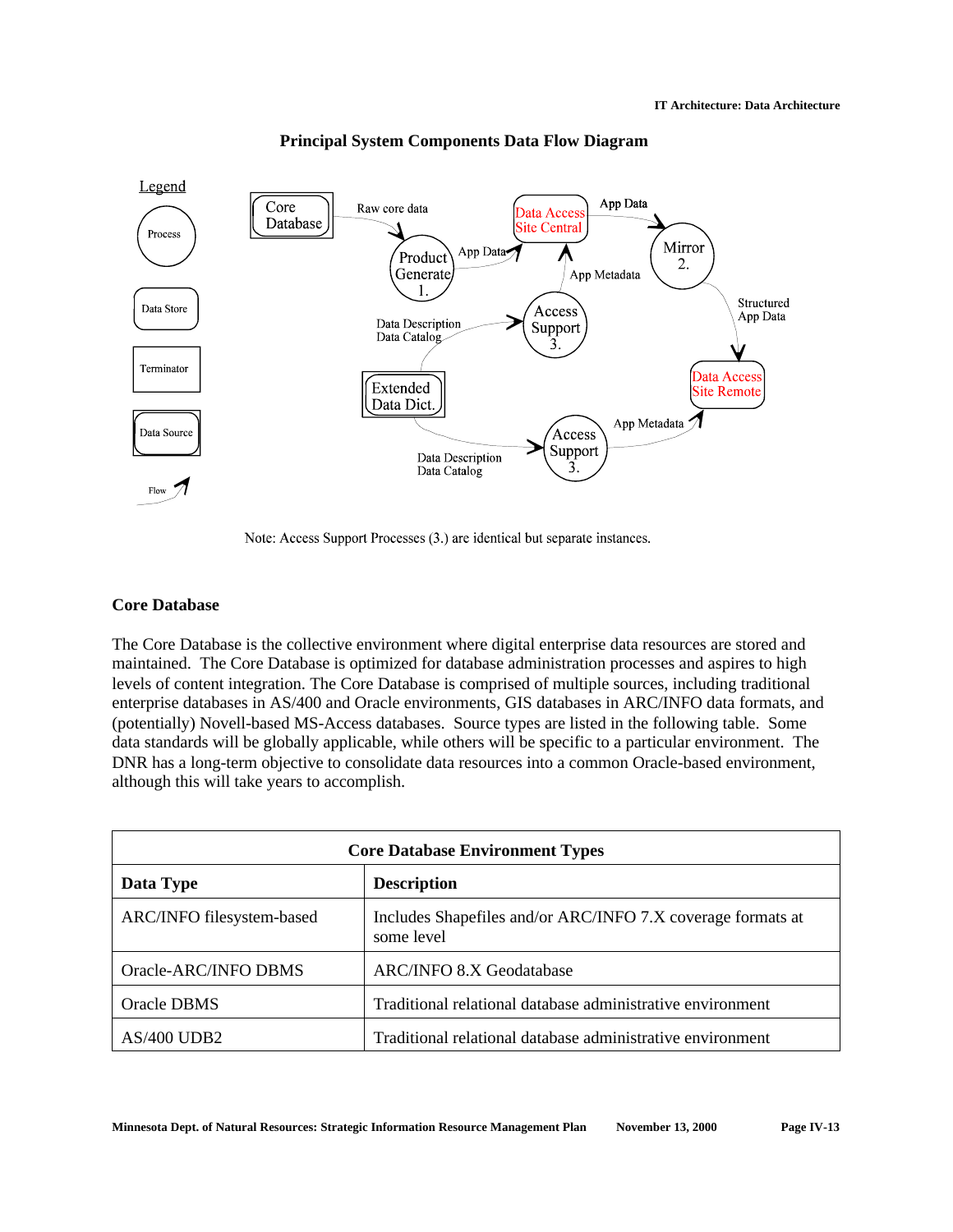

### **Principal System Components Data Flow Diagram**

Note: Access Support Processes (3.) are identical but separate instances.

### **Core Database**

The Core Database is the collective environment where digital enterprise data resources are stored and maintained. The Core Database is optimized for database administration processes and aspires to high levels of content integration. The Core Database is comprised of multiple sources, including traditional enterprise databases in AS/400 and Oracle environments, GIS databases in ARC/INFO data formats, and (potentially) Novell-based MS-Access databases. Source types are listed in the following table. Some data standards will be globally applicable, while others will be specific to a particular environment. The DNR has a long-term objective to consolidate data resources into a common Oracle-based environment, although this will take years to accomplish.

| <b>Core Database Environment Types</b> |                                                                           |  |
|----------------------------------------|---------------------------------------------------------------------------|--|
| <b>Description</b><br>Data Type        |                                                                           |  |
| ARC/INFO filesystem-based              | Includes Shapefiles and/or ARC/INFO 7.X coverage formats at<br>some level |  |
| Oracle-ARC/INFO DBMS                   | <b>ARC/INFO 8.X Geodatabase</b>                                           |  |
| Oracle DBMS                            | Traditional relational database administrative environment                |  |
| $AS/400$ UDB2                          | Traditional relational database administrative environment                |  |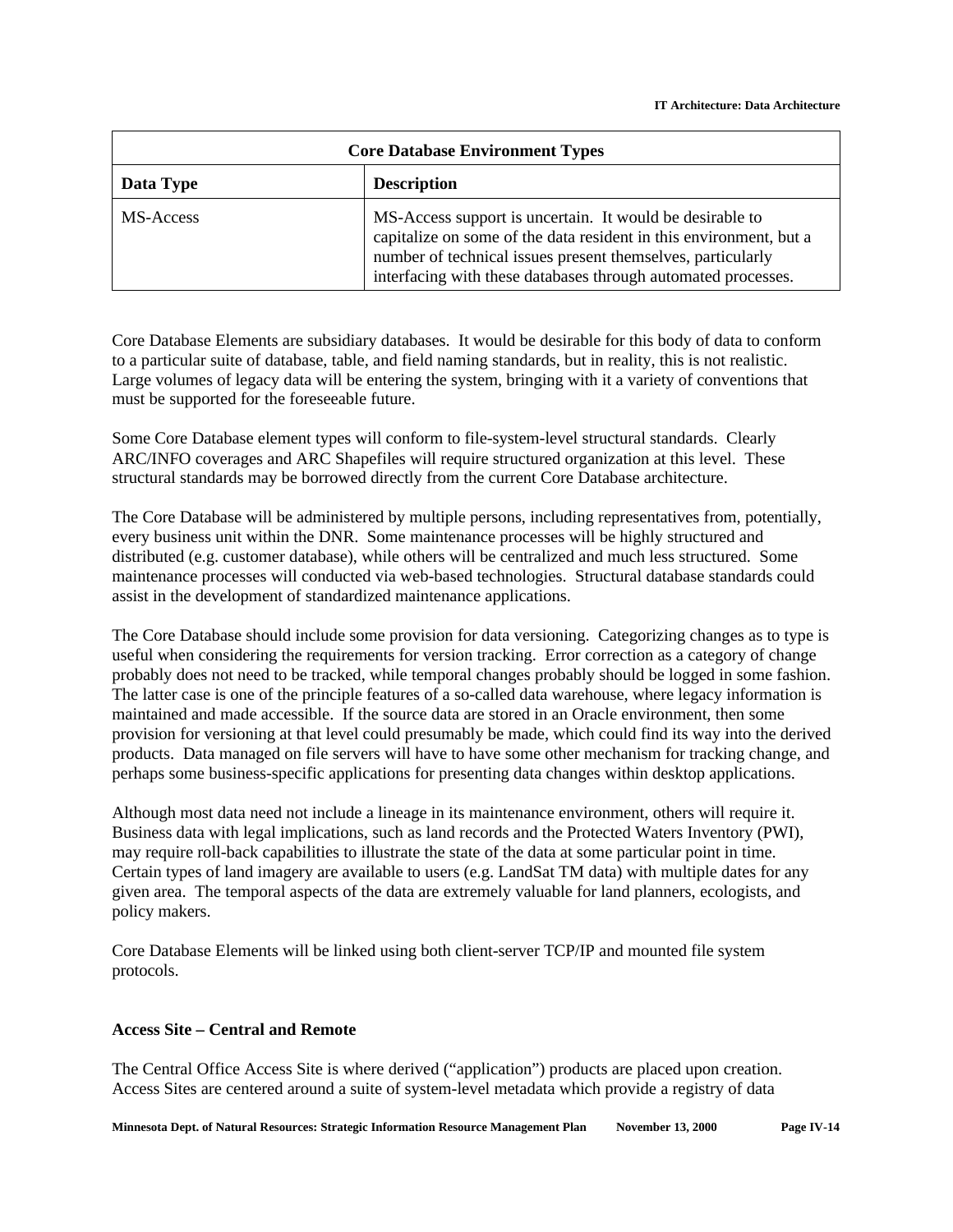| <b>Core Database Environment Types</b> |                                                                                                                                                                                                                                                                |  |
|----------------------------------------|----------------------------------------------------------------------------------------------------------------------------------------------------------------------------------------------------------------------------------------------------------------|--|
| <b>Description</b><br>Data Type        |                                                                                                                                                                                                                                                                |  |
| MS-Access                              | MS-Access support is uncertain. It would be desirable to<br>capitalize on some of the data resident in this environment, but a<br>number of technical issues present themselves, particularly<br>interfacing with these databases through automated processes. |  |

Core Database Elements are subsidiary databases. It would be desirable for this body of data to conform to a particular suite of database, table, and field naming standards, but in reality, this is not realistic. Large volumes of legacy data will be entering the system, bringing with it a variety of conventions that must be supported for the foreseeable future.

Some Core Database element types will conform to file-system-level structural standards. Clearly ARC/INFO coverages and ARC Shapefiles will require structured organization at this level. These structural standards may be borrowed directly from the current Core Database architecture.

The Core Database will be administered by multiple persons, including representatives from, potentially, every business unit within the DNR. Some maintenance processes will be highly structured and distributed (e.g. customer database), while others will be centralized and much less structured. Some maintenance processes will conducted via web-based technologies. Structural database standards could assist in the development of standardized maintenance applications.

The Core Database should include some provision for data versioning. Categorizing changes as to type is useful when considering the requirements for version tracking. Error correction as a category of change probably does not need to be tracked, while temporal changes probably should be logged in some fashion. The latter case is one of the principle features of a so-called data warehouse, where legacy information is maintained and made accessible. If the source data are stored in an Oracle environment, then some provision for versioning at that level could presumably be made, which could find its way into the derived products. Data managed on file servers will have to have some other mechanism for tracking change, and perhaps some business-specific applications for presenting data changes within desktop applications.

Although most data need not include a lineage in its maintenance environment, others will require it. Business data with legal implications, such as land records and the Protected Waters Inventory (PWI), may require roll-back capabilities to illustrate the state of the data at some particular point in time. Certain types of land imagery are available to users (e.g. LandSat TM data) with multiple dates for any given area. The temporal aspects of the data are extremely valuable for land planners, ecologists, and policy makers.

Core Database Elements will be linked using both client-server TCP/IP and mounted file system protocols.

# **Access Site – Central and Remote**

The Central Office Access Site is where derived ("application") products are placed upon creation. Access Sites are centered around a suite of system-level metadata which provide a registry of data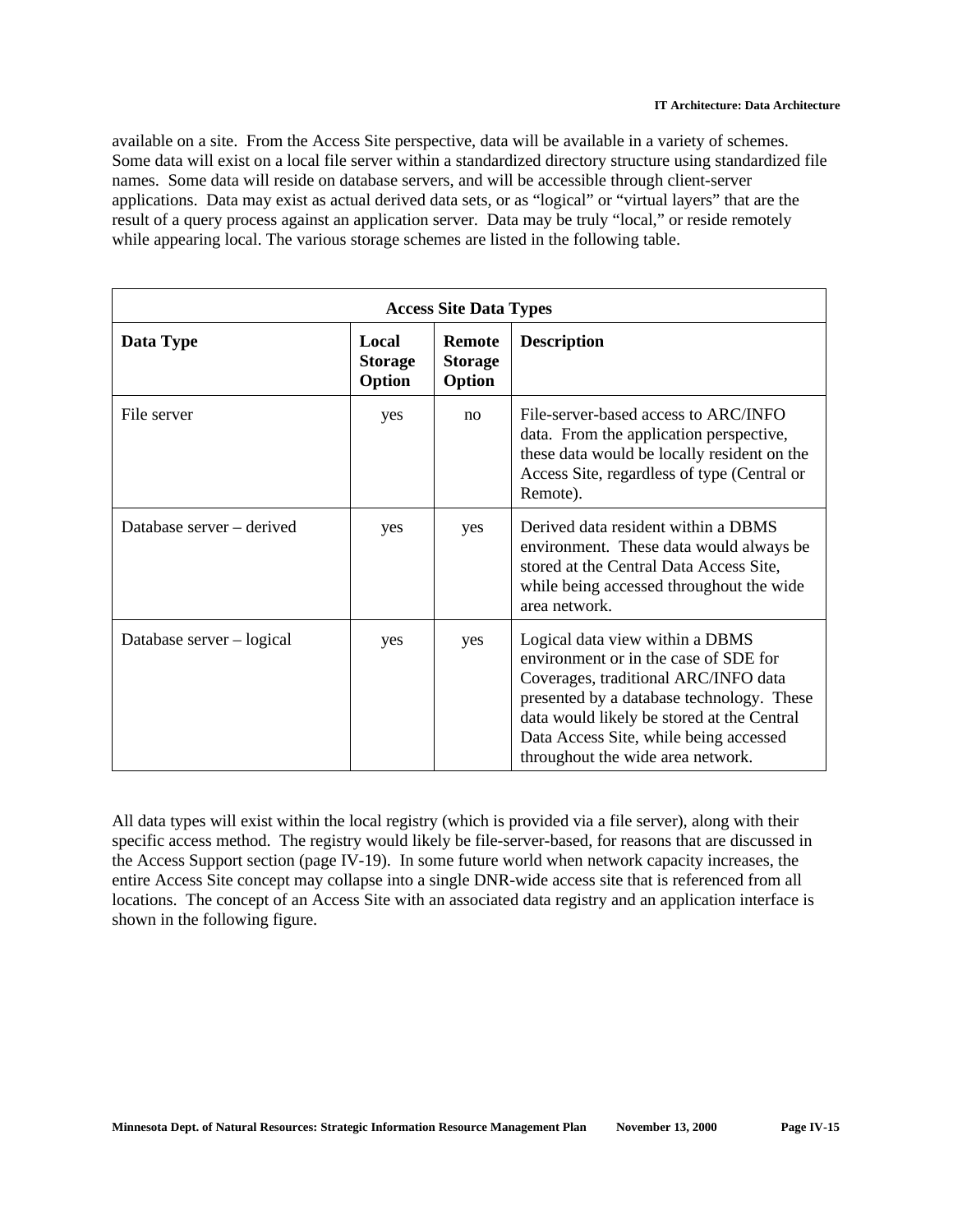available on a site. From the Access Site perspective, data will be available in a variety of schemes. Some data will exist on a local file server within a standardized directory structure using standardized file names. Some data will reside on database servers, and will be accessible through client-server applications. Data may exist as actual derived data sets, or as "logical" or "virtual layers" that are the result of a query process against an application server. Data may be truly "local," or reside remotely while appearing local. The various storage schemes are listed in the following table.

| <b>Access Site Data Types</b> |                                   |                                           |                                                                                                                                                                                                                                                                                            |
|-------------------------------|-----------------------------------|-------------------------------------------|--------------------------------------------------------------------------------------------------------------------------------------------------------------------------------------------------------------------------------------------------------------------------------------------|
| Data Type                     | Local<br><b>Storage</b><br>Option | <b>Remote</b><br><b>Storage</b><br>Option | <b>Description</b>                                                                                                                                                                                                                                                                         |
| File server                   | yes                               | no                                        | File-server-based access to ARC/INFO<br>data. From the application perspective,<br>these data would be locally resident on the<br>Access Site, regardless of type (Central or<br>Remote).                                                                                                  |
| Database server – derived     | yes                               | yes                                       | Derived data resident within a DBMS<br>environment. These data would always be<br>stored at the Central Data Access Site,<br>while being accessed throughout the wide<br>area network.                                                                                                     |
| Database server – logical     | yes                               | yes                                       | Logical data view within a DBMS<br>environment or in the case of SDE for<br>Coverages, traditional ARC/INFO data<br>presented by a database technology. These<br>data would likely be stored at the Central<br>Data Access Site, while being accessed<br>throughout the wide area network. |

All data types will exist within the local registry (which is provided via a file server), along with their specific access method. The registry would likely be file-server-based, for reasons that are discussed in the Access Support section (page IV-19). In some future world when network capacity increases, the entire Access Site concept may collapse into a single DNR-wide access site that is referenced from all locations. The concept of an Access Site with an associated data registry and an application interface is shown in the following figure.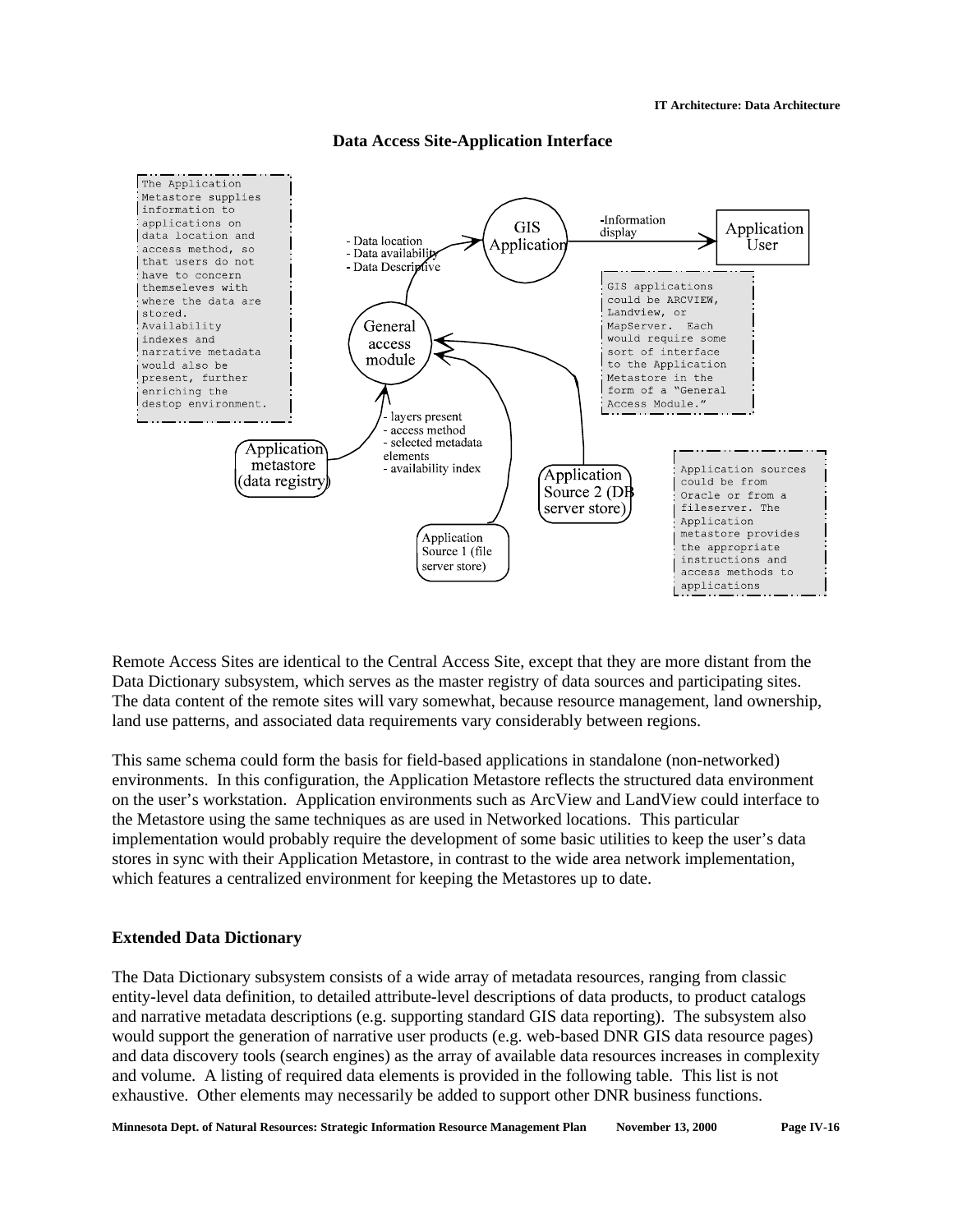

**Data Access Site-Application Interface**

Remote Access Sites are identical to the Central Access Site, except that they are more distant from the Data Dictionary subsystem, which serves as the master registry of data sources and participating sites. The data content of the remote sites will vary somewhat, because resource management, land ownership, land use patterns, and associated data requirements vary considerably between regions.

This same schema could form the basis for field-based applications in standalone (non-networked) environments. In this configuration, the Application Metastore reflects the structured data environment on the user's workstation. Application environments such as ArcView and LandView could interface to the Metastore using the same techniques as are used in Networked locations. This particular implementation would probably require the development of some basic utilities to keep the user's data stores in sync with their Application Metastore, in contrast to the wide area network implementation, which features a centralized environment for keeping the Metastores up to date.

# **Extended Data Dictionary**

The Data Dictionary subsystem consists of a wide array of metadata resources, ranging from classic entity-level data definition, to detailed attribute-level descriptions of data products, to product catalogs and narrative metadata descriptions (e.g. supporting standard GIS data reporting). The subsystem also would support the generation of narrative user products (e.g. web-based DNR GIS data resource pages) and data discovery tools (search engines) as the array of available data resources increases in complexity and volume. A listing of required data elements is provided in the following table. This list is not exhaustive. Other elements may necessarily be added to support other DNR business functions.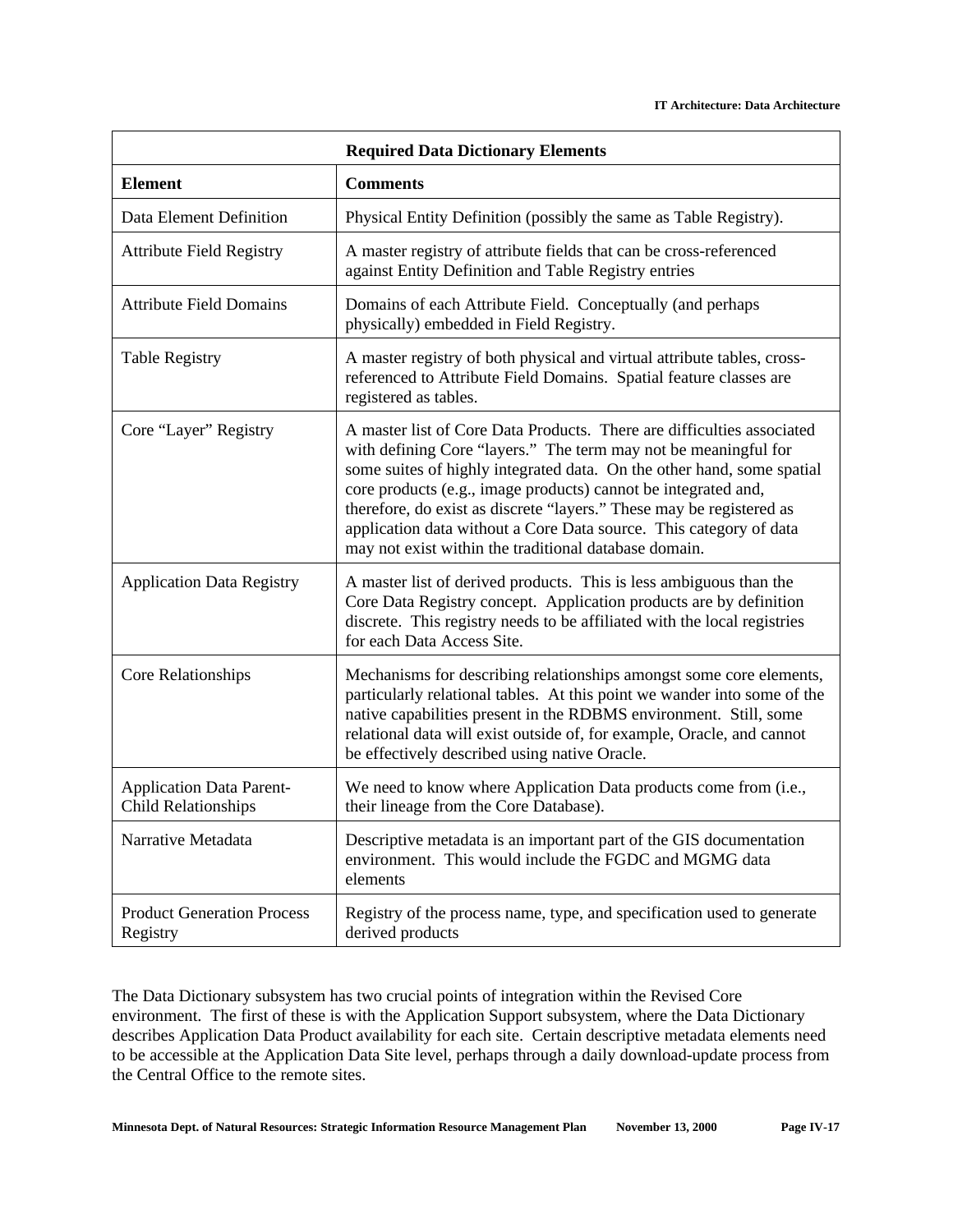| <b>Required Data Dictionary Elements</b>                      |                                                                                                                                                                                                                                                                                                                                                                                                                                                                                              |  |
|---------------------------------------------------------------|----------------------------------------------------------------------------------------------------------------------------------------------------------------------------------------------------------------------------------------------------------------------------------------------------------------------------------------------------------------------------------------------------------------------------------------------------------------------------------------------|--|
| <b>Element</b>                                                | <b>Comments</b>                                                                                                                                                                                                                                                                                                                                                                                                                                                                              |  |
| Data Element Definition                                       | Physical Entity Definition (possibly the same as Table Registry).                                                                                                                                                                                                                                                                                                                                                                                                                            |  |
| <b>Attribute Field Registry</b>                               | A master registry of attribute fields that can be cross-referenced<br>against Entity Definition and Table Registry entries                                                                                                                                                                                                                                                                                                                                                                   |  |
| <b>Attribute Field Domains</b>                                | Domains of each Attribute Field. Conceptually (and perhaps<br>physically) embedded in Field Registry.                                                                                                                                                                                                                                                                                                                                                                                        |  |
| <b>Table Registry</b>                                         | A master registry of both physical and virtual attribute tables, cross-<br>referenced to Attribute Field Domains. Spatial feature classes are<br>registered as tables.                                                                                                                                                                                                                                                                                                                       |  |
| Core "Layer" Registry                                         | A master list of Core Data Products. There are difficulties associated<br>with defining Core "layers." The term may not be meaningful for<br>some suites of highly integrated data. On the other hand, some spatial<br>core products (e.g., image products) cannot be integrated and,<br>therefore, do exist as discrete "layers." These may be registered as<br>application data without a Core Data source. This category of data<br>may not exist within the traditional database domain. |  |
| <b>Application Data Registry</b>                              | A master list of derived products. This is less ambiguous than the<br>Core Data Registry concept. Application products are by definition<br>discrete. This registry needs to be affiliated with the local registries<br>for each Data Access Site.                                                                                                                                                                                                                                           |  |
| Core Relationships                                            | Mechanisms for describing relationships amongst some core elements,<br>particularly relational tables. At this point we wander into some of the<br>native capabilities present in the RDBMS environment. Still, some<br>relational data will exist outside of, for example, Oracle, and cannot<br>be effectively described using native Oracle.                                                                                                                                              |  |
| <b>Application Data Parent-</b><br><b>Child Relationships</b> | We need to know where Application Data products come from (i.e.,<br>their lineage from the Core Database).                                                                                                                                                                                                                                                                                                                                                                                   |  |
| Narrative Metadata                                            | Descriptive metadata is an important part of the GIS documentation<br>environment. This would include the FGDC and MGMG data<br>elements                                                                                                                                                                                                                                                                                                                                                     |  |
| <b>Product Generation Process</b><br>Registry                 | Registry of the process name, type, and specification used to generate<br>derived products                                                                                                                                                                                                                                                                                                                                                                                                   |  |

The Data Dictionary subsystem has two crucial points of integration within the Revised Core environment. The first of these is with the Application Support subsystem, where the Data Dictionary describes Application Data Product availability for each site. Certain descriptive metadata elements need to be accessible at the Application Data Site level, perhaps through a daily download-update process from the Central Office to the remote sites.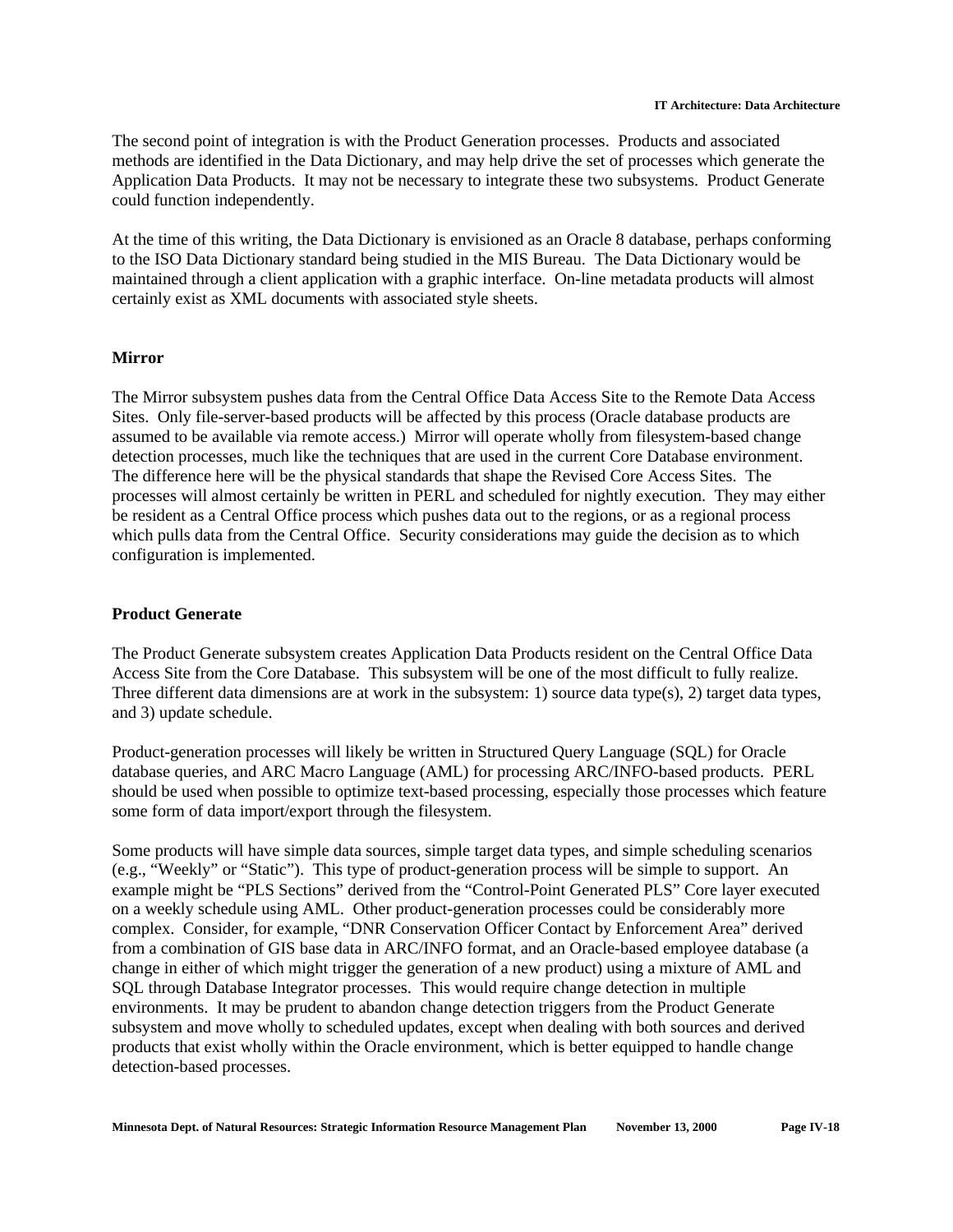#### **IT Architecture: Data Architecture**

The second point of integration is with the Product Generation processes. Products and associated methods are identified in the Data Dictionary, and may help drive the set of processes which generate the Application Data Products. It may not be necessary to integrate these two subsystems. Product Generate could function independently.

At the time of this writing, the Data Dictionary is envisioned as an Oracle 8 database, perhaps conforming to the ISO Data Dictionary standard being studied in the MIS Bureau. The Data Dictionary would be maintained through a client application with a graphic interface. On-line metadata products will almost certainly exist as XML documents with associated style sheets.

### **Mirror**

The Mirror subsystem pushes data from the Central Office Data Access Site to the Remote Data Access Sites. Only file-server-based products will be affected by this process (Oracle database products are assumed to be available via remote access.) Mirror will operate wholly from filesystem-based change detection processes, much like the techniques that are used in the current Core Database environment. The difference here will be the physical standards that shape the Revised Core Access Sites. The processes will almost certainly be written in PERL and scheduled for nightly execution. They may either be resident as a Central Office process which pushes data out to the regions, or as a regional process which pulls data from the Central Office. Security considerations may guide the decision as to which configuration is implemented.

### **Product Generate**

The Product Generate subsystem creates Application Data Products resident on the Central Office Data Access Site from the Core Database. This subsystem will be one of the most difficult to fully realize. Three different data dimensions are at work in the subsystem: 1) source data type(s), 2) target data types, and 3) update schedule.

Product-generation processes will likely be written in Structured Query Language (SQL) for Oracle database queries, and ARC Macro Language (AML) for processing ARC/INFO-based products. PERL should be used when possible to optimize text-based processing, especially those processes which feature some form of data import/export through the filesystem.

Some products will have simple data sources, simple target data types, and simple scheduling scenarios (e.g., "Weekly" or "Static"). This type of product-generation process will be simple to support. An example might be "PLS Sections" derived from the "Control-Point Generated PLS" Core layer executed on a weekly schedule using AML. Other product-generation processes could be considerably more complex. Consider, for example, "DNR Conservation Officer Contact by Enforcement Area" derived from a combination of GIS base data in ARC/INFO format, and an Oracle-based employee database (a change in either of which might trigger the generation of a new product) using a mixture of AML and SQL through Database Integrator processes. This would require change detection in multiple environments. It may be prudent to abandon change detection triggers from the Product Generate subsystem and move wholly to scheduled updates, except when dealing with both sources and derived products that exist wholly within the Oracle environment, which is better equipped to handle change detection-based processes.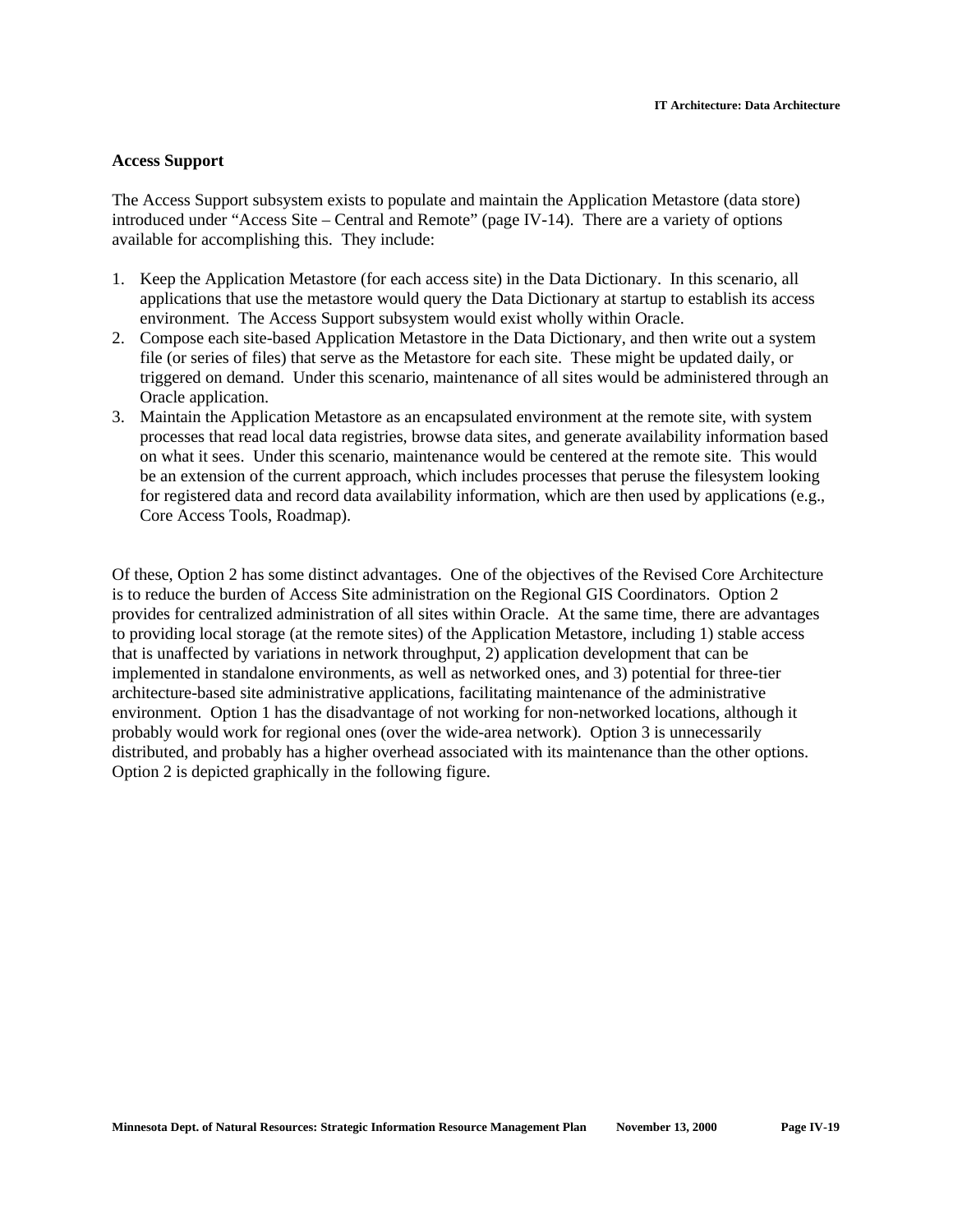### **Access Support**

The Access Support subsystem exists to populate and maintain the Application Metastore (data store) introduced under "Access Site – Central and Remote" (page IV-14). There are a variety of options available for accomplishing this. They include:

- 1. Keep the Application Metastore (for each access site) in the Data Dictionary. In this scenario, all applications that use the metastore would query the Data Dictionary at startup to establish its access environment. The Access Support subsystem would exist wholly within Oracle.
- 2. Compose each site-based Application Metastore in the Data Dictionary, and then write out a system file (or series of files) that serve as the Metastore for each site. These might be updated daily, or triggered on demand. Under this scenario, maintenance of all sites would be administered through an Oracle application.
- 3. Maintain the Application Metastore as an encapsulated environment at the remote site, with system processes that read local data registries, browse data sites, and generate availability information based on what it sees. Under this scenario, maintenance would be centered at the remote site. This would be an extension of the current approach, which includes processes that peruse the filesystem looking for registered data and record data availability information, which are then used by applications (e.g., Core Access Tools, Roadmap).

Of these, Option 2 has some distinct advantages. One of the objectives of the Revised Core Architecture is to reduce the burden of Access Site administration on the Regional GIS Coordinators. Option 2 provides for centralized administration of all sites within Oracle. At the same time, there are advantages to providing local storage (at the remote sites) of the Application Metastore, including 1) stable access that is unaffected by variations in network throughput, 2) application development that can be implemented in standalone environments, as well as networked ones, and 3) potential for three-tier architecture-based site administrative applications, facilitating maintenance of the administrative environment. Option 1 has the disadvantage of not working for non-networked locations, although it probably would work for regional ones (over the wide-area network). Option 3 is unnecessarily distributed, and probably has a higher overhead associated with its maintenance than the other options. Option 2 is depicted graphically in the following figure.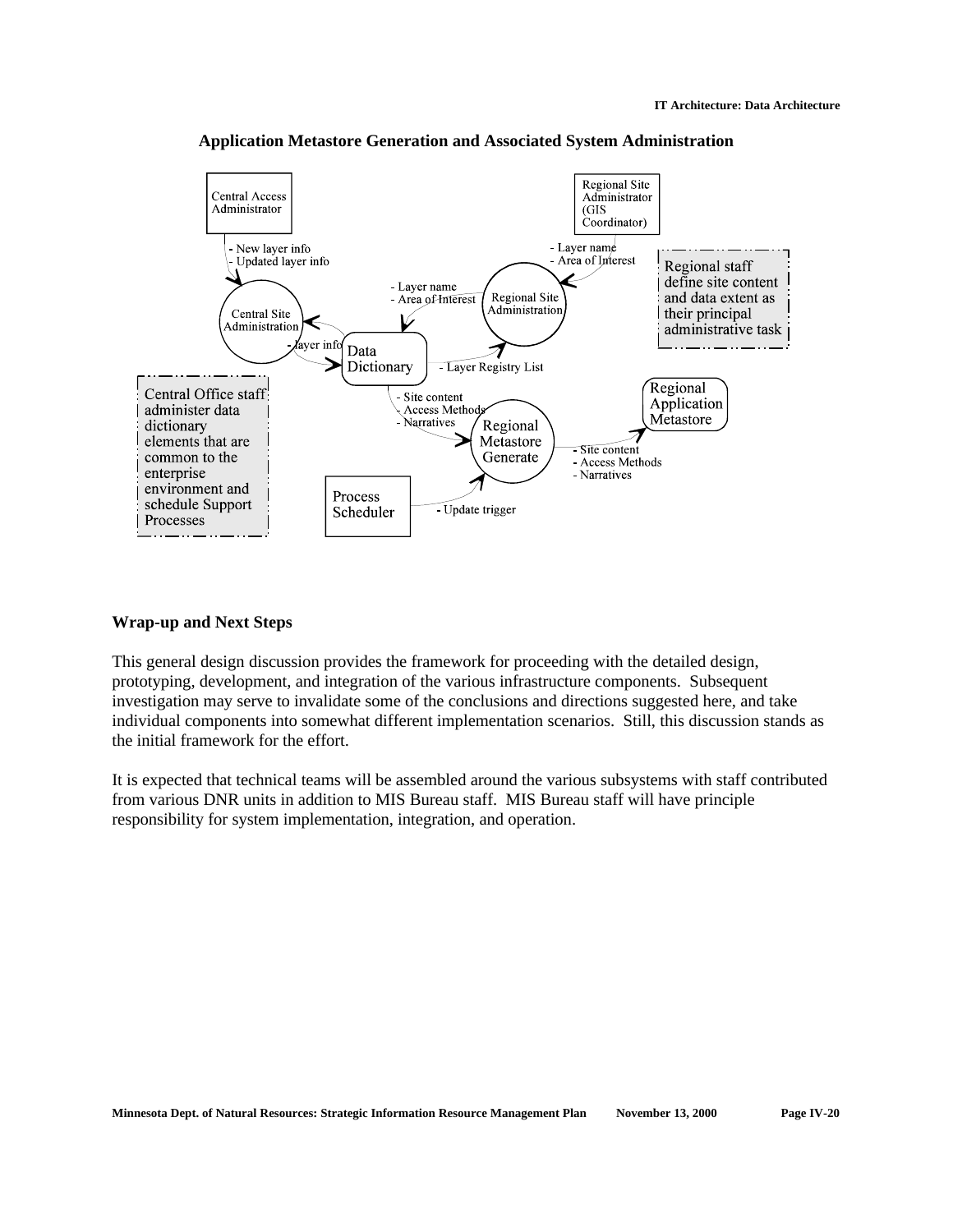

**Application Metastore Generation and Associated System Administration**

### **Wrap-up and Next Steps**

This general design discussion provides the framework for proceeding with the detailed design, prototyping, development, and integration of the various infrastructure components. Subsequent investigation may serve to invalidate some of the conclusions and directions suggested here, and take individual components into somewhat different implementation scenarios. Still, this discussion stands as the initial framework for the effort.

It is expected that technical teams will be assembled around the various subsystems with staff contributed from various DNR units in addition to MIS Bureau staff. MIS Bureau staff will have principle responsibility for system implementation, integration, and operation.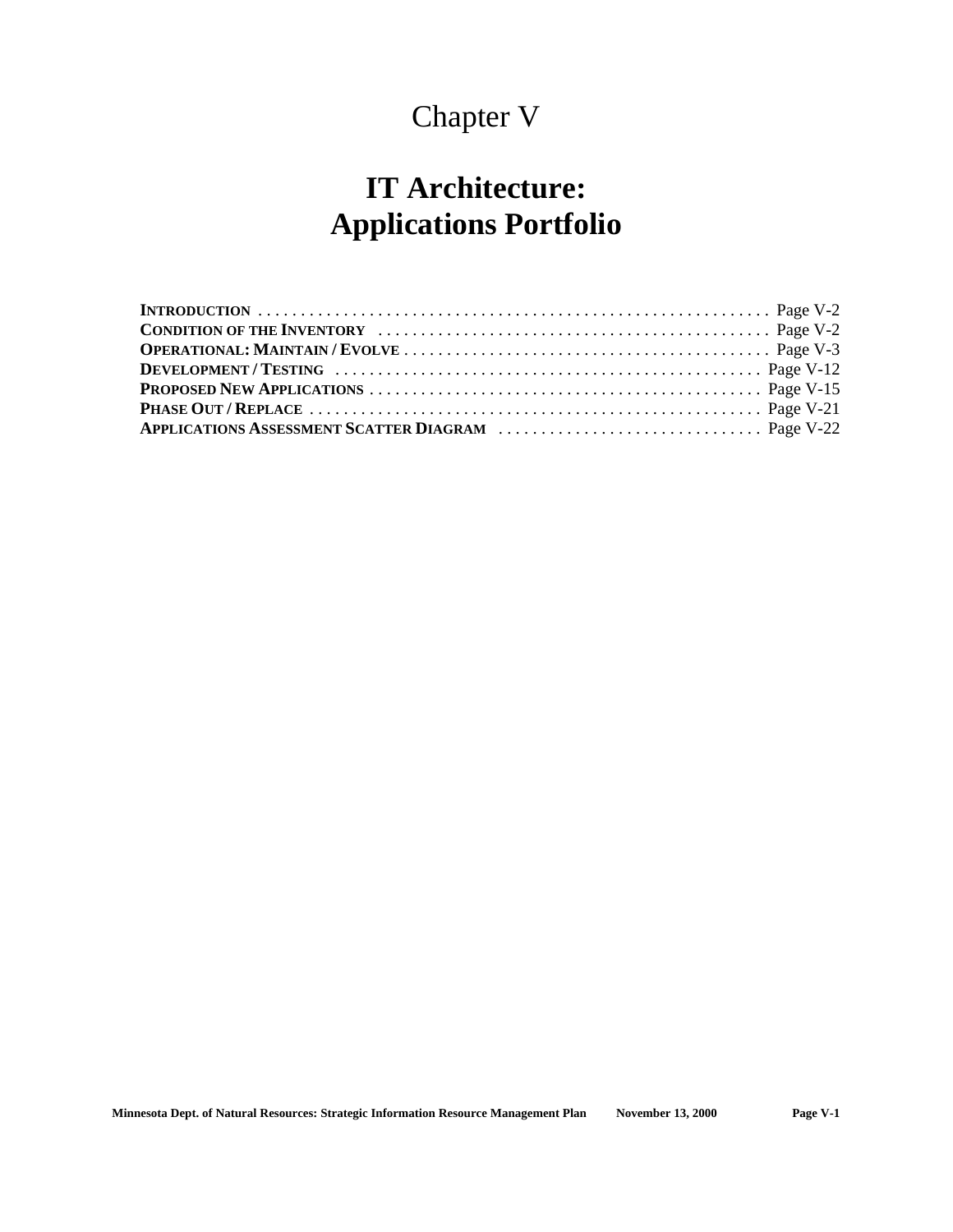# Chapter V

# **IT Architecture: Applications Portfolio**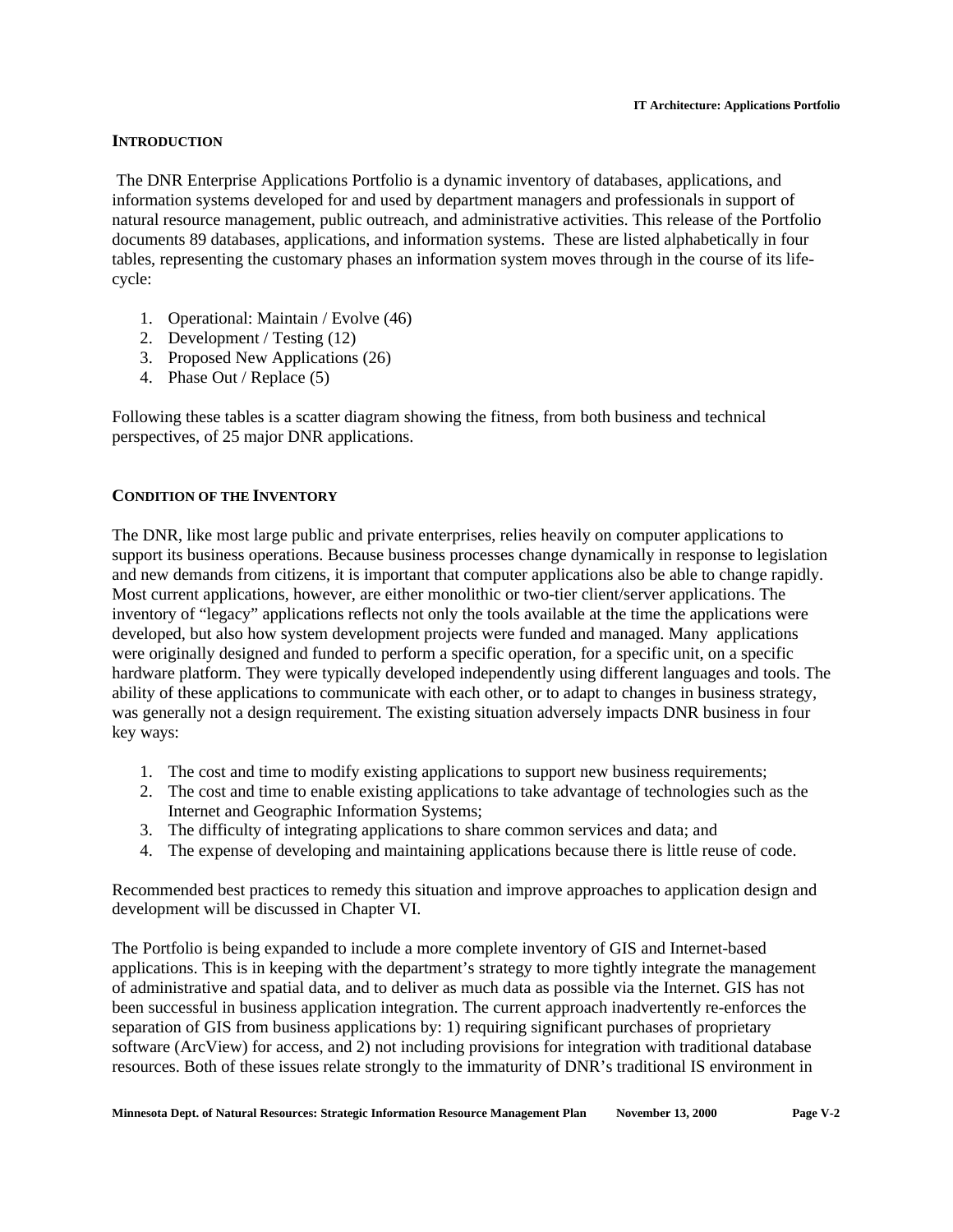# **INTRODUCTION**

 The DNR Enterprise Applications Portfolio is a dynamic inventory of databases, applications, and information systems developed for and used by department managers and professionals in support of natural resource management, public outreach, and administrative activities. This release of the Portfolio documents 89 databases, applications, and information systems. These are listed alphabetically in four tables, representing the customary phases an information system moves through in the course of its lifecycle:

- 1. Operational: Maintain / Evolve (46)
- 2. Development / Testing (12)
- 3. Proposed New Applications (26)
- 4. Phase Out / Replace (5)

Following these tables is a scatter diagram showing the fitness, from both business and technical perspectives, of 25 major DNR applications.

# **CONDITION OF THE INVENTORY**

The DNR, like most large public and private enterprises, relies heavily on computer applications to support its business operations. Because business processes change dynamically in response to legislation and new demands from citizens, it is important that computer applications also be able to change rapidly. Most current applications, however, are either monolithic or two-tier client/server applications. The inventory of "legacy" applications reflects not only the tools available at the time the applications were developed, but also how system development projects were funded and managed. Many applications were originally designed and funded to perform a specific operation, for a specific unit, on a specific hardware platform. They were typically developed independently using different languages and tools. The ability of these applications to communicate with each other, or to adapt to changes in business strategy, was generally not a design requirement. The existing situation adversely impacts DNR business in four key ways:

- 1. The cost and time to modify existing applications to support new business requirements;
- 2. The cost and time to enable existing applications to take advantage of technologies such as the Internet and Geographic Information Systems;
- 3. The difficulty of integrating applications to share common services and data; and
- 4. The expense of developing and maintaining applications because there is little reuse of code.

Recommended best practices to remedy this situation and improve approaches to application design and development will be discussed in Chapter VI.

The Portfolio is being expanded to include a more complete inventory of GIS and Internet-based applications. This is in keeping with the department's strategy to more tightly integrate the management of administrative and spatial data, and to deliver as much data as possible via the Internet. GIS has not been successful in business application integration. The current approach inadvertently re-enforces the separation of GIS from business applications by: 1) requiring significant purchases of proprietary software (ArcView) for access, and 2) not including provisions for integration with traditional database resources. Both of these issues relate strongly to the immaturity of DNR's traditional IS environment in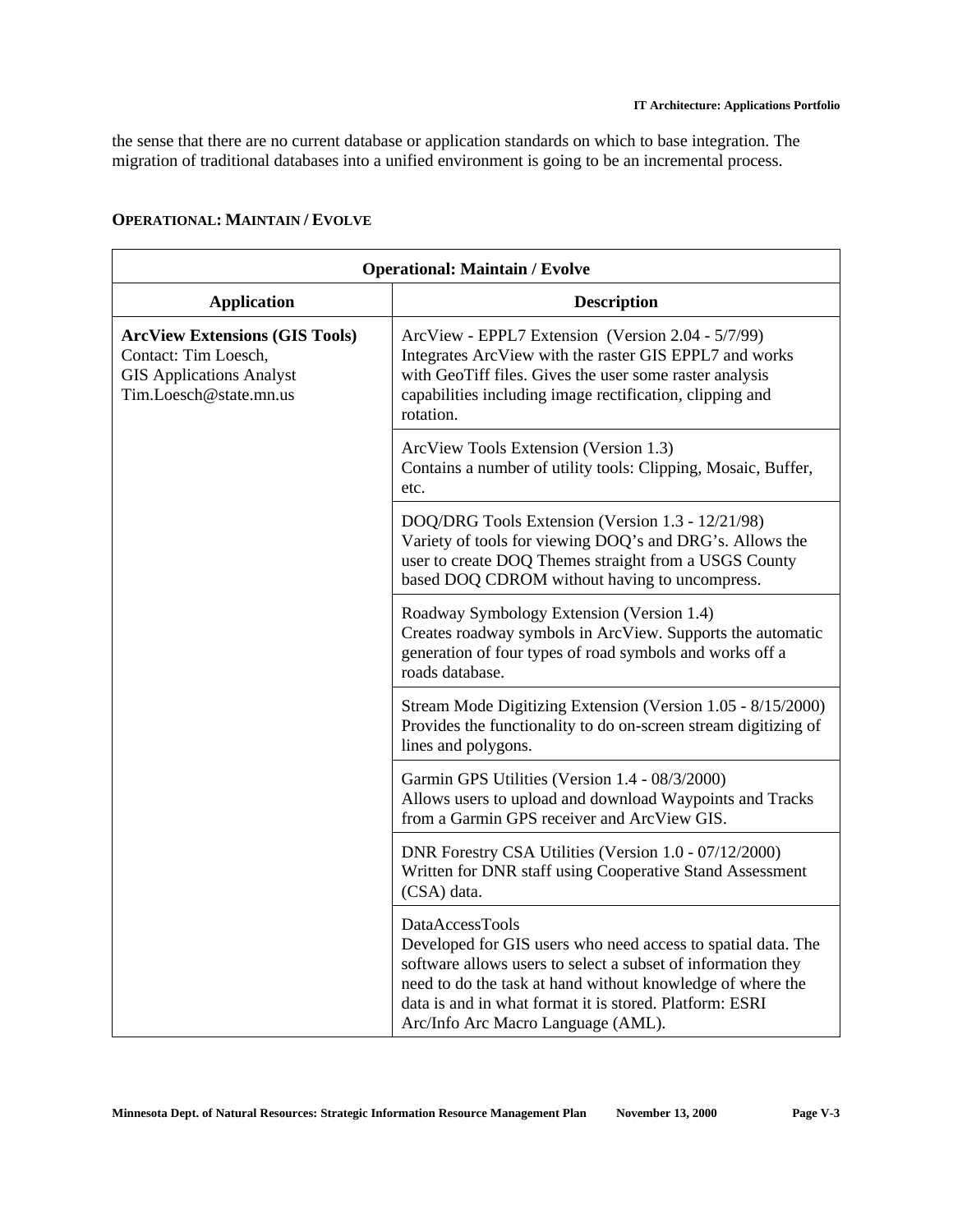the sense that there are no current database or application standards on which to base integration. The migration of traditional databases into a unified environment is going to be an incremental process.

| <b>Operational: Maintain / Evolve</b>                                                                                      |                                                                                                                                                                                                                                                                                                                |
|----------------------------------------------------------------------------------------------------------------------------|----------------------------------------------------------------------------------------------------------------------------------------------------------------------------------------------------------------------------------------------------------------------------------------------------------------|
| <b>Application</b>                                                                                                         | <b>Description</b>                                                                                                                                                                                                                                                                                             |
| <b>ArcView Extensions (GIS Tools)</b><br>Contact: Tim Loesch,<br><b>GIS Applications Analyst</b><br>Tim.Loesch@state.mn.us | ArcView - EPPL7 Extension (Version 2.04 - 5/7/99)<br>Integrates ArcView with the raster GIS EPPL7 and works<br>with GeoTiff files. Gives the user some raster analysis<br>capabilities including image rectification, clipping and<br>rotation.                                                                |
|                                                                                                                            | ArcView Tools Extension (Version 1.3)<br>Contains a number of utility tools: Clipping, Mosaic, Buffer,<br>etc.                                                                                                                                                                                                 |
|                                                                                                                            | DOQ/DRG Tools Extension (Version 1.3 - 12/21/98)<br>Variety of tools for viewing DOQ's and DRG's. Allows the<br>user to create DOQ Themes straight from a USGS County<br>based DOQ CDROM without having to uncompress.                                                                                         |
|                                                                                                                            | Roadway Symbology Extension (Version 1.4)<br>Creates roadway symbols in ArcView. Supports the automatic<br>generation of four types of road symbols and works off a<br>roads database.                                                                                                                         |
|                                                                                                                            | Stream Mode Digitizing Extension (Version 1.05 - 8/15/2000)<br>Provides the functionality to do on-screen stream digitizing of<br>lines and polygons.                                                                                                                                                          |
|                                                                                                                            | Garmin GPS Utilities (Version 1.4 - 08/3/2000)<br>Allows users to upload and download Waypoints and Tracks<br>from a Garmin GPS receiver and ArcView GIS.                                                                                                                                                      |
|                                                                                                                            | DNR Forestry CSA Utilities (Version 1.0 - 07/12/2000)<br>Written for DNR staff using Cooperative Stand Assessment<br>(CSA) data.                                                                                                                                                                               |
|                                                                                                                            | DataAccessTools<br>Developed for GIS users who need access to spatial data. The<br>software allows users to select a subset of information they<br>need to do the task at hand without knowledge of where the<br>data is and in what format it is stored. Platform: ESRI<br>Arc/Info Arc Macro Language (AML). |

# **OPERATIONAL: MAINTAIN / EVOLVE**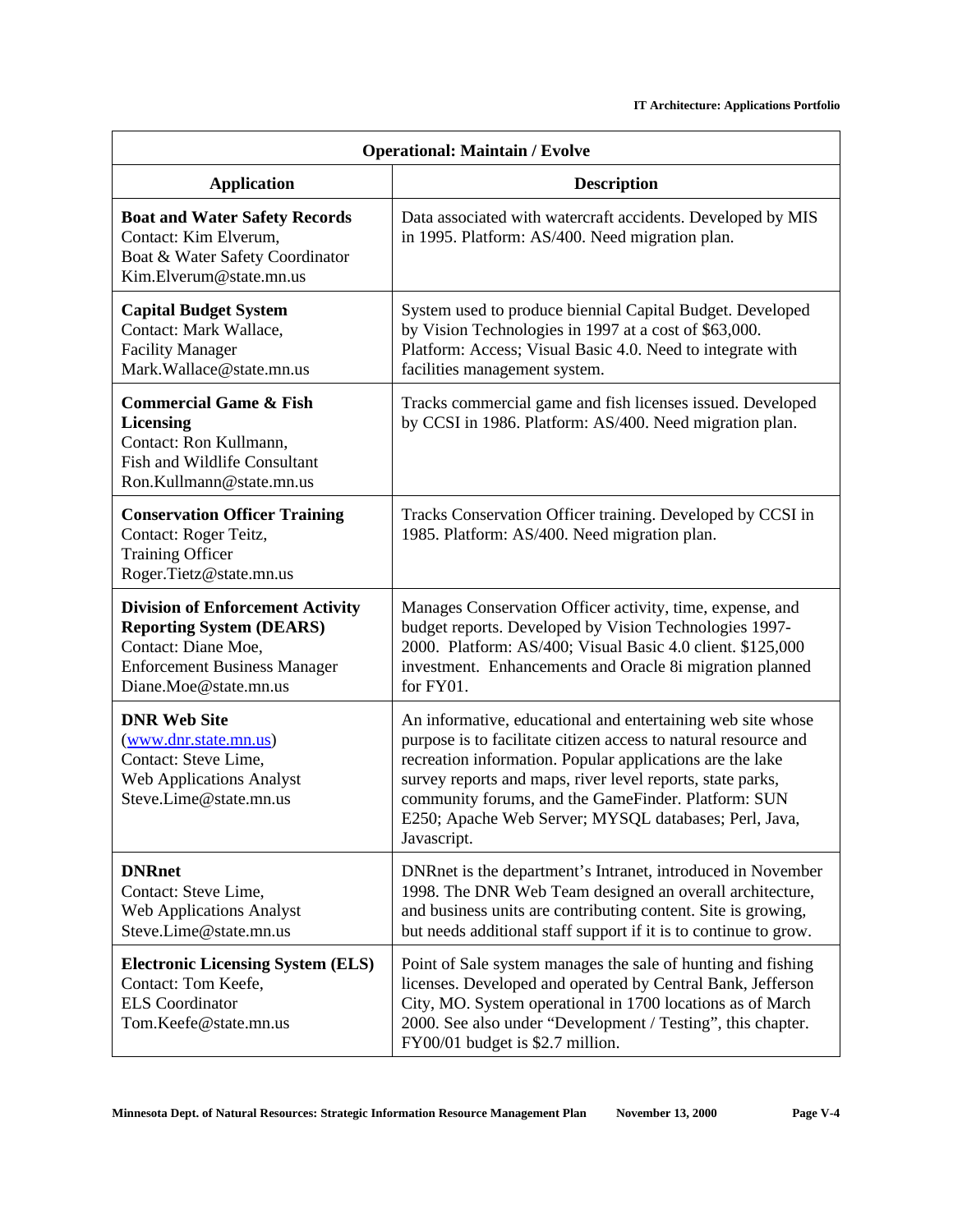| <b>Operational: Maintain / Evolve</b>                                                                                                                             |                                                                                                                                                                                                                                                                                                                                                                                          |  |
|-------------------------------------------------------------------------------------------------------------------------------------------------------------------|------------------------------------------------------------------------------------------------------------------------------------------------------------------------------------------------------------------------------------------------------------------------------------------------------------------------------------------------------------------------------------------|--|
| <b>Application</b>                                                                                                                                                | <b>Description</b>                                                                                                                                                                                                                                                                                                                                                                       |  |
| <b>Boat and Water Safety Records</b><br>Contact: Kim Elverum,<br>Boat & Water Safety Coordinator<br>Kim.Elverum@state.mn.us                                       | Data associated with watercraft accidents. Developed by MIS<br>in 1995. Platform: AS/400. Need migration plan.                                                                                                                                                                                                                                                                           |  |
| <b>Capital Budget System</b><br>Contact: Mark Wallace,<br><b>Facility Manager</b><br>Mark.Wallace@state.mn.us                                                     | System used to produce biennial Capital Budget. Developed<br>by Vision Technologies in 1997 at a cost of \$63,000.<br>Platform: Access; Visual Basic 4.0. Need to integrate with<br>facilities management system.                                                                                                                                                                        |  |
| <b>Commercial Game &amp; Fish</b><br><b>Licensing</b><br>Contact: Ron Kullmann,<br><b>Fish and Wildlife Consultant</b><br>Ron.Kullmann@state.mn.us                | Tracks commercial game and fish licenses issued. Developed<br>by CCSI in 1986. Platform: AS/400. Need migration plan.                                                                                                                                                                                                                                                                    |  |
| <b>Conservation Officer Training</b><br>Contact: Roger Teitz,<br><b>Training Officer</b><br>Roger.Tietz@state.mn.us                                               | Tracks Conservation Officer training. Developed by CCSI in<br>1985. Platform: AS/400. Need migration plan.                                                                                                                                                                                                                                                                               |  |
| <b>Division of Enforcement Activity</b><br><b>Reporting System (DEARS)</b><br>Contact: Diane Moe,<br><b>Enforcement Business Manager</b><br>Diane.Moe@state.mn.us | Manages Conservation Officer activity, time, expense, and<br>budget reports. Developed by Vision Technologies 1997-<br>2000. Platform: AS/400; Visual Basic 4.0 client. \$125,000<br>investment. Enhancements and Oracle 8i migration planned<br>for FY01.                                                                                                                               |  |
| <b>DNR Web Site</b><br>(www.dnr.state.mn.us)<br>Contact: Steve Lime,<br><b>Web Applications Analyst</b><br>Steve.Lime@state.mn.us                                 | An informative, educational and entertaining web site whose<br>purpose is to facilitate citizen access to natural resource and<br>recreation information. Popular applications are the lake<br>survey reports and maps, river level reports, state parks,<br>community forums, and the GameFinder. Platform: SUN<br>E250; Apache Web Server; MYSQL databases; Perl, Java,<br>Javascript. |  |
| <b>DNRnet</b><br>Contact: Steve Lime,<br><b>Web Applications Analyst</b><br>Steve.Lime@state.mn.us                                                                | DNRnet is the department's Intranet, introduced in November<br>1998. The DNR Web Team designed an overall architecture,<br>and business units are contributing content. Site is growing,<br>but needs additional staff support if it is to continue to grow.                                                                                                                             |  |
| <b>Electronic Licensing System (ELS)</b><br>Contact: Tom Keefe,<br><b>ELS</b> Coordinator<br>Tom.Keefe@state.mn.us                                                | Point of Sale system manages the sale of hunting and fishing<br>licenses. Developed and operated by Central Bank, Jefferson<br>City, MO. System operational in 1700 locations as of March<br>2000. See also under "Development / Testing", this chapter.<br>FY00/01 budget is \$2.7 million.                                                                                             |  |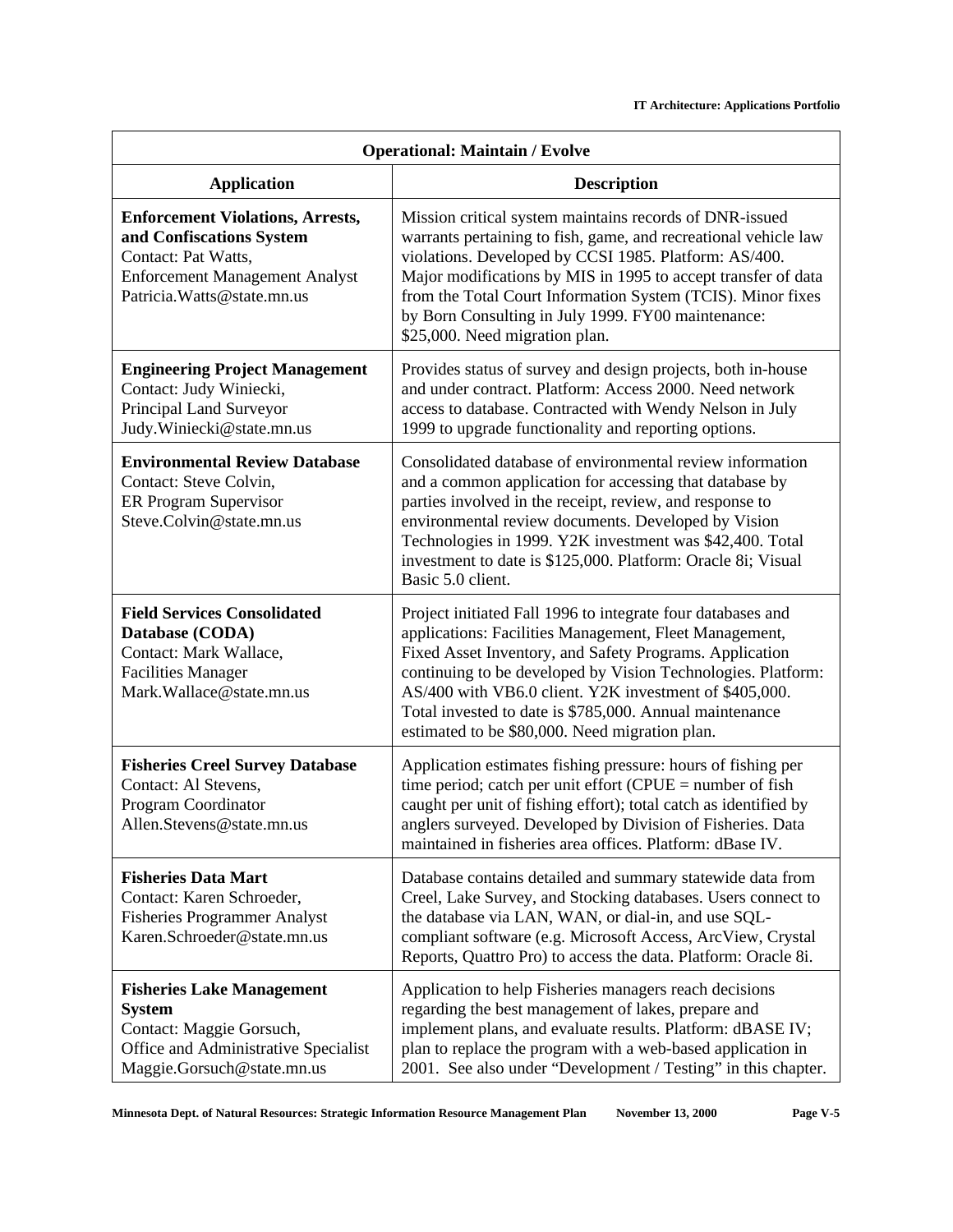| <b>Operational: Maintain / Evolve</b>                                                                                                                              |                                                                                                                                                                                                                                                                                                                                                                                                                         |  |
|--------------------------------------------------------------------------------------------------------------------------------------------------------------------|-------------------------------------------------------------------------------------------------------------------------------------------------------------------------------------------------------------------------------------------------------------------------------------------------------------------------------------------------------------------------------------------------------------------------|--|
| <b>Application</b>                                                                                                                                                 | <b>Description</b>                                                                                                                                                                                                                                                                                                                                                                                                      |  |
| <b>Enforcement Violations, Arrests,</b><br>and Confiscations System<br>Contact: Pat Watts,<br><b>Enforcement Management Analyst</b><br>Patricia. Watts@state.mn.us | Mission critical system maintains records of DNR-issued<br>warrants pertaining to fish, game, and recreational vehicle law<br>violations. Developed by CCSI 1985. Platform: AS/400.<br>Major modifications by MIS in 1995 to accept transfer of data<br>from the Total Court Information System (TCIS). Minor fixes<br>by Born Consulting in July 1999. FY00 maintenance:<br>\$25,000. Need migration plan.             |  |
| <b>Engineering Project Management</b><br>Contact: Judy Winiecki,<br>Principal Land Surveyor<br>Judy.Winiecki@state.mn.us                                           | Provides status of survey and design projects, both in-house<br>and under contract. Platform: Access 2000. Need network<br>access to database. Contracted with Wendy Nelson in July<br>1999 to upgrade functionality and reporting options.                                                                                                                                                                             |  |
| <b>Environmental Review Database</b><br>Contact: Steve Colvin,<br>ER Program Supervisor<br>Steve.Colvin@state.mn.us                                                | Consolidated database of environmental review information<br>and a common application for accessing that database by<br>parties involved in the receipt, review, and response to<br>environmental review documents. Developed by Vision<br>Technologies in 1999. Y2K investment was \$42,400. Total<br>investment to date is \$125,000. Platform: Oracle 8i; Visual<br>Basic 5.0 client.                                |  |
| <b>Field Services Consolidated</b><br>Database (CODA)<br>Contact: Mark Wallace,<br><b>Facilities Manager</b><br>Mark.Wallace@state.mn.us                           | Project initiated Fall 1996 to integrate four databases and<br>applications: Facilities Management, Fleet Management,<br>Fixed Asset Inventory, and Safety Programs. Application<br>continuing to be developed by Vision Technologies. Platform:<br>AS/400 with VB6.0 client. Y2K investment of \$405,000.<br>Total invested to date is \$785,000. Annual maintenance<br>estimated to be \$80,000. Need migration plan. |  |
| <b>Fisheries Creel Survey Database</b><br>Contact: Al Stevens,<br>Program Coordinator<br>Allen.Stevens@state.mn.us                                                 | Application estimates fishing pressure: hours of fishing per<br>time period; catch per unit effort ( $CPUE = number of fish$<br>caught per unit of fishing effort); total catch as identified by<br>anglers surveyed. Developed by Division of Fisheries. Data<br>maintained in fisheries area offices. Platform: dBase IV.                                                                                             |  |
| <b>Fisheries Data Mart</b><br>Contact: Karen Schroeder,<br><b>Fisheries Programmer Analyst</b><br>Karen.Schroeder@state.mn.us                                      | Database contains detailed and summary statewide data from<br>Creel, Lake Survey, and Stocking databases. Users connect to<br>the database via LAN, WAN, or dial-in, and use SQL-<br>compliant software (e.g. Microsoft Access, ArcView, Crystal<br>Reports, Quattro Pro) to access the data. Platform: Oracle 8i.                                                                                                      |  |
| <b>Fisheries Lake Management</b><br><b>System</b><br>Contact: Maggie Gorsuch,<br>Office and Administrative Specialist<br>Maggie.Gorsuch@state.mn.us                | Application to help Fisheries managers reach decisions<br>regarding the best management of lakes, prepare and<br>implement plans, and evaluate results. Platform: dBASE IV;<br>plan to replace the program with a web-based application in<br>2001. See also under "Development / Testing" in this chapter.                                                                                                             |  |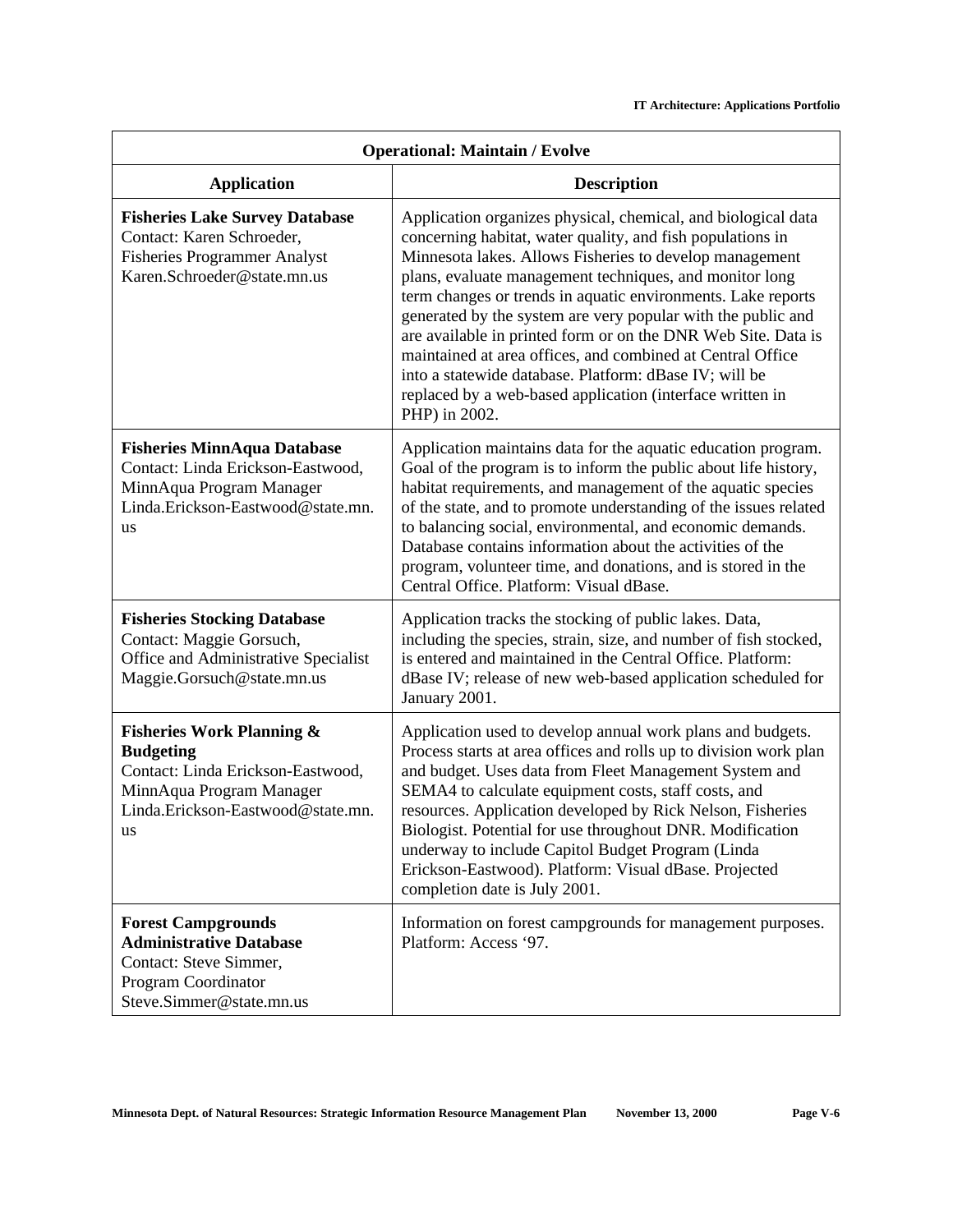| <b>Operational: Maintain / Evolve</b>                                                                                                                                |                                                                                                                                                                                                                                                                                                                                                                                                                                                                                                                                                                                                                                                          |  |
|----------------------------------------------------------------------------------------------------------------------------------------------------------------------|----------------------------------------------------------------------------------------------------------------------------------------------------------------------------------------------------------------------------------------------------------------------------------------------------------------------------------------------------------------------------------------------------------------------------------------------------------------------------------------------------------------------------------------------------------------------------------------------------------------------------------------------------------|--|
| <b>Application</b>                                                                                                                                                   | <b>Description</b>                                                                                                                                                                                                                                                                                                                                                                                                                                                                                                                                                                                                                                       |  |
| <b>Fisheries Lake Survey Database</b><br>Contact: Karen Schroeder,<br><b>Fisheries Programmer Analyst</b><br>Karen.Schroeder@state.mn.us                             | Application organizes physical, chemical, and biological data<br>concerning habitat, water quality, and fish populations in<br>Minnesota lakes. Allows Fisheries to develop management<br>plans, evaluate management techniques, and monitor long<br>term changes or trends in aquatic environments. Lake reports<br>generated by the system are very popular with the public and<br>are available in printed form or on the DNR Web Site. Data is<br>maintained at area offices, and combined at Central Office<br>into a statewide database. Platform: dBase IV; will be<br>replaced by a web-based application (interface written in<br>PHP) in 2002. |  |
| <b>Fisheries MinnAqua Database</b><br>Contact: Linda Erickson-Eastwood,<br>MinnAqua Program Manager<br>Linda.Erickson-Eastwood@state.mn.<br><b>us</b>                | Application maintains data for the aquatic education program.<br>Goal of the program is to inform the public about life history,<br>habitat requirements, and management of the aquatic species<br>of the state, and to promote understanding of the issues related<br>to balancing social, environmental, and economic demands.<br>Database contains information about the activities of the<br>program, volunteer time, and donations, and is stored in the<br>Central Office. Platform: Visual dBase.                                                                                                                                                 |  |
| <b>Fisheries Stocking Database</b><br>Contact: Maggie Gorsuch,<br>Office and Administrative Specialist<br>Maggie.Gorsuch@state.mn.us                                 | Application tracks the stocking of public lakes. Data,<br>including the species, strain, size, and number of fish stocked,<br>is entered and maintained in the Central Office. Platform:<br>dBase IV; release of new web-based application scheduled for<br>January 2001.                                                                                                                                                                                                                                                                                                                                                                                |  |
| <b>Fisheries Work Planning &amp;</b><br><b>Budgeting</b><br>Contact: Linda Erickson-Eastwood,<br>MinnAqua Program Manager<br>Linda.Erickson-Eastwood@state.mn.<br>us | Application used to develop annual work plans and budgets.<br>Process starts at area offices and rolls up to division work plan<br>and budget. Uses data from Fleet Management System and<br>SEMA4 to calculate equipment costs, staff costs, and<br>resources. Application developed by Rick Nelson, Fisheries<br>Biologist. Potential for use throughout DNR. Modification<br>underway to include Capitol Budget Program (Linda<br>Erickson-Eastwood). Platform: Visual dBase. Projected<br>completion date is July 2001.                                                                                                                              |  |
| <b>Forest Campgrounds</b><br><b>Administrative Database</b><br>Contact: Steve Simmer,<br>Program Coordinator<br>Steve.Simmer@state.mn.us                             | Information on forest campgrounds for management purposes.<br>Platform: Access '97.                                                                                                                                                                                                                                                                                                                                                                                                                                                                                                                                                                      |  |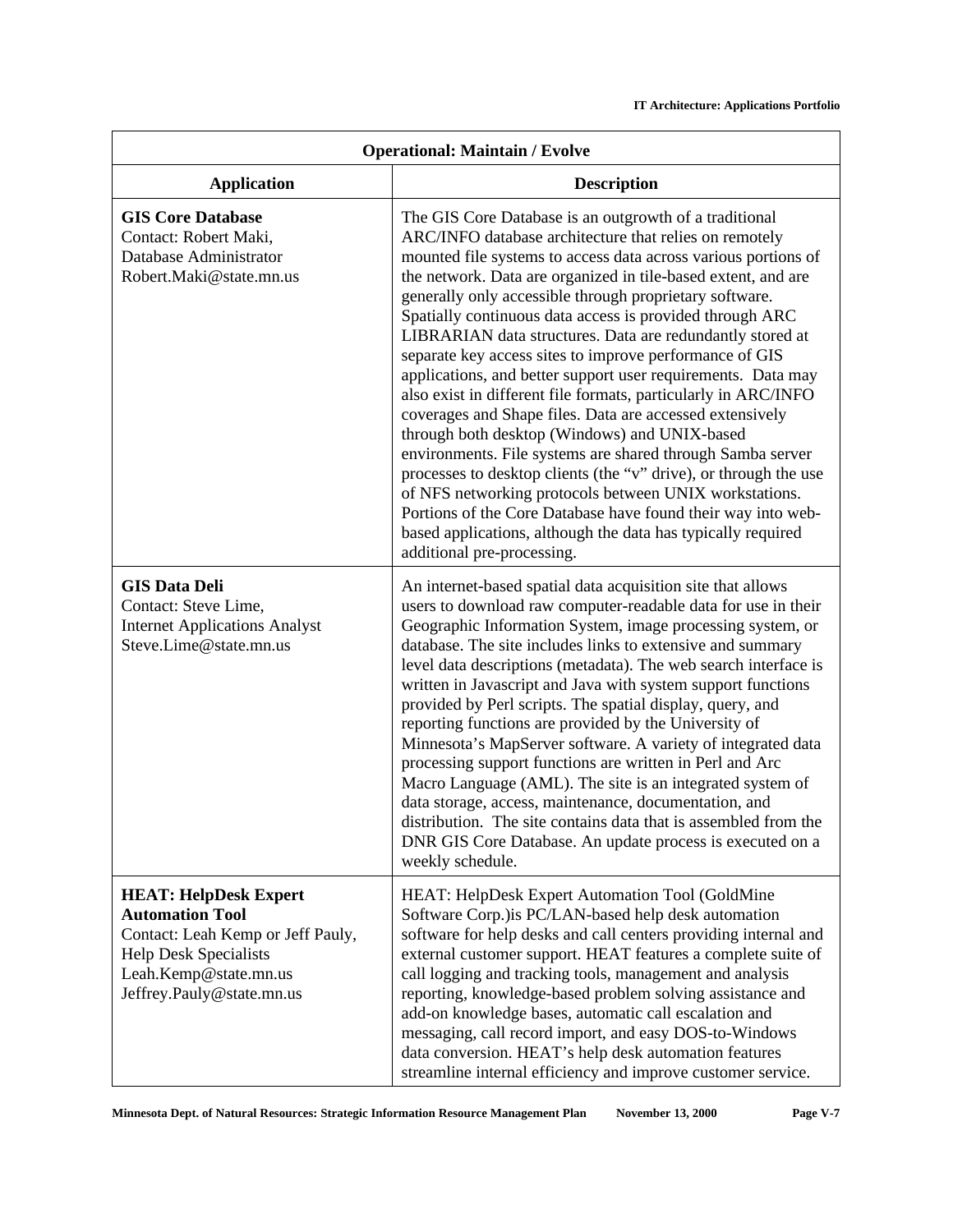| <b>Operational: Maintain / Evolve</b>                                                                                                                                             |                                                                                                                                                                                                                                                                                                                                                                                                                                                                                                                                                                                                                                                                                                                                                                                                                                                                                                                                                                                                                                                                                                             |  |
|-----------------------------------------------------------------------------------------------------------------------------------------------------------------------------------|-------------------------------------------------------------------------------------------------------------------------------------------------------------------------------------------------------------------------------------------------------------------------------------------------------------------------------------------------------------------------------------------------------------------------------------------------------------------------------------------------------------------------------------------------------------------------------------------------------------------------------------------------------------------------------------------------------------------------------------------------------------------------------------------------------------------------------------------------------------------------------------------------------------------------------------------------------------------------------------------------------------------------------------------------------------------------------------------------------------|--|
| <b>Application</b>                                                                                                                                                                | <b>Description</b>                                                                                                                                                                                                                                                                                                                                                                                                                                                                                                                                                                                                                                                                                                                                                                                                                                                                                                                                                                                                                                                                                          |  |
| <b>GIS Core Database</b><br>Contact: Robert Maki,<br>Database Administrator<br>Robert.Maki@state.mn.us                                                                            | The GIS Core Database is an outgrowth of a traditional<br>ARC/INFO database architecture that relies on remotely<br>mounted file systems to access data across various portions of<br>the network. Data are organized in tile-based extent, and are<br>generally only accessible through proprietary software.<br>Spatially continuous data access is provided through ARC<br>LIBRARIAN data structures. Data are redundantly stored at<br>separate key access sites to improve performance of GIS<br>applications, and better support user requirements. Data may<br>also exist in different file formats, particularly in ARC/INFO<br>coverages and Shape files. Data are accessed extensively<br>through both desktop (Windows) and UNIX-based<br>environments. File systems are shared through Samba server<br>processes to desktop clients (the "v" drive), or through the use<br>of NFS networking protocols between UNIX workstations.<br>Portions of the Core Database have found their way into web-<br>based applications, although the data has typically required<br>additional pre-processing. |  |
| <b>GIS Data Deli</b><br>Contact: Steve Lime,<br><b>Internet Applications Analyst</b><br>Steve.Lime@state.mn.us                                                                    | An internet-based spatial data acquisition site that allows<br>users to download raw computer-readable data for use in their<br>Geographic Information System, image processing system, or<br>database. The site includes links to extensive and summary<br>level data descriptions (metadata). The web search interface is<br>written in Javascript and Java with system support functions<br>provided by Perl scripts. The spatial display, query, and<br>reporting functions are provided by the University of<br>Minnesota's MapServer software. A variety of integrated data<br>processing support functions are written in Perl and Arc<br>Macro Language (AML). The site is an integrated system of<br>data storage, access, maintenance, documentation, and<br>distribution. The site contains data that is assembled from the<br>DNR GIS Core Database. An update process is executed on a<br>weekly schedule.                                                                                                                                                                                     |  |
| <b>HEAT: HelpDesk Expert</b><br><b>Automation Tool</b><br>Contact: Leah Kemp or Jeff Pauly,<br><b>Help Desk Specialists</b><br>Leah.Kemp@state.mn.us<br>Jeffrey.Pauly@state.mn.us | HEAT: HelpDesk Expert Automation Tool (GoldMine<br>Software Corp.) is PC/LAN-based help desk automation<br>software for help desks and call centers providing internal and<br>external customer support. HEAT features a complete suite of<br>call logging and tracking tools, management and analysis<br>reporting, knowledge-based problem solving assistance and<br>add-on knowledge bases, automatic call escalation and<br>messaging, call record import, and easy DOS-to-Windows<br>data conversion. HEAT's help desk automation features<br>streamline internal efficiency and improve customer service.                                                                                                                                                                                                                                                                                                                                                                                                                                                                                             |  |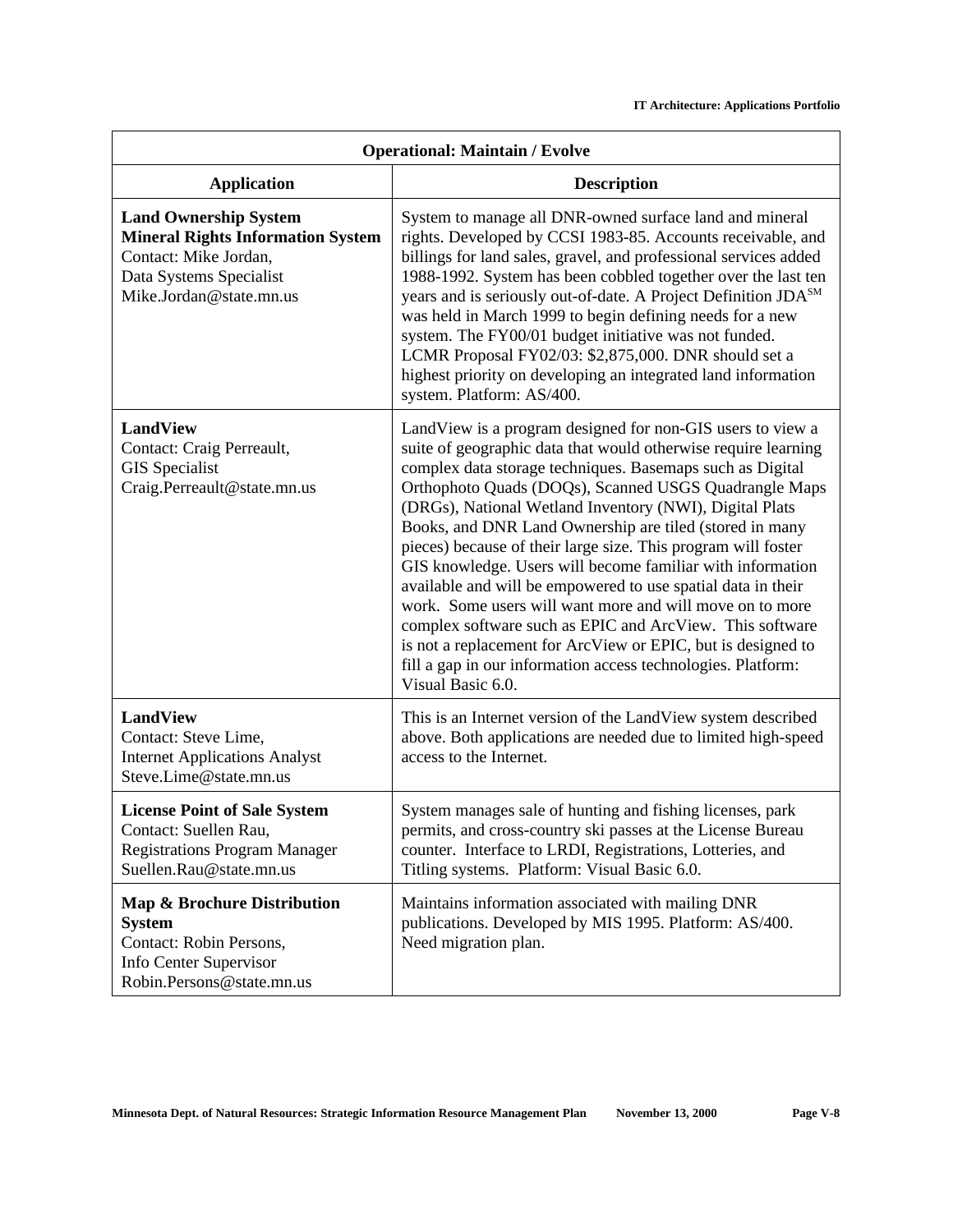| <b>Operational: Maintain / Evolve</b>                                                                                                                   |                                                                                                                                                                                                                                                                                                                                                                                                                                                                                                                                                                                                                                                                                                                                                                                                                                                      |  |
|---------------------------------------------------------------------------------------------------------------------------------------------------------|------------------------------------------------------------------------------------------------------------------------------------------------------------------------------------------------------------------------------------------------------------------------------------------------------------------------------------------------------------------------------------------------------------------------------------------------------------------------------------------------------------------------------------------------------------------------------------------------------------------------------------------------------------------------------------------------------------------------------------------------------------------------------------------------------------------------------------------------------|--|
| <b>Application</b>                                                                                                                                      | <b>Description</b>                                                                                                                                                                                                                                                                                                                                                                                                                                                                                                                                                                                                                                                                                                                                                                                                                                   |  |
| <b>Land Ownership System</b><br><b>Mineral Rights Information System</b><br>Contact: Mike Jordan,<br>Data Systems Specialist<br>Mike.Jordan@state.mn.us | System to manage all DNR-owned surface land and mineral<br>rights. Developed by CCSI 1983-85. Accounts receivable, and<br>billings for land sales, gravel, and professional services added<br>1988-1992. System has been cobbled together over the last ten<br>years and is seriously out-of-date. A Project Definition JDA <sup>SM</sup><br>was held in March 1999 to begin defining needs for a new<br>system. The FY00/01 budget initiative was not funded.<br>LCMR Proposal FY02/03: \$2,875,000. DNR should set a<br>highest priority on developing an integrated land information<br>system. Platform: AS/400.                                                                                                                                                                                                                                 |  |
| <b>LandView</b><br>Contact: Craig Perreault,<br><b>GIS</b> Specialist<br>Craig.Perreault@state.mn.us                                                    | LandView is a program designed for non-GIS users to view a<br>suite of geographic data that would otherwise require learning<br>complex data storage techniques. Basemaps such as Digital<br>Orthophoto Quads (DOQs), Scanned USGS Quadrangle Maps<br>(DRGs), National Wetland Inventory (NWI), Digital Plats<br>Books, and DNR Land Ownership are tiled (stored in many<br>pieces) because of their large size. This program will foster<br>GIS knowledge. Users will become familiar with information<br>available and will be empowered to use spatial data in their<br>work. Some users will want more and will move on to more<br>complex software such as EPIC and ArcView. This software<br>is not a replacement for ArcView or EPIC, but is designed to<br>fill a gap in our information access technologies. Platform:<br>Visual Basic 6.0. |  |
| <b>LandView</b><br>Contact: Steve Lime,<br><b>Internet Applications Analyst</b><br>Steve.Lime@state.mn.us                                               | This is an Internet version of the LandView system described<br>above. Both applications are needed due to limited high-speed<br>access to the Internet.                                                                                                                                                                                                                                                                                                                                                                                                                                                                                                                                                                                                                                                                                             |  |
| <b>License Point of Sale System</b><br>Contact: Suellen Rau,<br><b>Registrations Program Manager</b><br>Suellen.Rau@state.mn.us                         | System manages sale of hunting and fishing licenses, park<br>permits, and cross-country ski passes at the License Bureau<br>counter. Interface to LRDI, Registrations, Lotteries, and<br>Titling systems. Platform: Visual Basic 6.0.                                                                                                                                                                                                                                                                                                                                                                                                                                                                                                                                                                                                                |  |
| Map & Brochure Distribution<br><b>System</b><br>Contact: Robin Persons,<br>Info Center Supervisor<br>Robin.Persons@state.mn.us                          | Maintains information associated with mailing DNR<br>publications. Developed by MIS 1995. Platform: AS/400.<br>Need migration plan.                                                                                                                                                                                                                                                                                                                                                                                                                                                                                                                                                                                                                                                                                                                  |  |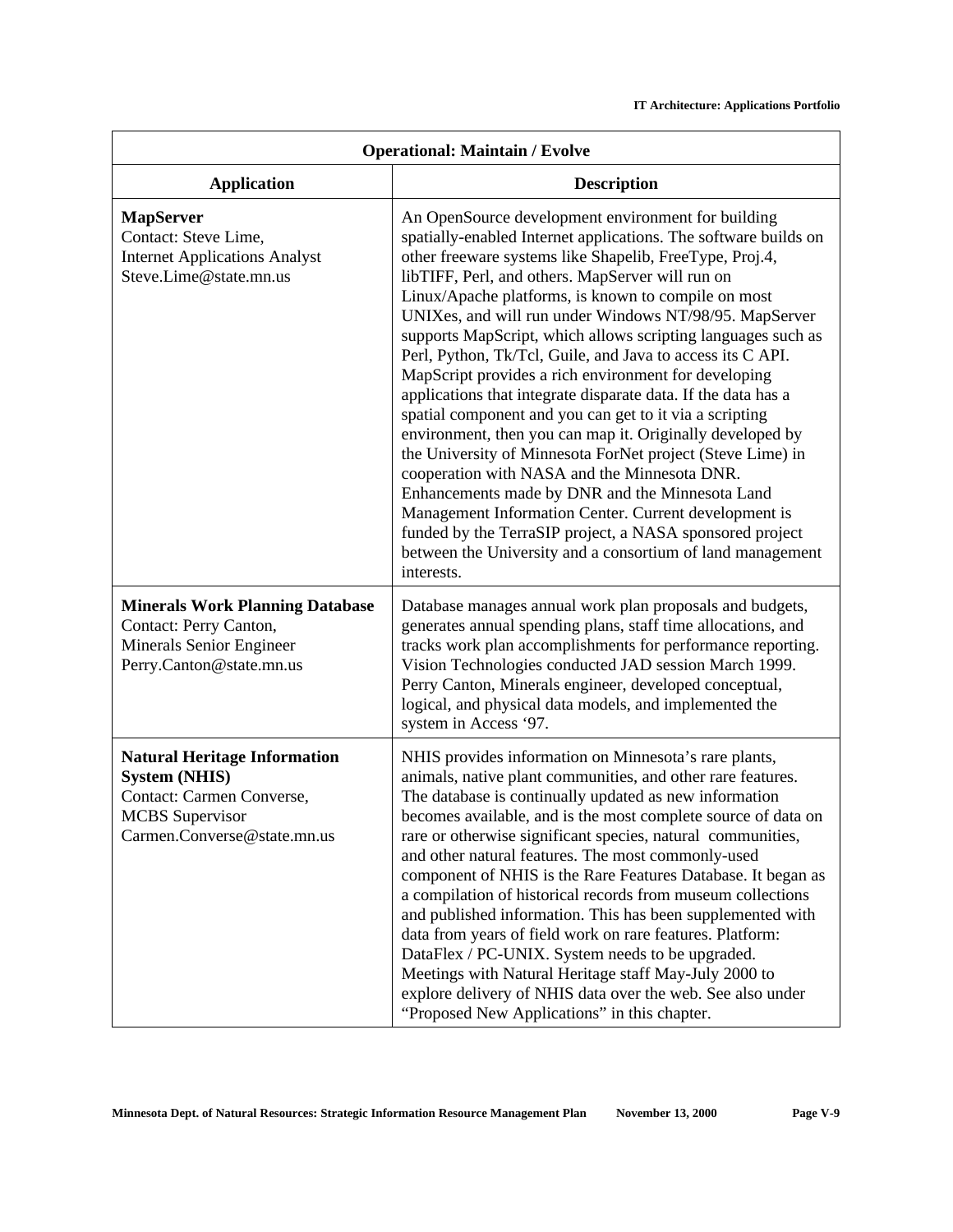| <b>Operational: Maintain / Evolve</b>                                                                                                             |                                                                                                                                                                                                                                                                                                                                                                                                                                                                                                                                                                                                                                                                                                                                                                                                                                                                                                                                                                                                                                                                                                        |
|---------------------------------------------------------------------------------------------------------------------------------------------------|--------------------------------------------------------------------------------------------------------------------------------------------------------------------------------------------------------------------------------------------------------------------------------------------------------------------------------------------------------------------------------------------------------------------------------------------------------------------------------------------------------------------------------------------------------------------------------------------------------------------------------------------------------------------------------------------------------------------------------------------------------------------------------------------------------------------------------------------------------------------------------------------------------------------------------------------------------------------------------------------------------------------------------------------------------------------------------------------------------|
| <b>Application</b>                                                                                                                                | <b>Description</b>                                                                                                                                                                                                                                                                                                                                                                                                                                                                                                                                                                                                                                                                                                                                                                                                                                                                                                                                                                                                                                                                                     |
| <b>MapServer</b><br>Contact: Steve Lime,<br><b>Internet Applications Analyst</b><br>Steve.Lime@state.mn.us                                        | An OpenSource development environment for building<br>spatially-enabled Internet applications. The software builds on<br>other freeware systems like Shapelib, FreeType, Proj.4,<br>libTIFF, Perl, and others. MapServer will run on<br>Linux/Apache platforms, is known to compile on most<br>UNIXes, and will run under Windows NT/98/95. MapServer<br>supports MapScript, which allows scripting languages such as<br>Perl, Python, Tk/Tcl, Guile, and Java to access its C API.<br>MapScript provides a rich environment for developing<br>applications that integrate disparate data. If the data has a<br>spatial component and you can get to it via a scripting<br>environment, then you can map it. Originally developed by<br>the University of Minnesota ForNet project (Steve Lime) in<br>cooperation with NASA and the Minnesota DNR.<br>Enhancements made by DNR and the Minnesota Land<br>Management Information Center. Current development is<br>funded by the TerraSIP project, a NASA sponsored project<br>between the University and a consortium of land management<br>interests. |
| <b>Minerals Work Planning Database</b><br>Contact: Perry Canton,<br>Minerals Senior Engineer<br>Perry.Canton@state.mn.us                          | Database manages annual work plan proposals and budgets,<br>generates annual spending plans, staff time allocations, and<br>tracks work plan accomplishments for performance reporting.<br>Vision Technologies conducted JAD session March 1999.<br>Perry Canton, Minerals engineer, developed conceptual,<br>logical, and physical data models, and implemented the<br>system in Access '97.                                                                                                                                                                                                                                                                                                                                                                                                                                                                                                                                                                                                                                                                                                          |
| <b>Natural Heritage Information</b><br><b>System (NHIS)</b><br>Contact: Carmen Converse,<br><b>MCBS</b> Supervisor<br>Carmen.Converse@state.mn.us | NHIS provides information on Minnesota's rare plants,<br>animals, native plant communities, and other rare features.<br>The database is continually updated as new information<br>becomes available, and is the most complete source of data on<br>rare or otherwise significant species, natural communities,<br>and other natural features. The most commonly-used<br>component of NHIS is the Rare Features Database. It began as<br>a compilation of historical records from museum collections<br>and published information. This has been supplemented with<br>data from years of field work on rare features. Platform:<br>DataFlex / PC-UNIX. System needs to be upgraded.<br>Meetings with Natural Heritage staff May-July 2000 to<br>explore delivery of NHIS data over the web. See also under<br>"Proposed New Applications" in this chapter.                                                                                                                                                                                                                                              |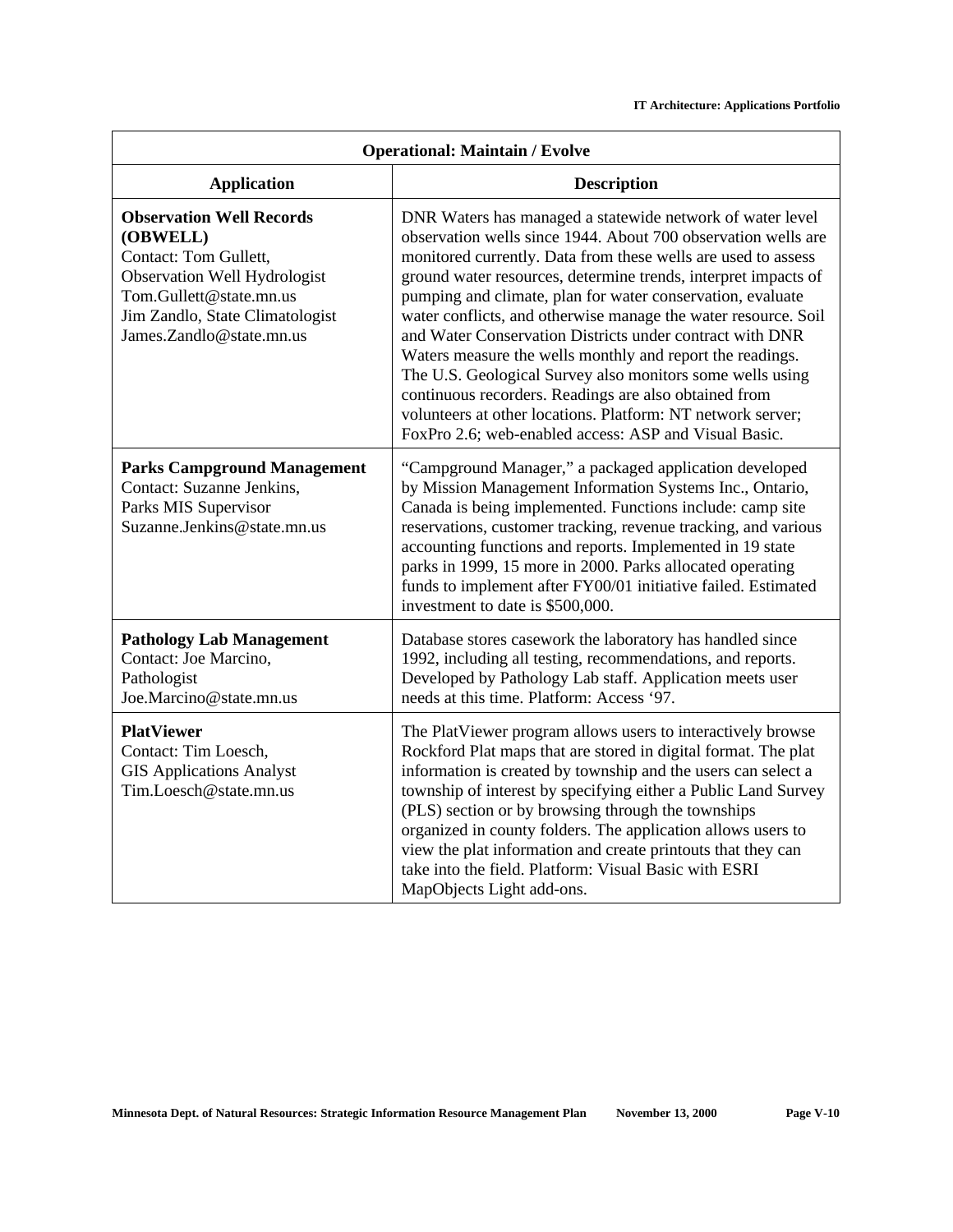| <b>Operational: Maintain / Evolve</b>                                                                                                                                                          |                                                                                                                                                                                                                                                                                                                                                                                                                                                                                                                                                                                                                                                                                                                                                                      |
|------------------------------------------------------------------------------------------------------------------------------------------------------------------------------------------------|----------------------------------------------------------------------------------------------------------------------------------------------------------------------------------------------------------------------------------------------------------------------------------------------------------------------------------------------------------------------------------------------------------------------------------------------------------------------------------------------------------------------------------------------------------------------------------------------------------------------------------------------------------------------------------------------------------------------------------------------------------------------|
| <b>Application</b>                                                                                                                                                                             | <b>Description</b>                                                                                                                                                                                                                                                                                                                                                                                                                                                                                                                                                                                                                                                                                                                                                   |
| <b>Observation Well Records</b><br>(OBWELL)<br>Contact: Tom Gullett,<br>Observation Well Hydrologist<br>Tom.Gullett@state.mn.us<br>Jim Zandlo, State Climatologist<br>James.Zandlo@state.mn.us | DNR Waters has managed a statewide network of water level<br>observation wells since 1944. About 700 observation wells are<br>monitored currently. Data from these wells are used to assess<br>ground water resources, determine trends, interpret impacts of<br>pumping and climate, plan for water conservation, evaluate<br>water conflicts, and otherwise manage the water resource. Soil<br>and Water Conservation Districts under contract with DNR<br>Waters measure the wells monthly and report the readings.<br>The U.S. Geological Survey also monitors some wells using<br>continuous recorders. Readings are also obtained from<br>volunteers at other locations. Platform: NT network server;<br>FoxPro 2.6; web-enabled access: ASP and Visual Basic. |
| <b>Parks Campground Management</b><br>Contact: Suzanne Jenkins,<br>Parks MIS Supervisor<br>Suzanne.Jenkins@state.mn.us                                                                         | "Campground Manager," a packaged application developed<br>by Mission Management Information Systems Inc., Ontario,<br>Canada is being implemented. Functions include: camp site<br>reservations, customer tracking, revenue tracking, and various<br>accounting functions and reports. Implemented in 19 state<br>parks in 1999, 15 more in 2000. Parks allocated operating<br>funds to implement after FY00/01 initiative failed. Estimated<br>investment to date is \$500,000.                                                                                                                                                                                                                                                                                     |
| <b>Pathology Lab Management</b><br>Contact: Joe Marcino,<br>Pathologist<br>Joe.Marcino@state.mn.us                                                                                             | Database stores casework the laboratory has handled since<br>1992, including all testing, recommendations, and reports.<br>Developed by Pathology Lab staff. Application meets user<br>needs at this time. Platform: Access '97.                                                                                                                                                                                                                                                                                                                                                                                                                                                                                                                                     |
| <b>PlatViewer</b><br>Contact: Tim Loesch,<br><b>GIS Applications Analyst</b><br>Tim.Loesch@state.mn.us                                                                                         | The PlatViewer program allows users to interactively browse<br>Rockford Plat maps that are stored in digital format. The plat<br>information is created by township and the users can select a<br>township of interest by specifying either a Public Land Survey<br>(PLS) section or by browsing through the townships<br>organized in county folders. The application allows users to<br>view the plat information and create printouts that they can<br>take into the field. Platform: Visual Basic with ESRI<br>MapObjects Light add-ons.                                                                                                                                                                                                                         |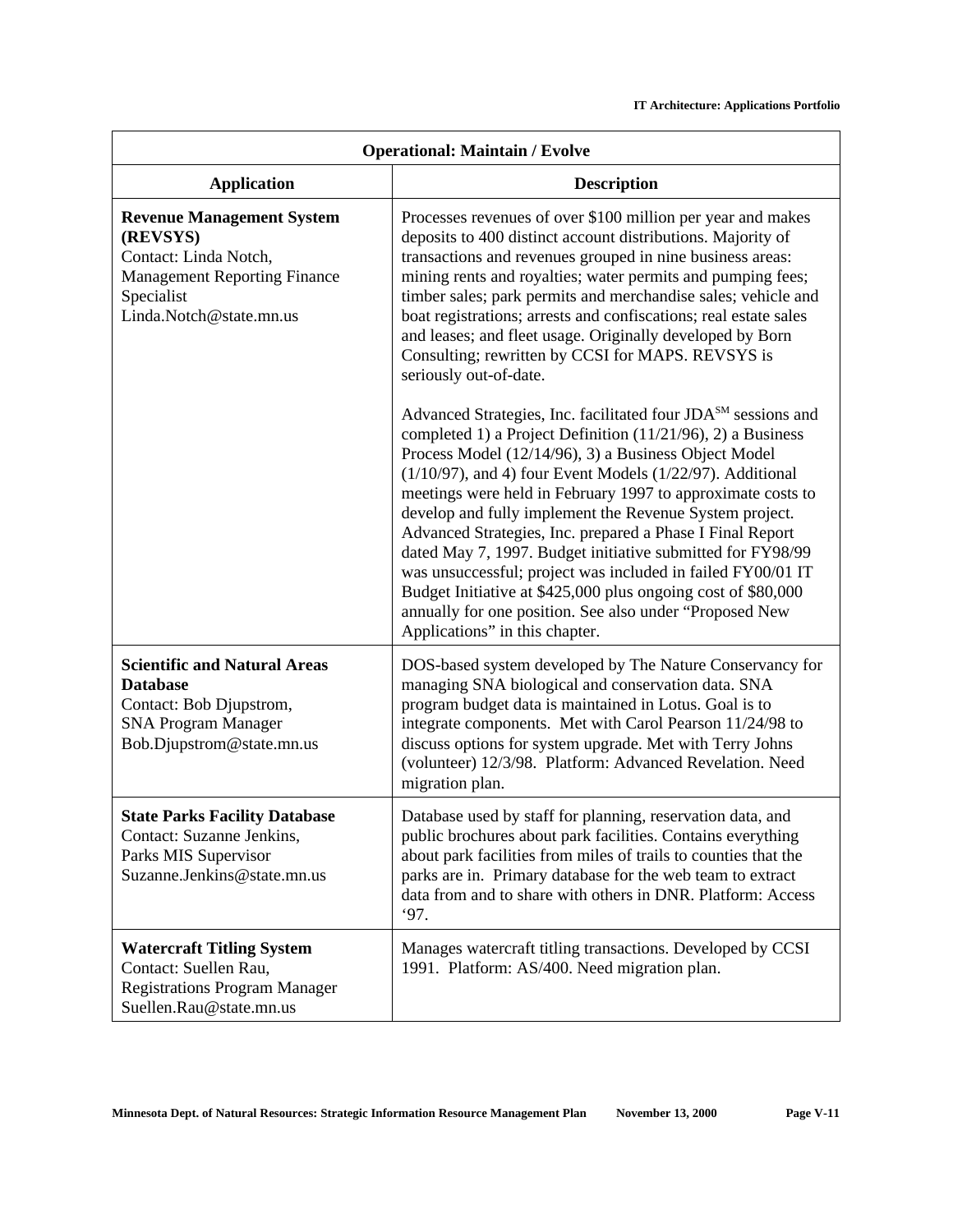| <b>Operational: Maintain / Evolve</b>                                                                                                                 |                                                                                                                                                                                                                                                                                                                                                                                                                                                                                                                                                                                                                                                                                                                                                         |
|-------------------------------------------------------------------------------------------------------------------------------------------------------|---------------------------------------------------------------------------------------------------------------------------------------------------------------------------------------------------------------------------------------------------------------------------------------------------------------------------------------------------------------------------------------------------------------------------------------------------------------------------------------------------------------------------------------------------------------------------------------------------------------------------------------------------------------------------------------------------------------------------------------------------------|
| <b>Application</b>                                                                                                                                    | <b>Description</b>                                                                                                                                                                                                                                                                                                                                                                                                                                                                                                                                                                                                                                                                                                                                      |
| <b>Revenue Management System</b><br>(REVSYS)<br>Contact: Linda Notch,<br><b>Management Reporting Finance</b><br>Specialist<br>Linda.Notch@state.mn.us | Processes revenues of over \$100 million per year and makes<br>deposits to 400 distinct account distributions. Majority of<br>transactions and revenues grouped in nine business areas:<br>mining rents and royalties; water permits and pumping fees;<br>timber sales; park permits and merchandise sales; vehicle and<br>boat registrations; arrests and confiscations; real estate sales<br>and leases; and fleet usage. Originally developed by Born<br>Consulting; rewritten by CCSI for MAPS. REVSYS is<br>seriously out-of-date.                                                                                                                                                                                                                 |
|                                                                                                                                                       | Advanced Strategies, Inc. facilitated four JDA <sup>SM</sup> sessions and<br>completed 1) a Project Definition $(11/21/96)$ , 2) a Business<br>Process Model (12/14/96), 3) a Business Object Model<br>$(1/10/97)$ , and 4) four Event Models $(1/22/97)$ . Additional<br>meetings were held in February 1997 to approximate costs to<br>develop and fully implement the Revenue System project.<br>Advanced Strategies, Inc. prepared a Phase I Final Report<br>dated May 7, 1997. Budget initiative submitted for FY98/99<br>was unsuccessful; project was included in failed FY00/01 IT<br>Budget Initiative at \$425,000 plus ongoing cost of \$80,000<br>annually for one position. See also under "Proposed New<br>Applications" in this chapter. |
| <b>Scientific and Natural Areas</b><br><b>Database</b><br>Contact: Bob Djupstrom,<br><b>SNA Program Manager</b><br>Bob.Djupstrom@state.mn.us          | DOS-based system developed by The Nature Conservancy for<br>managing SNA biological and conservation data. SNA<br>program budget data is maintained in Lotus. Goal is to<br>integrate components. Met with Carol Pearson 11/24/98 to<br>discuss options for system upgrade. Met with Terry Johns<br>(volunteer) 12/3/98. Platform: Advanced Revelation. Need<br>migration plan.                                                                                                                                                                                                                                                                                                                                                                         |
| <b>State Parks Facility Database</b><br>Contact: Suzanne Jenkins,<br>Parks MIS Supervisor<br>Suzanne.Jenkins@state.mn.us                              | Database used by staff for planning, reservation data, and<br>public brochures about park facilities. Contains everything<br>about park facilities from miles of trails to counties that the<br>parks are in. Primary database for the web team to extract<br>data from and to share with others in DNR. Platform: Access<br>97.                                                                                                                                                                                                                                                                                                                                                                                                                        |
| <b>Watercraft Titling System</b><br>Contact: Suellen Rau,<br><b>Registrations Program Manager</b><br>Suellen.Rau@state.mn.us                          | Manages watercraft titling transactions. Developed by CCSI<br>1991. Platform: AS/400. Need migration plan.                                                                                                                                                                                                                                                                                                                                                                                                                                                                                                                                                                                                                                              |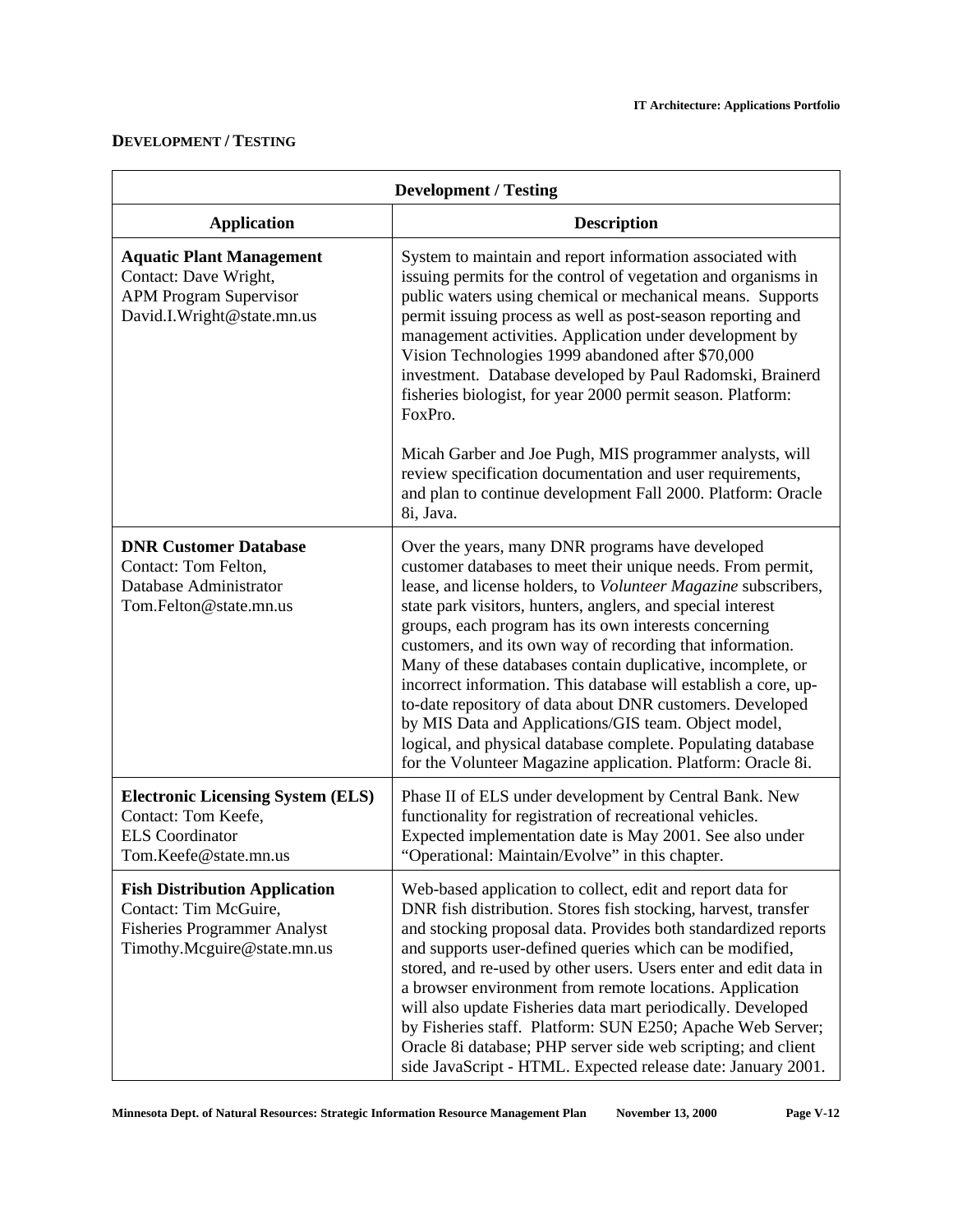# **DEVELOPMENT / TESTING**

| <b>Development / Testing</b>                                                                                                        |                                                                                                                                                                                                                                                                                                                                                                                                                                                                                                                                                                                                                                                                                                                                                               |
|-------------------------------------------------------------------------------------------------------------------------------------|---------------------------------------------------------------------------------------------------------------------------------------------------------------------------------------------------------------------------------------------------------------------------------------------------------------------------------------------------------------------------------------------------------------------------------------------------------------------------------------------------------------------------------------------------------------------------------------------------------------------------------------------------------------------------------------------------------------------------------------------------------------|
| <b>Application</b>                                                                                                                  | <b>Description</b>                                                                                                                                                                                                                                                                                                                                                                                                                                                                                                                                                                                                                                                                                                                                            |
| <b>Aquatic Plant Management</b><br>Contact: Dave Wright,<br><b>APM Program Supervisor</b><br>David.I.Wright@state.mn.us             | System to maintain and report information associated with<br>issuing permits for the control of vegetation and organisms in<br>public waters using chemical or mechanical means. Supports<br>permit issuing process as well as post-season reporting and<br>management activities. Application under development by<br>Vision Technologies 1999 abandoned after \$70,000<br>investment. Database developed by Paul Radomski, Brainerd<br>fisheries biologist, for year 2000 permit season. Platform:<br>FoxPro.                                                                                                                                                                                                                                               |
|                                                                                                                                     | Micah Garber and Joe Pugh, MIS programmer analysts, will<br>review specification documentation and user requirements,<br>and plan to continue development Fall 2000. Platform: Oracle<br>8i, Java.                                                                                                                                                                                                                                                                                                                                                                                                                                                                                                                                                            |
| <b>DNR Customer Database</b><br>Contact: Tom Felton,<br>Database Administrator<br>Tom.Felton@state.mn.us                            | Over the years, many DNR programs have developed<br>customer databases to meet their unique needs. From permit,<br>lease, and license holders, to Volunteer Magazine subscribers,<br>state park visitors, hunters, anglers, and special interest<br>groups, each program has its own interests concerning<br>customers, and its own way of recording that information.<br>Many of these databases contain duplicative, incomplete, or<br>incorrect information. This database will establish a core, up-<br>to-date repository of data about DNR customers. Developed<br>by MIS Data and Applications/GIS team. Object model,<br>logical, and physical database complete. Populating database<br>for the Volunteer Magazine application. Platform: Oracle 8i. |
| <b>Electronic Licensing System (ELS)</b><br>Contact: Tom Keefe,<br><b>ELS</b> Coordinator<br>Tom.Keefe@state.mn.us                  | Phase II of ELS under development by Central Bank. New<br>functionality for registration of recreational vehicles.<br>Expected implementation date is May 2001. See also under<br>"Operational: Maintain/Evolve" in this chapter.                                                                                                                                                                                                                                                                                                                                                                                                                                                                                                                             |
| <b>Fish Distribution Application</b><br>Contact: Tim McGuire,<br><b>Fisheries Programmer Analyst</b><br>Timothy.Mcguire@state.mn.us | Web-based application to collect, edit and report data for<br>DNR fish distribution. Stores fish stocking, harvest, transfer<br>and stocking proposal data. Provides both standardized reports<br>and supports user-defined queries which can be modified,<br>stored, and re-used by other users. Users enter and edit data in<br>a browser environment from remote locations. Application<br>will also update Fisheries data mart periodically. Developed<br>by Fisheries staff. Platform: SUN E250; Apache Web Server;<br>Oracle 8i database; PHP server side web scripting; and client<br>side JavaScript - HTML. Expected release date: January 2001.                                                                                                     |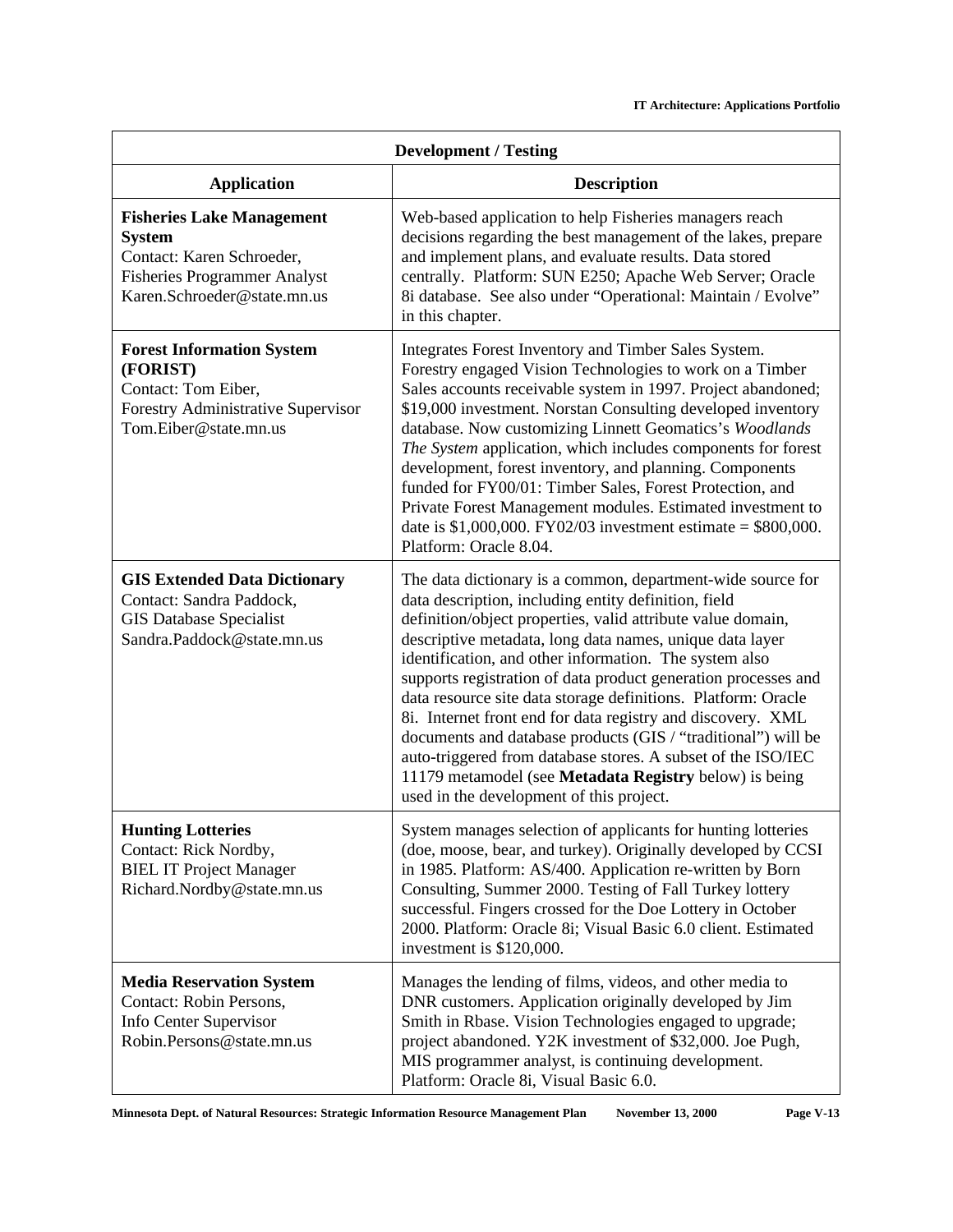| <b>Development / Testing</b>                                                                                                                         |                                                                                                                                                                                                                                                                                                                                                                                                                                                                                                                                                                                                                                                                                                                                                   |
|------------------------------------------------------------------------------------------------------------------------------------------------------|---------------------------------------------------------------------------------------------------------------------------------------------------------------------------------------------------------------------------------------------------------------------------------------------------------------------------------------------------------------------------------------------------------------------------------------------------------------------------------------------------------------------------------------------------------------------------------------------------------------------------------------------------------------------------------------------------------------------------------------------------|
| <b>Application</b>                                                                                                                                   | <b>Description</b>                                                                                                                                                                                                                                                                                                                                                                                                                                                                                                                                                                                                                                                                                                                                |
| <b>Fisheries Lake Management</b><br><b>System</b><br>Contact: Karen Schroeder,<br><b>Fisheries Programmer Analyst</b><br>Karen.Schroeder@state.mn.us | Web-based application to help Fisheries managers reach<br>decisions regarding the best management of the lakes, prepare<br>and implement plans, and evaluate results. Data stored<br>centrally. Platform: SUN E250; Apache Web Server; Oracle<br>8i database. See also under "Operational: Maintain / Evolve"<br>in this chapter.                                                                                                                                                                                                                                                                                                                                                                                                                 |
| <b>Forest Information System</b><br>(FORIST)<br>Contact: Tom Eiber,<br>Forestry Administrative Supervisor<br>Tom.Eiber@state.mn.us                   | Integrates Forest Inventory and Timber Sales System.<br>Forestry engaged Vision Technologies to work on a Timber<br>Sales accounts receivable system in 1997. Project abandoned;<br>\$19,000 investment. Norstan Consulting developed inventory<br>database. Now customizing Linnett Geomatics's Woodlands<br>The System application, which includes components for forest<br>development, forest inventory, and planning. Components<br>funded for FY00/01: Timber Sales, Forest Protection, and<br>Private Forest Management modules. Estimated investment to<br>date is $$1,000,000$ . FY02/03 investment estimate = $$800,000$ .<br>Platform: Oracle 8.04.                                                                                    |
| <b>GIS Extended Data Dictionary</b><br>Contact: Sandra Paddock,<br><b>GIS Database Specialist</b><br>Sandra.Paddock@state.mn.us                      | The data dictionary is a common, department-wide source for<br>data description, including entity definition, field<br>definition/object properties, valid attribute value domain,<br>descriptive metadata, long data names, unique data layer<br>identification, and other information. The system also<br>supports registration of data product generation processes and<br>data resource site data storage definitions. Platform: Oracle<br>8i. Internet front end for data registry and discovery. XML<br>documents and database products (GIS / "traditional") will be<br>auto-triggered from database stores. A subset of the ISO/IEC<br>11179 metamodel (see Metadata Registry below) is being<br>used in the development of this project. |
| <b>Hunting Lotteries</b><br>Contact: Rick Nordby,<br><b>BIEL IT Project Manager</b><br>Richard.Nordby@state.mn.us                                    | System manages selection of applicants for hunting lotteries<br>(doe, moose, bear, and turkey). Originally developed by CCSI<br>in 1985. Platform: AS/400. Application re-written by Born<br>Consulting, Summer 2000. Testing of Fall Turkey lottery<br>successful. Fingers crossed for the Doe Lottery in October<br>2000. Platform: Oracle 8i; Visual Basic 6.0 client. Estimated<br>investment is \$120,000.                                                                                                                                                                                                                                                                                                                                   |
| <b>Media Reservation System</b><br>Contact: Robin Persons,<br>Info Center Supervisor<br>Robin.Persons@state.mn.us                                    | Manages the lending of films, videos, and other media to<br>DNR customers. Application originally developed by Jim<br>Smith in Rbase. Vision Technologies engaged to upgrade;<br>project abandoned. Y2K investment of \$32,000. Joe Pugh,<br>MIS programmer analyst, is continuing development.<br>Platform: Oracle 8i, Visual Basic 6.0.                                                                                                                                                                                                                                                                                                                                                                                                         |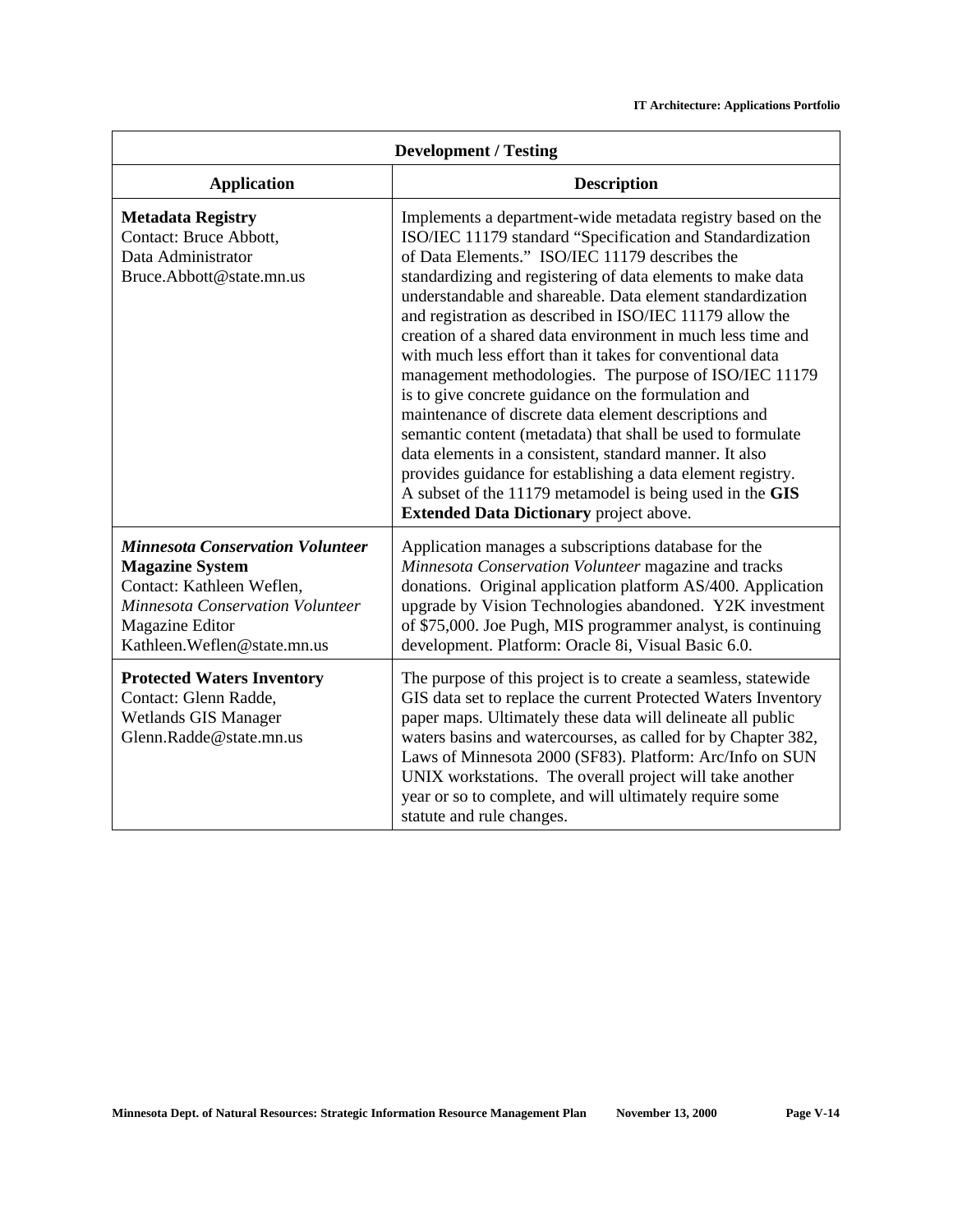| <b>Development / Testing</b>                                                                                                                                                          |                                                                                                                                                                                                                                                                                                                                                                                                                                                                                                                                                                                                                                                                                                                                                                                                                                                                                                                                                                                  |
|---------------------------------------------------------------------------------------------------------------------------------------------------------------------------------------|----------------------------------------------------------------------------------------------------------------------------------------------------------------------------------------------------------------------------------------------------------------------------------------------------------------------------------------------------------------------------------------------------------------------------------------------------------------------------------------------------------------------------------------------------------------------------------------------------------------------------------------------------------------------------------------------------------------------------------------------------------------------------------------------------------------------------------------------------------------------------------------------------------------------------------------------------------------------------------|
| <b>Application</b>                                                                                                                                                                    | <b>Description</b>                                                                                                                                                                                                                                                                                                                                                                                                                                                                                                                                                                                                                                                                                                                                                                                                                                                                                                                                                               |
| <b>Metadata Registry</b><br>Contact: Bruce Abbott,<br>Data Administrator<br>Bruce.Abbott@state.mn.us                                                                                  | Implements a department-wide metadata registry based on the<br>ISO/IEC 11179 standard "Specification and Standardization<br>of Data Elements." ISO/IEC 11179 describes the<br>standardizing and registering of data elements to make data<br>understandable and shareable. Data element standardization<br>and registration as described in ISO/IEC 11179 allow the<br>creation of a shared data environment in much less time and<br>with much less effort than it takes for conventional data<br>management methodologies. The purpose of ISO/IEC 11179<br>is to give concrete guidance on the formulation and<br>maintenance of discrete data element descriptions and<br>semantic content (metadata) that shall be used to formulate<br>data elements in a consistent, standard manner. It also<br>provides guidance for establishing a data element registry.<br>A subset of the 11179 metamodel is being used in the GIS<br><b>Extended Data Dictionary project above.</b> |
| <b>Minnesota Conservation Volunteer</b><br><b>Magazine System</b><br>Contact: Kathleen Weflen,<br>Minnesota Conservation Volunteer<br>Magazine Editor<br>Kathleen. Weflen@state.mn.us | Application manages a subscriptions database for the<br>Minnesota Conservation Volunteer magazine and tracks<br>donations. Original application platform AS/400. Application<br>upgrade by Vision Technologies abandoned. Y2K investment<br>of \$75,000. Joe Pugh, MIS programmer analyst, is continuing<br>development. Platform: Oracle 8i, Visual Basic 6.0.                                                                                                                                                                                                                                                                                                                                                                                                                                                                                                                                                                                                                  |
| <b>Protected Waters Inventory</b><br>Contact: Glenn Radde,<br>Wetlands GIS Manager<br>Glenn.Radde@state.mn.us                                                                         | The purpose of this project is to create a seamless, statewide<br>GIS data set to replace the current Protected Waters Inventory<br>paper maps. Ultimately these data will delineate all public<br>waters basins and watercourses, as called for by Chapter 382,<br>Laws of Minnesota 2000 (SF83). Platform: Arc/Info on SUN<br>UNIX workstations. The overall project will take another<br>year or so to complete, and will ultimately require some<br>statute and rule changes.                                                                                                                                                                                                                                                                                                                                                                                                                                                                                                |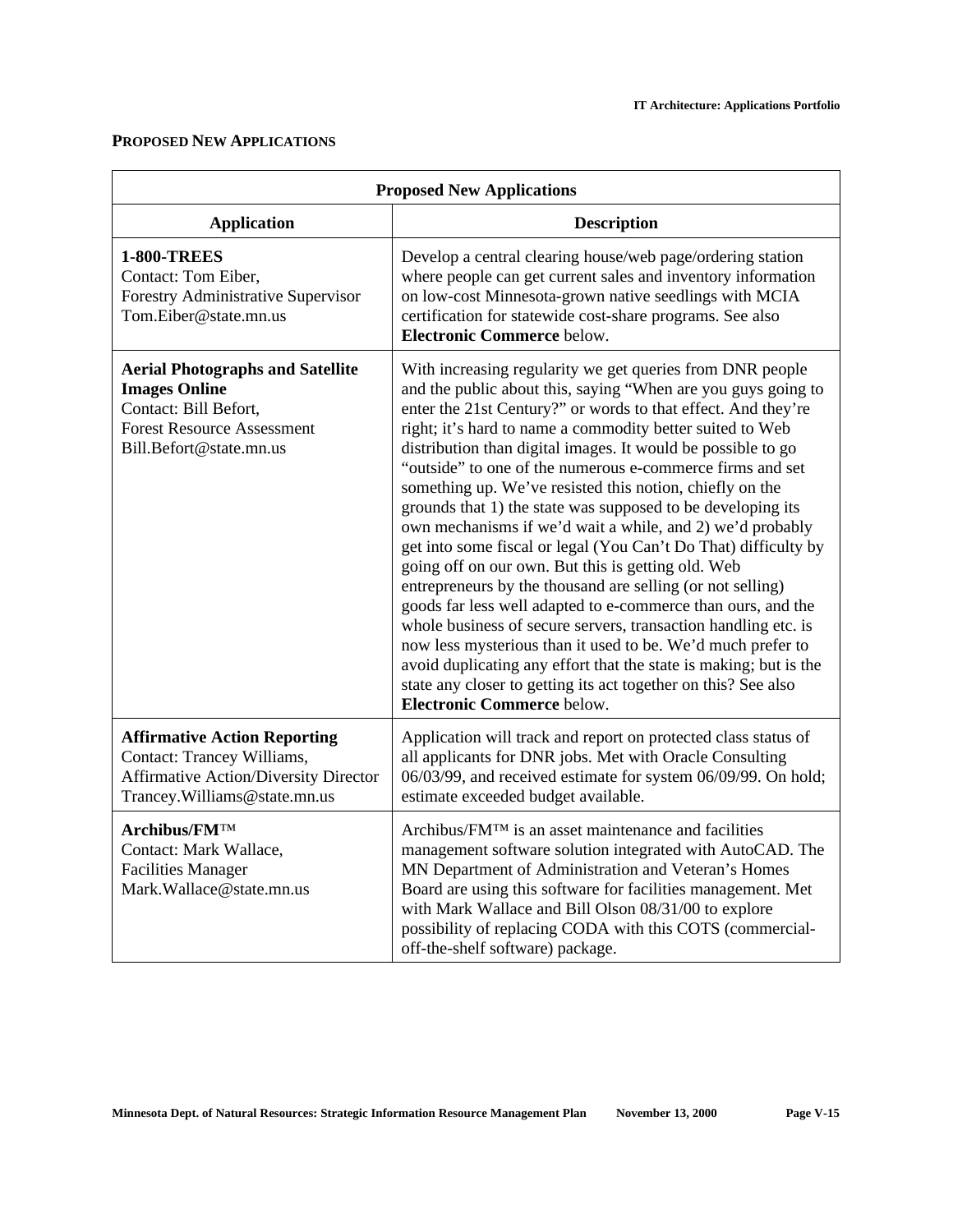### **PROPOSED NEW APPLICATIONS**

| <b>Proposed New Applications</b>                                                                                                                         |                                                                                                                                                                                                                                                                                                                                                                                                                                                                                                                                                                                                                                                                                                                                                                                                                                                                                                                                                                                                                                                                                                                                                   |
|----------------------------------------------------------------------------------------------------------------------------------------------------------|---------------------------------------------------------------------------------------------------------------------------------------------------------------------------------------------------------------------------------------------------------------------------------------------------------------------------------------------------------------------------------------------------------------------------------------------------------------------------------------------------------------------------------------------------------------------------------------------------------------------------------------------------------------------------------------------------------------------------------------------------------------------------------------------------------------------------------------------------------------------------------------------------------------------------------------------------------------------------------------------------------------------------------------------------------------------------------------------------------------------------------------------------|
| <b>Application</b>                                                                                                                                       | <b>Description</b>                                                                                                                                                                                                                                                                                                                                                                                                                                                                                                                                                                                                                                                                                                                                                                                                                                                                                                                                                                                                                                                                                                                                |
| <b>1-800-TREES</b><br>Contact: Tom Eiber,<br>Forestry Administrative Supervisor<br>Tom.Eiber@state.mn.us                                                 | Develop a central clearing house/web page/ordering station<br>where people can get current sales and inventory information<br>on low-cost Minnesota-grown native seedlings with MCIA<br>certification for statewide cost-share programs. See also<br><b>Electronic Commerce below.</b>                                                                                                                                                                                                                                                                                                                                                                                                                                                                                                                                                                                                                                                                                                                                                                                                                                                            |
| <b>Aerial Photographs and Satellite</b><br><b>Images Online</b><br>Contact: Bill Befort,<br><b>Forest Resource Assessment</b><br>Bill.Befort@state.mn.us | With increasing regularity we get queries from DNR people<br>and the public about this, saying "When are you guys going to<br>enter the 21st Century?" or words to that effect. And they're<br>right; it's hard to name a commodity better suited to Web<br>distribution than digital images. It would be possible to go<br>"outside" to one of the numerous e-commerce firms and set<br>something up. We've resisted this notion, chiefly on the<br>grounds that 1) the state was supposed to be developing its<br>own mechanisms if we'd wait a while, and 2) we'd probably<br>get into some fiscal or legal (You Can't Do That) difficulty by<br>going off on our own. But this is getting old. Web<br>entrepreneurs by the thousand are selling (or not selling)<br>goods far less well adapted to e-commerce than ours, and the<br>whole business of secure servers, transaction handling etc. is<br>now less mysterious than it used to be. We'd much prefer to<br>avoid duplicating any effort that the state is making; but is the<br>state any closer to getting its act together on this? See also<br><b>Electronic Commerce below.</b> |
| <b>Affirmative Action Reporting</b><br>Contact: Trancey Williams,<br><b>Affirmative Action/Diversity Director</b><br>Trancey. Williams@state.mn.us       | Application will track and report on protected class status of<br>all applicants for DNR jobs. Met with Oracle Consulting<br>06/03/99, and received estimate for system 06/09/99. On hold;<br>estimate exceeded budget available.                                                                                                                                                                                                                                                                                                                                                                                                                                                                                                                                                                                                                                                                                                                                                                                                                                                                                                                 |
| Archibus/FMTM<br>Contact: Mark Wallace,<br><b>Facilities Manager</b><br>Mark.Wallace@state.mn.us                                                         | Archibus/FM <sup>TM</sup> is an asset maintenance and facilities<br>management software solution integrated with AutoCAD. The<br>MN Department of Administration and Veteran's Homes<br>Board are using this software for facilities management. Met<br>with Mark Wallace and Bill Olson 08/31/00 to explore<br>possibility of replacing CODA with this COTS (commercial-<br>off-the-shelf software) package.                                                                                                                                                                                                                                                                                                                                                                                                                                                                                                                                                                                                                                                                                                                                     |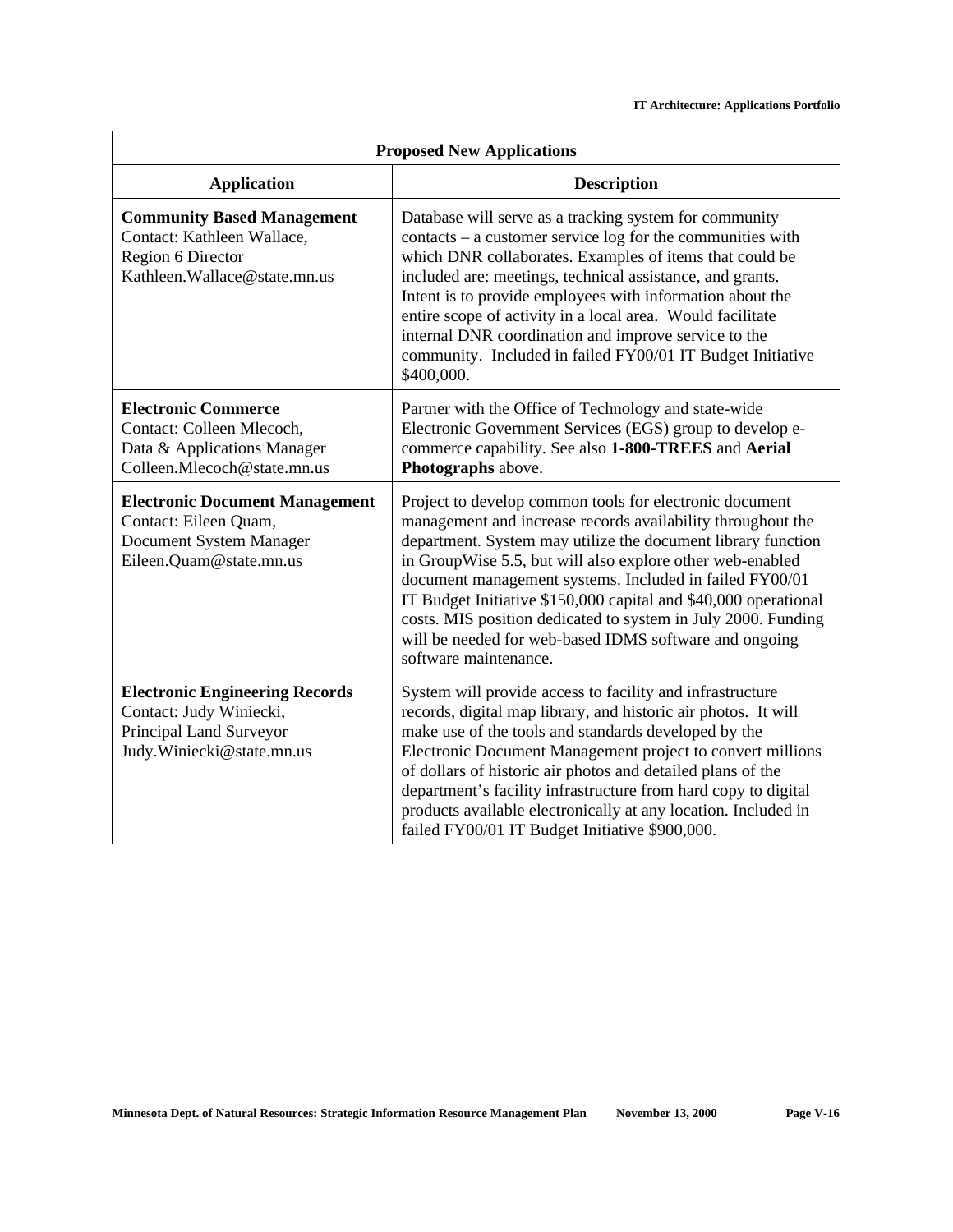| <b>Proposed New Applications</b>                                                                                         |                                                                                                                                                                                                                                                                                                                                                                                                                                                                                                                                       |
|--------------------------------------------------------------------------------------------------------------------------|---------------------------------------------------------------------------------------------------------------------------------------------------------------------------------------------------------------------------------------------------------------------------------------------------------------------------------------------------------------------------------------------------------------------------------------------------------------------------------------------------------------------------------------|
| <b>Application</b>                                                                                                       | <b>Description</b>                                                                                                                                                                                                                                                                                                                                                                                                                                                                                                                    |
| <b>Community Based Management</b><br>Contact: Kathleen Wallace,<br>Region 6 Director<br>Kathleen.Wallace@state.mn.us     | Database will serve as a tracking system for community<br>contacts – a customer service log for the communities with<br>which DNR collaborates. Examples of items that could be<br>included are: meetings, technical assistance, and grants.<br>Intent is to provide employees with information about the<br>entire scope of activity in a local area. Would facilitate<br>internal DNR coordination and improve service to the<br>community. Included in failed FY00/01 IT Budget Initiative<br>\$400,000.                           |
| <b>Electronic Commerce</b><br>Contact: Colleen Mlecoch,<br>Data & Applications Manager<br>Colleen.Mlecoch@state.mn.us    | Partner with the Office of Technology and state-wide<br>Electronic Government Services (EGS) group to develop e-<br>commerce capability. See also 1-800-TREES and Aerial<br>Photographs above.                                                                                                                                                                                                                                                                                                                                        |
| <b>Electronic Document Management</b><br>Contact: Eileen Quam,<br>Document System Manager<br>Eileen.Quam@state.mn.us     | Project to develop common tools for electronic document<br>management and increase records availability throughout the<br>department. System may utilize the document library function<br>in GroupWise 5.5, but will also explore other web-enabled<br>document management systems. Included in failed FY00/01<br>IT Budget Initiative \$150,000 capital and \$40,000 operational<br>costs. MIS position dedicated to system in July 2000. Funding<br>will be needed for web-based IDMS software and ongoing<br>software maintenance. |
| <b>Electronic Engineering Records</b><br>Contact: Judy Winiecki,<br>Principal Land Surveyor<br>Judy.Winiecki@state.mn.us | System will provide access to facility and infrastructure<br>records, digital map library, and historic air photos. It will<br>make use of the tools and standards developed by the<br>Electronic Document Management project to convert millions<br>of dollars of historic air photos and detailed plans of the<br>department's facility infrastructure from hard copy to digital<br>products available electronically at any location. Included in<br>failed FY00/01 IT Budget Initiative \$900,000.                                |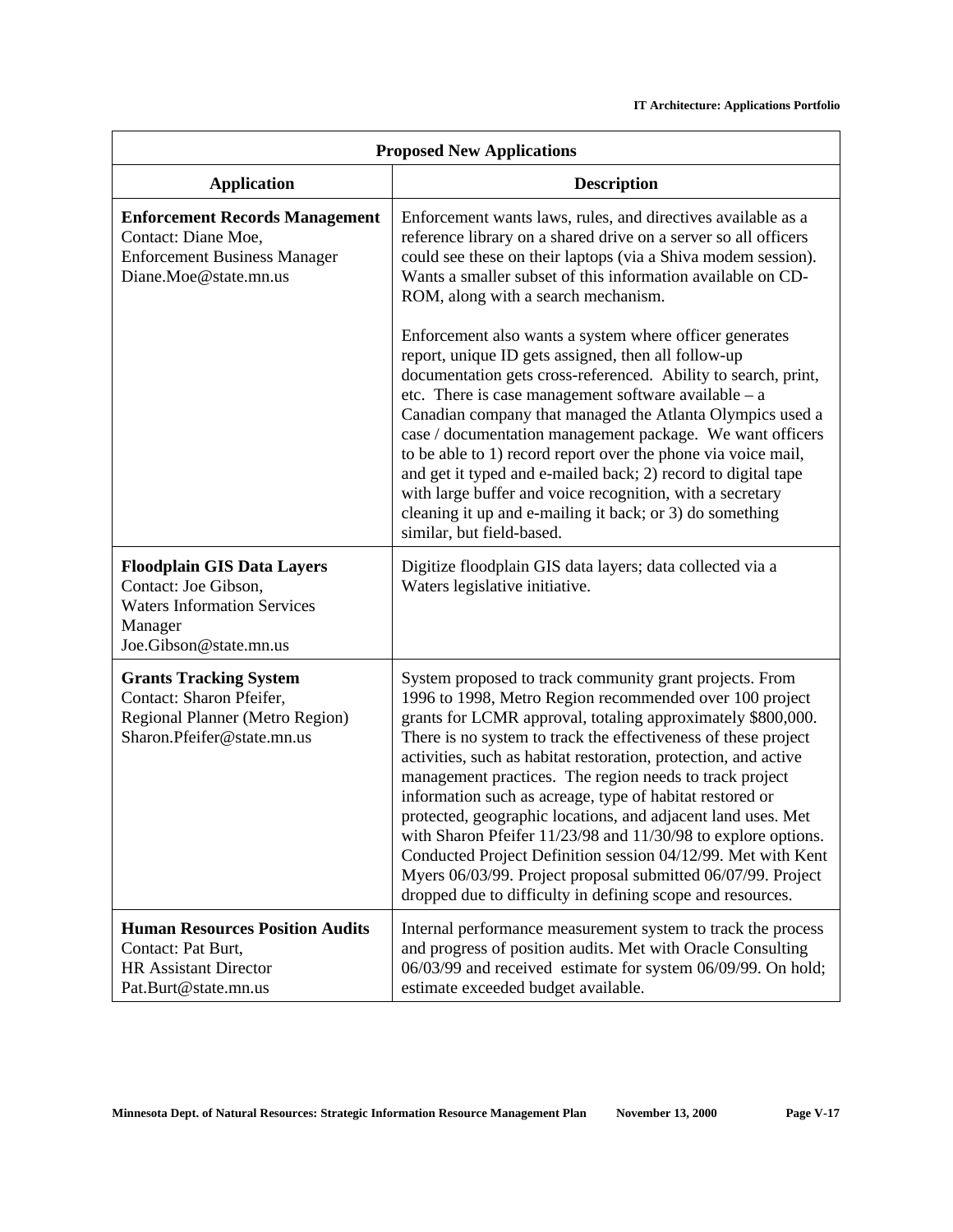| <b>Proposed New Applications</b>                                                                                                     |                                                                                                                                                                                                                                                                                                                                                                                                                                                                                                                                                                                                                                                                                                                                                                              |
|--------------------------------------------------------------------------------------------------------------------------------------|------------------------------------------------------------------------------------------------------------------------------------------------------------------------------------------------------------------------------------------------------------------------------------------------------------------------------------------------------------------------------------------------------------------------------------------------------------------------------------------------------------------------------------------------------------------------------------------------------------------------------------------------------------------------------------------------------------------------------------------------------------------------------|
| <b>Application</b>                                                                                                                   | <b>Description</b>                                                                                                                                                                                                                                                                                                                                                                                                                                                                                                                                                                                                                                                                                                                                                           |
| <b>Enforcement Records Management</b><br>Contact: Diane Moe,<br><b>Enforcement Business Manager</b><br>Diane.Moe@state.mn.us         | Enforcement wants laws, rules, and directives available as a<br>reference library on a shared drive on a server so all officers<br>could see these on their laptops (via a Shiva modem session).<br>Wants a smaller subset of this information available on CD-<br>ROM, along with a search mechanism.                                                                                                                                                                                                                                                                                                                                                                                                                                                                       |
|                                                                                                                                      | Enforcement also wants a system where officer generates<br>report, unique ID gets assigned, then all follow-up<br>documentation gets cross-referenced. Ability to search, print,<br>etc. There is case management software available $- a$<br>Canadian company that managed the Atlanta Olympics used a<br>case / documentation management package. We want officers<br>to be able to 1) record report over the phone via voice mail,<br>and get it typed and e-mailed back; 2) record to digital tape<br>with large buffer and voice recognition, with a secretary<br>cleaning it up and e-mailing it back; or 3) do something<br>similar, but field-based.                                                                                                                 |
| <b>Floodplain GIS Data Layers</b><br>Contact: Joe Gibson,<br><b>Waters Information Services</b><br>Manager<br>Joe.Gibson@state.mn.us | Digitize floodplain GIS data layers; data collected via a<br>Waters legislative initiative.                                                                                                                                                                                                                                                                                                                                                                                                                                                                                                                                                                                                                                                                                  |
| <b>Grants Tracking System</b><br>Contact: Sharon Pfeifer,<br>Regional Planner (Metro Region)<br>Sharon.Pfeifer@state.mn.us           | System proposed to track community grant projects. From<br>1996 to 1998, Metro Region recommended over 100 project<br>grants for LCMR approval, totaling approximately \$800,000.<br>There is no system to track the effectiveness of these project<br>activities, such as habitat restoration, protection, and active<br>management practices. The region needs to track project<br>information such as acreage, type of habitat restored or<br>protected, geographic locations, and adjacent land uses. Met<br>with Sharon Pfeifer 11/23/98 and 11/30/98 to explore options.<br>Conducted Project Definition session 04/12/99. Met with Kent<br>Myers 06/03/99. Project proposal submitted 06/07/99. Project<br>dropped due to difficulty in defining scope and resources. |
| <b>Human Resources Position Audits</b><br>Contact: Pat Burt,<br><b>HR Assistant Director</b><br>Pat.Burt@state.mn.us                 | Internal performance measurement system to track the process<br>and progress of position audits. Met with Oracle Consulting<br>06/03/99 and received estimate for system 06/09/99. On hold;<br>estimate exceeded budget available.                                                                                                                                                                                                                                                                                                                                                                                                                                                                                                                                           |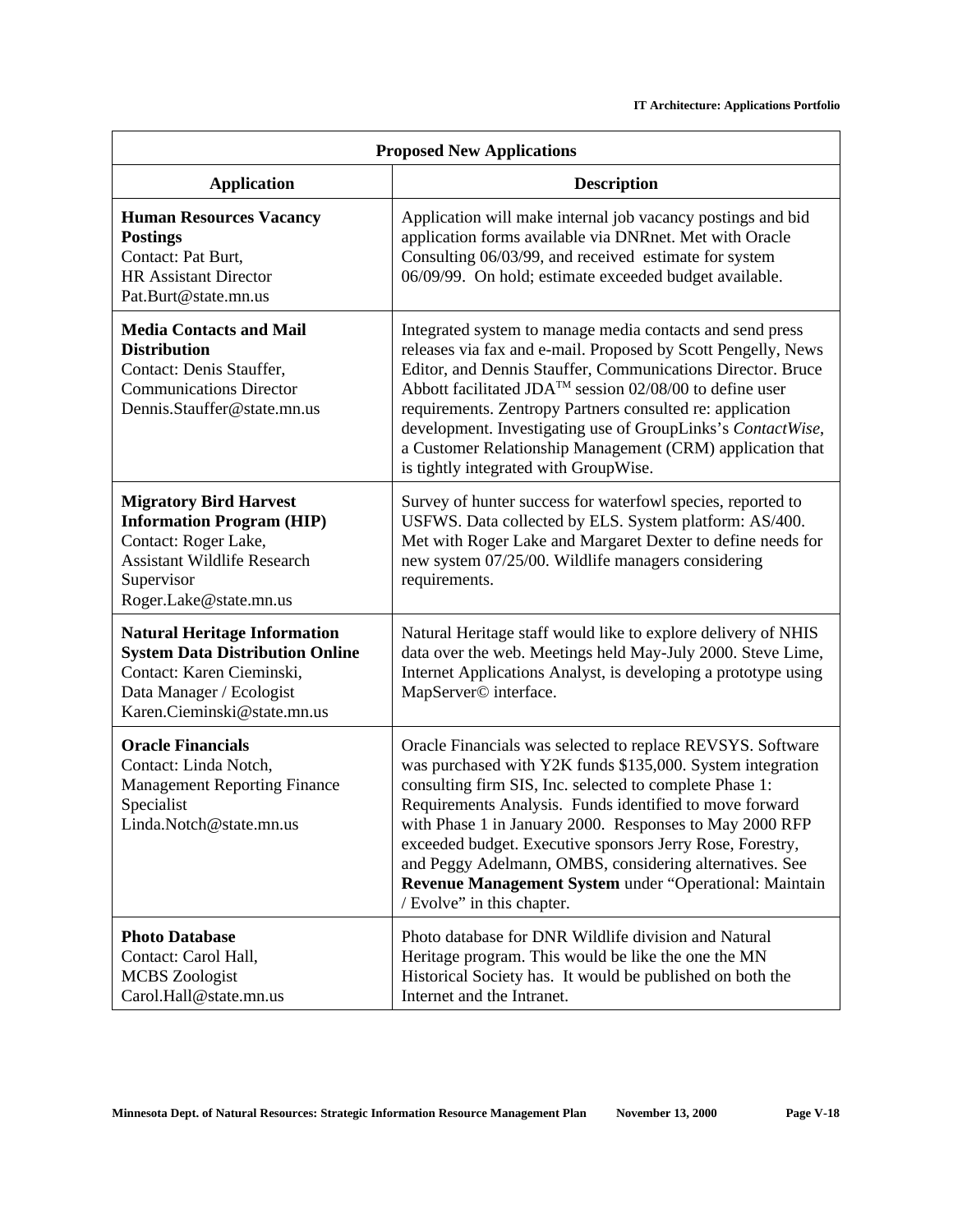| <b>Proposed New Applications</b>                                                                                                                                        |                                                                                                                                                                                                                                                                                                                                                                                                                                                                                                                           |
|-------------------------------------------------------------------------------------------------------------------------------------------------------------------------|---------------------------------------------------------------------------------------------------------------------------------------------------------------------------------------------------------------------------------------------------------------------------------------------------------------------------------------------------------------------------------------------------------------------------------------------------------------------------------------------------------------------------|
| <b>Application</b>                                                                                                                                                      | <b>Description</b>                                                                                                                                                                                                                                                                                                                                                                                                                                                                                                        |
| <b>Human Resources Vacancy</b><br><b>Postings</b><br>Contact: Pat Burt,<br><b>HR Assistant Director</b><br>Pat.Burt@state.mn.us                                         | Application will make internal job vacancy postings and bid<br>application forms available via DNRnet. Met with Oracle<br>Consulting 06/03/99, and received estimate for system<br>06/09/99. On hold; estimate exceeded budget available.                                                                                                                                                                                                                                                                                 |
| <b>Media Contacts and Mail</b><br><b>Distribution</b><br>Contact: Denis Stauffer,<br><b>Communications Director</b><br>Dennis.Stauffer@state.mn.us                      | Integrated system to manage media contacts and send press<br>releases via fax and e-mail. Proposed by Scott Pengelly, News<br>Editor, and Dennis Stauffer, Communications Director. Bruce<br>Abbott facilitated JDA <sup>TM</sup> session 02/08/00 to define user<br>requirements. Zentropy Partners consulted re: application<br>development. Investigating use of GroupLinks's ContactWise,<br>a Customer Relationship Management (CRM) application that<br>is tightly integrated with GroupWise.                       |
| <b>Migratory Bird Harvest</b><br><b>Information Program (HIP)</b><br>Contact: Roger Lake,<br><b>Assistant Wildlife Research</b><br>Supervisor<br>Roger.Lake@state.mn.us | Survey of hunter success for waterfowl species, reported to<br>USFWS. Data collected by ELS. System platform: AS/400.<br>Met with Roger Lake and Margaret Dexter to define needs for<br>new system 07/25/00. Wildlife managers considering<br>requirements.                                                                                                                                                                                                                                                               |
| <b>Natural Heritage Information</b><br><b>System Data Distribution Online</b><br>Contact: Karen Cieminski,<br>Data Manager / Ecologist<br>Karen.Cieminski@state.mn.us   | Natural Heritage staff would like to explore delivery of NHIS<br>data over the web. Meetings held May-July 2000. Steve Lime,<br>Internet Applications Analyst, is developing a prototype using<br>MapServer© interface.                                                                                                                                                                                                                                                                                                   |
| <b>Oracle Financials</b><br>Contact: Linda Notch,<br><b>Management Reporting Finance</b><br>Specialist<br>Linda.Notch@state.mn.us                                       | Oracle Financials was selected to replace REVSYS. Software<br>was purchased with Y2K funds \$135,000. System integration<br>consulting firm SIS, Inc. selected to complete Phase 1:<br>Requirements Analysis. Funds identified to move forward<br>with Phase 1 in January 2000. Responses to May 2000 RFP<br>exceeded budget. Executive sponsors Jerry Rose, Forestry,<br>and Peggy Adelmann, OMBS, considering alternatives. See<br>Revenue Management System under "Operational: Maintain<br>/ Evolve" in this chapter. |
| <b>Photo Database</b><br>Contact: Carol Hall,<br><b>MCBS</b> Zoologist<br>Carol.Hall@state.mn.us                                                                        | Photo database for DNR Wildlife division and Natural<br>Heritage program. This would be like the one the MN<br>Historical Society has. It would be published on both the<br>Internet and the Intranet.                                                                                                                                                                                                                                                                                                                    |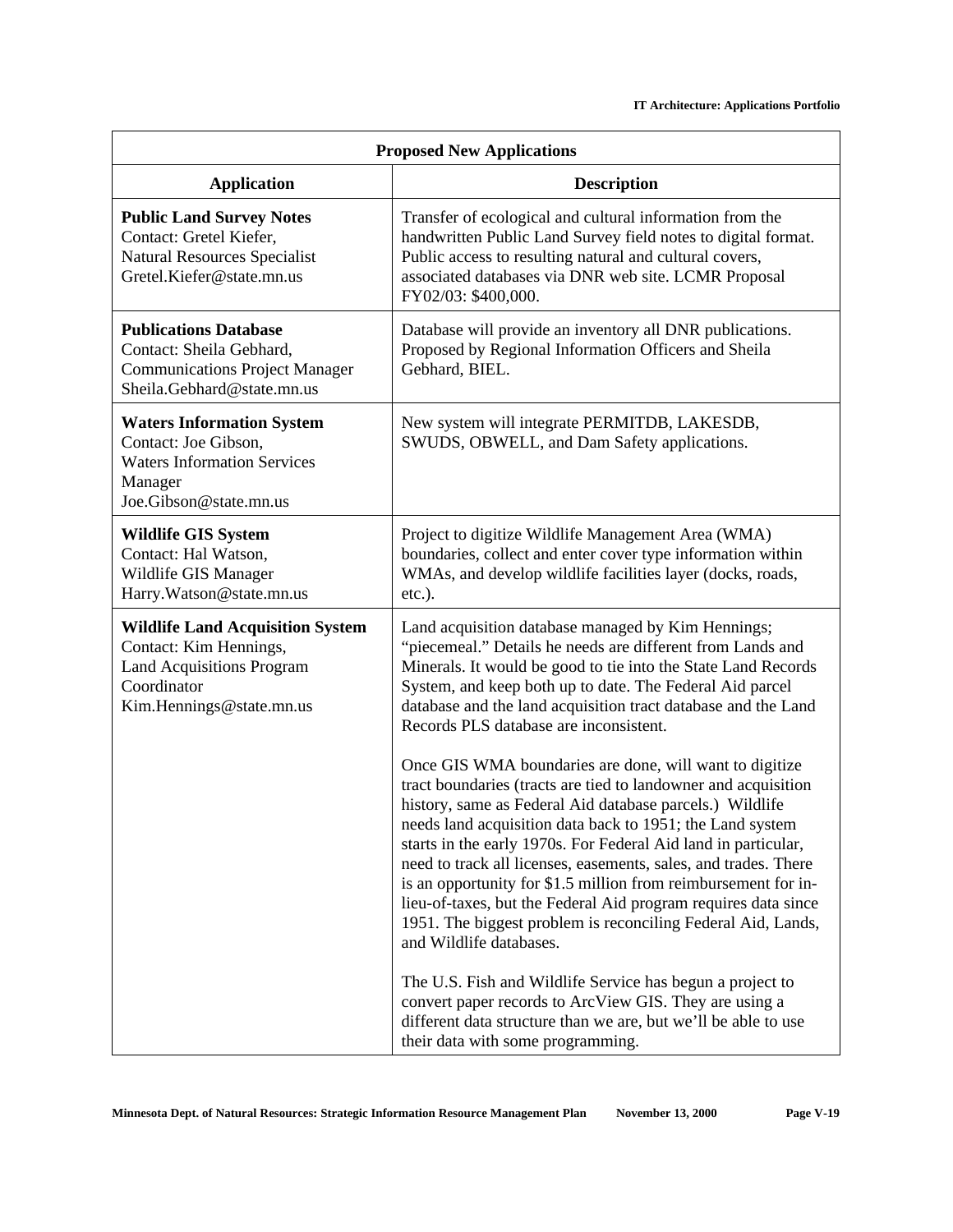| <b>Proposed New Applications</b>                                                                                                                 |                                                                                                                                                                                                                                                                                                                                                                                                                                                                                                                                                                                                                        |
|--------------------------------------------------------------------------------------------------------------------------------------------------|------------------------------------------------------------------------------------------------------------------------------------------------------------------------------------------------------------------------------------------------------------------------------------------------------------------------------------------------------------------------------------------------------------------------------------------------------------------------------------------------------------------------------------------------------------------------------------------------------------------------|
| <b>Application</b>                                                                                                                               | <b>Description</b>                                                                                                                                                                                                                                                                                                                                                                                                                                                                                                                                                                                                     |
| <b>Public Land Survey Notes</b><br>Contact: Gretel Kiefer,<br><b>Natural Resources Specialist</b><br>Gretel.Kiefer@state.mn.us                   | Transfer of ecological and cultural information from the<br>handwritten Public Land Survey field notes to digital format.<br>Public access to resulting natural and cultural covers,<br>associated databases via DNR web site. LCMR Proposal<br>FY02/03: \$400,000.                                                                                                                                                                                                                                                                                                                                                    |
| <b>Publications Database</b><br>Contact: Sheila Gebhard,<br><b>Communications Project Manager</b><br>Sheila.Gebhard@state.mn.us                  | Database will provide an inventory all DNR publications.<br>Proposed by Regional Information Officers and Sheila<br>Gebhard, BIEL.                                                                                                                                                                                                                                                                                                                                                                                                                                                                                     |
| <b>Waters Information System</b><br>Contact: Joe Gibson,<br><b>Waters Information Services</b><br>Manager<br>Joe.Gibson@state.mn.us              | New system will integrate PERMITDB, LAKESDB,<br>SWUDS, OBWELL, and Dam Safety applications.                                                                                                                                                                                                                                                                                                                                                                                                                                                                                                                            |
| <b>Wildlife GIS System</b><br>Contact: Hal Watson,<br>Wildlife GIS Manager<br>Harry. Watson@state.mn.us                                          | Project to digitize Wildlife Management Area (WMA)<br>boundaries, collect and enter cover type information within<br>WMAs, and develop wildlife facilities layer (docks, roads,<br>$etc.$ ).                                                                                                                                                                                                                                                                                                                                                                                                                           |
| <b>Wildlife Land Acquisition System</b><br>Contact: Kim Hennings,<br><b>Land Acquisitions Program</b><br>Coordinator<br>Kim.Hennings@state.mn.us | Land acquisition database managed by Kim Hennings;<br>"piecemeal." Details he needs are different from Lands and<br>Minerals. It would be good to tie into the State Land Records<br>System, and keep both up to date. The Federal Aid parcel<br>database and the land acquisition tract database and the Land<br>Records PLS database are inconsistent.                                                                                                                                                                                                                                                               |
|                                                                                                                                                  | Once GIS WMA boundaries are done, will want to digitize<br>tract boundaries (tracts are tied to landowner and acquisition<br>history, same as Federal Aid database parcels.) Wildlife<br>needs land acquisition data back to 1951; the Land system<br>starts in the early 1970s. For Federal Aid land in particular,<br>need to track all licenses, easements, sales, and trades. There<br>is an opportunity for \$1.5 million from reimbursement for in-<br>lieu-of-taxes, but the Federal Aid program requires data since<br>1951. The biggest problem is reconciling Federal Aid, Lands,<br>and Wildlife databases. |
|                                                                                                                                                  | The U.S. Fish and Wildlife Service has begun a project to<br>convert paper records to ArcView GIS. They are using a<br>different data structure than we are, but we'll be able to use<br>their data with some programming.                                                                                                                                                                                                                                                                                                                                                                                             |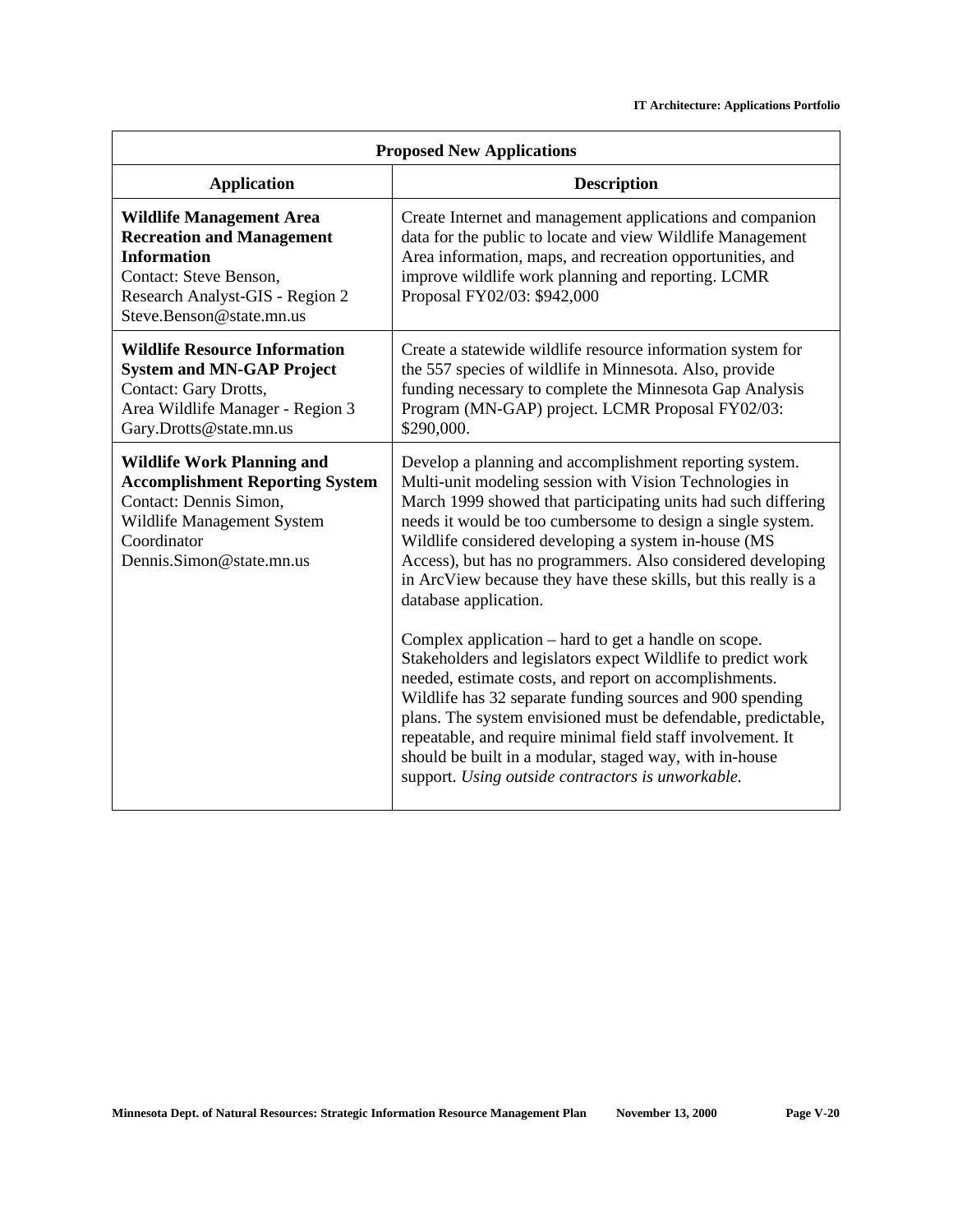| <b>Proposed New Applications</b>                                                                                                                                                   |                                                                                                                                                                                                                                                                                                                                                                                                                                                                                                                                                                                                                                                                                                                                                                                       |
|------------------------------------------------------------------------------------------------------------------------------------------------------------------------------------|---------------------------------------------------------------------------------------------------------------------------------------------------------------------------------------------------------------------------------------------------------------------------------------------------------------------------------------------------------------------------------------------------------------------------------------------------------------------------------------------------------------------------------------------------------------------------------------------------------------------------------------------------------------------------------------------------------------------------------------------------------------------------------------|
| <b>Application</b>                                                                                                                                                                 | <b>Description</b>                                                                                                                                                                                                                                                                                                                                                                                                                                                                                                                                                                                                                                                                                                                                                                    |
| <b>Wildlife Management Area</b><br><b>Recreation and Management</b><br><b>Information</b><br>Contact: Steve Benson,<br>Research Analyst-GIS - Region 2<br>Steve.Benson@state.mn.us | Create Internet and management applications and companion<br>data for the public to locate and view Wildlife Management<br>Area information, maps, and recreation opportunities, and<br>improve wildlife work planning and reporting. LCMR<br>Proposal FY02/03: \$942,000                                                                                                                                                                                                                                                                                                                                                                                                                                                                                                             |
| <b>Wildlife Resource Information</b><br><b>System and MN-GAP Project</b><br>Contact: Gary Drotts,<br>Area Wildlife Manager - Region 3<br>Gary.Drotts@state.mn.us                   | Create a statewide wildlife resource information system for<br>the 557 species of wildlife in Minnesota. Also, provide<br>funding necessary to complete the Minnesota Gap Analysis<br>Program (MN-GAP) project. LCMR Proposal FY02/03:<br>\$290,000.                                                                                                                                                                                                                                                                                                                                                                                                                                                                                                                                  |
| <b>Wildlife Work Planning and</b><br><b>Accomplishment Reporting System</b><br>Contact: Dennis Simon,<br>Wildlife Management System<br>Coordinator<br>Dennis.Simon@state.mn.us     | Develop a planning and accomplishment reporting system.<br>Multi-unit modeling session with Vision Technologies in<br>March 1999 showed that participating units had such differing<br>needs it would be too cumbersome to design a single system.<br>Wildlife considered developing a system in-house (MS<br>Access), but has no programmers. Also considered developing<br>in ArcView because they have these skills, but this really is a<br>database application.<br>Complex application – hard to get a handle on scope.<br>Stakeholders and legislators expect Wildlife to predict work<br>needed, estimate costs, and report on accomplishments.<br>Wildlife has 32 separate funding sources and 900 spending<br>plans. The system envisioned must be defendable, predictable, |
|                                                                                                                                                                                    | repeatable, and require minimal field staff involvement. It<br>should be built in a modular, staged way, with in-house<br>support. Using outside contractors is unworkable.                                                                                                                                                                                                                                                                                                                                                                                                                                                                                                                                                                                                           |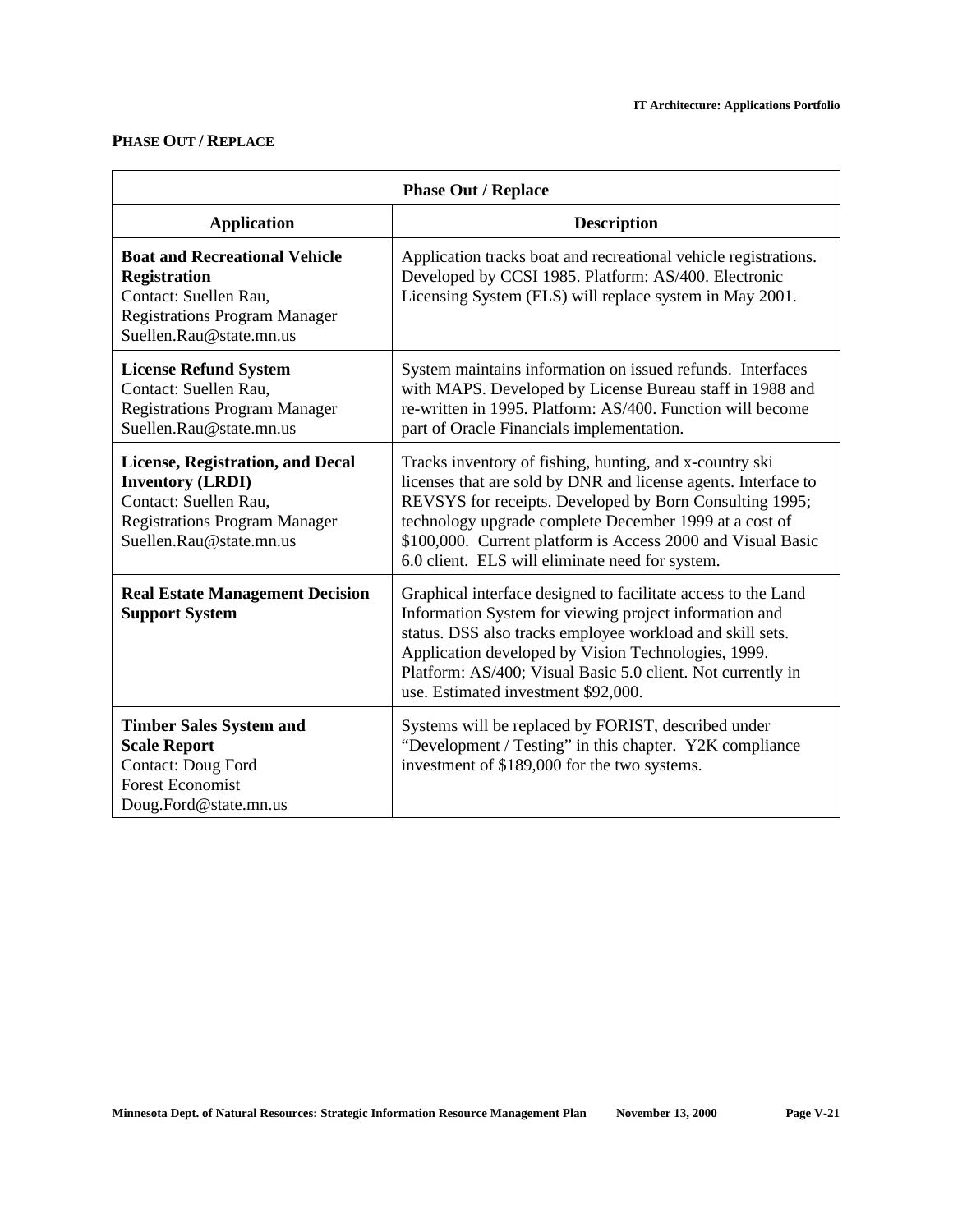# **PHASE OUT / REPLACE**

| <b>Phase Out / Replace</b>                                                                                                                                     |                                                                                                                                                                                                                                                                                                                                                                  |  |
|----------------------------------------------------------------------------------------------------------------------------------------------------------------|------------------------------------------------------------------------------------------------------------------------------------------------------------------------------------------------------------------------------------------------------------------------------------------------------------------------------------------------------------------|--|
| <b>Application</b>                                                                                                                                             | <b>Description</b>                                                                                                                                                                                                                                                                                                                                               |  |
| <b>Boat and Recreational Vehicle</b><br><b>Registration</b><br>Contact: Suellen Rau,<br><b>Registrations Program Manager</b><br>Suellen.Rau@state.mn.us        | Application tracks boat and recreational vehicle registrations.<br>Developed by CCSI 1985. Platform: AS/400. Electronic<br>Licensing System (ELS) will replace system in May 2001.                                                                                                                                                                               |  |
| <b>License Refund System</b><br>Contact: Suellen Rau,<br><b>Registrations Program Manager</b><br>Suellen.Rau@state.mn.us                                       | System maintains information on issued refunds. Interfaces<br>with MAPS. Developed by License Bureau staff in 1988 and<br>re-written in 1995. Platform: AS/400. Function will become<br>part of Oracle Financials implementation.                                                                                                                                |  |
| <b>License, Registration, and Decal</b><br><b>Inventory (LRDI)</b><br>Contact: Suellen Rau,<br><b>Registrations Program Manager</b><br>Suellen.Rau@state.mn.us | Tracks inventory of fishing, hunting, and x-country ski<br>licenses that are sold by DNR and license agents. Interface to<br>REVSYS for receipts. Developed by Born Consulting 1995;<br>technology upgrade complete December 1999 at a cost of<br>\$100,000. Current platform is Access 2000 and Visual Basic<br>6.0 client. ELS will eliminate need for system. |  |
| <b>Real Estate Management Decision</b><br><b>Support System</b>                                                                                                | Graphical interface designed to facilitate access to the Land<br>Information System for viewing project information and<br>status. DSS also tracks employee workload and skill sets.<br>Application developed by Vision Technologies, 1999.<br>Platform: AS/400; Visual Basic 5.0 client. Not currently in<br>use. Estimated investment \$92,000.                |  |
| <b>Timber Sales System and</b><br><b>Scale Report</b><br><b>Contact: Doug Ford</b><br><b>Forest Economist</b><br>Doug.Ford@state.mn.us                         | Systems will be replaced by FORIST, described under<br>"Development / Testing" in this chapter. Y2K compliance<br>investment of \$189,000 for the two systems.                                                                                                                                                                                                   |  |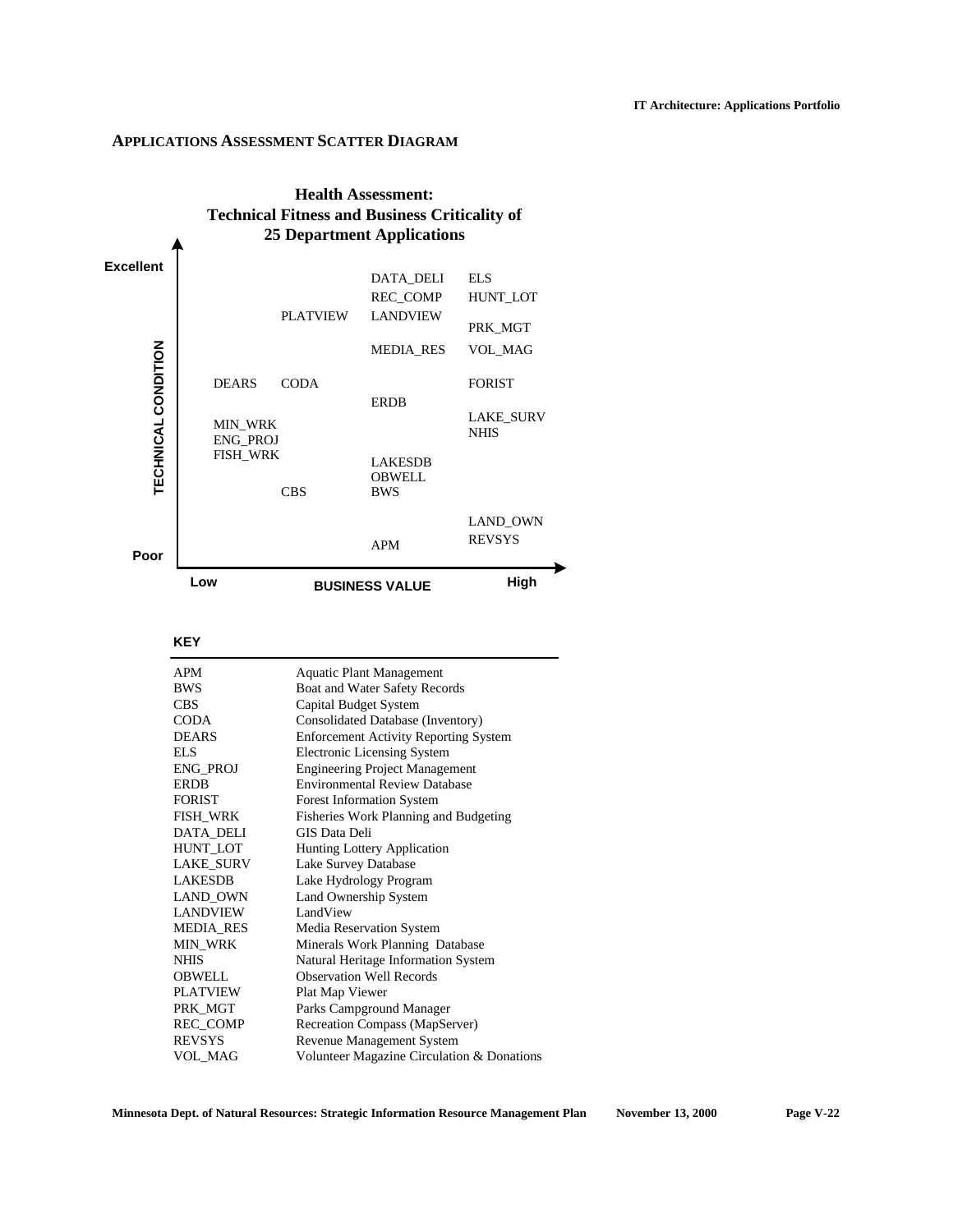### **APPLICATIONS ASSESSMENT SCATTER DIAGRAM**



### **KEY**

| <b>APM</b>       | <b>Aquatic Plant Management</b>              |
|------------------|----------------------------------------------|
| <b>BWS</b>       | Boat and Water Safety Records                |
| <b>CBS</b>       | Capital Budget System                        |
| <b>CODA</b>      | Consolidated Database (Inventory)            |
| <b>DEARS</b>     | <b>Enforcement Activity Reporting System</b> |
| ELS.             | <b>Electronic Licensing System</b>           |
| <b>ENG PROJ</b>  | <b>Engineering Project Management</b>        |
| <b>ERDB</b>      | <b>Environmental Review Database</b>         |
| <b>FORIST</b>    | <b>Forest Information System</b>             |
| <b>FISH WRK</b>  | Fisheries Work Planning and Budgeting        |
| <b>DATA DELI</b> | GIS Data Deli                                |
| <b>HUNT LOT</b>  | <b>Hunting Lottery Application</b>           |
| <b>LAKE SURV</b> | Lake Survey Database                         |
| <b>LAKESDB</b>   | Lake Hydrology Program                       |
| LAND OWN         | Land Ownership System                        |
| <b>LANDVIEW</b>  | LandView                                     |
| <b>MEDIA_RES</b> | Media Reservation System                     |
| <b>MIN WRK</b>   | Minerals Work Planning Database              |
| <b>NHIS</b>      | Natural Heritage Information System          |
| <b>OBWELL</b>    | <b>Observation Well Records</b>              |
| <b>PLATVIEW</b>  | Plat Map Viewer                              |
| PRK MGT          | Parks Campground Manager                     |
| <b>REC COMP</b>  | Recreation Compass (MapServer)               |
| <b>REVSYS</b>    | Revenue Management System                    |
| <b>VOL MAG</b>   | Volunteer Magazine Circulation & Donations   |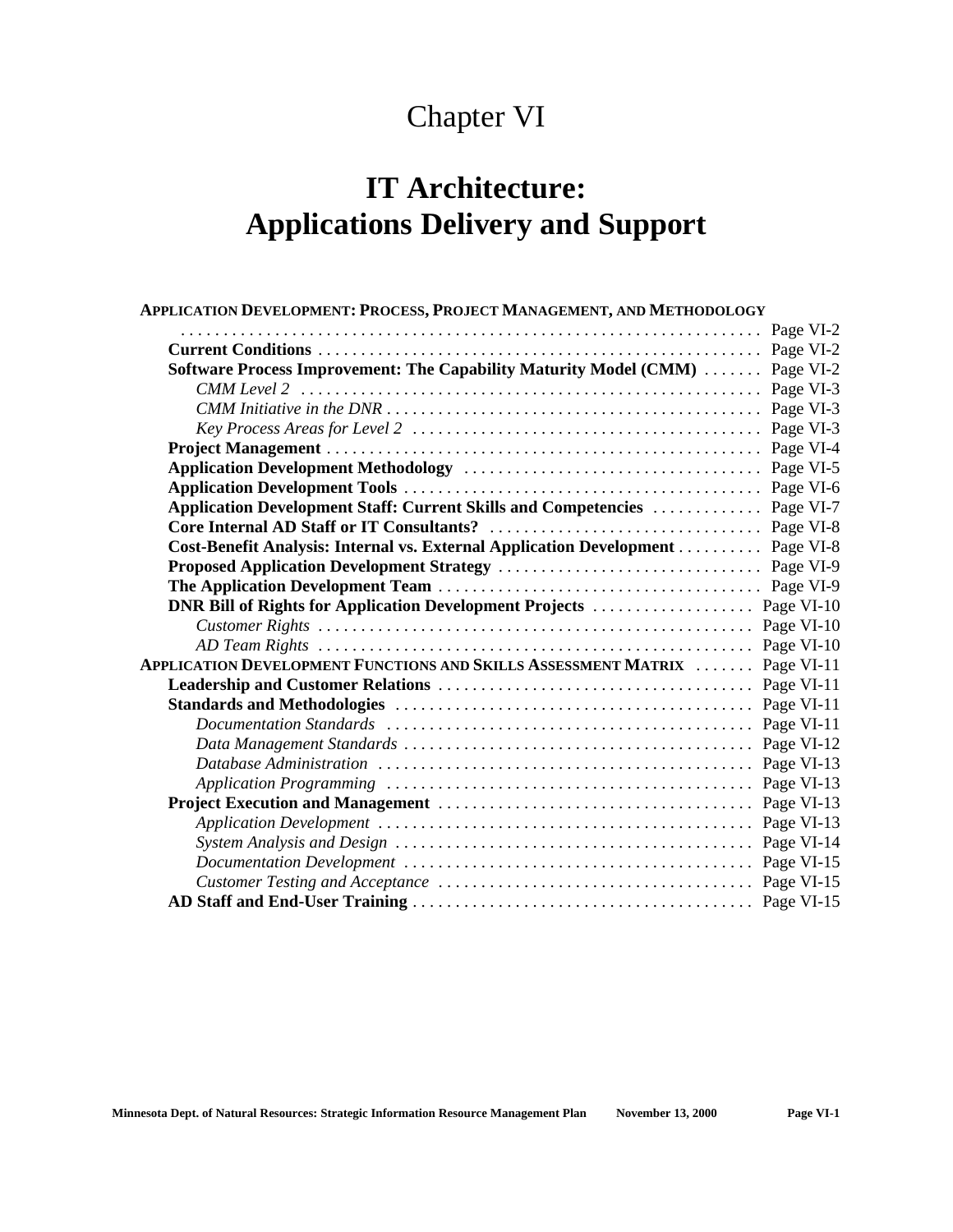# Chapter VI

# **IT Architecture: Applications Delivery and Support**

| APPLICATION DEVELOPMENT: PROCESS, PROJECT MANAGEMENT, AND METHODOLOGY             |           |
|-----------------------------------------------------------------------------------|-----------|
|                                                                                   | Page VI-2 |
|                                                                                   |           |
| Software Process Improvement: The Capability Maturity Model (CMM)                 | Page VI-2 |
|                                                                                   |           |
|                                                                                   | Page VI-3 |
|                                                                                   | Page VI-3 |
|                                                                                   |           |
|                                                                                   |           |
|                                                                                   |           |
| <b>Application Development Staff: Current Skills and Competencies </b>            | Page VI-7 |
|                                                                                   |           |
| Cost-Benefit Analysis: Internal vs. External Application Development              | Page VI-8 |
|                                                                                   |           |
|                                                                                   |           |
|                                                                                   |           |
|                                                                                   |           |
|                                                                                   |           |
| <b>APPLICATION DEVELOPMENT FUNCTIONS AND SKILLS ASSESSMENT MATRIX  Page VI-11</b> |           |
|                                                                                   |           |
|                                                                                   |           |
|                                                                                   |           |
|                                                                                   |           |
|                                                                                   |           |
|                                                                                   |           |
|                                                                                   |           |
|                                                                                   |           |
|                                                                                   |           |
|                                                                                   |           |
|                                                                                   |           |
|                                                                                   |           |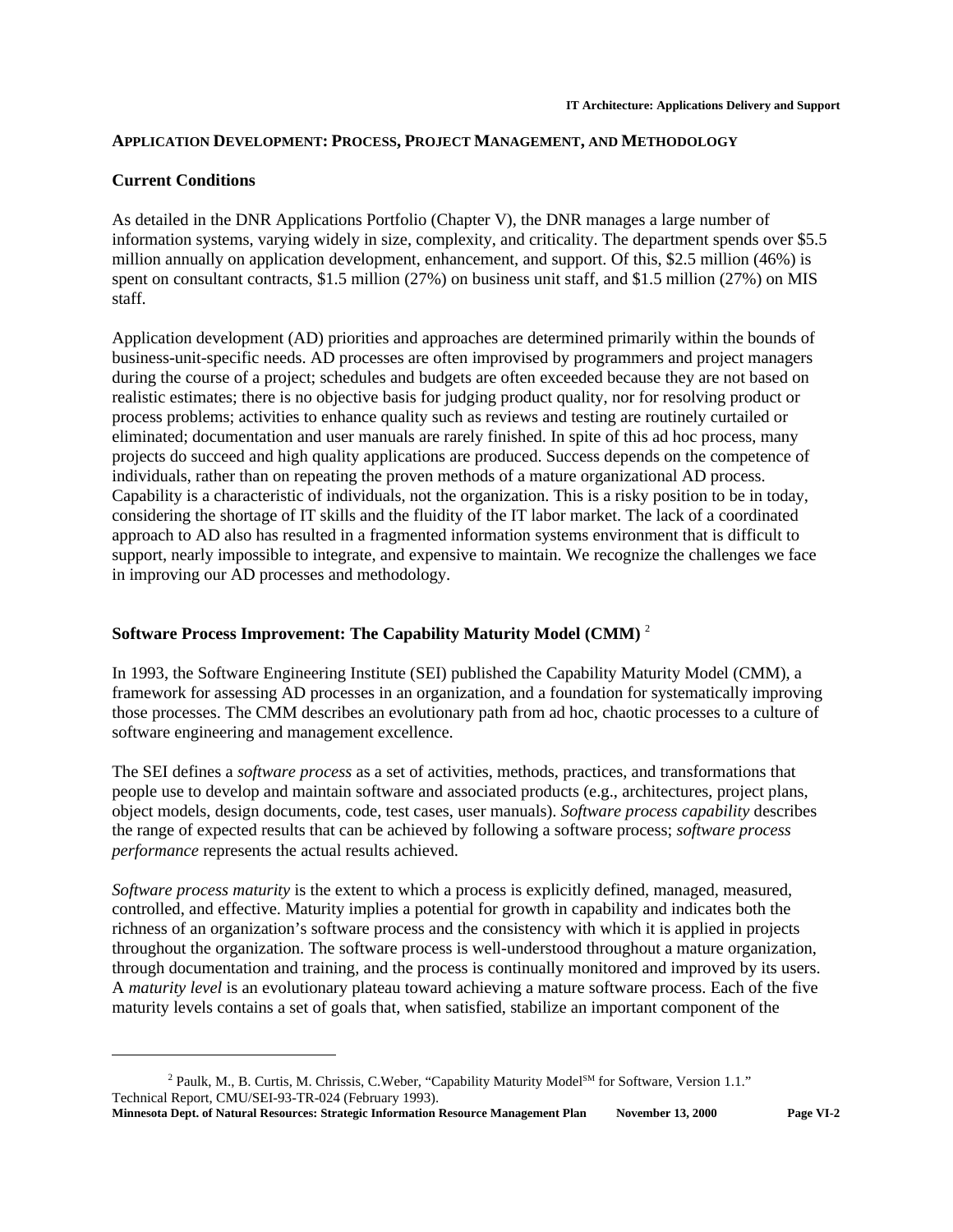# **APPLICATION DEVELOPMENT: PROCESS, PROJECT MANAGEMENT, AND METHODOLOGY**

# **Current Conditions**

As detailed in the DNR Applications Portfolio (Chapter V), the DNR manages a large number of information systems, varying widely in size, complexity, and criticality. The department spends over \$5.5 million annually on application development, enhancement, and support. Of this, \$2.5 million (46%) is spent on consultant contracts, \$1.5 million (27%) on business unit staff, and \$1.5 million (27%) on MIS staff.

Application development (AD) priorities and approaches are determined primarily within the bounds of business-unit-specific needs. AD processes are often improvised by programmers and project managers during the course of a project; schedules and budgets are often exceeded because they are not based on realistic estimates; there is no objective basis for judging product quality, nor for resolving product or process problems; activities to enhance quality such as reviews and testing are routinely curtailed or eliminated; documentation and user manuals are rarely finished. In spite of this ad hoc process, many projects do succeed and high quality applications are produced. Success depends on the competence of individuals, rather than on repeating the proven methods of a mature organizational AD process. Capability is a characteristic of individuals, not the organization. This is a risky position to be in today, considering the shortage of IT skills and the fluidity of the IT labor market. The lack of a coordinated approach to AD also has resulted in a fragmented information systems environment that is difficult to support, nearly impossible to integrate, and expensive to maintain. We recognize the challenges we face in improving our AD processes and methodology.

# **Software Process Improvement: The Capability Maturity Model (CMM)** <sup>2</sup>

In 1993, the Software Engineering Institute (SEI) published the Capability Maturity Model (CMM), a framework for assessing AD processes in an organization, and a foundation for systematically improving those processes. The CMM describes an evolutionary path from ad hoc, chaotic processes to a culture of software engineering and management excellence.

The SEI defines a *software process* as a set of activities, methods, practices, and transformations that people use to develop and maintain software and associated products (e.g., architectures, project plans, object models, design documents, code, test cases, user manuals). *Software process capability* describes the range of expected results that can be achieved by following a software process; *software process performance* represents the actual results achieved.

*Software process maturity* is the extent to which a process is explicitly defined, managed, measured, controlled, and effective. Maturity implies a potential for growth in capability and indicates both the richness of an organization's software process and the consistency with which it is applied in projects throughout the organization. The software process is well-understood throughout a mature organization, through documentation and training, and the process is continually monitored and improved by its users. A *maturity level* is an evolutionary plateau toward achieving a mature software process. Each of the five maturity levels contains a set of goals that, when satisfied, stabilize an important component of the

<sup>&</sup>lt;sup>2</sup> Paulk, M., B. Curtis, M. Chrissis, C. Weber, "Capability Maturity Model<sup>SM</sup> for Software, Version 1.1." Technical Report, CMU/SEI-93-TR-024 (February 1993).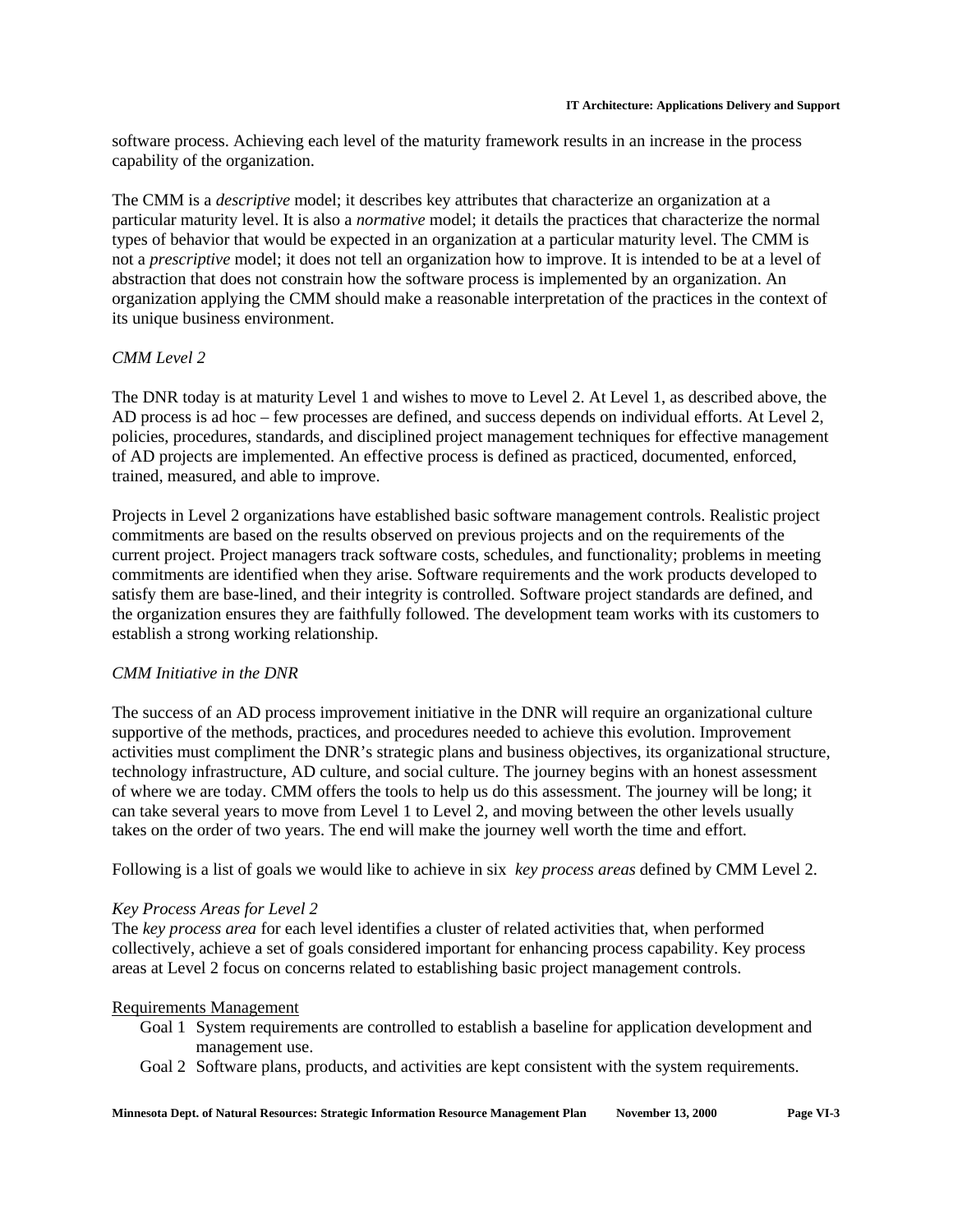software process. Achieving each level of the maturity framework results in an increase in the process capability of the organization.

The CMM is a *descriptive* model; it describes key attributes that characterize an organization at a particular maturity level. It is also a *normative* model; it details the practices that characterize the normal types of behavior that would be expected in an organization at a particular maturity level. The CMM is not a *prescriptive* model; it does not tell an organization how to improve. It is intended to be at a level of abstraction that does not constrain how the software process is implemented by an organization. An organization applying the CMM should make a reasonable interpretation of the practices in the context of its unique business environment.

# *CMM Level 2*

The DNR today is at maturity Level 1 and wishes to move to Level 2. At Level 1, as described above, the AD process is ad hoc – few processes are defined, and success depends on individual efforts. At Level 2, policies, procedures, standards, and disciplined project management techniques for effective management of AD projects are implemented. An effective process is defined as practiced, documented, enforced, trained, measured, and able to improve.

Projects in Level 2 organizations have established basic software management controls. Realistic project commitments are based on the results observed on previous projects and on the requirements of the current project. Project managers track software costs, schedules, and functionality; problems in meeting commitments are identified when they arise. Software requirements and the work products developed to satisfy them are base-lined, and their integrity is controlled. Software project standards are defined, and the organization ensures they are faithfully followed. The development team works with its customers to establish a strong working relationship.

### *CMM Initiative in the DNR*

The success of an AD process improvement initiative in the DNR will require an organizational culture supportive of the methods, practices, and procedures needed to achieve this evolution. Improvement activities must compliment the DNR's strategic plans and business objectives, its organizational structure, technology infrastructure, AD culture, and social culture. The journey begins with an honest assessment of where we are today. CMM offers the tools to help us do this assessment. The journey will be long; it can take several years to move from Level 1 to Level 2, and moving between the other levels usually takes on the order of two years. The end will make the journey well worth the time and effort.

Following is a list of goals we would like to achieve in six *key process areas* defined by CMM Level 2.

### *Key Process Areas for Level 2*

The *key process area* for each level identifies a cluster of related activities that, when performed collectively, achieve a set of goals considered important for enhancing process capability. Key process areas at Level 2 focus on concerns related to establishing basic project management controls.

### Requirements Management

- Goal 1 System requirements are controlled to establish a baseline for application development and management use.
- Goal 2 Software plans, products, and activities are kept consistent with the system requirements.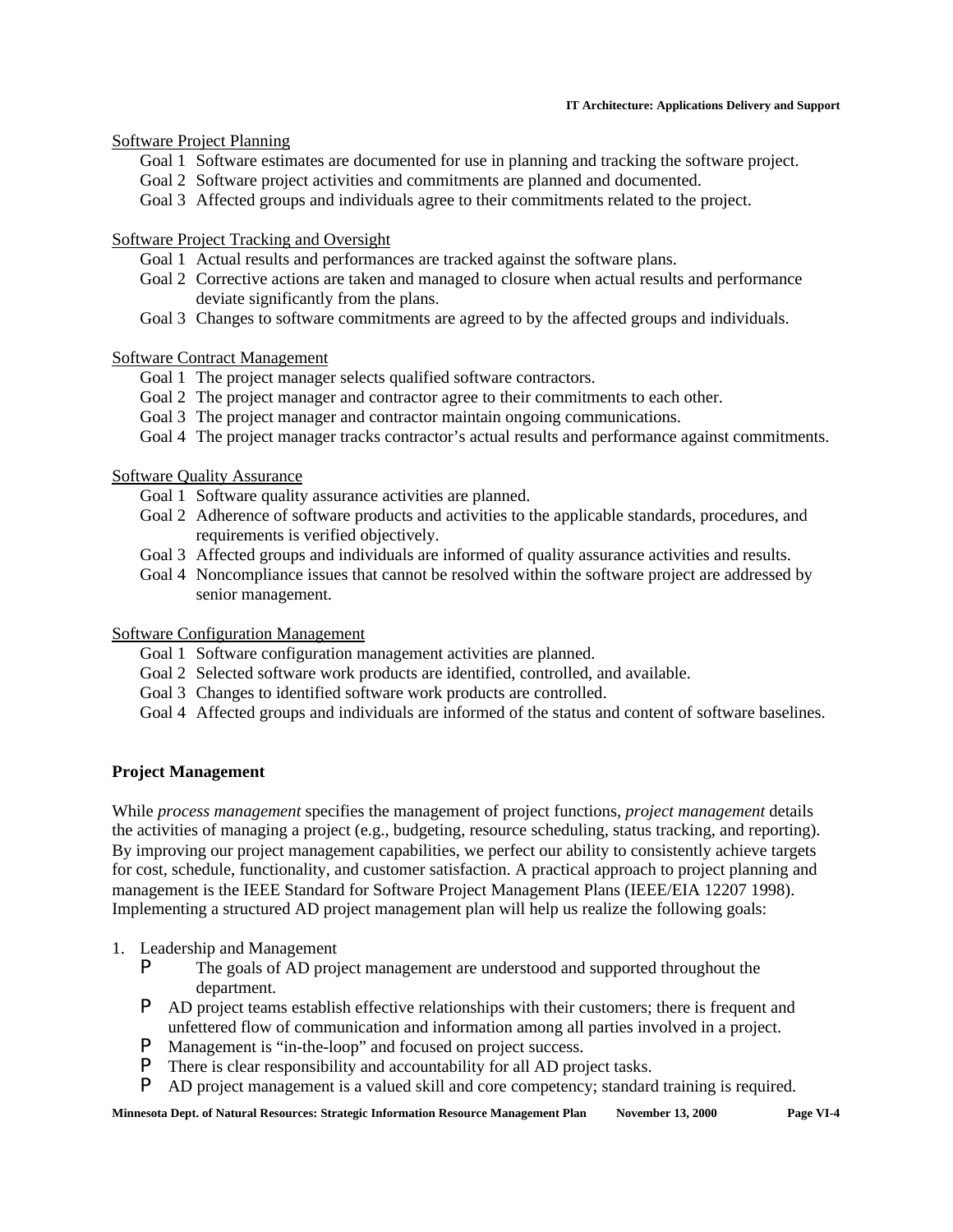### **IT Architecture: Applications Delivery and Support**

# Software Project Planning

- Goal 1 Software estimates are documented for use in planning and tracking the software project.
- Goal 2 Software project activities and commitments are planned and documented.
- Goal 3 Affected groups and individuals agree to their commitments related to the project.

# Software Project Tracking and Oversight

- Goal 1 Actual results and performances are tracked against the software plans.
- Goal 2 Corrective actions are taken and managed to closure when actual results and performance deviate significantly from the plans.
- Goal 3 Changes to software commitments are agreed to by the affected groups and individuals.

# Software Contract Management

- Goal 1 The project manager selects qualified software contractors.
- Goal 2 The project manager and contractor agree to their commitments to each other.
- Goal 3 The project manager and contractor maintain ongoing communications.
- Goal 4 The project manager tracks contractor's actual results and performance against commitments.

# Software Quality Assurance

- Goal 1 Software quality assurance activities are planned.
- Goal 2 Adherence of software products and activities to the applicable standards, procedures, and requirements is verified objectively.
- Goal 3 Affected groups and individuals are informed of quality assurance activities and results.
- Goal 4 Noncompliance issues that cannot be resolved within the software project are addressed by senior management.

### Software Configuration Management

- Goal 1 Software configuration management activities are planned.
- Goal 2 Selected software work products are identified, controlled, and available.
- Goal 3 Changes to identified software work products are controlled.
- Goal 4 Affected groups and individuals are informed of the status and content of software baselines.

# **Project Management**

While *process management* specifies the management of project functions, *project management* details the activities of managing a project (e.g., budgeting, resource scheduling, status tracking, and reporting). By improving our project management capabilities, we perfect our ability to consistently achieve targets for cost, schedule, functionality, and customer satisfaction. A practical approach to project planning and management is the IEEE Standard for Software Project Management Plans (IEEE/EIA 12207 1998). Implementing a structured AD project management plan will help us realize the following goals:

- 1. Leadership and Management
	- P The goals of AD project management are understood and supported throughout the department.
	- P AD project teams establish effective relationships with their customers; there is frequent and unfettered flow of communication and information among all parties involved in a project.
	- P Management is "in-the-loop" and focused on project success.
	- P There is clear responsibility and accountability for all AD project tasks.
	- P AD project management is a valued skill and core competency; standard training is required.

**Minnesota Dept. of Natural Resources: Strategic Information Resource Management Plan November 13, 2000 Page VI-4**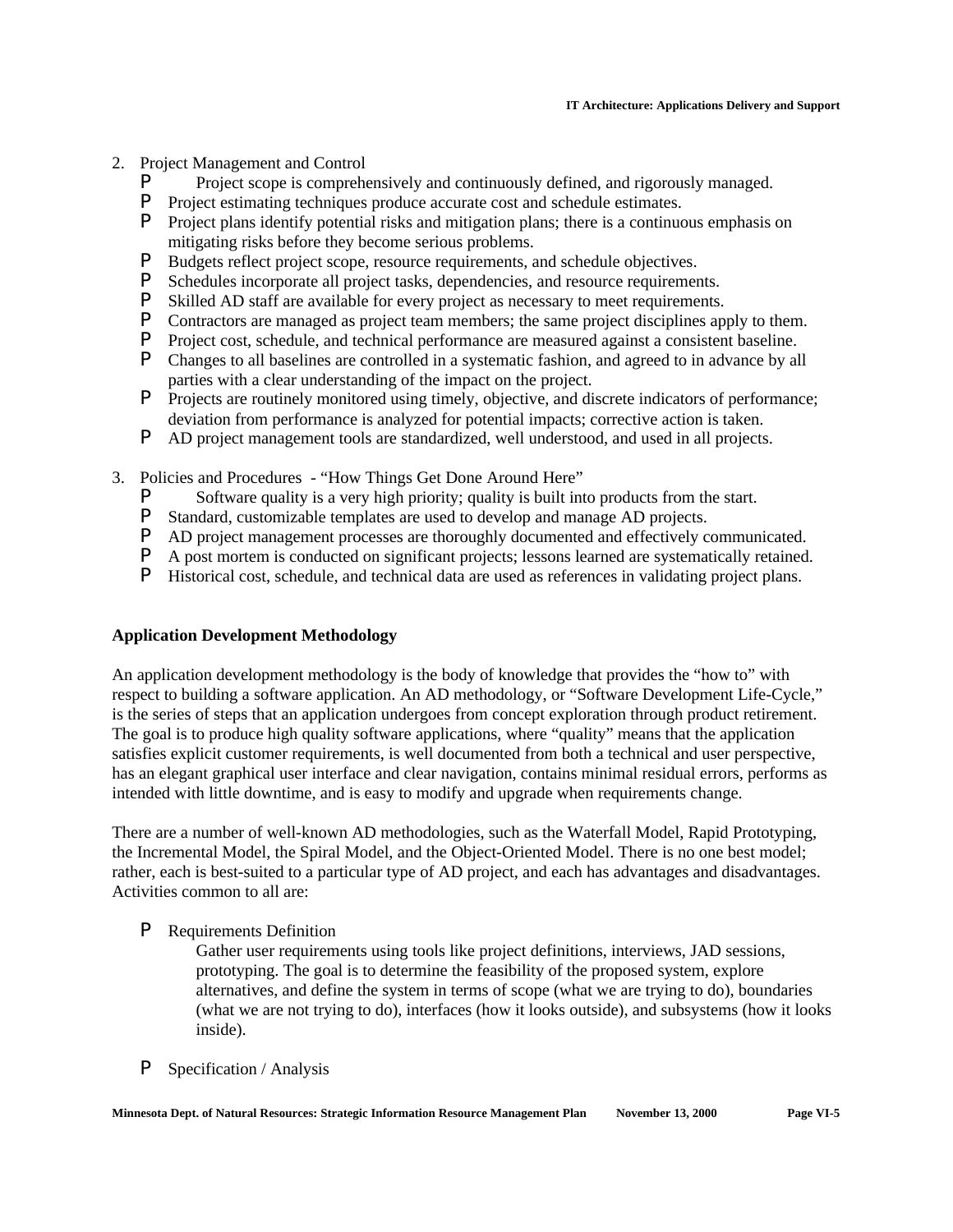- 2. Project Management and Control
	- **P** Project scope is comprehensively and continuously defined, and rigorously managed.<br>**P** Project estimating techniques produce accurate cost and schedule estimates
	- Project estimating techniques produce accurate cost and schedule estimates.
	- P Project plans identify potential risks and mitigation plans; there is a continuous emphasis on mitigating risks before they become serious problems.
	- P Budgets reflect project scope, resource requirements, and schedule objectives.
	- **P** Schedules incorporate all project tasks, dependencies, and resource requirements.<br>**P** Skilled AD staff are available for every project as necessary to meet requirements.
	- Skilled AD staff are available for every project as necessary to meet requirements.
	- **P** Contractors are managed as project team members; the same project disciplines apply to them.<br>**P** Project cost schedule and technical performance are measured against a consistent baseline
	- Project cost, schedule, and technical performance are measured against a consistent baseline.
	- P Changes to all baselines are controlled in a systematic fashion, and agreed to in advance by all parties with a clear understanding of the impact on the project.
	- P Projects are routinely monitored using timely, objective, and discrete indicators of performance; deviation from performance is analyzed for potential impacts; corrective action is taken.
	- P AD project management tools are standardized, well understood, and used in all projects.
- 3. Policies and Procedures "How Things Get Done Around Here"
	- **P** Software quality is a very high priority; quality is built into products from the start.<br> **P** Standard customizable templates are used to develop and manage AD projects
	- Standard, customizable templates are used to develop and manage AD projects.
	- P AD project management processes are thoroughly documented and effectively communicated.
	- P A post mortem is conducted on significant projects; lessons learned are systematically retained.
	- P Historical cost, schedule, and technical data are used as references in validating project plans.

### **Application Development Methodology**

An application development methodology is the body of knowledge that provides the "how to" with respect to building a software application. An AD methodology, or "Software Development Life-Cycle," is the series of steps that an application undergoes from concept exploration through product retirement. The goal is to produce high quality software applications, where "quality" means that the application satisfies explicit customer requirements, is well documented from both a technical and user perspective, has an elegant graphical user interface and clear navigation, contains minimal residual errors, performs as intended with little downtime, and is easy to modify and upgrade when requirements change.

There are a number of well-known AD methodologies, such as the Waterfall Model, Rapid Prototyping, the Incremental Model, the Spiral Model, and the Object-Oriented Model. There is no one best model; rather, each is best-suited to a particular type of AD project, and each has advantages and disadvantages. Activities common to all are:

### P Requirements Definition

Gather user requirements using tools like project definitions, interviews, JAD sessions, prototyping. The goal is to determine the feasibility of the proposed system, explore alternatives, and define the system in terms of scope (what we are trying to do), boundaries (what we are not trying to do), interfaces (how it looks outside), and subsystems (how it looks inside).

P Specification / Analysis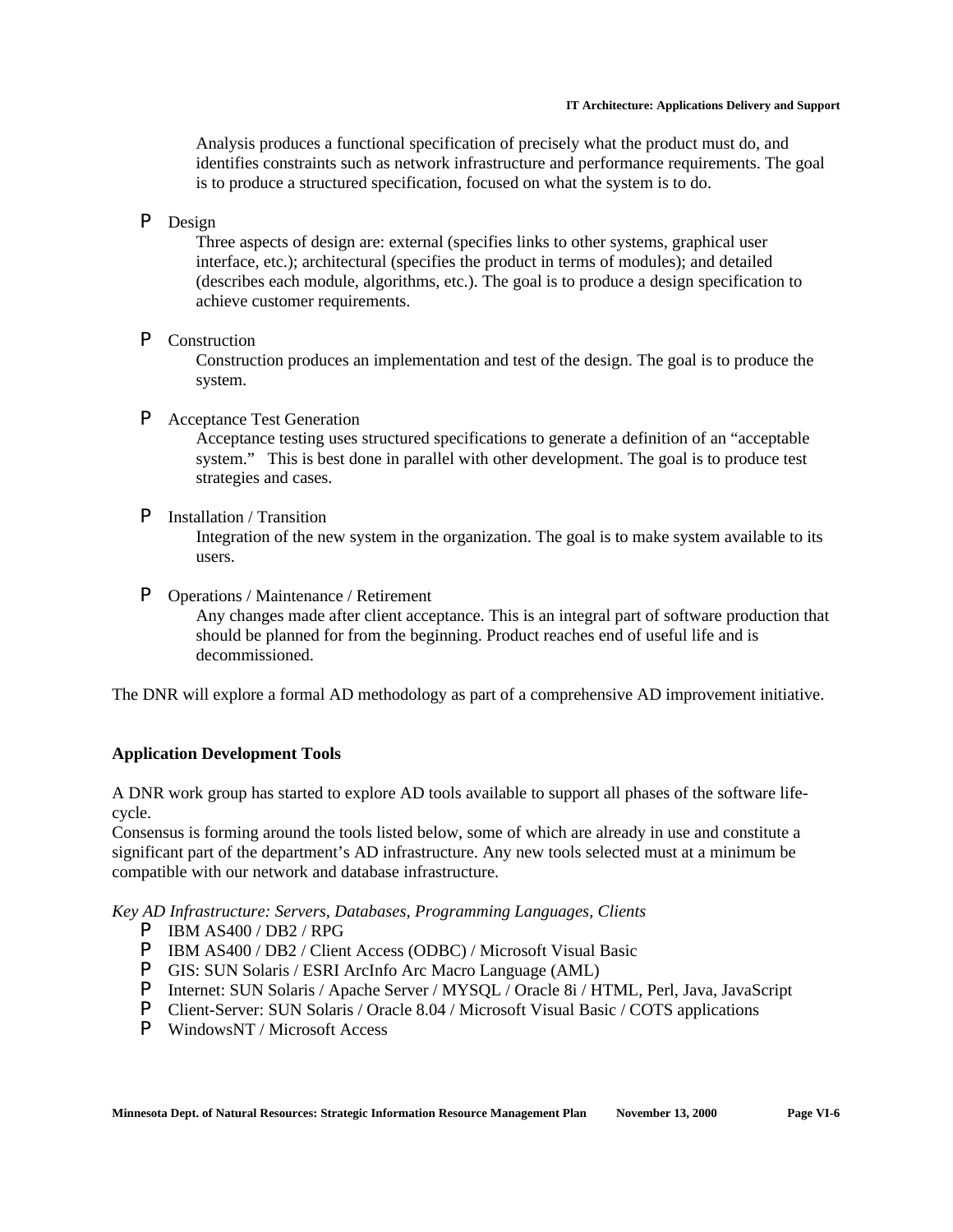Analysis produces a functional specification of precisely what the product must do, and identifies constraints such as network infrastructure and performance requirements. The goal is to produce a structured specification, focused on what the system is to do.

P Design

Three aspects of design are: external (specifies links to other systems, graphical user interface, etc.); architectural (specifies the product in terms of modules); and detailed (describes each module, algorithms, etc.). The goal is to produce a design specification to achieve customer requirements.

P Construction

Construction produces an implementation and test of the design. The goal is to produce the system.

P Acceptance Test Generation

Acceptance testing uses structured specifications to generate a definition of an "acceptable system." This is best done in parallel with other development. The goal is to produce test strategies and cases.

P Installation / Transition

Integration of the new system in the organization. The goal is to make system available to its users.

P Operations / Maintenance / Retirement

Any changes made after client acceptance. This is an integral part of software production that should be planned for from the beginning. Product reaches end of useful life and is decommissioned.

The DNR will explore a formal AD methodology as part of a comprehensive AD improvement initiative.

## **Application Development Tools**

A DNR work group has started to explore AD tools available to support all phases of the software lifecycle.

Consensus is forming around the tools listed below, some of which are already in use and constitute a significant part of the department's AD infrastructure. Any new tools selected must at a minimum be compatible with our network and database infrastructure.

*Key AD Infrastructure: Servers, Databases, Programming Languages, Clients*

- P IBM AS400 / DB2 / RPG
- P IBM AS400 / DB2 / Client Access (ODBC) / Microsoft Visual Basic
- P GIS: SUN Solaris / ESRI ArcInfo Arc Macro Language (AML)
- P Internet: SUN Solaris / Apache Server / MYSQL / Oracle 8i / HTML, Perl, Java, JavaScript
- P Client-Server: SUN Solaris / Oracle 8.04 / Microsoft Visual Basic / COTS applications
- P WindowsNT / Microsoft Access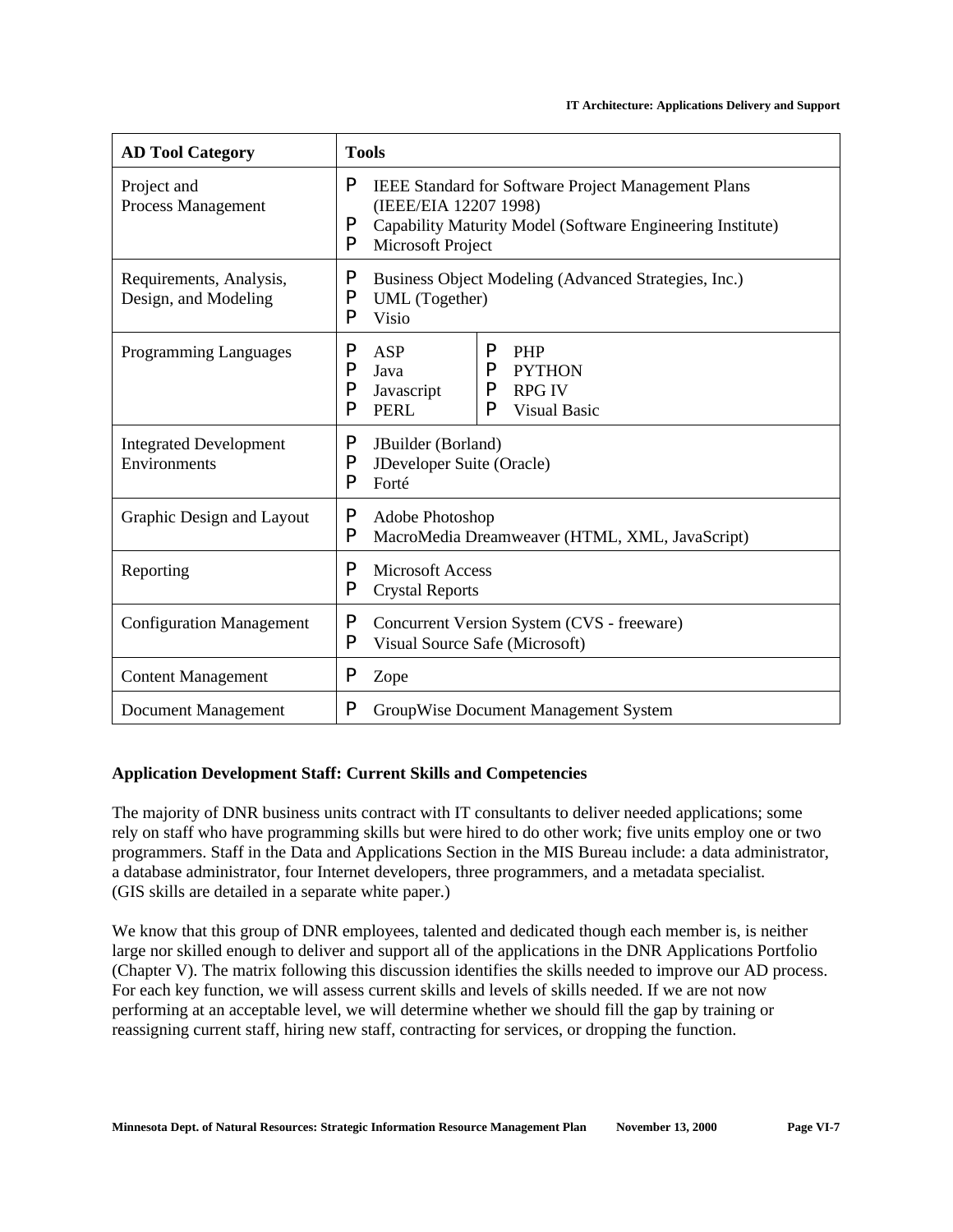| <b>AD Tool Category</b>                         | <b>Tools</b>     |                                                                              |                                                                                                                                                                 |                                                                     |  |  |  |
|-------------------------------------------------|------------------|------------------------------------------------------------------------------|-----------------------------------------------------------------------------------------------------------------------------------------------------------------|---------------------------------------------------------------------|--|--|--|
| Project and<br>Process Management               | P<br>P<br>P      |                                                                              | IEEE Standard for Software Project Management Plans<br>(IEEE/EIA 12207 1998)<br>Capability Maturity Model (Software Engineering Institute)<br>Microsoft Project |                                                                     |  |  |  |
| Requirements, Analysis,<br>Design, and Modeling | P<br>P<br>P      | <b>Visio</b>                                                                 | Business Object Modeling (Advanced Strategies, Inc.)<br>UML (Together)                                                                                          |                                                                     |  |  |  |
| <b>Programming Languages</b>                    | P<br>P<br>P<br>P | ASP<br>Java<br>Javascript<br><b>PERL</b>                                     | P<br>P<br>P<br>P                                                                                                                                                | <b>PHP</b><br><b>PYTHON</b><br><b>RPG IV</b><br><b>Visual Basic</b> |  |  |  |
| <b>Integrated Development</b><br>Environments   | P<br>P<br>P      | JBuilder (Borland)<br>JDeveloper Suite (Oracle)<br>Forté                     |                                                                                                                                                                 |                                                                     |  |  |  |
| Graphic Design and Layout                       | P<br>P           | Adobe Photoshop                                                              |                                                                                                                                                                 | MacroMedia Dreamweaver (HTML, XML, JavaScript)                      |  |  |  |
| Reporting                                       | P<br>P           | <b>Microsoft Access</b><br><b>Crystal Reports</b>                            |                                                                                                                                                                 |                                                                     |  |  |  |
| <b>Configuration Management</b>                 | P<br>P           | Concurrent Version System (CVS - freeware)<br>Visual Source Safe (Microsoft) |                                                                                                                                                                 |                                                                     |  |  |  |
| <b>Content Management</b>                       | P                | Zope                                                                         |                                                                                                                                                                 |                                                                     |  |  |  |
| Document Management                             | P                |                                                                              |                                                                                                                                                                 | GroupWise Document Management System                                |  |  |  |

### **Application Development Staff: Current Skills and Competencies**

The majority of DNR business units contract with IT consultants to deliver needed applications; some rely on staff who have programming skills but were hired to do other work; five units employ one or two programmers. Staff in the Data and Applications Section in the MIS Bureau include: a data administrator, a database administrator, four Internet developers, three programmers, and a metadata specialist. (GIS skills are detailed in a separate white paper.)

We know that this group of DNR employees, talented and dedicated though each member is, is neither large nor skilled enough to deliver and support all of the applications in the DNR Applications Portfolio (Chapter V). The matrix following this discussion identifies the skills needed to improve our AD process. For each key function, we will assess current skills and levels of skills needed. If we are not now performing at an acceptable level, we will determine whether we should fill the gap by training or reassigning current staff, hiring new staff, contracting for services, or dropping the function.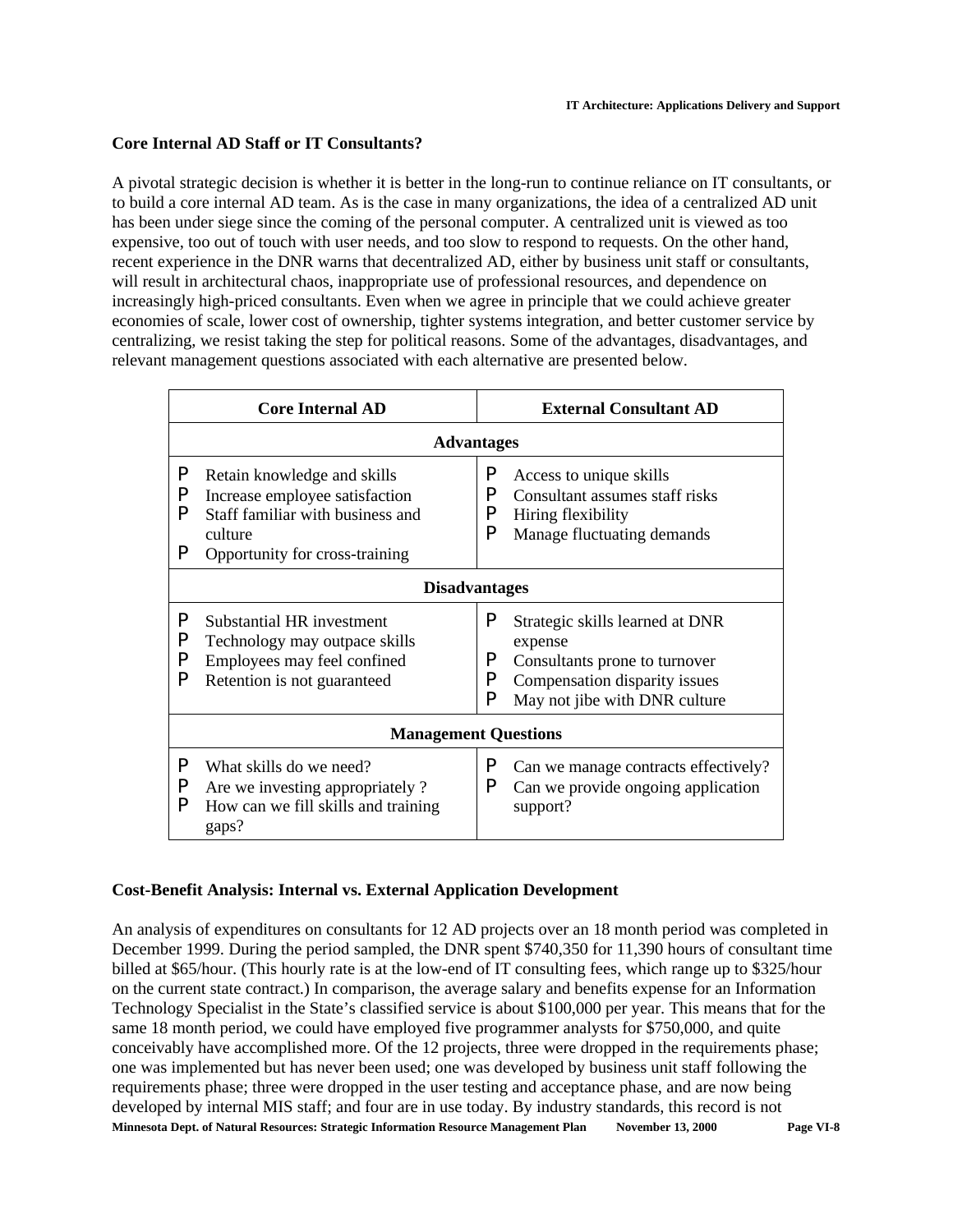## **Core Internal AD Staff or IT Consultants?**

A pivotal strategic decision is whether it is better in the long-run to continue reliance on IT consultants, or to build a core internal AD team. As is the case in many organizations, the idea of a centralized AD unit has been under siege since the coming of the personal computer. A centralized unit is viewed as too expensive, too out of touch with user needs, and too slow to respond to requests. On the other hand, recent experience in the DNR warns that decentralized AD, either by business unit staff or consultants, will result in architectural chaos, inappropriate use of professional resources, and dependence on increasingly high-priced consultants. Even when we agree in principle that we could achieve greater economies of scale, lower cost of ownership, tighter systems integration, and better customer service by centralizing, we resist taking the step for political reasons. Some of the advantages, disadvantages, and relevant management questions associated with each alternative are presented below.

|                  | <b>Core Internal AD</b>                                                                                                                        |                  | <b>External Consultant AD</b>                                                                                                                 |  |  |  |  |
|------------------|------------------------------------------------------------------------------------------------------------------------------------------------|------------------|-----------------------------------------------------------------------------------------------------------------------------------------------|--|--|--|--|
|                  | <b>Advantages</b>                                                                                                                              |                  |                                                                                                                                               |  |  |  |  |
| P<br>P<br>P<br>P | Retain knowledge and skills<br>Increase employee satisfaction<br>Staff familiar with business and<br>culture<br>Opportunity for cross-training | P<br>P<br>P<br>P | Access to unique skills<br>Consultant assumes staff risks<br>Hiring flexibility<br>Manage fluctuating demands                                 |  |  |  |  |
|                  | <b>Disadvantages</b>                                                                                                                           |                  |                                                                                                                                               |  |  |  |  |
| P<br>P<br>P<br>P | Substantial HR investment<br>Technology may outpace skills<br>Employees may feel confined<br>Retention is not guaranteed                       | P<br>P<br>P<br>P | Strategic skills learned at DNR<br>expense<br>Consultants prone to turnover<br>Compensation disparity issues<br>May not jibe with DNR culture |  |  |  |  |
|                  | <b>Management Questions</b>                                                                                                                    |                  |                                                                                                                                               |  |  |  |  |
| P<br>P<br>P      | What skills do we need?<br>Are we investing appropriately?<br>How can we fill skills and training<br>gaps?                                     | P<br>P           | Can we manage contracts effectively?<br>Can we provide ongoing application<br>support?                                                        |  |  |  |  |

## **Cost-Benefit Analysis: Internal vs. External Application Development**

**Minnesota Dept. of Natural Resources: Strategic Information Resource Management Plan November 13, 2000 Page VI-8** An analysis of expenditures on consultants for 12 AD projects over an 18 month period was completed in December 1999. During the period sampled, the DNR spent \$740,350 for 11,390 hours of consultant time billed at \$65/hour. (This hourly rate is at the low-end of IT consulting fees, which range up to \$325/hour on the current state contract.) In comparison, the average salary and benefits expense for an Information Technology Specialist in the State's classified service is about \$100,000 per year. This means that for the same 18 month period, we could have employed five programmer analysts for \$750,000, and quite conceivably have accomplished more. Of the 12 projects, three were dropped in the requirements phase; one was implemented but has never been used; one was developed by business unit staff following the requirements phase; three were dropped in the user testing and acceptance phase, and are now being developed by internal MIS staff; and four are in use today. By industry standards, this record is not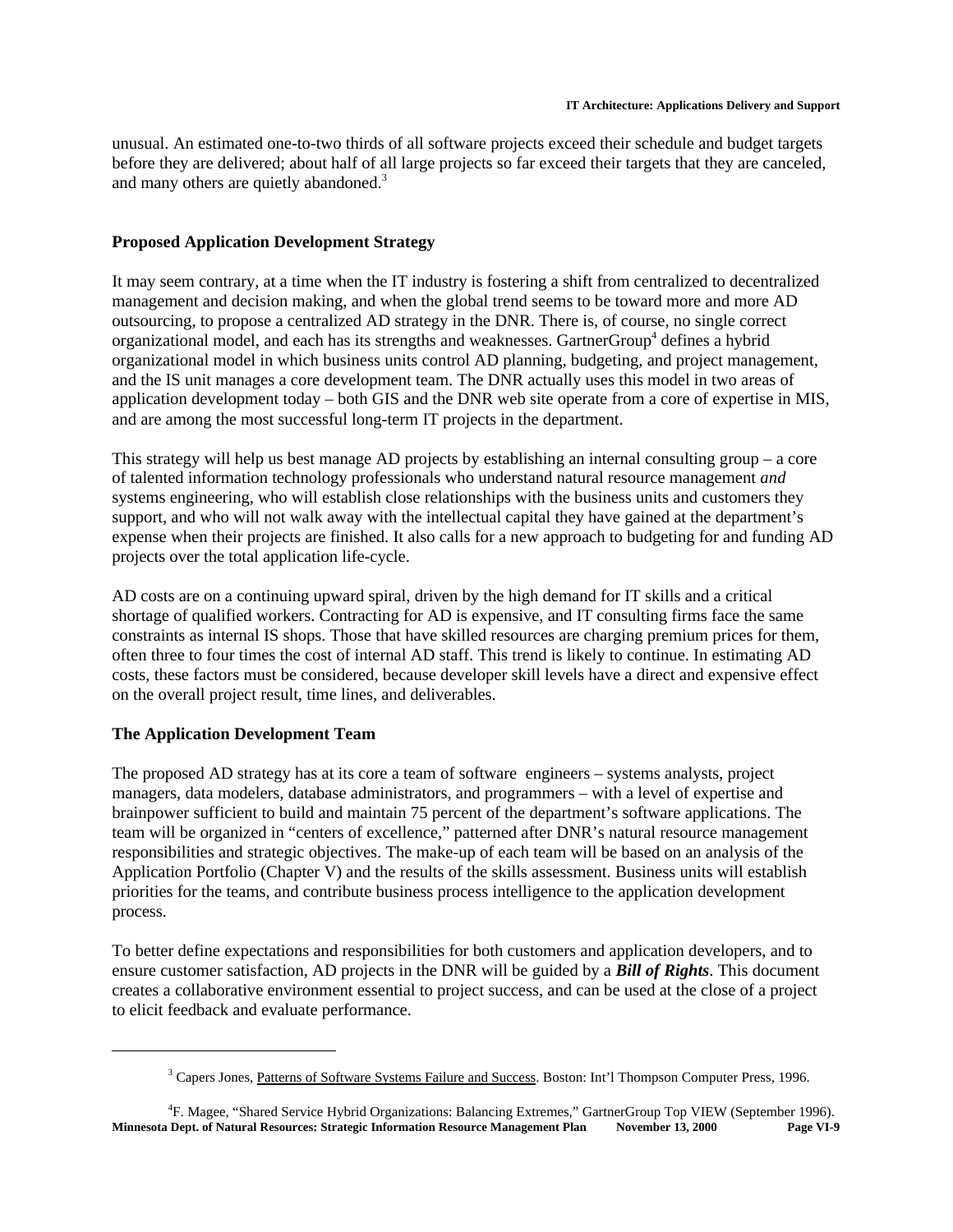unusual. An estimated one-to-two thirds of all software projects exceed their schedule and budget targets before they are delivered; about half of all large projects so far exceed their targets that they are canceled, and many others are quietly abandoned.<sup>3</sup>

## **Proposed Application Development Strategy**

It may seem contrary, at a time when the IT industry is fostering a shift from centralized to decentralized management and decision making, and when the global trend seems to be toward more and more AD outsourcing, to propose a centralized AD strategy in the DNR. There is, of course, no single correct organizational model, and each has its strengths and weaknesses. GartnerGroup<sup>4</sup> defines a hybrid organizational model in which business units control AD planning, budgeting, and project management, and the IS unit manages a core development team. The DNR actually uses this model in two areas of application development today – both GIS and the DNR web site operate from a core of expertise in MIS, and are among the most successful long-term IT projects in the department.

This strategy will help us best manage AD projects by establishing an internal consulting group – a core of talented information technology professionals who understand natural resource management *and* systems engineering, who will establish close relationships with the business units and customers they support, and who will not walk away with the intellectual capital they have gained at the department's expense when their projects are finished. It also calls for a new approach to budgeting for and funding AD projects over the total application life-cycle.

AD costs are on a continuing upward spiral, driven by the high demand for IT skills and a critical shortage of qualified workers. Contracting for AD is expensive, and IT consulting firms face the same constraints as internal IS shops. Those that have skilled resources are charging premium prices for them, often three to four times the cost of internal AD staff. This trend is likely to continue. In estimating AD costs, these factors must be considered, because developer skill levels have a direct and expensive effect on the overall project result, time lines, and deliverables.

### **The Application Development Team**

The proposed AD strategy has at its core a team of software engineers – systems analysts, project managers, data modelers, database administrators, and programmers – with a level of expertise and brainpower sufficient to build and maintain 75 percent of the department's software applications. The team will be organized in "centers of excellence," patterned after DNR's natural resource management responsibilities and strategic objectives. The make-up of each team will be based on an analysis of the Application Portfolio (Chapter V) and the results of the skills assessment. Business units will establish priorities for the teams, and contribute business process intelligence to the application development process.

To better define expectations and responsibilities for both customers and application developers, and to ensure customer satisfaction, AD projects in the DNR will be guided by a *Bill of Rights*. This document creates a collaborative environment essential to project success, and can be used at the close of a project to elicit feedback and evaluate performance.

<sup>&</sup>lt;sup>3</sup> Capers Jones, Patterns of Software Systems Failure and Success. Boston: Int'l Thompson Computer Press, 1996.

<sup>4</sup> F. Magee, "Shared Service Hybrid Organizations: Balancing Extremes," GartnerGroup Top VIEW (September 1996). **Minnesota Dept. of Natural Resources: Strategic Information Resource Management Plan November 13, 2000 Page VI-9**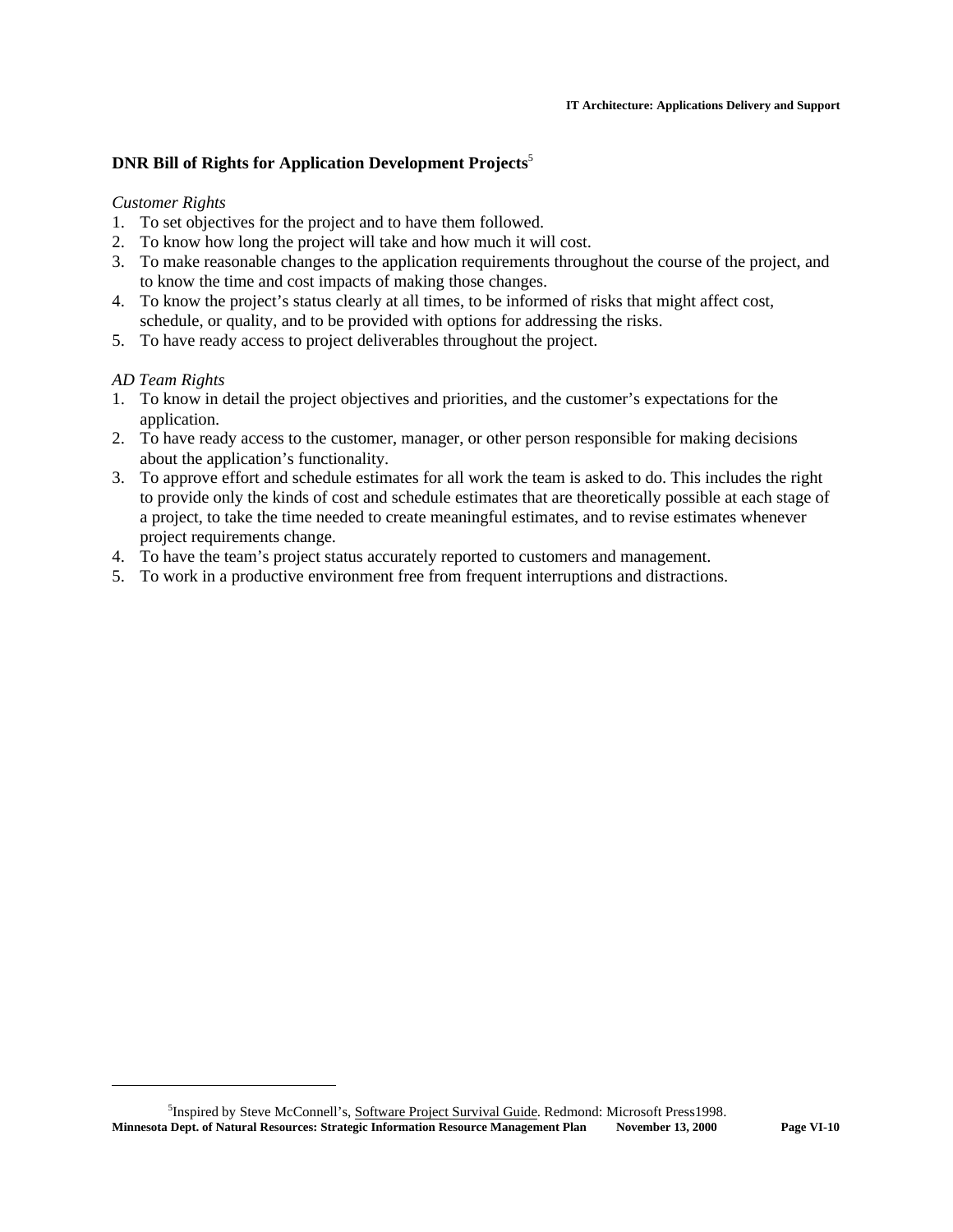## **DNR Bill of Rights for Application Development Projects**<sup>5</sup>

## *Customer Rights*

- 1. To set objectives for the project and to have them followed.
- 2. To know how long the project will take and how much it will cost.
- 3. To make reasonable changes to the application requirements throughout the course of the project, and to know the time and cost impacts of making those changes.
- 4. To know the project's status clearly at all times, to be informed of risks that might affect cost, schedule, or quality, and to be provided with options for addressing the risks.
- 5. To have ready access to project deliverables throughout the project.

## *AD Team Rights*

- 1. To know in detail the project objectives and priorities, and the customer's expectations for the application.
- 2. To have ready access to the customer, manager, or other person responsible for making decisions about the application's functionality.
- 3. To approve effort and schedule estimates for all work the team is asked to do. This includes the right to provide only the kinds of cost and schedule estimates that are theoretically possible at each stage of a project, to take the time needed to create meaningful estimates, and to revise estimates whenever project requirements change.
- 4. To have the team's project status accurately reported to customers and management.
- 5. To work in a productive environment free from frequent interruptions and distractions.

<sup>&</sup>lt;sup>5</sup>Inspired by Steve McConnell's, Software Project Survival Guide. Redmond: Microsoft Press1998. **Minnesota Dept. of Natural Resources: Strategic Information Resource Management Plan November 13, 2000 Page VI-10**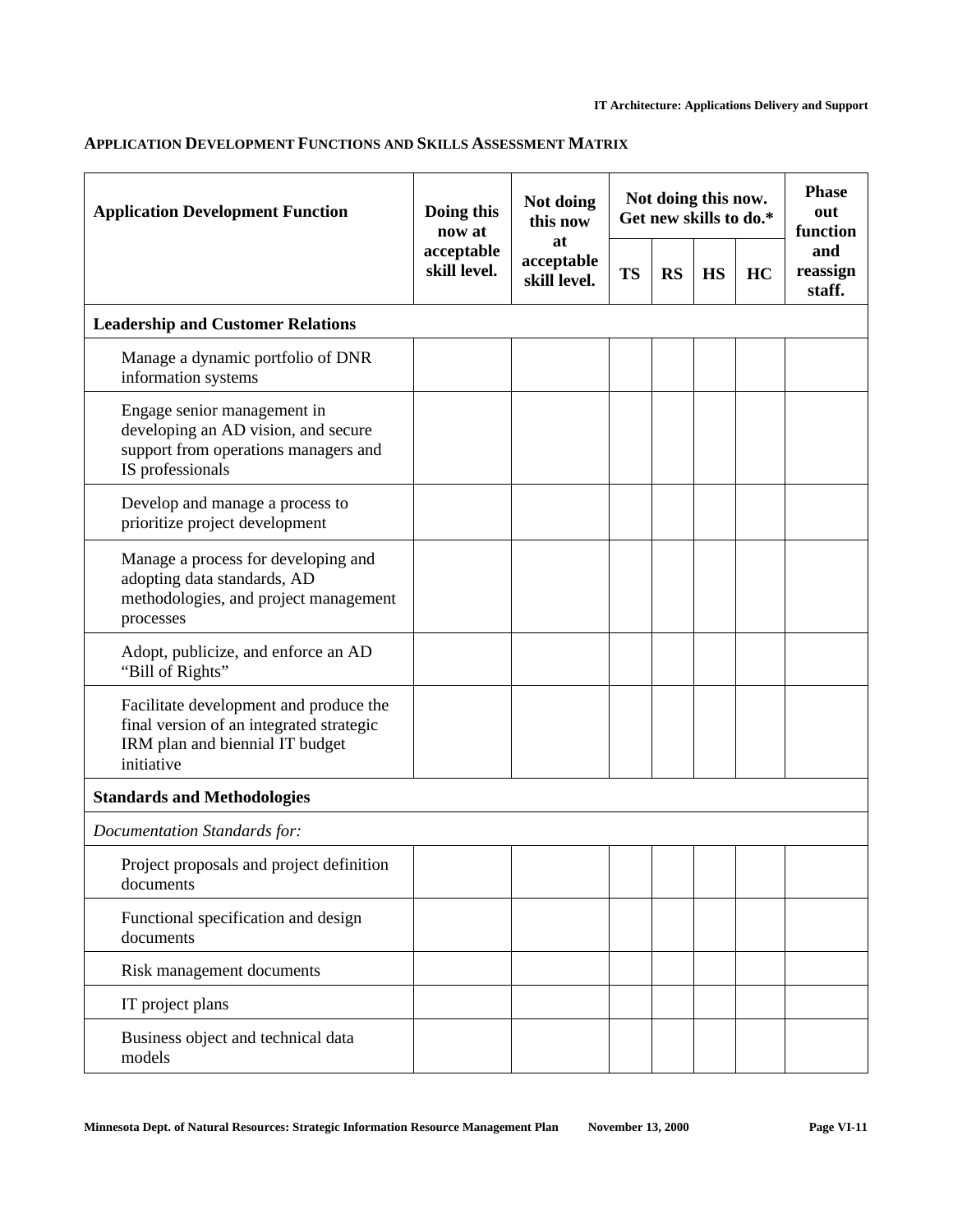## **APPLICATION DEVELOPMENT FUNCTIONS AND SKILLS ASSESSMENT MATRIX**

| <b>Application Development Function</b>                                                                                             | Doing this<br>now at       | Not doing<br>this now            | Not doing this now.<br>Get new skills to do.* |           |           |    | <b>Phase</b><br>out<br>function |
|-------------------------------------------------------------------------------------------------------------------------------------|----------------------------|----------------------------------|-----------------------------------------------|-----------|-----------|----|---------------------------------|
|                                                                                                                                     | acceptable<br>skill level. | at<br>acceptable<br>skill level. | <b>TS</b>                                     | <b>RS</b> | <b>HS</b> | HC | and<br>reassign<br>staff.       |
| <b>Leadership and Customer Relations</b>                                                                                            |                            |                                  |                                               |           |           |    |                                 |
| Manage a dynamic portfolio of DNR<br>information systems                                                                            |                            |                                  |                                               |           |           |    |                                 |
| Engage senior management in<br>developing an AD vision, and secure<br>support from operations managers and<br>IS professionals      |                            |                                  |                                               |           |           |    |                                 |
| Develop and manage a process to<br>prioritize project development                                                                   |                            |                                  |                                               |           |           |    |                                 |
| Manage a process for developing and<br>adopting data standards, AD<br>methodologies, and project management<br>processes            |                            |                                  |                                               |           |           |    |                                 |
| Adopt, publicize, and enforce an AD<br>"Bill of Rights"                                                                             |                            |                                  |                                               |           |           |    |                                 |
| Facilitate development and produce the<br>final version of an integrated strategic<br>IRM plan and biennial IT budget<br>initiative |                            |                                  |                                               |           |           |    |                                 |
| <b>Standards and Methodologies</b>                                                                                                  |                            |                                  |                                               |           |           |    |                                 |
| <b>Documentation Standards for:</b>                                                                                                 |                            |                                  |                                               |           |           |    |                                 |
| Project proposals and project definition<br>documents                                                                               |                            |                                  |                                               |           |           |    |                                 |
| Functional specification and design<br>documents                                                                                    |                            |                                  |                                               |           |           |    |                                 |
| Risk management documents                                                                                                           |                            |                                  |                                               |           |           |    |                                 |
| IT project plans                                                                                                                    |                            |                                  |                                               |           |           |    |                                 |
| Business object and technical data<br>models                                                                                        |                            |                                  |                                               |           |           |    |                                 |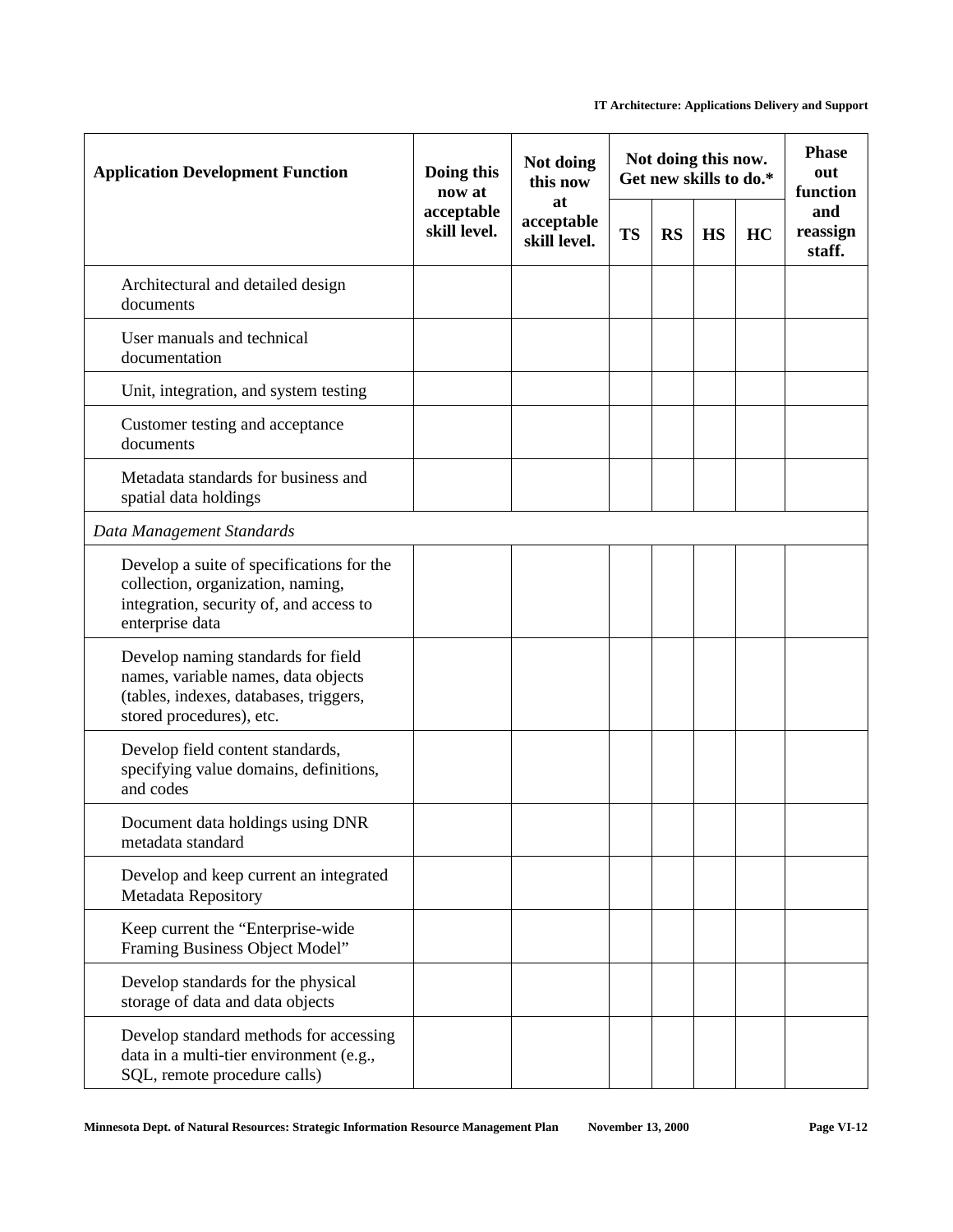| <b>Application Development Function</b>                                                                                                         | Doing this<br>now at                                           | Not doing<br>this now | Not doing this now.<br>Get new skills to do.* |           |           |    | <b>Phase</b><br>out<br>function |
|-------------------------------------------------------------------------------------------------------------------------------------------------|----------------------------------------------------------------|-----------------------|-----------------------------------------------|-----------|-----------|----|---------------------------------|
|                                                                                                                                                 | at<br>acceptable<br>acceptable<br>skill level.<br>skill level. |                       | <b>TS</b>                                     | <b>RS</b> | <b>HS</b> | HC | and<br>reassign<br>staff.       |
| Architectural and detailed design<br>documents                                                                                                  |                                                                |                       |                                               |           |           |    |                                 |
| User manuals and technical<br>documentation                                                                                                     |                                                                |                       |                                               |           |           |    |                                 |
| Unit, integration, and system testing                                                                                                           |                                                                |                       |                                               |           |           |    |                                 |
| Customer testing and acceptance<br>documents                                                                                                    |                                                                |                       |                                               |           |           |    |                                 |
| Metadata standards for business and<br>spatial data holdings                                                                                    |                                                                |                       |                                               |           |           |    |                                 |
| Data Management Standards                                                                                                                       |                                                                |                       |                                               |           |           |    |                                 |
| Develop a suite of specifications for the<br>collection, organization, naming,<br>integration, security of, and access to<br>enterprise data    |                                                                |                       |                                               |           |           |    |                                 |
| Develop naming standards for field<br>names, variable names, data objects<br>(tables, indexes, databases, triggers,<br>stored procedures), etc. |                                                                |                       |                                               |           |           |    |                                 |
| Develop field content standards,<br>specifying value domains, definitions,<br>and codes                                                         |                                                                |                       |                                               |           |           |    |                                 |
| Document data holdings using DNR<br>metadata standard                                                                                           |                                                                |                       |                                               |           |           |    |                                 |
| Develop and keep current an integrated<br>Metadata Repository                                                                                   |                                                                |                       |                                               |           |           |    |                                 |
| Keep current the "Enterprise-wide<br>Framing Business Object Model"                                                                             |                                                                |                       |                                               |           |           |    |                                 |
| Develop standards for the physical<br>storage of data and data objects                                                                          |                                                                |                       |                                               |           |           |    |                                 |
| Develop standard methods for accessing<br>data in a multi-tier environment (e.g.,<br>SQL, remote procedure calls)                               |                                                                |                       |                                               |           |           |    |                                 |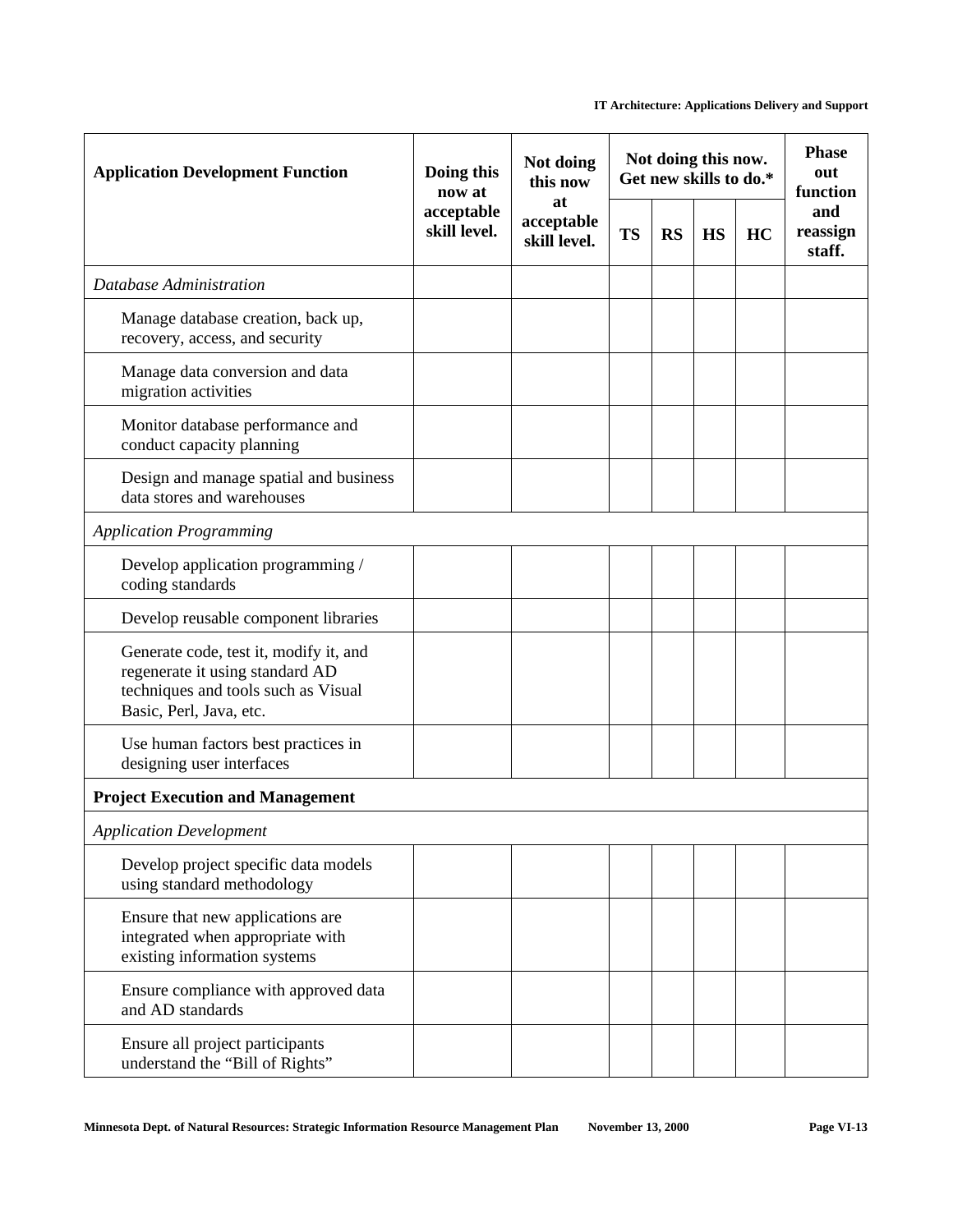| <b>Application Development Function</b>                                                                                                     | Not doing<br>Doing this<br>now at                              |           | Not doing this now.<br>Get new skills to do.* |           |    |                           | <b>Phase</b><br>out<br>function |
|---------------------------------------------------------------------------------------------------------------------------------------------|----------------------------------------------------------------|-----------|-----------------------------------------------|-----------|----|---------------------------|---------------------------------|
|                                                                                                                                             | at<br>acceptable<br>acceptable<br>skill level.<br>skill level. | <b>TS</b> | <b>RS</b>                                     | <b>HS</b> | HC | and<br>reassign<br>staff. |                                 |
| Database Administration                                                                                                                     |                                                                |           |                                               |           |    |                           |                                 |
| Manage database creation, back up,<br>recovery, access, and security                                                                        |                                                                |           |                                               |           |    |                           |                                 |
| Manage data conversion and data<br>migration activities                                                                                     |                                                                |           |                                               |           |    |                           |                                 |
| Monitor database performance and<br>conduct capacity planning                                                                               |                                                                |           |                                               |           |    |                           |                                 |
| Design and manage spatial and business<br>data stores and warehouses                                                                        |                                                                |           |                                               |           |    |                           |                                 |
| <b>Application Programming</b>                                                                                                              |                                                                |           |                                               |           |    |                           |                                 |
| Develop application programming /<br>coding standards                                                                                       |                                                                |           |                                               |           |    |                           |                                 |
| Develop reusable component libraries                                                                                                        |                                                                |           |                                               |           |    |                           |                                 |
| Generate code, test it, modify it, and<br>regenerate it using standard AD<br>techniques and tools such as Visual<br>Basic, Perl, Java, etc. |                                                                |           |                                               |           |    |                           |                                 |
| Use human factors best practices in<br>designing user interfaces                                                                            |                                                                |           |                                               |           |    |                           |                                 |
| <b>Project Execution and Management</b>                                                                                                     |                                                                |           |                                               |           |    |                           |                                 |
| <b>Application Development</b>                                                                                                              |                                                                |           |                                               |           |    |                           |                                 |
| Develop project specific data models<br>using standard methodology                                                                          |                                                                |           |                                               |           |    |                           |                                 |
| Ensure that new applications are<br>integrated when appropriate with<br>existing information systems                                        |                                                                |           |                                               |           |    |                           |                                 |
| Ensure compliance with approved data<br>and AD standards                                                                                    |                                                                |           |                                               |           |    |                           |                                 |
| Ensure all project participants<br>understand the "Bill of Rights"                                                                          |                                                                |           |                                               |           |    |                           |                                 |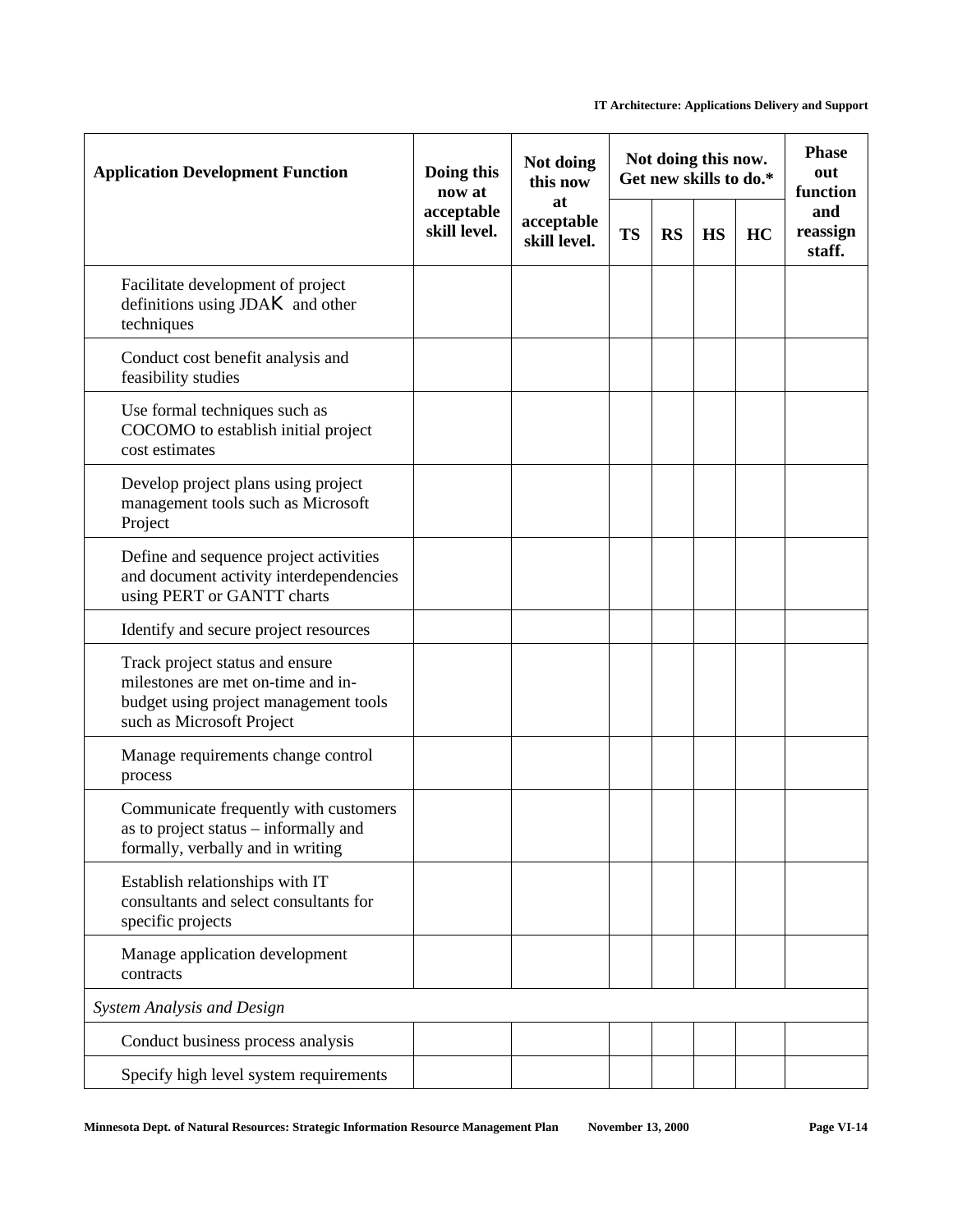| <b>Application Development Function</b>                                                                                                     | Doing this<br>now at       | Not doing<br>this now            | Not doing this now.<br>Get new skills to do.* |           |           |    | <b>Phase</b><br>out<br>function |
|---------------------------------------------------------------------------------------------------------------------------------------------|----------------------------|----------------------------------|-----------------------------------------------|-----------|-----------|----|---------------------------------|
|                                                                                                                                             | acceptable<br>skill level. | at<br>acceptable<br>skill level. | <b>TS</b>                                     | <b>RS</b> | <b>HS</b> | HC | and<br>reassign<br>staff.       |
| Facilitate development of project<br>definitions using $JDAK$ and other<br>techniques                                                       |                            |                                  |                                               |           |           |    |                                 |
| Conduct cost benefit analysis and<br>feasibility studies                                                                                    |                            |                                  |                                               |           |           |    |                                 |
| Use formal techniques such as<br>COCOMO to establish initial project<br>cost estimates                                                      |                            |                                  |                                               |           |           |    |                                 |
| Develop project plans using project<br>management tools such as Microsoft<br>Project                                                        |                            |                                  |                                               |           |           |    |                                 |
| Define and sequence project activities<br>and document activity interdependencies<br>using PERT or GANTT charts                             |                            |                                  |                                               |           |           |    |                                 |
| Identify and secure project resources                                                                                                       |                            |                                  |                                               |           |           |    |                                 |
| Track project status and ensure<br>milestones are met on-time and in-<br>budget using project management tools<br>such as Microsoft Project |                            |                                  |                                               |           |           |    |                                 |
| Manage requirements change control<br>process                                                                                               |                            |                                  |                                               |           |           |    |                                 |
| Communicate frequently with customers<br>as to project status – informally and<br>formally, verbally and in writing                         |                            |                                  |                                               |           |           |    |                                 |
| Establish relationships with IT<br>consultants and select consultants for<br>specific projects                                              |                            |                                  |                                               |           |           |    |                                 |
| Manage application development<br>contracts                                                                                                 |                            |                                  |                                               |           |           |    |                                 |
| System Analysis and Design                                                                                                                  |                            |                                  |                                               |           |           |    |                                 |
| Conduct business process analysis                                                                                                           |                            |                                  |                                               |           |           |    |                                 |
| Specify high level system requirements                                                                                                      |                            |                                  |                                               |           |           |    |                                 |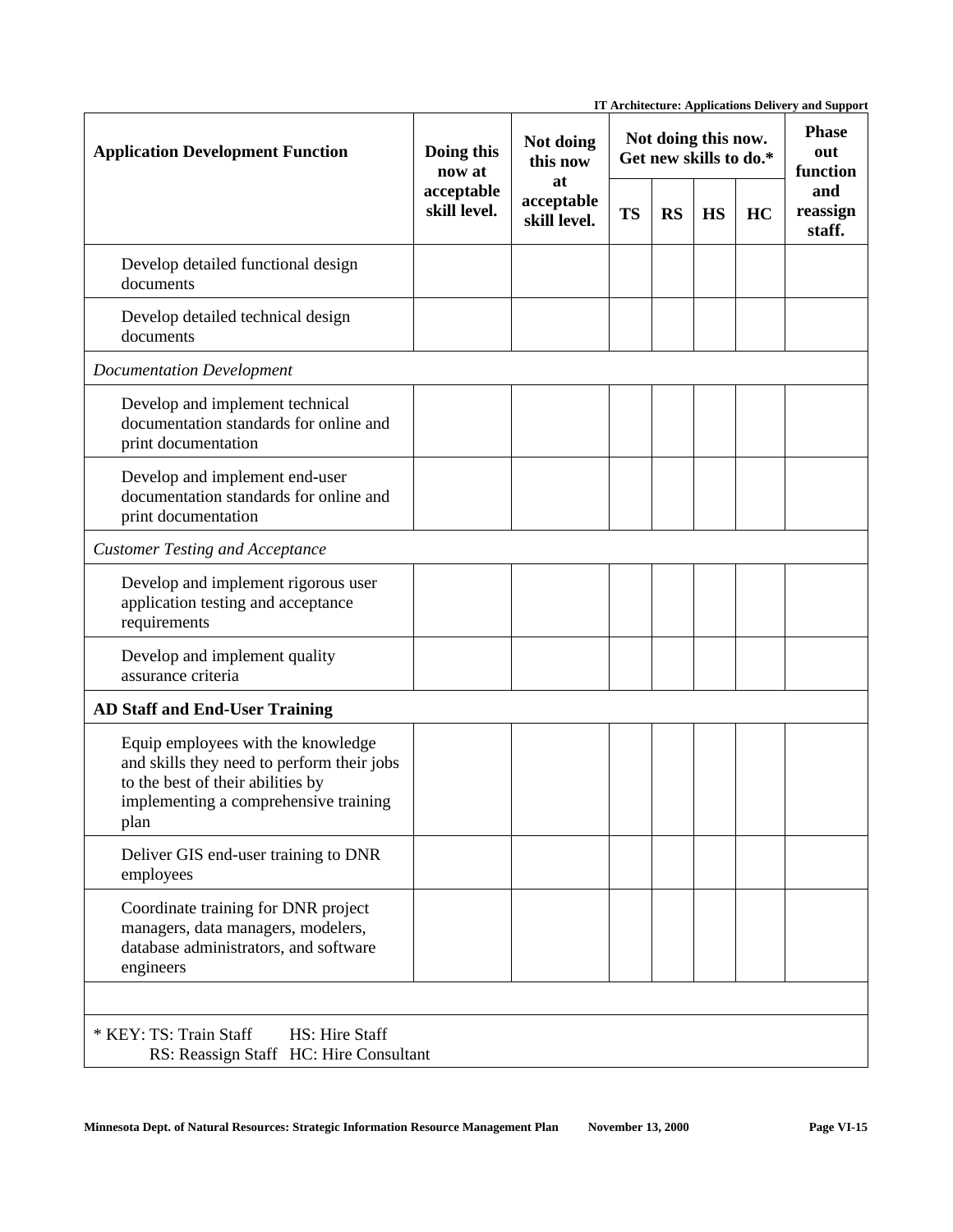|                                                                                                                                                                        |                                                    |                                  |                                               |           |           |    | IT Architecture: Applications Delivery and Support |
|------------------------------------------------------------------------------------------------------------------------------------------------------------------------|----------------------------------------------------|----------------------------------|-----------------------------------------------|-----------|-----------|----|----------------------------------------------------|
| <b>Application Development Function</b>                                                                                                                                | Doing this<br>now at<br>acceptable<br>skill level. | Not doing<br>this now            | Not doing this now.<br>Get new skills to do.* |           |           |    | <b>Phase</b><br>out<br>function                    |
|                                                                                                                                                                        |                                                    | at<br>acceptable<br>skill level. | <b>TS</b>                                     | <b>RS</b> | <b>HS</b> | HC | and<br>reassign<br>staff.                          |
| Develop detailed functional design<br>documents                                                                                                                        |                                                    |                                  |                                               |           |           |    |                                                    |
| Develop detailed technical design<br>documents                                                                                                                         |                                                    |                                  |                                               |           |           |    |                                                    |
| <b>Documentation Development</b>                                                                                                                                       |                                                    |                                  |                                               |           |           |    |                                                    |
| Develop and implement technical<br>documentation standards for online and<br>print documentation                                                                       |                                                    |                                  |                                               |           |           |    |                                                    |
| Develop and implement end-user<br>documentation standards for online and<br>print documentation                                                                        |                                                    |                                  |                                               |           |           |    |                                                    |
| <b>Customer Testing and Acceptance</b>                                                                                                                                 |                                                    |                                  |                                               |           |           |    |                                                    |
| Develop and implement rigorous user<br>application testing and acceptance<br>requirements                                                                              |                                                    |                                  |                                               |           |           |    |                                                    |
| Develop and implement quality<br>assurance criteria                                                                                                                    |                                                    |                                  |                                               |           |           |    |                                                    |
| <b>AD Staff and End-User Training</b>                                                                                                                                  |                                                    |                                  |                                               |           |           |    |                                                    |
| Equip employees with the knowledge<br>and skills they need to perform their jobs<br>to the best of their abilities by<br>implementing a comprehensive training<br>plan |                                                    |                                  |                                               |           |           |    |                                                    |
| Deliver GIS end-user training to DNR<br>employees                                                                                                                      |                                                    |                                  |                                               |           |           |    |                                                    |
| Coordinate training for DNR project<br>managers, data managers, modelers,<br>database administrators, and software<br>engineers                                        |                                                    |                                  |                                               |           |           |    |                                                    |
|                                                                                                                                                                        |                                                    |                                  |                                               |           |           |    |                                                    |
| * KEY: TS: Train Staff<br>HS: Hire Staff<br>RS: Reassign Staff HC: Hire Consultant                                                                                     |                                                    |                                  |                                               |           |           |    |                                                    |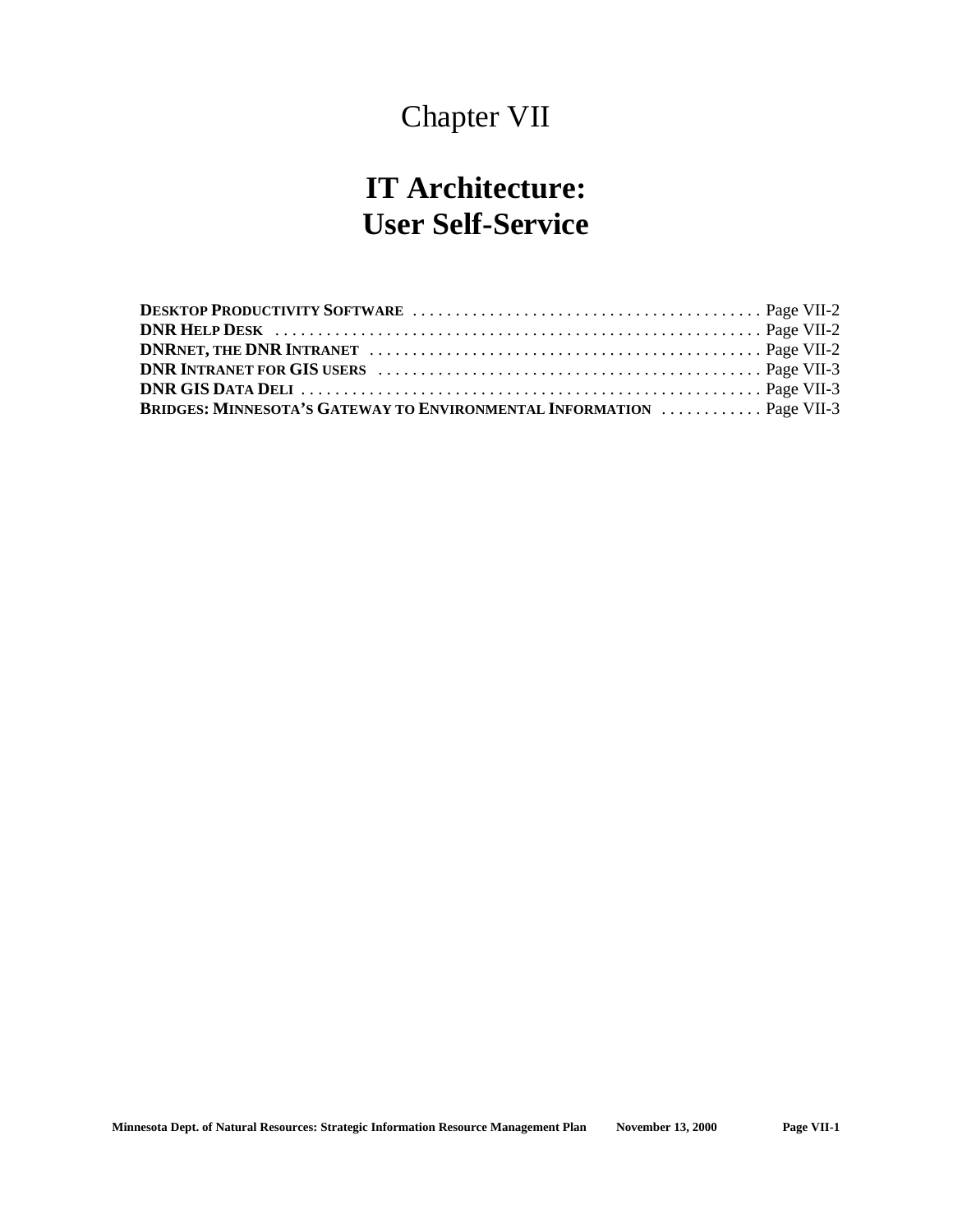## Chapter VII

## **IT Architecture: User Self-Service**

| <b>BRIDGES: MINNESOTA'S GATEWAY TO ENVIRONMENTAL INFORMATION  Page VII-3</b> |  |
|------------------------------------------------------------------------------|--|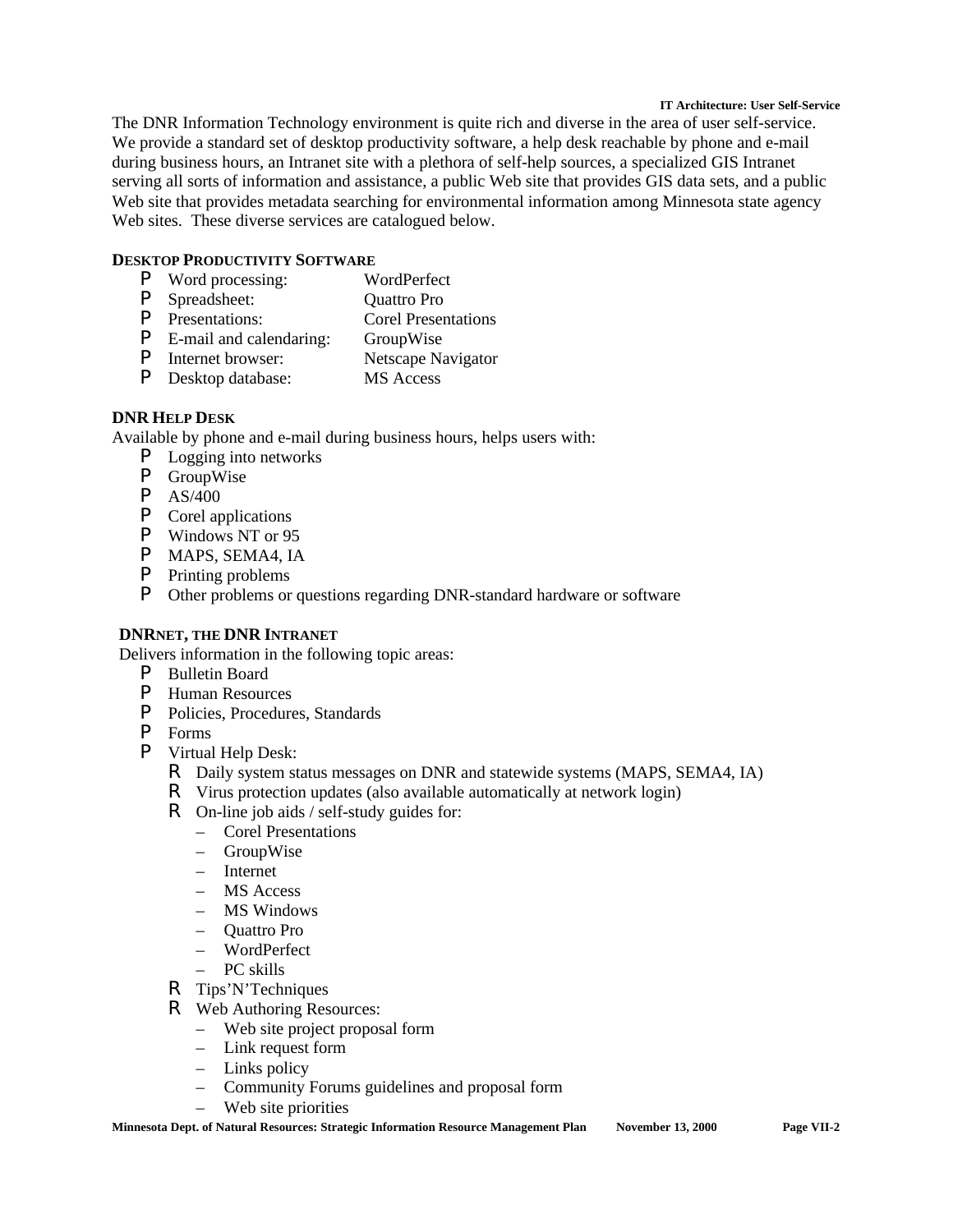#### **IT Architecture: User Self-Service**

The DNR Information Technology environment is quite rich and diverse in the area of user self-service. We provide a standard set of desktop productivity software, a help desk reachable by phone and e-mail during business hours, an Intranet site with a plethora of self-help sources, a specialized GIS Intranet serving all sorts of information and assistance, a public Web site that provides GIS data sets, and a public Web site that provides metadata searching for environmental information among Minnesota state agency Web sites. These diverse services are catalogued below.

## **DESKTOP PRODUCTIVITY SOFTWARE**

- P Word processing: WordPerfect
- P Spreadsheet: Quattro Pro
- P Presentations: Corel Presentations
- **P** E-mail and calendaring: GroupWise<br> **P** Internet browser: Netscape Na
- Netscape Navigator
- P Desktop database: MS Access

## **DNR HELP DESK**

Available by phone and e-mail during business hours, helps users with:

- P Logging into networks
- P GroupWise
- P AS/400
- P Corel applications
- P Windows NT or 95
- P MAPS, SEMA4, IA
- P Printing problems
- P Other problems or questions regarding DNR-standard hardware or software

## **DNRNET, THE DNR INTRANET**

Delivers information in the following topic areas:

- P Bulletin Board
- P Human Resources
- P Policies, Procedures, Standards
- P Forms
- P Virtual Help Desk:
	- R Daily system status messages on DNR and statewide systems (MAPS, SEMA4, IA)
	- R Virus protection updates (also available automatically at network login)
	- R On-line job aids / self-study guides for:
		- Corel Presentations
		- GroupWise
		- Internet
		- MS Access
		- MS Windows
		- Quattro Pro
		- WordPerfect
		- PC skills
	- R Tips'N'Techniques
	- R Web Authoring Resources:
		- Web site project proposal form
		- Link request form
		- Links policy
		- Community Forums guidelines and proposal form
		- Web site priorities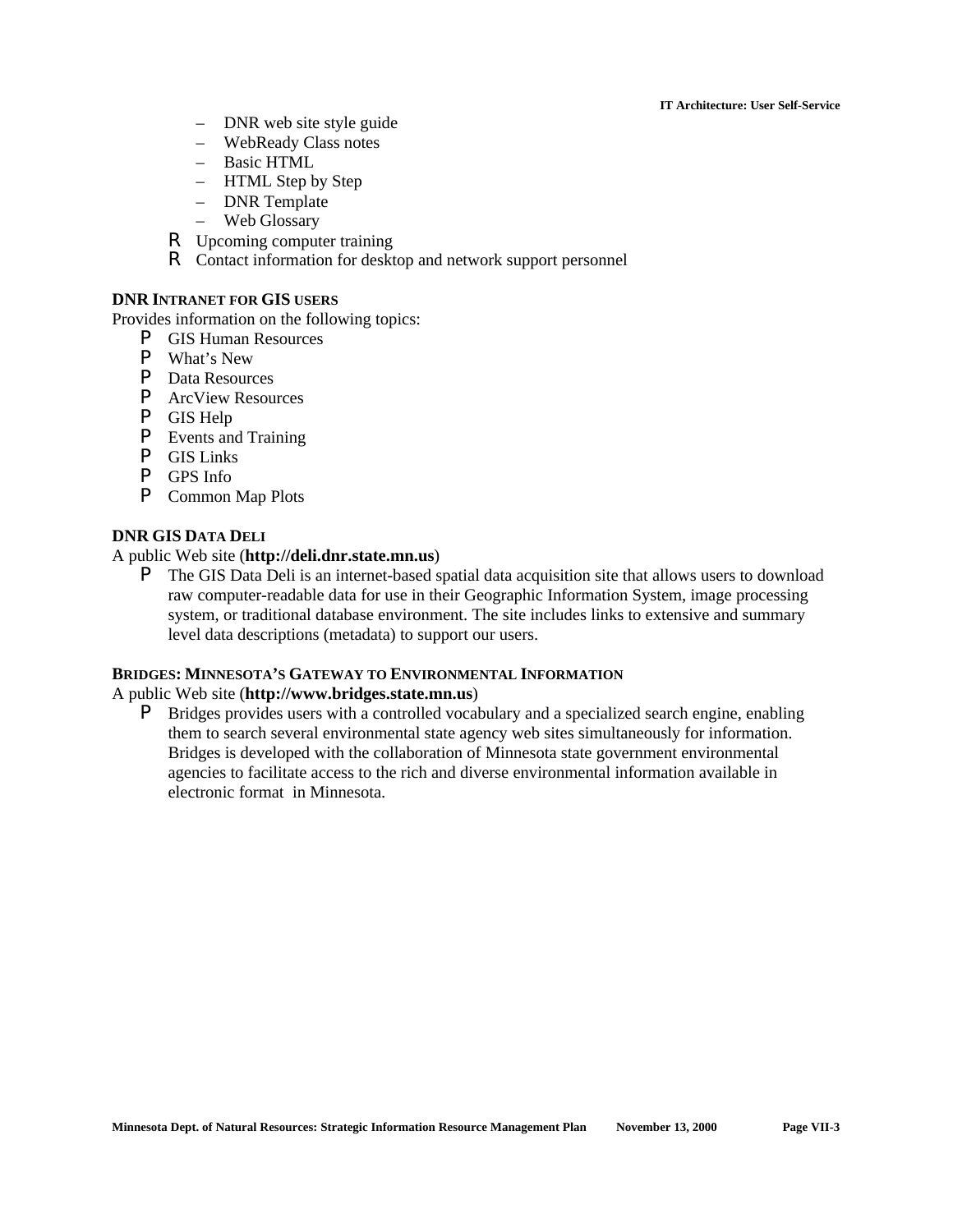#### **IT Architecture: User Self-Service**

- DNR web site style guide
- WebReady Class notes
- Basic HTML
- HTML Step by Step
- DNR Template
- Web Glossary
- R Upcoming computer training
- R Contact information for desktop and network support personnel

### **DNR INTRANET FOR GIS USERS**

Provides information on the following topics:

- P GIS Human Resources
- P What's New
- P Data Resources
- P ArcView Resources
- P GIS Help
- P Events and Training
- P GIS Links
- P GPS Info
- P Common Map Plots

## **DNR GIS DATA DELI**

## A public Web site (**http://deli.dnr.state.mn.us**)

**P** The GIS Data Deli is an internet-based spatial data acquisition site that allows users to download raw computer-readable data for use in their Geographic Information System, image processing system, or traditional database environment. The site includes links to extensive and summary level data descriptions (metadata) to support our users.

### **BRIDGES: MINNESOTA'S GATEWAY TO ENVIRONMENTAL INFORMATION**

## A public Web site (**http://www.bridges.state.mn.us**)

**P** Bridges provides users with a controlled vocabulary and a specialized search engine, enabling them to search several environmental state agency web sites simultaneously for information. Bridges is developed with the collaboration of Minnesota state government environmental agencies to facilitate access to the rich and diverse environmental information available in electronic format in Minnesota.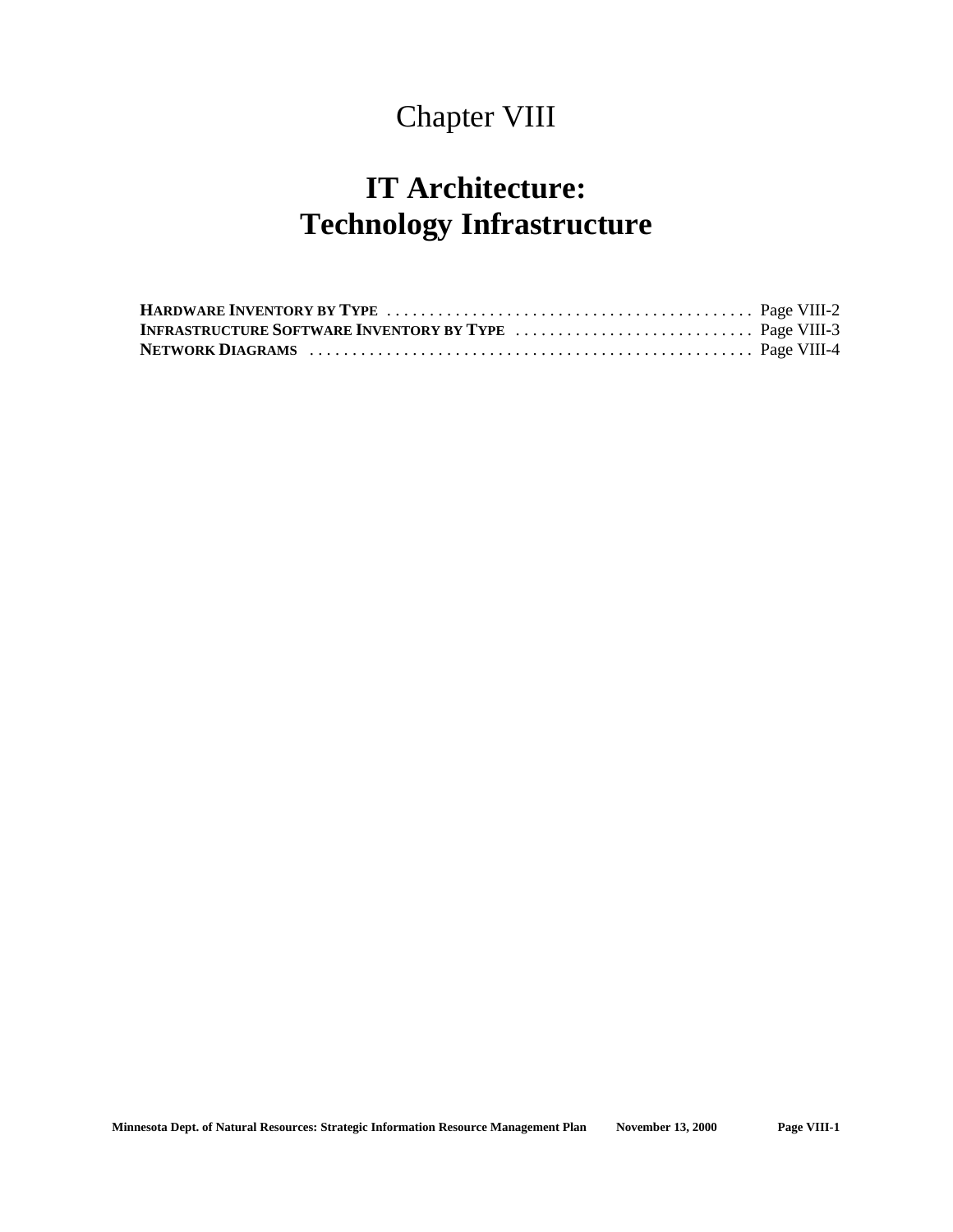## Chapter VIII

# **IT Architecture: Technology Infrastructure**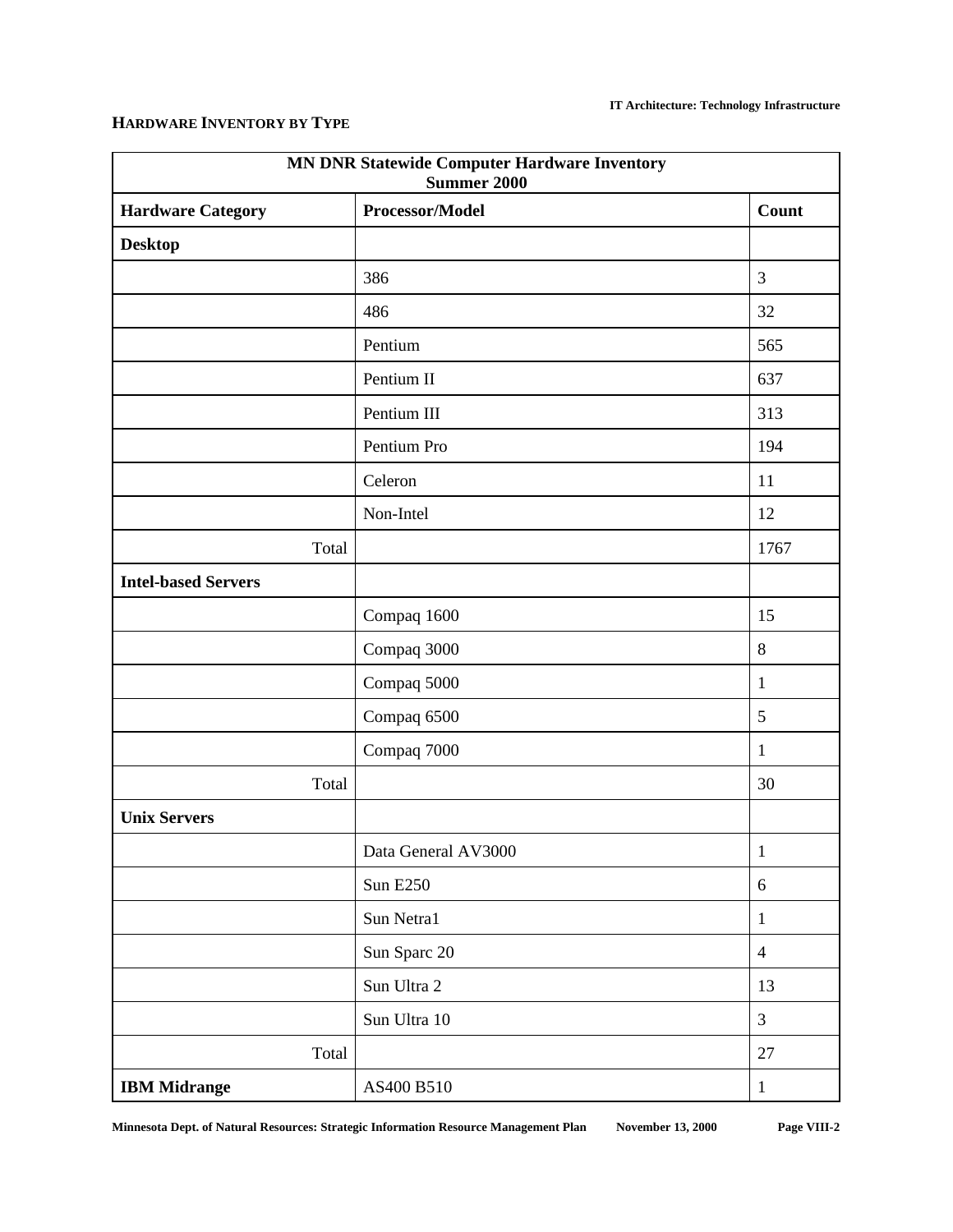## **HARDWARE INVENTORY BY TYPE**

| <b>MN DNR Statewide Computer Hardware Inventory</b><br><b>Summer 2000</b> |                     |                |  |
|---------------------------------------------------------------------------|---------------------|----------------|--|
| <b>Hardware Category</b>                                                  | Processor/Model     | <b>Count</b>   |  |
| <b>Desktop</b>                                                            |                     |                |  |
|                                                                           | 386                 | $\mathfrak{Z}$ |  |
|                                                                           | 486                 | 32             |  |
|                                                                           | Pentium             | 565            |  |
|                                                                           | Pentium II          | 637            |  |
|                                                                           | Pentium III         | 313            |  |
|                                                                           | Pentium Pro         | 194            |  |
|                                                                           | Celeron             | 11             |  |
|                                                                           | Non-Intel           | 12             |  |
| Total                                                                     |                     | 1767           |  |
| <b>Intel-based Servers</b>                                                |                     |                |  |
|                                                                           | Compaq 1600         | 15             |  |
|                                                                           | Compaq 3000         | $8\,$          |  |
|                                                                           | Compaq 5000         | $\mathbf{1}$   |  |
|                                                                           | Compaq 6500         | 5              |  |
|                                                                           | Compaq 7000         | $\mathbf{1}$   |  |
| Total                                                                     |                     | 30             |  |
| <b>Unix Servers</b>                                                       |                     |                |  |
|                                                                           | Data General AV3000 | 1              |  |
|                                                                           | <b>Sun E250</b>     | $6\,$          |  |
|                                                                           | Sun Netra1          | $\mathbf{1}$   |  |
|                                                                           | Sun Sparc 20        | $\overline{4}$ |  |
|                                                                           | Sun Ultra 2         | 13             |  |
|                                                                           | Sun Ultra 10        | $\overline{3}$ |  |
| Total                                                                     |                     | 27             |  |
| <b>IBM Midrange</b>                                                       | AS400 B510          | $\mathbf{1}$   |  |

**Minnesota Dept. of Natural Resources: Strategic Information Resource Management Plan November 13, 2000 Page VIII-2**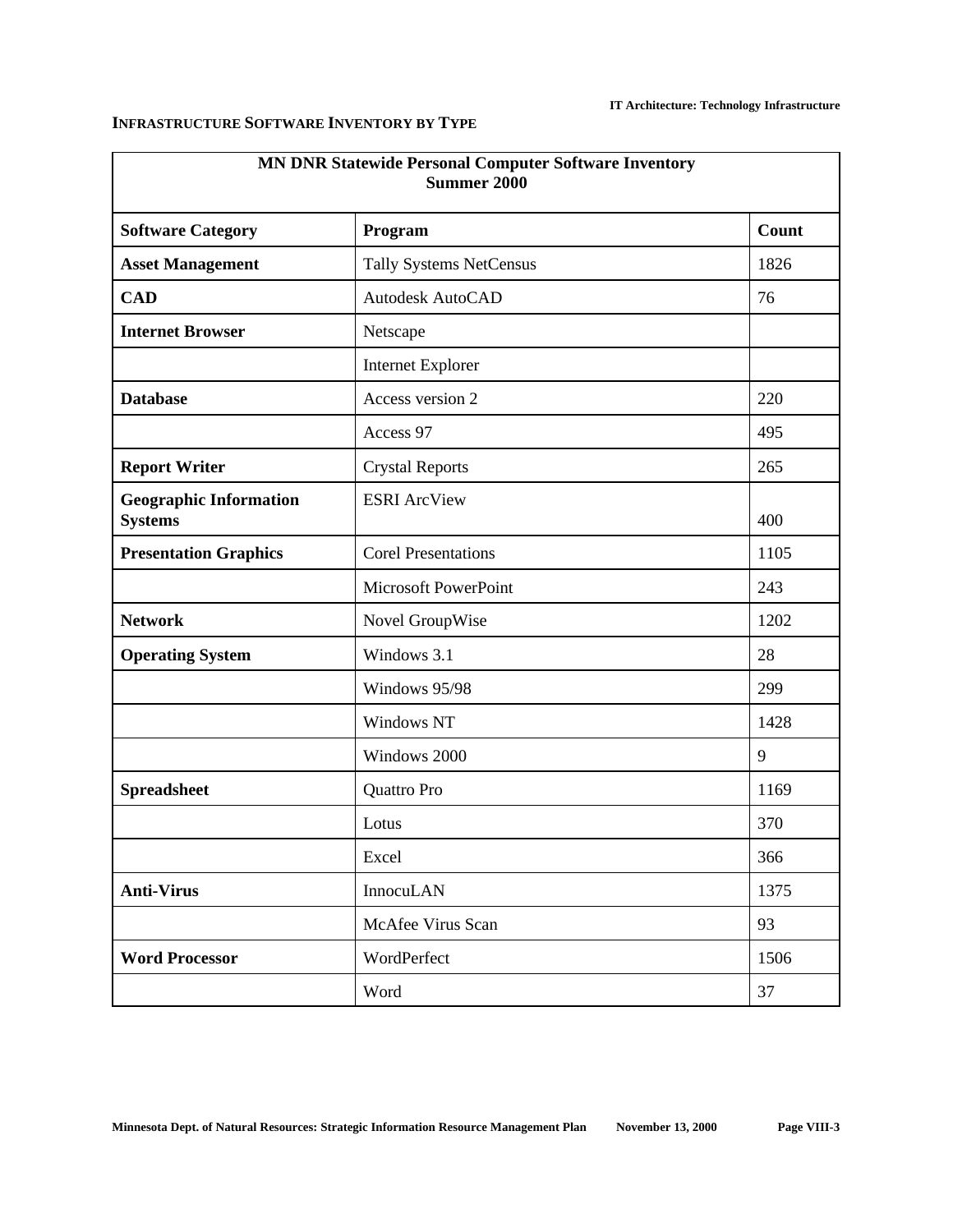## **INFRASTRUCTURE SOFTWARE INVENTORY BY TYPE**

| <b>MN DNR Statewide Personal Computer Software Inventory</b><br><b>Summer 2000</b> |                                |       |  |
|------------------------------------------------------------------------------------|--------------------------------|-------|--|
| <b>Software Category</b>                                                           | Program                        | Count |  |
| <b>Asset Management</b>                                                            | <b>Tally Systems NetCensus</b> | 1826  |  |
| <b>CAD</b>                                                                         | Autodesk AutoCAD               | 76    |  |
| <b>Internet Browser</b>                                                            | Netscape                       |       |  |
|                                                                                    | <b>Internet Explorer</b>       |       |  |
| <b>Database</b>                                                                    | Access version 2               | 220   |  |
|                                                                                    | Access 97                      | 495   |  |
| <b>Report Writer</b>                                                               | <b>Crystal Reports</b>         | 265   |  |
| <b>Geographic Information</b><br><b>Systems</b>                                    | <b>ESRI</b> ArcView            | 400   |  |
| <b>Presentation Graphics</b>                                                       | <b>Corel Presentations</b>     | 1105  |  |
|                                                                                    | Microsoft PowerPoint           | 243   |  |
| <b>Network</b>                                                                     | Novel GroupWise                | 1202  |  |
| <b>Operating System</b>                                                            | Windows 3.1                    | 28    |  |
|                                                                                    | Windows 95/98                  | 299   |  |
|                                                                                    | Windows NT                     | 1428  |  |
|                                                                                    | Windows 2000                   | 9     |  |
| <b>Spreadsheet</b>                                                                 | Quattro Pro                    | 1169  |  |
|                                                                                    | Lotus                          | 370   |  |
|                                                                                    | Excel                          | 366   |  |
| <b>Anti-Virus</b>                                                                  | InnocuLAN                      | 1375  |  |
|                                                                                    | McAfee Virus Scan              | 93    |  |
| <b>Word Processor</b>                                                              | WordPerfect                    | 1506  |  |
|                                                                                    | Word                           | 37    |  |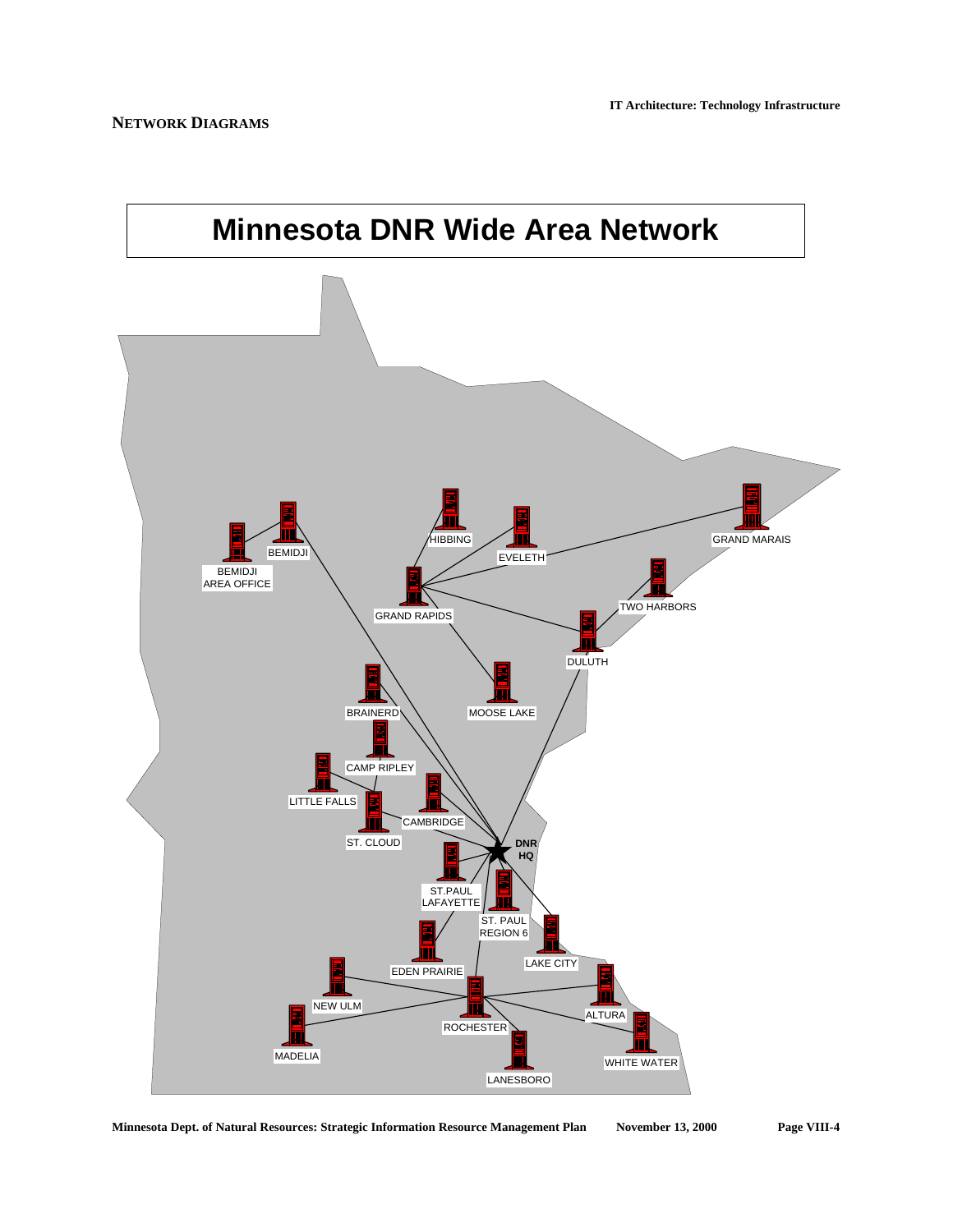

**Minnesota Dept. of Natural Resources: Strategic Information Resource Management Plan November 13, 2000 Page VIII-4**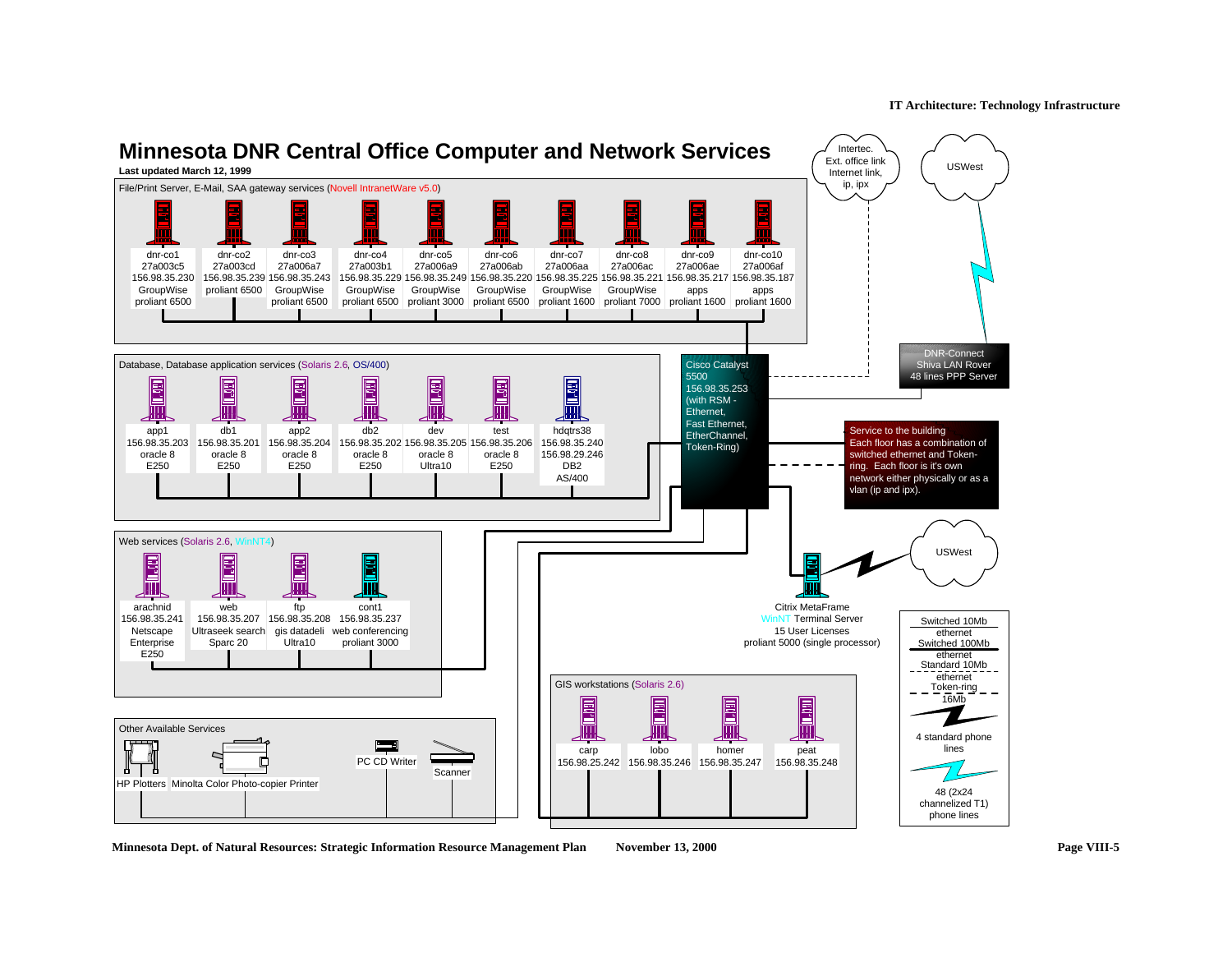

**Minnesota Dept. of Natural Resources: Strategic Information Resource Management Plan November 13, 2000 Page VIII-5**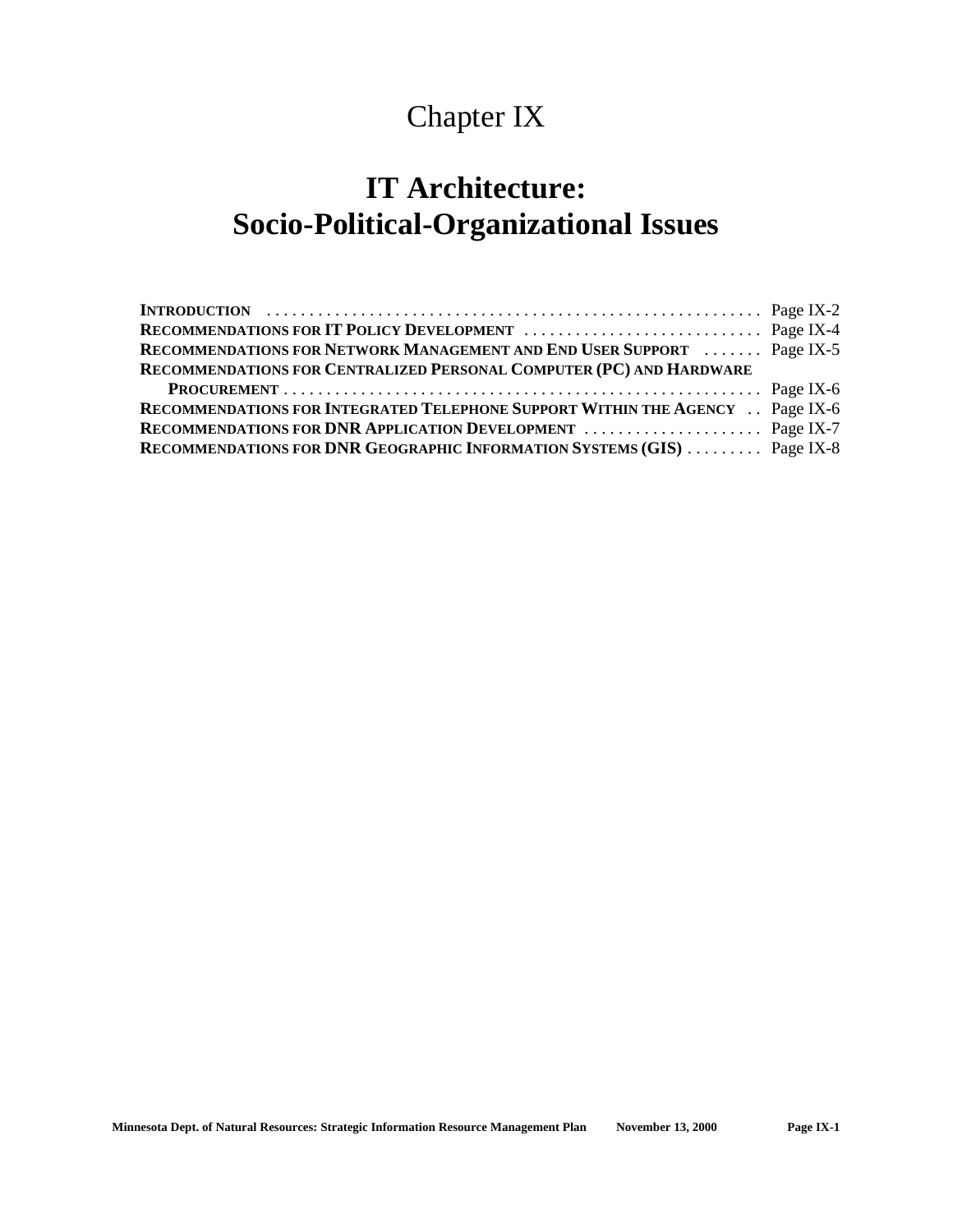## Chapter IX

## **IT Architecture: Socio-Political-Organizational Issues**

| <b>RECOMMENDATIONS FOR NETWORK MANAGEMENT AND END USER SUPPORT  Page IX-5</b> |  |
|-------------------------------------------------------------------------------|--|
| RECOMMENDATIONS FOR CENTRALIZED PERSONAL COMPUTER (PC) AND HARDWARE           |  |
|                                                                               |  |
| RECOMMENDATIONS FOR INTEGRATED TELEPHONE SUPPORT WITHIN THE AGENCY Page IX-6  |  |
|                                                                               |  |
| RECOMMENDATIONS FOR DNR GEOGRAPHIC INFORMATION SYSTEMS (GIS)  Page IX-8       |  |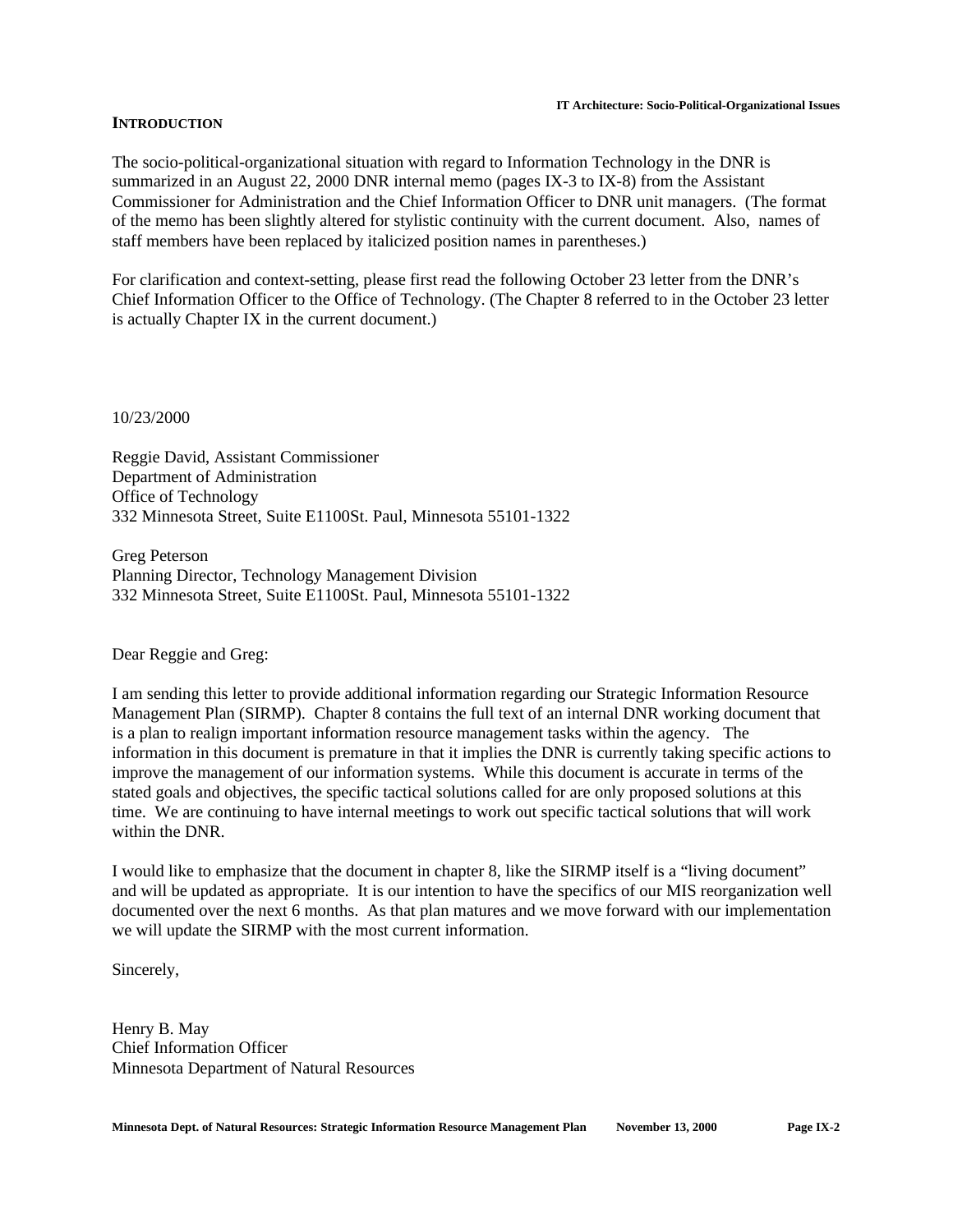#### **INTRODUCTION**

The socio-political-organizational situation with regard to Information Technology in the DNR is summarized in an August 22, 2000 DNR internal memo (pages IX-3 to IX-8) from the Assistant Commissioner for Administration and the Chief Information Officer to DNR unit managers. (The format of the memo has been slightly altered for stylistic continuity with the current document. Also, names of staff members have been replaced by italicized position names in parentheses.)

For clarification and context-setting, please first read the following October 23 letter from the DNR's Chief Information Officer to the Office of Technology. (The Chapter 8 referred to in the October 23 letter is actually Chapter IX in the current document.)

10/23/2000

Reggie David, Assistant Commissioner Department of Administration Office of Technology 332 Minnesota Street, Suite E1100St. Paul, Minnesota 55101-1322

Greg Peterson Planning Director, Technology Management Division 332 Minnesota Street, Suite E1100St. Paul, Minnesota 55101-1322

Dear Reggie and Greg:

I am sending this letter to provide additional information regarding our Strategic Information Resource Management Plan (SIRMP). Chapter 8 contains the full text of an internal DNR working document that is a plan to realign important information resource management tasks within the agency. The information in this document is premature in that it implies the DNR is currently taking specific actions to improve the management of our information systems. While this document is accurate in terms of the stated goals and objectives, the specific tactical solutions called for are only proposed solutions at this time. We are continuing to have internal meetings to work out specific tactical solutions that will work within the DNR.

I would like to emphasize that the document in chapter 8, like the SIRMP itself is a "living document" and will be updated as appropriate. It is our intention to have the specifics of our MIS reorganization well documented over the next 6 months. As that plan matures and we move forward with our implementation we will update the SIRMP with the most current information.

Sincerely,

Henry B. May Chief Information Officer Minnesota Department of Natural Resources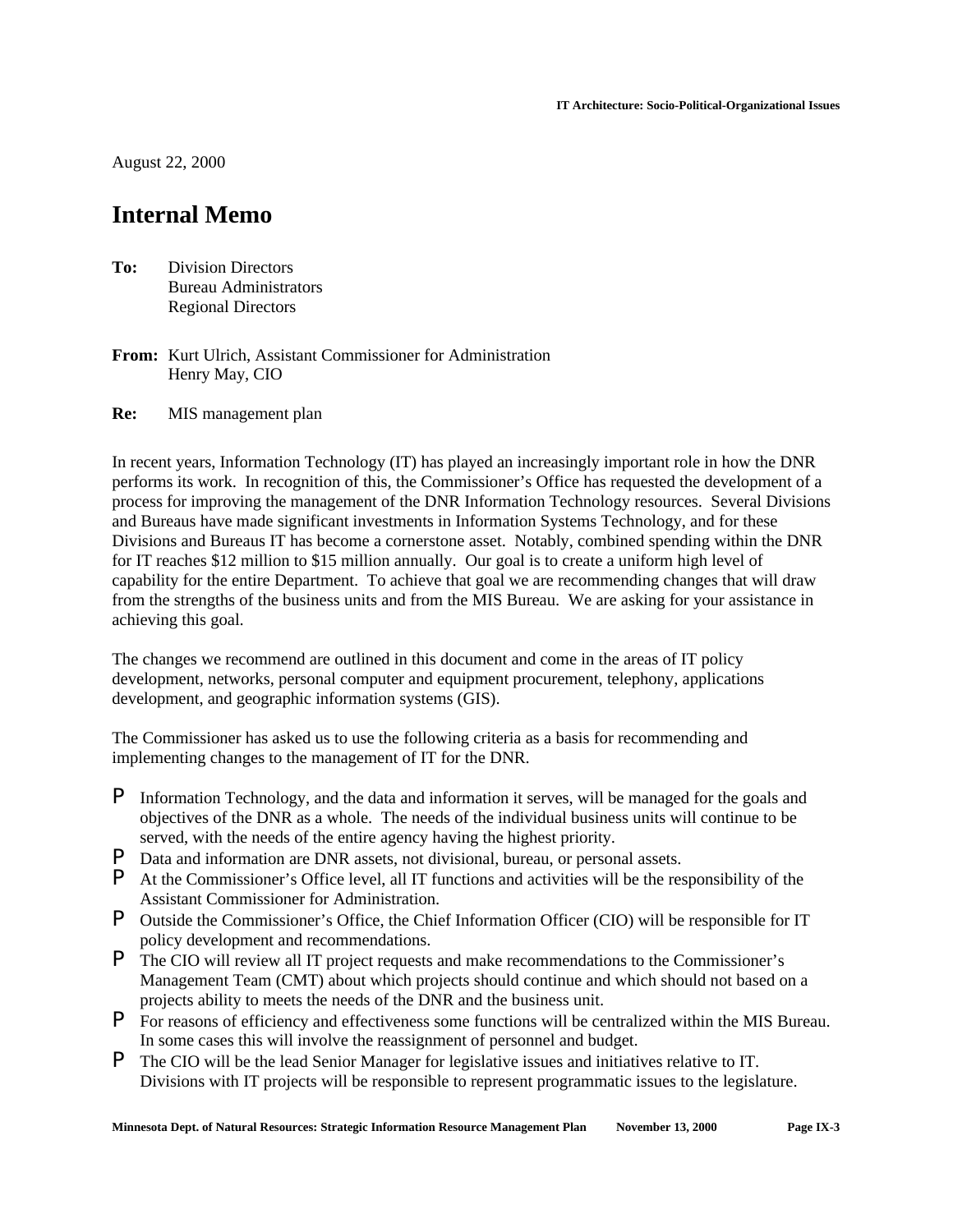August 22, 2000

## **Internal Memo**

- **To:** Division Directors Bureau Administrators Regional Directors
- **From:** Kurt Ulrich, Assistant Commissioner for Administration Henry May, CIO
- **Re:** MIS management plan

In recent years, Information Technology (IT) has played an increasingly important role in how the DNR performs its work. In recognition of this, the Commissioner's Office has requested the development of a process for improving the management of the DNR Information Technology resources. Several Divisions and Bureaus have made significant investments in Information Systems Technology, and for these Divisions and Bureaus IT has become a cornerstone asset. Notably, combined spending within the DNR for IT reaches \$12 million to \$15 million annually. Our goal is to create a uniform high level of capability for the entire Department. To achieve that goal we are recommending changes that will draw from the strengths of the business units and from the MIS Bureau. We are asking for your assistance in achieving this goal.

The changes we recommend are outlined in this document and come in the areas of IT policy development, networks, personal computer and equipment procurement, telephony, applications development, and geographic information systems (GIS).

The Commissioner has asked us to use the following criteria as a basis for recommending and implementing changes to the management of IT for the DNR.

- P Information Technology, and the data and information it serves, will be managed for the goals and objectives of the DNR as a whole. The needs of the individual business units will continue to be served, with the needs of the entire agency having the highest priority.
- **P** Data and information are DNR assets, not divisional, bureau, or personal assets.<br>**P** At the Commissioner's Office level, all IT functions and activities will be the res
- At the Commissioner's Office level, all IT functions and activities will be the responsibility of the Assistant Commissioner for Administration.
- P Outside the Commissioner's Office, the Chief Information Officer (CIO) will be responsible for IT policy development and recommendations.
- P The CIO will review all IT project requests and make recommendations to the Commissioner's Management Team (CMT) about which projects should continue and which should not based on a projects ability to meets the needs of the DNR and the business unit.
- P For reasons of efficiency and effectiveness some functions will be centralized within the MIS Bureau. In some cases this will involve the reassignment of personnel and budget.
- P The CIO will be the lead Senior Manager for legislative issues and initiatives relative to IT. Divisions with IT projects will be responsible to represent programmatic issues to the legislature.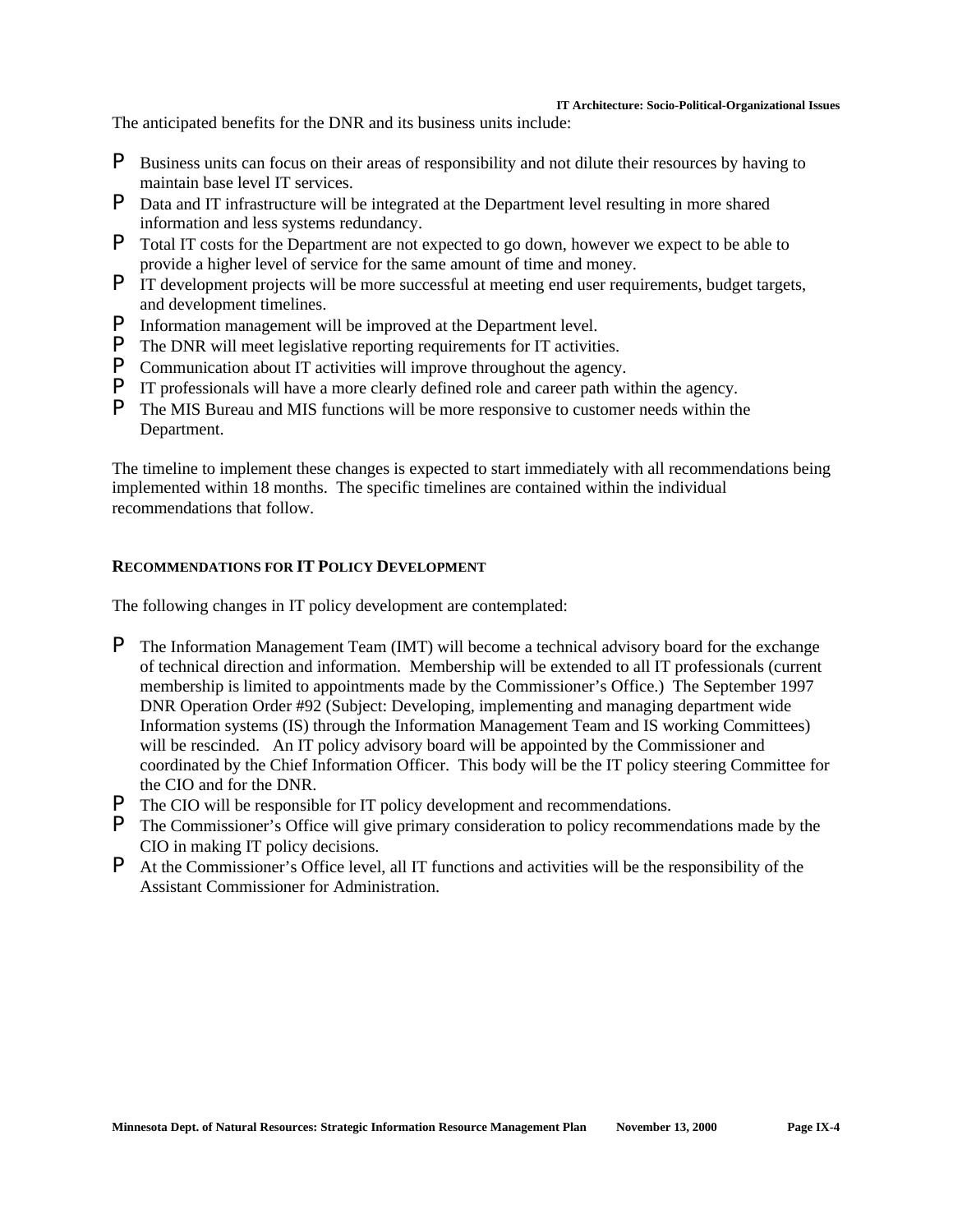#### **IT Architecture: Socio-Political-Organizational Issues**

The anticipated benefits for the DNR and its business units include:

- P Business units can focus on their areas of responsibility and not dilute their resources by having to maintain base level IT services.
- P Data and IT infrastructure will be integrated at the Department level resulting in more shared information and less systems redundancy.
- P Total IT costs for the Department are not expected to go down, however we expect to be able to provide a higher level of service for the same amount of time and money.
- P IT development projects will be more successful at meeting end user requirements, budget targets, and development timelines.
- **P** Information management will be improved at the Department level.<br>**P** The DNR will meet legislative reporting requirements for IT activities
- The DNR will meet legislative reporting requirements for IT activities.
- P Communication about IT activities will improve throughout the agency.
- P IT professionals will have a more clearly defined role and career path within the agency.
- P The MIS Bureau and MIS functions will be more responsive to customer needs within the Department.

The timeline to implement these changes is expected to start immediately with all recommendations being implemented within 18 months. The specific timelines are contained within the individual recommendations that follow.

### **RECOMMENDATIONS FOR IT POLICY DEVELOPMENT**

The following changes in IT policy development are contemplated:

- P The Information Management Team (IMT) will become a technical advisory board for the exchange of technical direction and information. Membership will be extended to all IT professionals (current membership is limited to appointments made by the Commissioner's Office.) The September 1997 DNR Operation Order #92 (Subject: Developing, implementing and managing department wide Information systems (IS) through the Information Management Team and IS working Committees) will be rescinded. An IT policy advisory board will be appointed by the Commissioner and coordinated by the Chief Information Officer. This body will be the IT policy steering Committee for the CIO and for the DNR.
- P The CIO will be responsible for IT policy development and recommendations.
- P The Commissioner's Office will give primary consideration to policy recommendations made by the CIO in making IT policy decisions.
- P At the Commissioner's Office level, all IT functions and activities will be the responsibility of the Assistant Commissioner for Administration.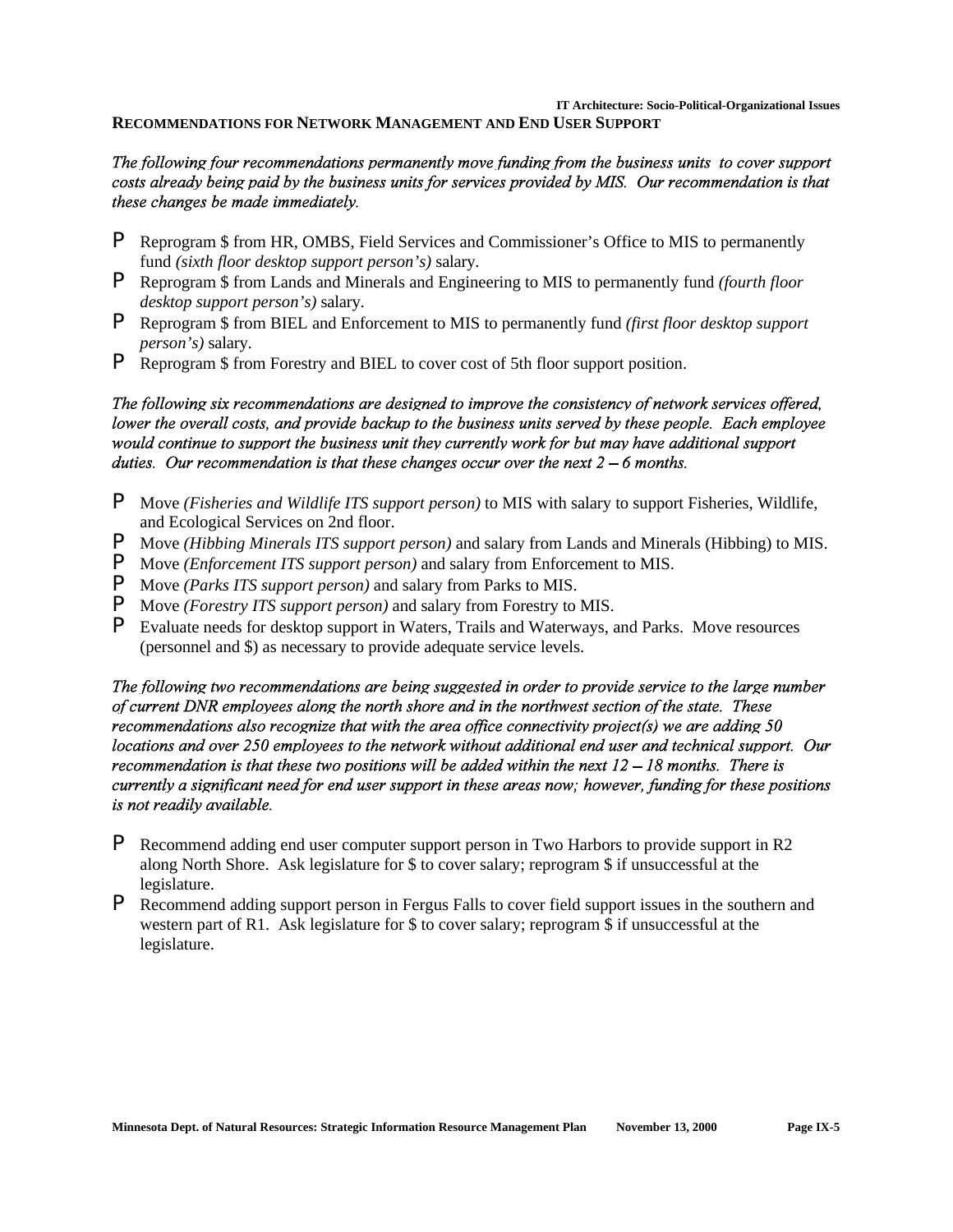**IT Architecture: Socio-Political-Organizational Issues**

**RECOMMENDATIONS FOR NETWORK MANAGEMENT AND END USER SUPPORT** 

## The following four recommendations permanently move funding from the business units to cover support costs already being paid by the business units for services provided by MIS. Our recommendation is that these changes be made immediately.

- P Reprogram \$ from HR, OMBS, Field Services and Commissioner's Office to MIS to permanently fund *(sixth floor desktop support person's)* salary.
- P Reprogram \$ from Lands and Minerals and Engineering to MIS to permanently fund *(fourth floor desktop support person's)* salary.
- P Reprogram \$ from BIEL and Enforcement to MIS to permanently fund *(first floor desktop support person's)* salary.
- P Reprogram \$ from Forestry and BIEL to cover cost of 5th floor support position.

The following six recommendations are designed to improve the consistency of network services offered, lower the overall costs, and provide backup to the business units served by these people. Each employee would continue to support the business unit they currently work for but may have additional support duties. Our recommendation is that these changes occur over the next  $2-6$  months.

- P Move *(Fisheries and Wildlife ITS support person)* to MIS with salary to support Fisheries, Wildlife, and Ecological Services on 2nd floor.
- P Move *(Hibbing Minerals ITS support person)* and salary from Lands and Minerals (Hibbing) to MIS.
- P Move *(Enforcement ITS support person)* and salary from Enforcement to MIS.
- P Move *(Parks ITS support person)* and salary from Parks to MIS.
- **P** Move *(Forestry ITS support person)* and salary from Forestry to MIS.<br>**P** Evaluate needs for desktop support in Waters Trails and Waterways
- P Evaluate needs for desktop support in Waters, Trails and Waterways, and Parks. Move resources (personnel and \$) as necessary to provide adequate service levels.

The following two recommendations are being suggested in order to provide service to the large number of current DNR employees along the north shore and in the northwest section of the state. These recommendations also recognize that with the area office connectivity project(s) we are adding  $50$ locations and over 250 employees to the network without additional end user and technical support. Our recommendation is that these two positions will be added within the next  $12 - 18$  months. There is currently a significant need for end user support in these areas now; however, funding for these positions is not readily available.

- P Recommend adding end user computer support person in Two Harbors to provide support in R2 along North Shore. Ask legislature for \$ to cover salary; reprogram \$ if unsuccessful at the legislature.
- P Recommend adding support person in Fergus Falls to cover field support issues in the southern and western part of R1. Ask legislature for \$ to cover salary; reprogram \$ if unsuccessful at the legislature.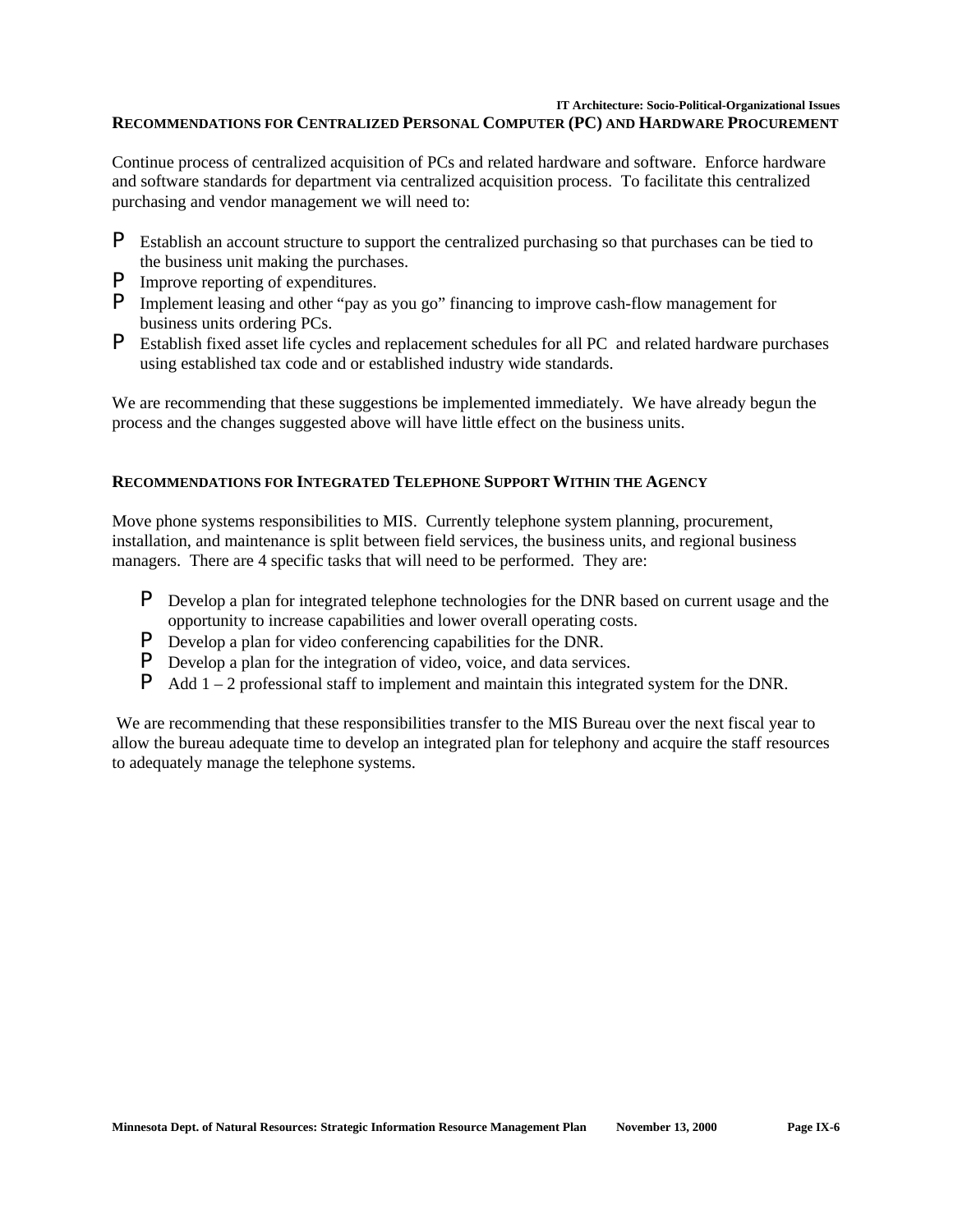#### **IT Architecture: Socio-Political-Organizational Issues**

### **RECOMMENDATIONS FOR CENTRALIZED PERSONAL COMPUTER (PC) AND HARDWARE PROCUREMENT**

Continue process of centralized acquisition of PCs and related hardware and software. Enforce hardware and software standards for department via centralized acquisition process. To facilitate this centralized purchasing and vendor management we will need to:

- P Establish an account structure to support the centralized purchasing so that purchases can be tied to the business unit making the purchases.
- P Improve reporting of expenditures.
- P Implement leasing and other "pay as you go" financing to improve cash-flow management for business units ordering PCs.
- P Establish fixed asset life cycles and replacement schedules for all PC and related hardware purchases using established tax code and or established industry wide standards.

We are recommending that these suggestions be implemented immediately. We have already begun the process and the changes suggested above will have little effect on the business units.

## **RECOMMENDATIONS FOR INTEGRATED TELEPHONE SUPPORT WITHIN THE AGENCY**

Move phone systems responsibilities to MIS. Currently telephone system planning, procurement, installation, and maintenance is split between field services, the business units, and regional business managers. There are 4 specific tasks that will need to be performed. They are:

- P Develop a plan for integrated telephone technologies for the DNR based on current usage and the opportunity to increase capabilities and lower overall operating costs.
- P Develop a plan for video conferencing capabilities for the DNR.
- **P** Develop a plan for the integration of video, voice, and data services.
- **P** Add  $1 2$  professional staff to implement and maintain this integrated system for the DNR.

 We are recommending that these responsibilities transfer to the MIS Bureau over the next fiscal year to allow the bureau adequate time to develop an integrated plan for telephony and acquire the staff resources to adequately manage the telephone systems.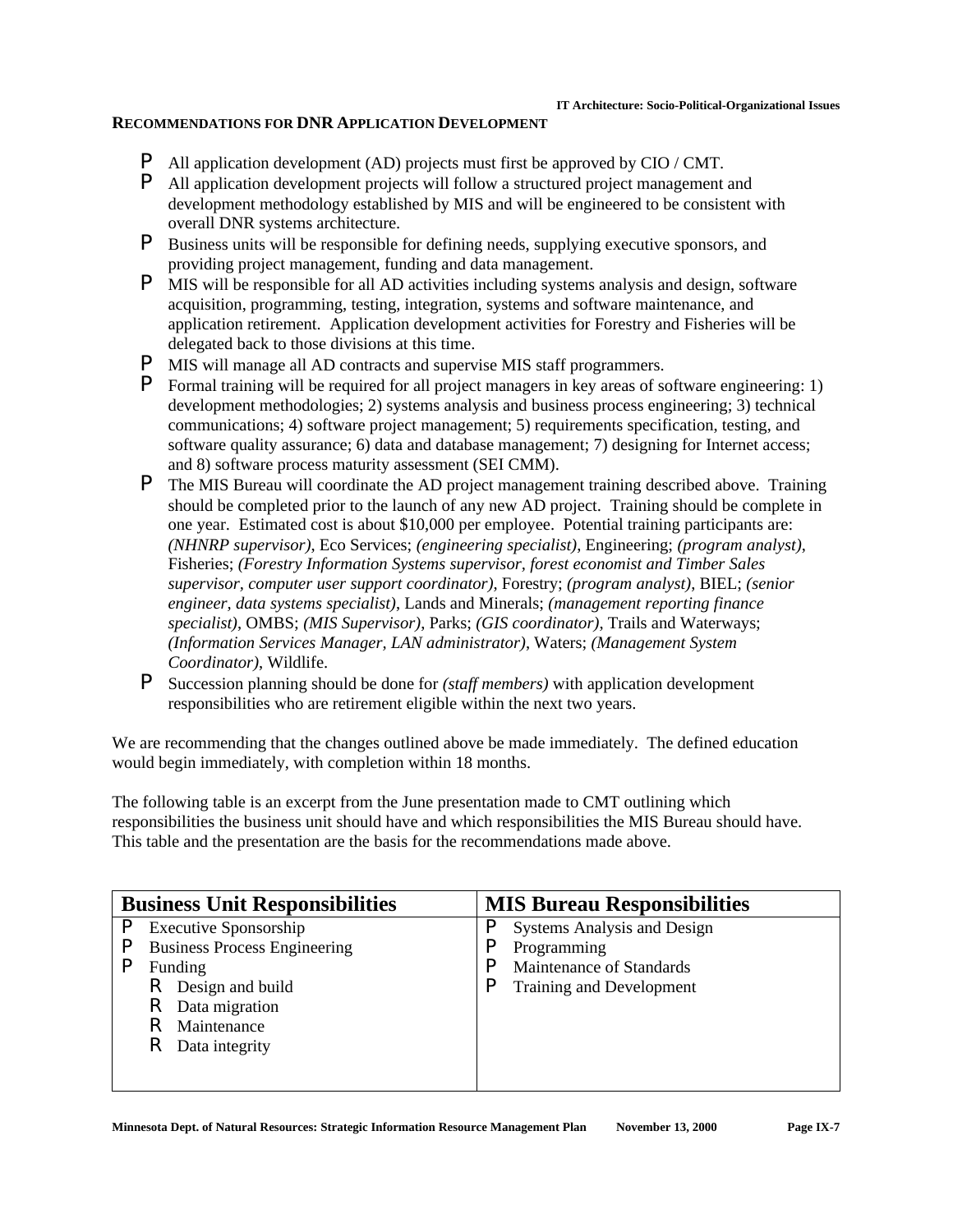## **RECOMMENDATIONS FOR DNR APPLICATION DEVELOPMENT**

- **P** All application development (AD) projects must first be approved by CIO / CMT.
- P All application development projects will follow a structured project management and development methodology established by MIS and will be engineered to be consistent with overall DNR systems architecture.
- P Business units will be responsible for defining needs, supplying executive sponsors, and providing project management, funding and data management.
- P MIS will be responsible for all AD activities including systems analysis and design, software acquisition, programming, testing, integration, systems and software maintenance, and application retirement. Application development activities for Forestry and Fisheries will be delegated back to those divisions at this time.
- **P** MIS will manage all AD contracts and supervise MIS staff programmers.
- P Formal training will be required for all project managers in key areas of software engineering: 1) development methodologies; 2) systems analysis and business process engineering; 3) technical communications; 4) software project management; 5) requirements specification, testing, and software quality assurance; 6) data and database management; 7) designing for Internet access; and 8) software process maturity assessment (SEI CMM).
- P The MIS Bureau will coordinate the AD project management training described above. Training should be completed prior to the launch of any new AD project. Training should be complete in one year. Estimated cost is about \$10,000 per employee. Potential training participants are: *(NHNRP supervisor)*, Eco Services; *(engineering specialist)*, Engineering; *(program analyst)*, Fisheries; *(Forestry Information Systems supervisor, forest economist and Timber Sales supervisor, computer user support coordinator)*, Forestry; *(program analyst)*, BIEL; *(senior engineer, data systems specialist)*, Lands and Minerals; *(management reporting finance specialist)*, OMBS; *(MIS Supervisor)*, Parks; *(GIS coordinator)*, Trails and Waterways; *(Information Services Manager, LAN administrator)*, Waters; *(Management System Coordinator)*, Wildlife.
- P Succession planning should be done for *(staff members)* with application development responsibilities who are retirement eligible within the next two years.

We are recommending that the changes outlined above be made immediately. The defined education would begin immediately, with completion within 18 months.

The following table is an excerpt from the June presentation made to CMT outlining which responsibilities the business unit should have and which responsibilities the MIS Bureau should have. This table and the presentation are the basis for the recommendations made above.

| <b>Business Unit Responsibilities</b> |   | <b>MIS Bureau Responsibilities</b> |
|---------------------------------------|---|------------------------------------|
| <b>Executive Sponsorship</b>          | μ | <b>Systems Analysis and Design</b> |
| <b>Business Process Engineering</b>   |   | Programming                        |
| Funding                               |   | Maintenance of Standards           |
| R<br>Design and build                 |   | Training and Development           |
| R<br>Data migration                   |   |                                    |
| Maintenance                           |   |                                    |
| R<br>Data integrity                   |   |                                    |
|                                       |   |                                    |
|                                       |   |                                    |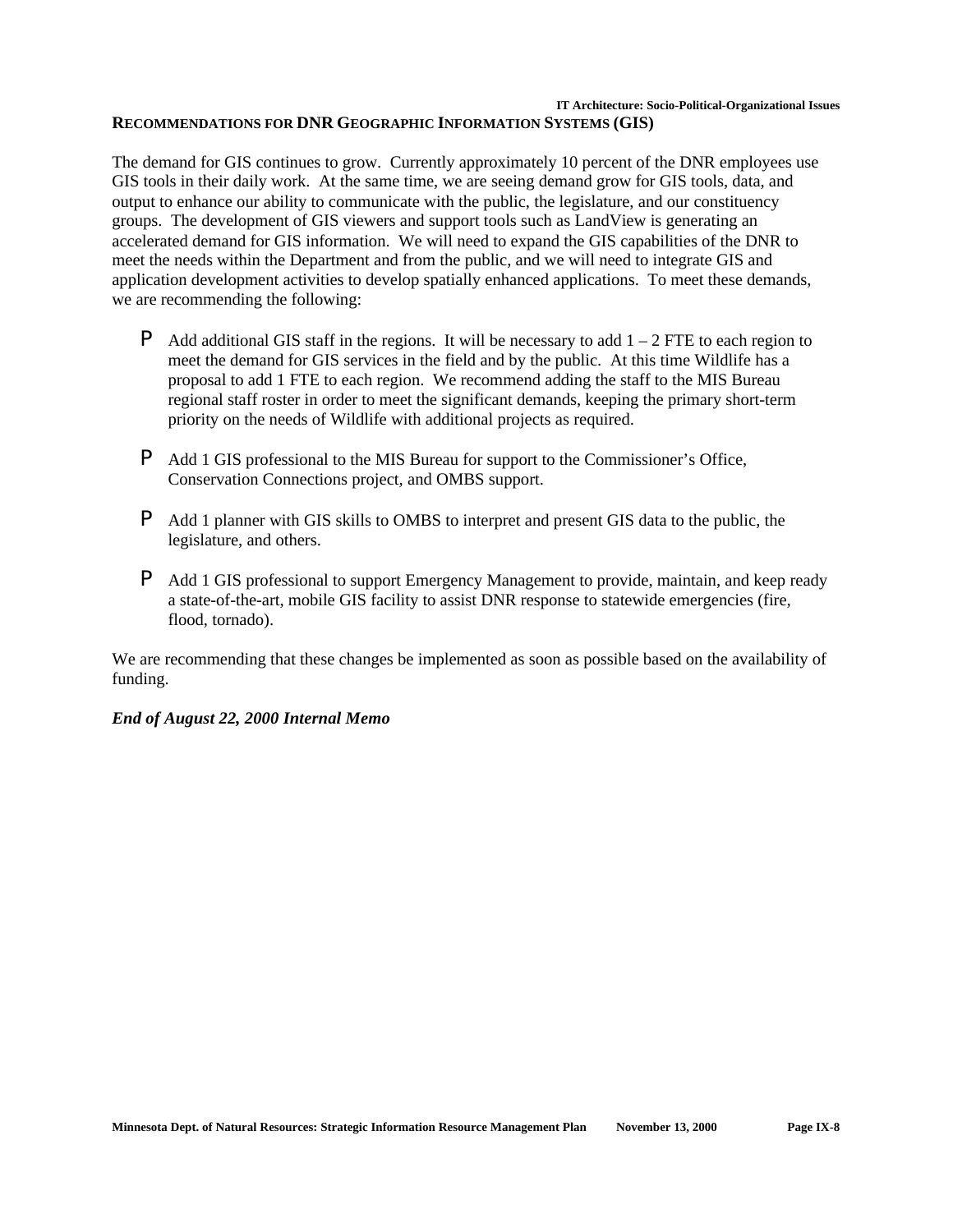#### **IT Architecture: Socio-Political-Organizational Issues RECOMMENDATIONS FOR DNR GEOGRAPHIC INFORMATION SYSTEMS (GIS)**

The demand for GIS continues to grow. Currently approximately 10 percent of the DNR employees use GIS tools in their daily work. At the same time, we are seeing demand grow for GIS tools, data, and output to enhance our ability to communicate with the public, the legislature, and our constituency groups. The development of GIS viewers and support tools such as LandView is generating an accelerated demand for GIS information. We will need to expand the GIS capabilities of the DNR to meet the needs within the Department and from the public, and we will need to integrate GIS and application development activities to develop spatially enhanced applications. To meet these demands, we are recommending the following:

- **P** Add additional GIS staff in the regions. It will be necessary to add  $1 2$  FTE to each region to meet the demand for GIS services in the field and by the public. At this time Wildlife has a proposal to add 1 FTE to each region. We recommend adding the staff to the MIS Bureau regional staff roster in order to meet the significant demands, keeping the primary short-term priority on the needs of Wildlife with additional projects as required.
- P Add 1 GIS professional to the MIS Bureau for support to the Commissioner's Office, Conservation Connections project, and OMBS support.
- P Add 1 planner with GIS skills to OMBS to interpret and present GIS data to the public, the legislature, and others.
- P Add 1 GIS professional to support Emergency Management to provide, maintain, and keep ready a state-of-the-art, mobile GIS facility to assist DNR response to statewide emergencies (fire, flood, tornado).

We are recommending that these changes be implemented as soon as possible based on the availability of funding.

## *End of August 22, 2000 Internal Memo*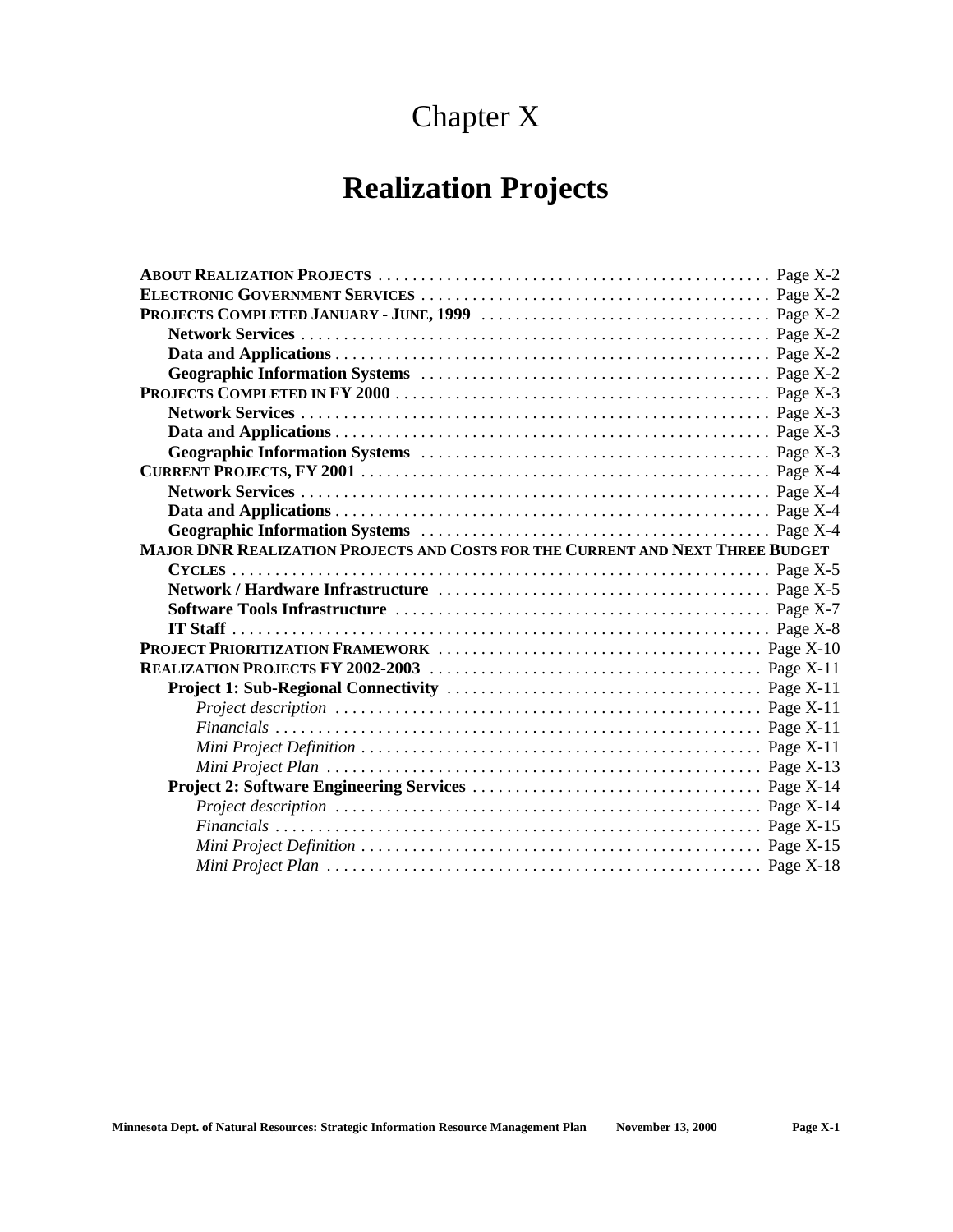## Chapter X

| MAJOR DNR REALIZATION PROJECTS AND COSTS FOR THE CURRENT AND NEXT THREE BUDGET |  |
|--------------------------------------------------------------------------------|--|
|                                                                                |  |
|                                                                                |  |
|                                                                                |  |
|                                                                                |  |
|                                                                                |  |
|                                                                                |  |
|                                                                                |  |
|                                                                                |  |
|                                                                                |  |
|                                                                                |  |
|                                                                                |  |
|                                                                                |  |
|                                                                                |  |
|                                                                                |  |
|                                                                                |  |
|                                                                                |  |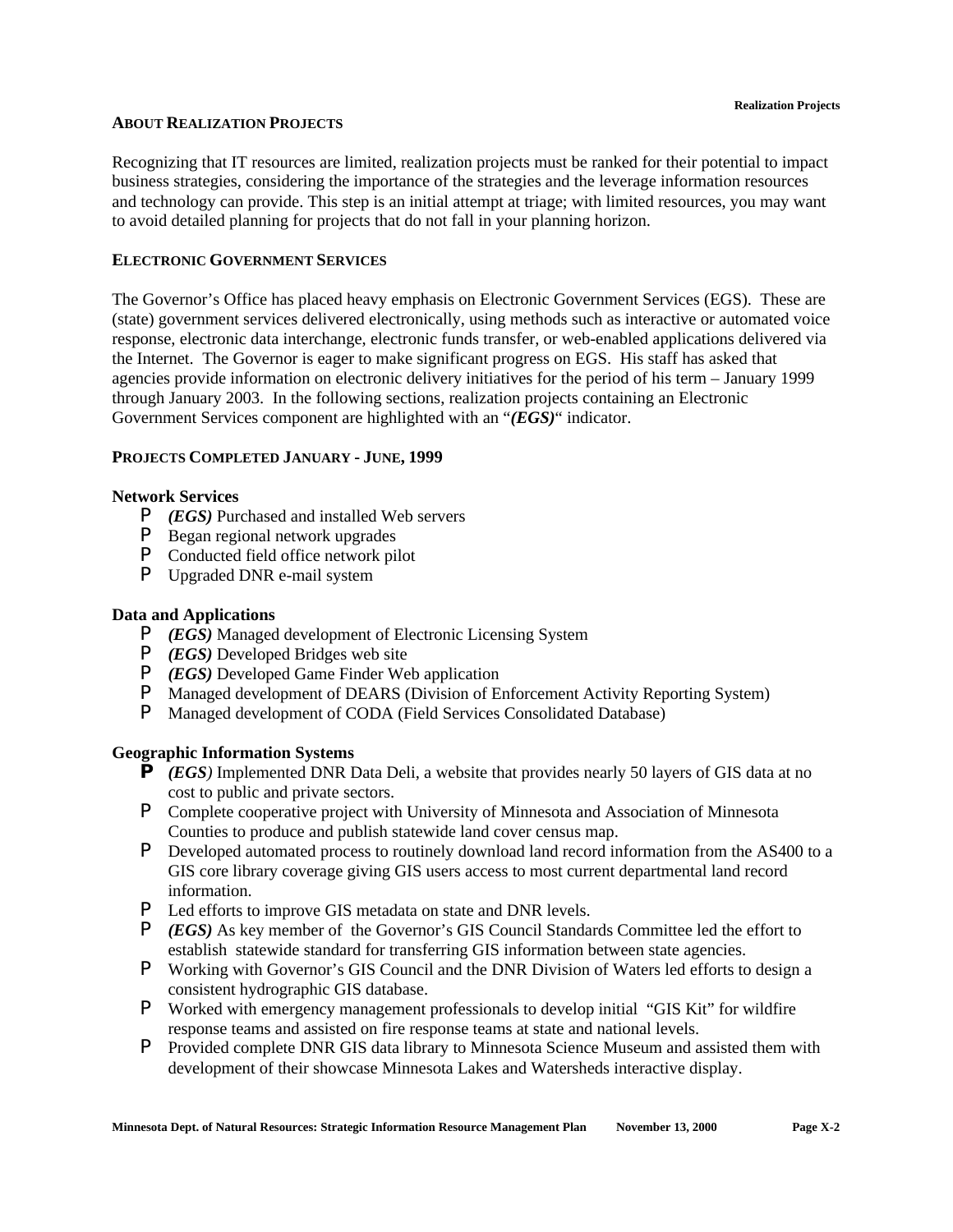### **ABOUT REALIZATION PROJECTS**

Recognizing that IT resources are limited, realization projects must be ranked for their potential to impact business strategies, considering the importance of the strategies and the leverage information resources and technology can provide. This step is an initial attempt at triage; with limited resources, you may want to avoid detailed planning for projects that do not fall in your planning horizon.

## **ELECTRONIC GOVERNMENT SERVICES**

The Governor's Office has placed heavy emphasis on Electronic Government Services (EGS). These are (state) government services delivered electronically, using methods such as interactive or automated voice response, electronic data interchange, electronic funds transfer, or web-enabled applications delivered via the Internet. The Governor is eager to make significant progress on EGS. His staff has asked that agencies provide information on electronic delivery initiatives for the period of his term – January 1999 through January 2003. In the following sections, realization projects containing an Electronic Government Services component are highlighted with an "*(EGS)*" indicator.

## **PROJECTS COMPLETED JANUARY - JUNE, 1999**

## **Network Services**

- P *(EGS)* Purchased and installed Web servers
- P Began regional network upgrades
- P Conducted field office network pilot
- P Upgraded DNR e-mail system

## **Data and Applications**

- P *(EGS)* Managed development of Electronic Licensing System
- P *(EGS)* Developed Bridges web site
- P *(EGS)* Developed Game Finder Web application
- P Managed development of DEARS (Division of Enforcement Activity Reporting System)
- P Managed development of CODA (Field Services Consolidated Database)

## **Geographic Information Systems**

- **P** *(EGS)* Implemented DNR Data Deli, a website that provides nearly 50 layers of GIS data at no cost to public and private sectors.
- P Complete cooperative project with University of Minnesota and Association of Minnesota Counties to produce and publish statewide land cover census map.
- P Developed automated process to routinely download land record information from the AS400 to a GIS core library coverage giving GIS users access to most current departmental land record information.
- P Led efforts to improve GIS metadata on state and DNR levels.
- P *(EGS)* As key member of the Governor's GIS Council Standards Committee led the effort to establish statewide standard for transferring GIS information between state agencies.
- P Working with Governor's GIS Council and the DNR Division of Waters led efforts to design a consistent hydrographic GIS database.
- P Worked with emergency management professionals to develop initial "GIS Kit" for wildfire response teams and assisted on fire response teams at state and national levels.
- **P** Provided complete DNR GIS data library to Minnesota Science Museum and assisted them with development of their showcase Minnesota Lakes and Watersheds interactive display.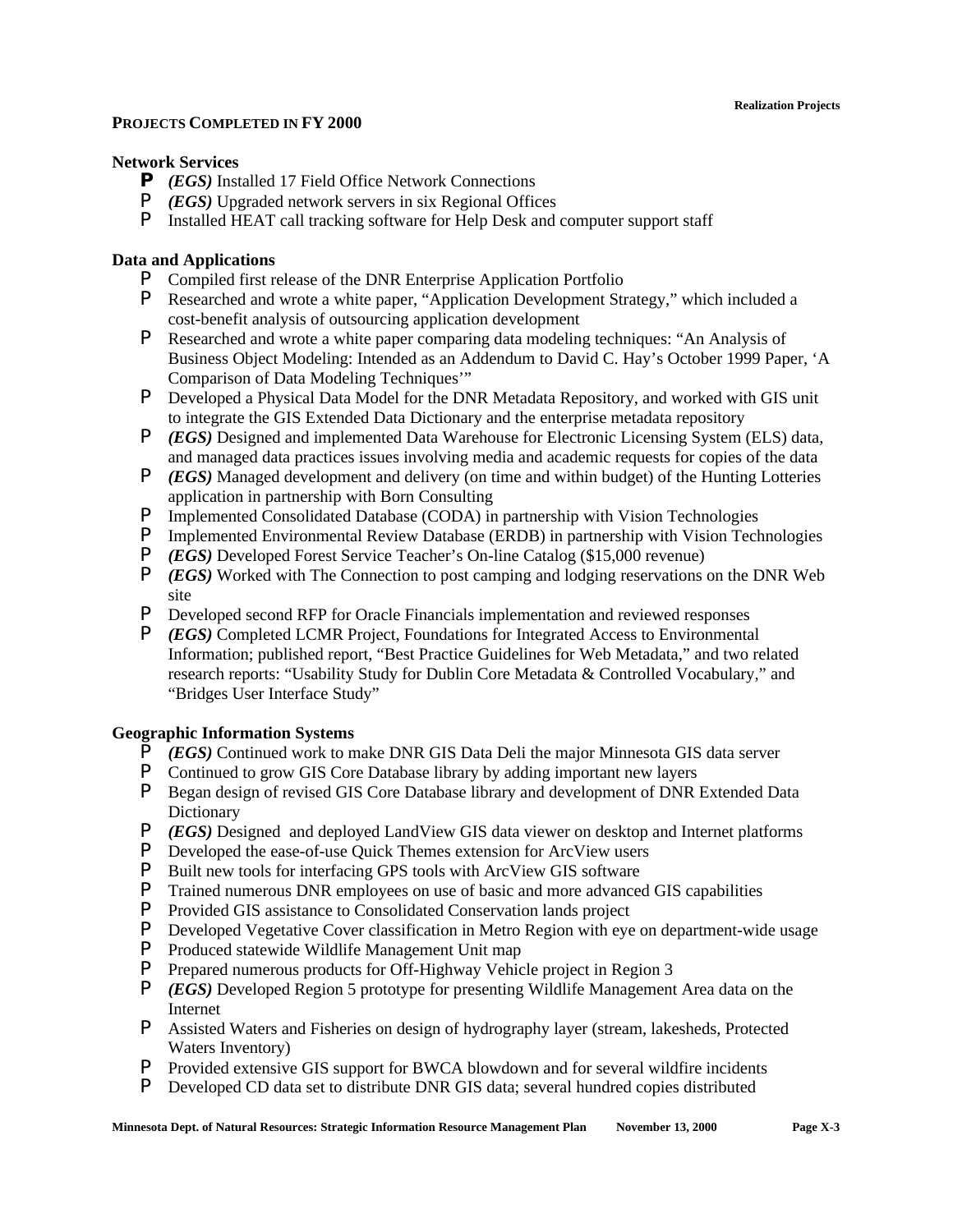## **PROJECTS COMPLETED IN FY 2000**

## **Network Services**

- **P** *(EGS)* Installed 17 Field Office Network Connections
- P *(EGS)* Upgraded network servers in six Regional Offices
- P Installed HEAT call tracking software for Help Desk and computer support staff

## **Data and Applications**

- P Compiled first release of the DNR Enterprise Application Portfolio
- P Researched and wrote a white paper, "Application Development Strategy," which included a cost-benefit analysis of outsourcing application development
- P Researched and wrote a white paper comparing data modeling techniques: "An Analysis of Business Object Modeling: Intended as an Addendum to David C. Hay's October 1999 Paper, 'A Comparison of Data Modeling Techniques'"
- P Developed a Physical Data Model for the DNR Metadata Repository, and worked with GIS unit to integrate the GIS Extended Data Dictionary and the enterprise metadata repository
- P *(EGS)* Designed and implemented Data Warehouse for Electronic Licensing System (ELS) data, and managed data practices issues involving media and academic requests for copies of the data
- P *(EGS)* Managed development and delivery (on time and within budget) of the Hunting Lotteries application in partnership with Born Consulting
- **P** Implemented Consolidated Database (CODA) in partnership with Vision Technologies<br>**P** Implemented Environmental Review Database (ERDB) in partnership with Vision Technologies
- Implemented Environmental Review Database (ERDB) in partnership with Vision Technologies
- P *(EGS)* Developed Forest Service Teacher's On-line Catalog (\$15,000 revenue)
- P *(EGS)* Worked with The Connection to post camping and lodging reservations on the DNR Web site
- P Developed second RFP for Oracle Financials implementation and reviewed responses
- P *(EGS)* Completed LCMR Project, Foundations for Integrated Access to Environmental Information; published report, "Best Practice Guidelines for Web Metadata," and two related research reports: "Usability Study for Dublin Core Metadata & Controlled Vocabulary," and "Bridges User Interface Study"

## **Geographic Information Systems**

- P *(EGS)* Continued work to make DNR GIS Data Deli the major Minnesota GIS data server
- P Continued to grow GIS Core Database library by adding important new layers
- P Began design of revised GIS Core Database library and development of DNR Extended Data Dictionary
- P *(EGS)* Designed and deployed LandView GIS data viewer on desktop and Internet platforms
- P Developed the ease-of-use Quick Themes extension for ArcView users
- **P** Built new tools for interfacing GPS tools with ArcView GIS software **P** Trained numerous DNR employees on use of basic and more advanced
- Trained numerous DNR employees on use of basic and more advanced GIS capabilities
- P Provided GIS assistance to Consolidated Conservation lands project
- P Developed Vegetative Cover classification in Metro Region with eye on department-wide usage
- P Produced statewide Wildlife Management Unit map
- P Prepared numerous products for Off-Highway Vehicle project in Region 3
- P *(EGS)* Developed Region 5 prototype for presenting Wildlife Management Area data on the Internet
- P Assisted Waters and Fisheries on design of hydrography layer (stream, lakesheds, Protected Waters Inventory)
- P Provided extensive GIS support for BWCA blowdown and for several wildfire incidents
- P Developed CD data set to distribute DNR GIS data; several hundred copies distributed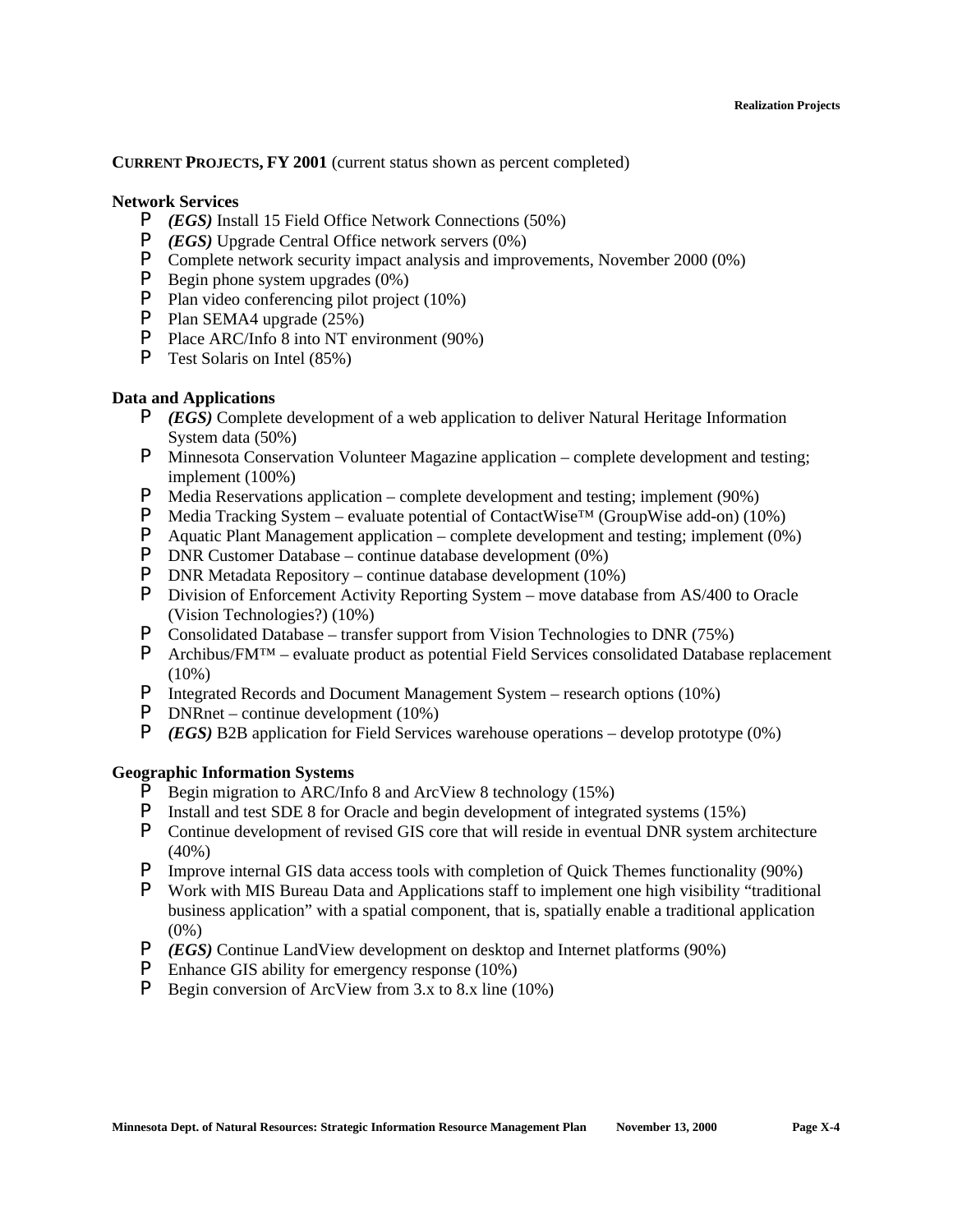## **CURRENT PROJECTS, FY 2001** (current status shown as percent completed)

### **Network Services**

- P *(EGS)* Install 15 Field Office Network Connections (50%)
- P *(EGS)* Upgrade Central Office network servers (0%)
- P Complete network security impact analysis and improvements, November 2000 (0%)
- P Begin phone system upgrades (0%)
- P Plan video conferencing pilot project (10%)
- P Plan SEMA4 upgrade (25%)
- P Place ARC/Info 8 into NT environment (90%)
- P Test Solaris on Intel (85%)

## **Data and Applications**

- P *(EGS)* Complete development of a web application to deliver Natural Heritage Information System data (50%)
- P Minnesota Conservation Volunteer Magazine application complete development and testing; implement (100%)
- P Media Reservations application complete development and testing; implement (90%)
- **P** Media Tracking System evaluate potential of ContactWise<sup>™</sup> (GroupWise add-on) (10%)
- P Aquatic Plant Management application complete development and testing; implement (0%)
- P DNR Customer Database continue database development (0%)
- P DNR Metadata Repository continue database development (10%)
- P Division of Enforcement Activity Reporting System move database from AS/400 to Oracle (Vision Technologies?) (10%)
- P Consolidated Database transfer support from Vision Technologies to DNR (75%)
- P Archibus/FM™ evaluate product as potential Field Services consolidated Database replacement (10%)
- P Integrated Records and Document Management System research options (10%)
- P DNRnet continue development (10%)
- P *(EGS)* B2B application for Field Services warehouse operations develop prototype (0%)

### **Geographic Information Systems**

- **P** Begin migration to ARC/Info 8 and ArcView 8 technology (15%)
- P Install and test SDE 8 for Oracle and begin development of integrated systems (15%)
- P Continue development of revised GIS core that will reside in eventual DNR system architecture  $(40\%)$
- P Improve internal GIS data access tools with completion of Quick Themes functionality (90%)
- P Work with MIS Bureau Data and Applications staff to implement one high visibility "traditional business application" with a spatial component, that is, spatially enable a traditional application  $(0\%)$
- P *(EGS)* Continue LandView development on desktop and Internet platforms (90%)
- P Enhance GIS ability for emergency response (10%)
- P Begin conversion of ArcView from 3.x to 8.x line (10%)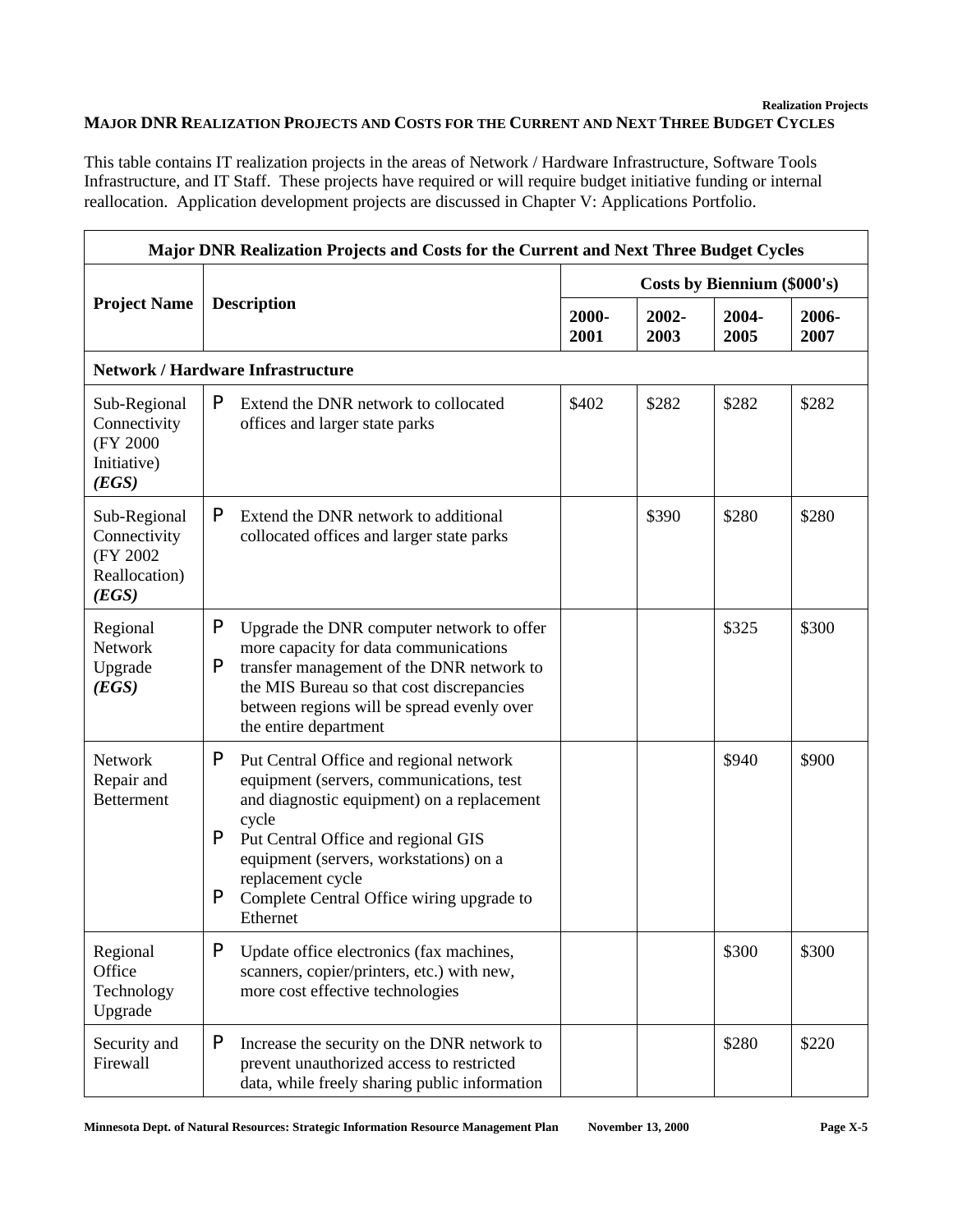## **Realization Projects MAJOR DNR REALIZATION PROJECTS AND COSTS FOR THE CURRENT AND NEXT THREE BUDGET CYCLES**

This table contains IT realization projects in the areas of Network / Hardware Infrastructure, Software Tools Infrastructure, and IT Staff. These projects have required or will require budget initiative funding or internal reallocation. Application development projects are discussed in Chapter V: Applications Portfolio.

| Major DNR Realization Projects and Costs for the Current and Next Three Budget Cycles                                                                                                                                                                                                                                                                                  |                                                                                                                                                                                                                                                               |               |                             |               |               |  |  |
|------------------------------------------------------------------------------------------------------------------------------------------------------------------------------------------------------------------------------------------------------------------------------------------------------------------------------------------------------------------------|---------------------------------------------------------------------------------------------------------------------------------------------------------------------------------------------------------------------------------------------------------------|---------------|-----------------------------|---------------|---------------|--|--|
|                                                                                                                                                                                                                                                                                                                                                                        |                                                                                                                                                                                                                                                               |               | Costs by Biennium (\$000's) |               |               |  |  |
| <b>Project Name</b>                                                                                                                                                                                                                                                                                                                                                    | <b>Description</b>                                                                                                                                                                                                                                            | 2000-<br>2001 | 2002-<br>2003               | 2004-<br>2005 | 2006-<br>2007 |  |  |
| <b>Network / Hardware Infrastructure</b>                                                                                                                                                                                                                                                                                                                               |                                                                                                                                                                                                                                                               |               |                             |               |               |  |  |
| Sub-Regional<br>Connectivity<br>(FY 2000)<br>Initiative)<br>(EGS)                                                                                                                                                                                                                                                                                                      | P<br>Extend the DNR network to collocated<br>offices and larger state parks                                                                                                                                                                                   |               | \$282                       | \$282         | \$282         |  |  |
| Sub-Regional<br>Connectivity<br>(FY 2002)<br>Reallocation)<br>(EGS)                                                                                                                                                                                                                                                                                                    | P<br>Extend the DNR network to additional<br>collocated offices and larger state parks                                                                                                                                                                        |               | \$390                       | \$280         | \$280         |  |  |
| Regional<br>Network<br>Upgrade<br>(EGS)                                                                                                                                                                                                                                                                                                                                | P<br>Upgrade the DNR computer network to offer<br>more capacity for data communications<br>P<br>transfer management of the DNR network to<br>the MIS Bureau so that cost discrepancies<br>between regions will be spread evenly over<br>the entire department |               |                             | \$325         | \$300         |  |  |
| P<br>Network<br>Put Central Office and regional network<br>equipment (servers, communications, test<br>Repair and<br><b>Betterment</b><br>and diagnostic equipment) on a replacement<br>cycle<br>P<br>Put Central Office and regional GIS<br>equipment (servers, workstations) on a<br>replacement cycle<br>P<br>Complete Central Office wiring upgrade to<br>Ethernet |                                                                                                                                                                                                                                                               |               |                             | \$940         | \$900         |  |  |
| Regional<br>Office<br>Technology<br>Upgrade                                                                                                                                                                                                                                                                                                                            | P<br>Update office electronics (fax machines,<br>scanners, copier/printers, etc.) with new,<br>more cost effective technologies                                                                                                                               |               |                             | \$300         | \$300         |  |  |
| P<br>Security and<br>Increase the security on the DNR network to<br>Firewall<br>prevent unauthorized access to restricted<br>data, while freely sharing public information                                                                                                                                                                                             |                                                                                                                                                                                                                                                               |               |                             | \$280         | \$220         |  |  |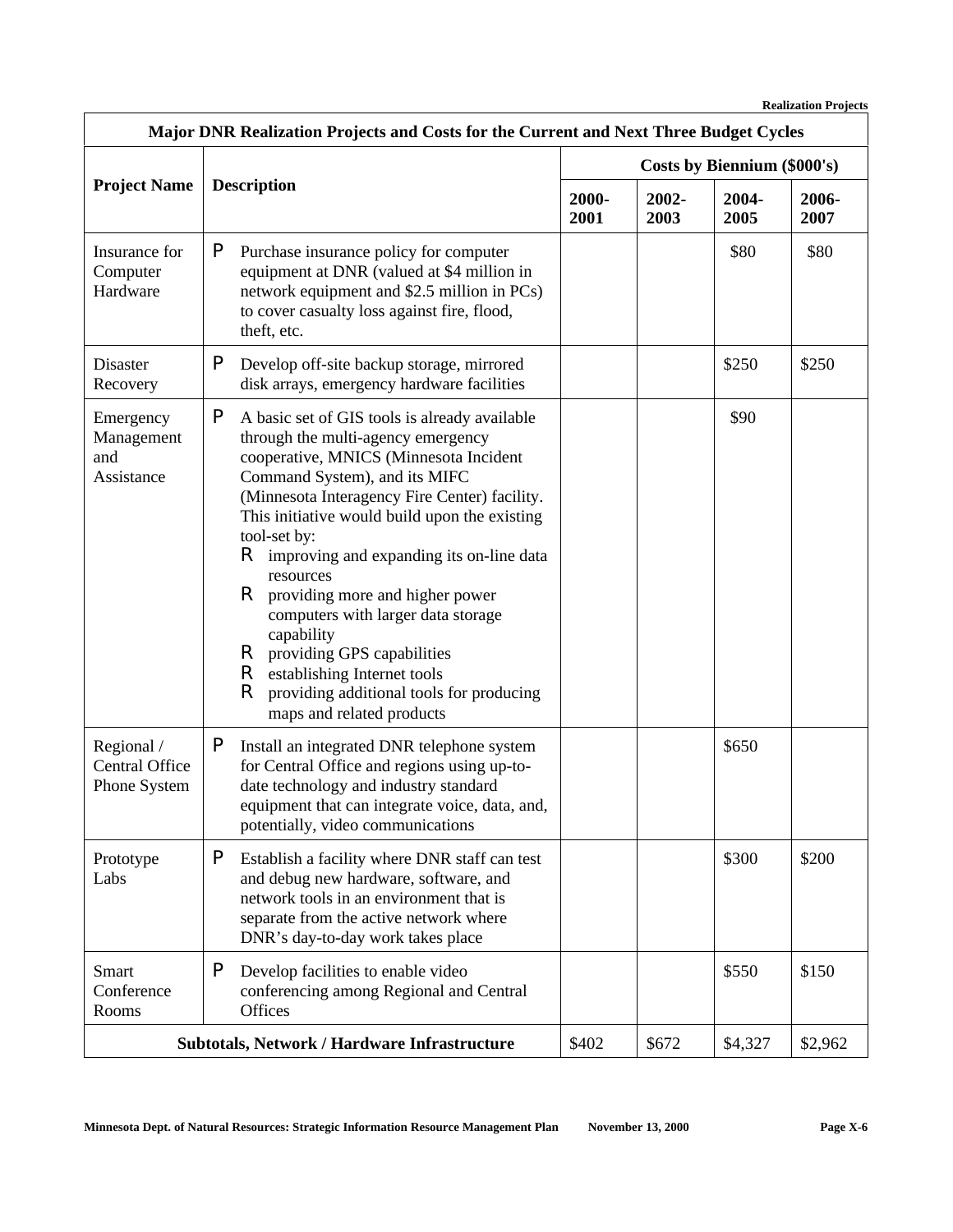| Major DNR Realization Projects and Costs for the Current and Next Three Budget Cycles                                                                                                                                                           |                                                                                                                                                                                                                                                                                                                                                                                                                                                                                                                                                                                                                 |       |                             |               |               |  |  |
|-------------------------------------------------------------------------------------------------------------------------------------------------------------------------------------------------------------------------------------------------|-----------------------------------------------------------------------------------------------------------------------------------------------------------------------------------------------------------------------------------------------------------------------------------------------------------------------------------------------------------------------------------------------------------------------------------------------------------------------------------------------------------------------------------------------------------------------------------------------------------------|-------|-----------------------------|---------------|---------------|--|--|
|                                                                                                                                                                                                                                                 | <b>Description</b>                                                                                                                                                                                                                                                                                                                                                                                                                                                                                                                                                                                              |       | Costs by Biennium (\$000's) |               |               |  |  |
| <b>Project Name</b>                                                                                                                                                                                                                             |                                                                                                                                                                                                                                                                                                                                                                                                                                                                                                                                                                                                                 |       | 2002-<br>2003               | 2004-<br>2005 | 2006-<br>2007 |  |  |
| P<br>Insurance for<br>Purchase insurance policy for computer<br>equipment at DNR (valued at \$4 million in<br>Computer<br>Hardware<br>network equipment and \$2.5 million in PCs)<br>to cover casualty loss against fire, flood,<br>theft, etc. |                                                                                                                                                                                                                                                                                                                                                                                                                                                                                                                                                                                                                 |       |                             | \$80          | \$80          |  |  |
| Disaster<br>Recovery                                                                                                                                                                                                                            | P<br>Develop off-site backup storage, mirrored<br>disk arrays, emergency hardware facilities                                                                                                                                                                                                                                                                                                                                                                                                                                                                                                                    |       |                             | \$250         | \$250         |  |  |
| Emergency<br>Management<br>and<br>Assistance                                                                                                                                                                                                    | P<br>A basic set of GIS tools is already available<br>through the multi-agency emergency<br>cooperative, MNICS (Minnesota Incident<br>Command System), and its MIFC<br>(Minnesota Interagency Fire Center) facility.<br>This initiative would build upon the existing<br>tool-set by:<br>R.<br>improving and expanding its on-line data<br>resources<br>R<br>providing more and higher power<br>computers with larger data storage<br>capability<br>R<br>providing GPS capabilities<br>$\mathsf R$<br>establishing Internet tools<br>R<br>providing additional tools for producing<br>maps and related products |       |                             | \$90          |               |  |  |
| Regional /<br>Central Office<br>Phone System                                                                                                                                                                                                    | P<br>Install an integrated DNR telephone system<br>for Central Office and regions using up-to-<br>date technology and industry standard<br>equipment that can integrate voice, data, and,<br>potentially, video communications                                                                                                                                                                                                                                                                                                                                                                                  |       |                             | \$650         |               |  |  |
| Prototype<br>Labs                                                                                                                                                                                                                               | P<br>Establish a facility where DNR staff can test<br>and debug new hardware, software, and<br>network tools in an environment that is<br>separate from the active network where<br>DNR's day-to-day work takes place                                                                                                                                                                                                                                                                                                                                                                                           |       |                             | \$300         | \$200         |  |  |
| Smart<br>Conference<br>Rooms                                                                                                                                                                                                                    | P<br>Develop facilities to enable video<br>conferencing among Regional and Central<br>Offices                                                                                                                                                                                                                                                                                                                                                                                                                                                                                                                   |       |                             | \$550         | \$150         |  |  |
|                                                                                                                                                                                                                                                 | Subtotals, Network / Hardware Infrastructure                                                                                                                                                                                                                                                                                                                                                                                                                                                                                                                                                                    | \$402 | \$672                       | \$4,327       | \$2,962       |  |  |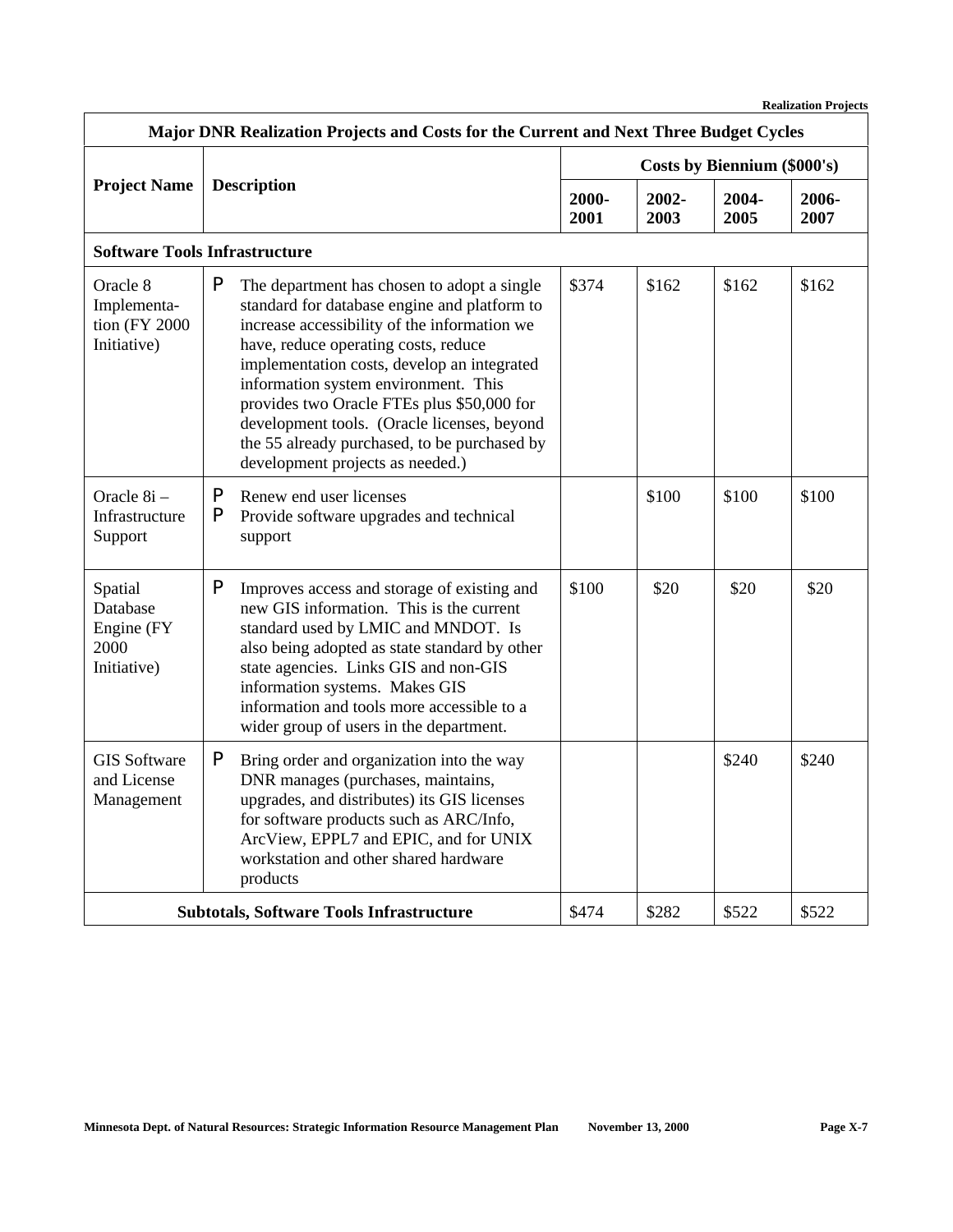| Major DNR Realization Projects and Costs for the Current and Next Three Budget Cycles                                                                                                                                                                                                                                            |                                                                                                                                                                                                                                                                                                                                                                                                                                                                  |                                                                               |                             |               |               |               |  |
|----------------------------------------------------------------------------------------------------------------------------------------------------------------------------------------------------------------------------------------------------------------------------------------------------------------------------------|------------------------------------------------------------------------------------------------------------------------------------------------------------------------------------------------------------------------------------------------------------------------------------------------------------------------------------------------------------------------------------------------------------------------------------------------------------------|-------------------------------------------------------------------------------|-----------------------------|---------------|---------------|---------------|--|
|                                                                                                                                                                                                                                                                                                                                  | <b>Description</b>                                                                                                                                                                                                                                                                                                                                                                                                                                               |                                                                               | Costs by Biennium (\$000's) |               |               |               |  |
| <b>Project Name</b>                                                                                                                                                                                                                                                                                                              |                                                                                                                                                                                                                                                                                                                                                                                                                                                                  |                                                                               | 2000-<br>2001               | 2002-<br>2003 | 2004-<br>2005 | 2006-<br>2007 |  |
|                                                                                                                                                                                                                                                                                                                                  | <b>Software Tools Infrastructure</b>                                                                                                                                                                                                                                                                                                                                                                                                                             |                                                                               |                             |               |               |               |  |
| Oracle 8<br>Implementa-<br>tion (FY 2000<br>Initiative)                                                                                                                                                                                                                                                                          | P<br>The department has chosen to adopt a single<br>standard for database engine and platform to<br>increase accessibility of the information we<br>have, reduce operating costs, reduce<br>implementation costs, develop an integrated<br>information system environment. This<br>provides two Oracle FTEs plus \$50,000 for<br>development tools. (Oracle licenses, beyond<br>the 55 already purchased, to be purchased by<br>development projects as needed.) |                                                                               | \$374                       | \$162         | \$162         | \$162         |  |
| Oracle 8i -<br>Infrastructure<br>Support                                                                                                                                                                                                                                                                                         | P<br>P                                                                                                                                                                                                                                                                                                                                                                                                                                                           | Renew end user licenses<br>Provide software upgrades and technical<br>support |                             | \$100         | \$100         | \$100         |  |
| Spatial<br>Database<br>Engine (FY)<br>2000<br>Initiative)                                                                                                                                                                                                                                                                        | P<br>Improves access and storage of existing and<br>new GIS information. This is the current<br>standard used by LMIC and MNDOT. Is<br>also being adopted as state standard by other<br>state agencies. Links GIS and non-GIS<br>information systems. Makes GIS<br>information and tools more accessible to a<br>wider group of users in the department.                                                                                                         |                                                                               | \$100                       | \$20          | \$20          | \$20          |  |
| P<br><b>GIS Software</b><br>Bring order and organization into the way<br>and License<br>DNR manages (purchases, maintains,<br>upgrades, and distributes) its GIS licenses<br>Management<br>for software products such as ARC/Info,<br>ArcView, EPPL7 and EPIC, and for UNIX<br>workstation and other shared hardware<br>products |                                                                                                                                                                                                                                                                                                                                                                                                                                                                  |                                                                               |                             | \$240         | \$240         |               |  |
| \$474<br>\$522<br>\$522<br><b>Subtotals, Software Tools Infrastructure</b><br>\$282                                                                                                                                                                                                                                              |                                                                                                                                                                                                                                                                                                                                                                                                                                                                  |                                                                               |                             |               |               |               |  |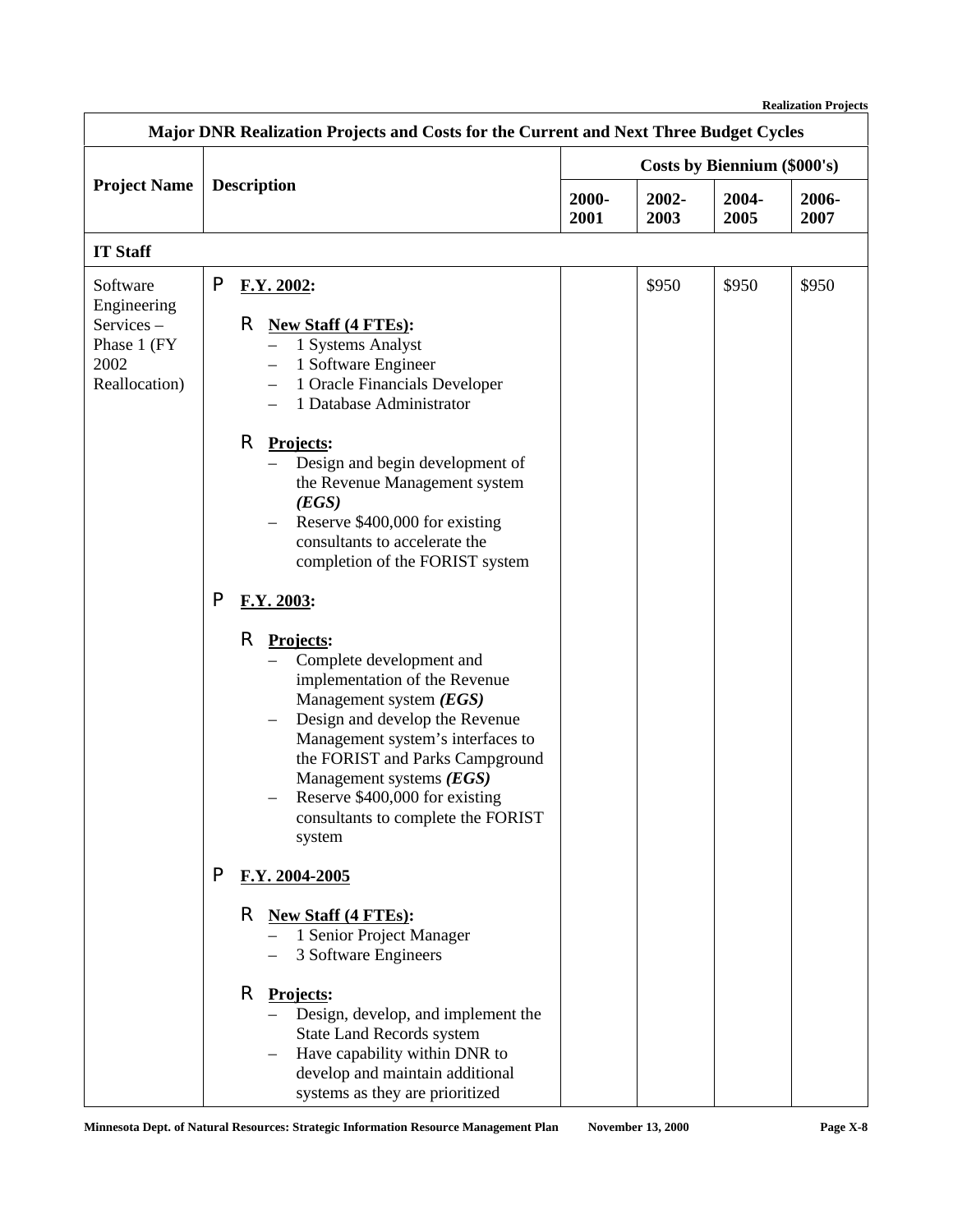| Major DNR Realization Projects and Costs for the Current and Next Three Budget Cycles |                                                                  |                                                                                                                                                                                                                                                                                                                                                                                                                                                                                                                                                                                                                                                                                                                                                                         |                             |               |               |               |  |
|---------------------------------------------------------------------------------------|------------------------------------------------------------------|-------------------------------------------------------------------------------------------------------------------------------------------------------------------------------------------------------------------------------------------------------------------------------------------------------------------------------------------------------------------------------------------------------------------------------------------------------------------------------------------------------------------------------------------------------------------------------------------------------------------------------------------------------------------------------------------------------------------------------------------------------------------------|-----------------------------|---------------|---------------|---------------|--|
|                                                                                       | <b>Description</b>                                               |                                                                                                                                                                                                                                                                                                                                                                                                                                                                                                                                                                                                                                                                                                                                                                         | Costs by Biennium (\$000's) |               |               |               |  |
| <b>Project Name</b>                                                                   |                                                                  |                                                                                                                                                                                                                                                                                                                                                                                                                                                                                                                                                                                                                                                                                                                                                                         | 2000-<br>2001               | 2002-<br>2003 | 2004-<br>2005 | 2006-<br>2007 |  |
| <b>IT Staff</b>                                                                       |                                                                  |                                                                                                                                                                                                                                                                                                                                                                                                                                                                                                                                                                                                                                                                                                                                                                         |                             |               |               |               |  |
| Software<br>Engineering<br>Services-<br>Phase 1 (FY)<br>2002<br>Reallocation)         | P<br>P                                                           | F.Y. 2002:<br>R<br><b>New Staff (4 FTEs):</b><br>1 Systems Analyst<br>1 Software Engineer<br>$\overline{\phantom{0}}$<br>1 Oracle Financials Developer<br>$\qquad \qquad -$<br>1 Database Administrator<br>$\qquad \qquad -$<br>R<br>Projects:<br>Design and begin development of<br>the Revenue Management system<br>(EGS)<br>Reserve \$400,000 for existing<br>consultants to accelerate the<br>completion of the FORIST system<br>F.Y. 2003:<br>R<br>Projects:<br>Complete development and<br>implementation of the Revenue<br>Management system (EGS)<br>Design and develop the Revenue<br>Management system's interfaces to<br>the FORIST and Parks Campground<br>Management systems (EGS)<br>Reserve \$400,000 for existing<br>consultants to complete the FORIST |                             | \$950         | \$950         | \$950         |  |
|                                                                                       | system<br>P<br>F.Y. 2004-2005<br>R<br><b>New Staff (4 FTEs):</b> |                                                                                                                                                                                                                                                                                                                                                                                                                                                                                                                                                                                                                                                                                                                                                                         |                             |               |               |               |  |
|                                                                                       |                                                                  | 1 Senior Project Manager<br>3 Software Engineers<br>R<br>Projects:<br>Design, develop, and implement the<br><b>State Land Records system</b><br>Have capability within DNR to<br>develop and maintain additional<br>systems as they are prioritized                                                                                                                                                                                                                                                                                                                                                                                                                                                                                                                     |                             |               |               |               |  |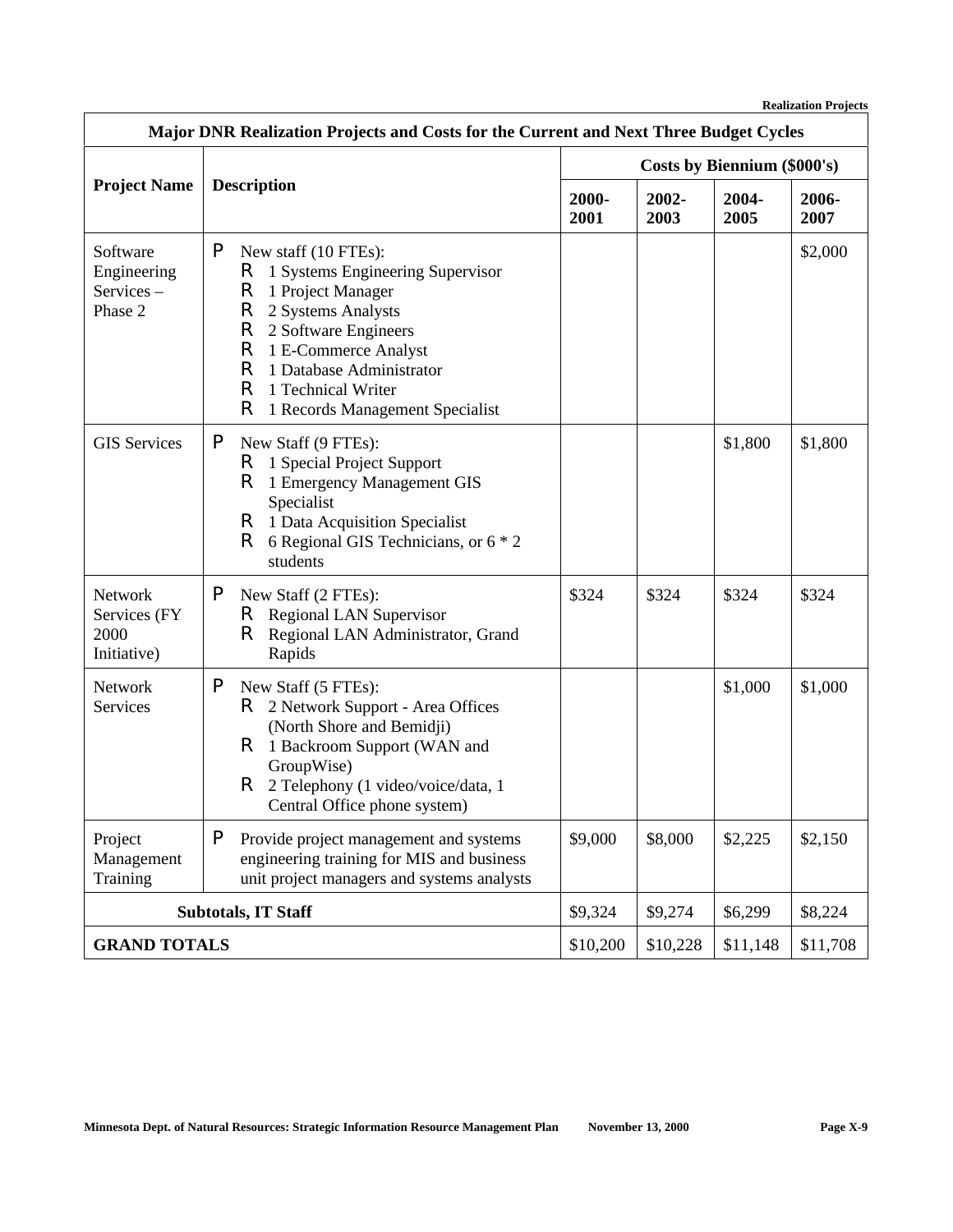| Major DNR Realization Projects and Costs for the Current and Next Three Budget Cycles                                                                                       |                                                                                                                                                                                                                                                                                       |                             |               |               |               |
|-----------------------------------------------------------------------------------------------------------------------------------------------------------------------------|---------------------------------------------------------------------------------------------------------------------------------------------------------------------------------------------------------------------------------------------------------------------------------------|-----------------------------|---------------|---------------|---------------|
|                                                                                                                                                                             |                                                                                                                                                                                                                                                                                       | Costs by Biennium (\$000's) |               |               |               |
| <b>Project Name</b>                                                                                                                                                         | <b>Description</b>                                                                                                                                                                                                                                                                    | 2000-<br>2001               | 2002-<br>2003 | 2004-<br>2005 | 2006-<br>2007 |
| Software<br>Engineering<br>Services-<br>Phase 2                                                                                                                             | P<br>New staff (10 FTEs):<br>R<br>1 Systems Engineering Supervisor<br>R<br>1 Project Manager<br>R<br>2 Systems Analysts<br>R<br>2 Software Engineers<br>R<br>1 E-Commerce Analyst<br>R<br>1 Database Administrator<br>R<br>1 Technical Writer<br>R<br>1 Records Management Specialist |                             |               |               | \$2,000       |
| <b>GIS Services</b>                                                                                                                                                         | P<br>New Staff (9 FTEs):<br>1 Special Project Support<br>R.<br>R<br>1 Emergency Management GIS<br>Specialist<br>R.<br>1 Data Acquisition Specialist<br>R<br>6 Regional GIS Technicians, or 6 * 2<br>students                                                                          |                             |               | \$1,800       | \$1,800       |
| <b>Network</b><br>Services (FY<br>2000<br>Initiative)                                                                                                                       | P<br>New Staff (2 FTEs):<br>R.<br><b>Regional LAN Supervisor</b><br>R.<br>Regional LAN Administrator, Grand<br>Rapids                                                                                                                                                                 |                             | \$324         | \$324         | \$324         |
| <b>Network</b><br>Services                                                                                                                                                  | P<br>New Staff (5 FTEs):<br>2 Network Support - Area Offices<br>R.<br>(North Shore and Bemidji)<br>R.<br>1 Backroom Support (WAN and<br>GroupWise)<br>R<br>2 Telephony (1 video/voice/data, 1<br>Central Office phone system)                                                         |                             |               | \$1,000       | \$1,000       |
| P<br>Project<br>Provide project management and systems<br>engineering training for MIS and business<br>Management<br>unit project managers and systems analysts<br>Training |                                                                                                                                                                                                                                                                                       | \$9,000                     | \$8,000       | \$2,225       | \$2,150       |
|                                                                                                                                                                             | <b>Subtotals, IT Staff</b>                                                                                                                                                                                                                                                            | \$9,324                     | \$9,274       | \$6,299       | \$8,224       |
| <b>GRAND TOTALS</b>                                                                                                                                                         |                                                                                                                                                                                                                                                                                       |                             | \$10,228      | \$11,148      | \$11,708      |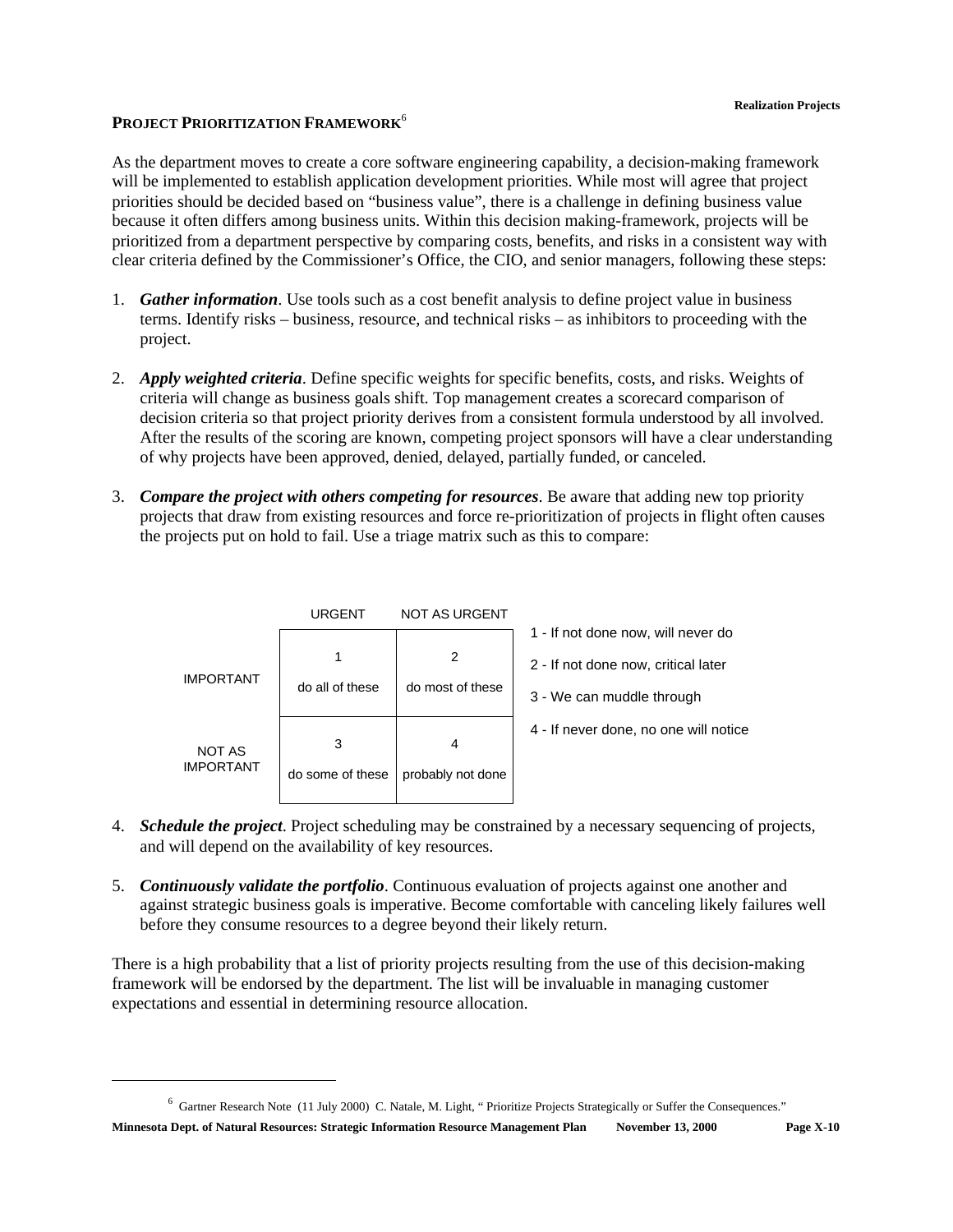## **PROJECT PRIORITIZATION FRAMEWORK**<sup>6</sup>

As the department moves to create a core software engineering capability, a decision-making framework will be implemented to establish application development priorities. While most will agree that project priorities should be decided based on "business value", there is a challenge in defining business value because it often differs among business units. Within this decision making-framework, projects will be prioritized from a department perspective by comparing costs, benefits, and risks in a consistent way with clear criteria defined by the Commissioner's Office, the CIO, and senior managers, following these steps:

- 1. *Gather information*. Use tools such as a cost benefit analysis to define project value in business terms. Identify risks – business, resource, and technical risks – as inhibitors to proceeding with the project.
- 2. *Apply weighted criteria*. Define specific weights for specific benefits, costs, and risks. Weights of criteria will change as business goals shift. Top management creates a scorecard comparison of decision criteria so that project priority derives from a consistent formula understood by all involved. After the results of the scoring are known, competing project sponsors will have a clear understanding of why projects have been approved, denied, delayed, partially funded, or canceled.
- 3. *Compare the project with others competing for resources*. Be aware that adding new top priority projects that draw from existing resources and force re-prioritization of projects in flight often causes the projects put on hold to fail. Use a triage matrix such as this to compare:

|                            | URGENT                | NOT AS URGENT          |                                       |
|----------------------------|-----------------------|------------------------|---------------------------------------|
|                            |                       |                        | 1 - If not done now, will never do    |
|                            |                       | 2                      | 2 - If not done now, critical later   |
| <b>IMPORTANT</b>           | do all of these       | do most of these       | 3 - We can muddle through             |
| NOT AS<br><b>IMPORTANT</b> | 3<br>do some of these | 4<br>probably not done | 4 - If never done, no one will notice |
|                            |                       |                        |                                       |

- 4. *Schedule the project*. Project scheduling may be constrained by a necessary sequencing of projects, and will depend on the availability of key resources.
- 5. *Continuously validate the portfolio*. Continuous evaluation of projects against one another and against strategic business goals is imperative. Become comfortable with canceling likely failures well before they consume resources to a degree beyond their likely return.

There is a high probability that a list of priority projects resulting from the use of this decision-making framework will be endorsed by the department. The list will be invaluable in managing customer expectations and essential in determining resource allocation.

<sup>&</sup>lt;sup>6</sup> Gartner Research Note (11 July 2000) C. Natale, M. Light, "Prioritize Projects Strategically or Suffer the Consequences."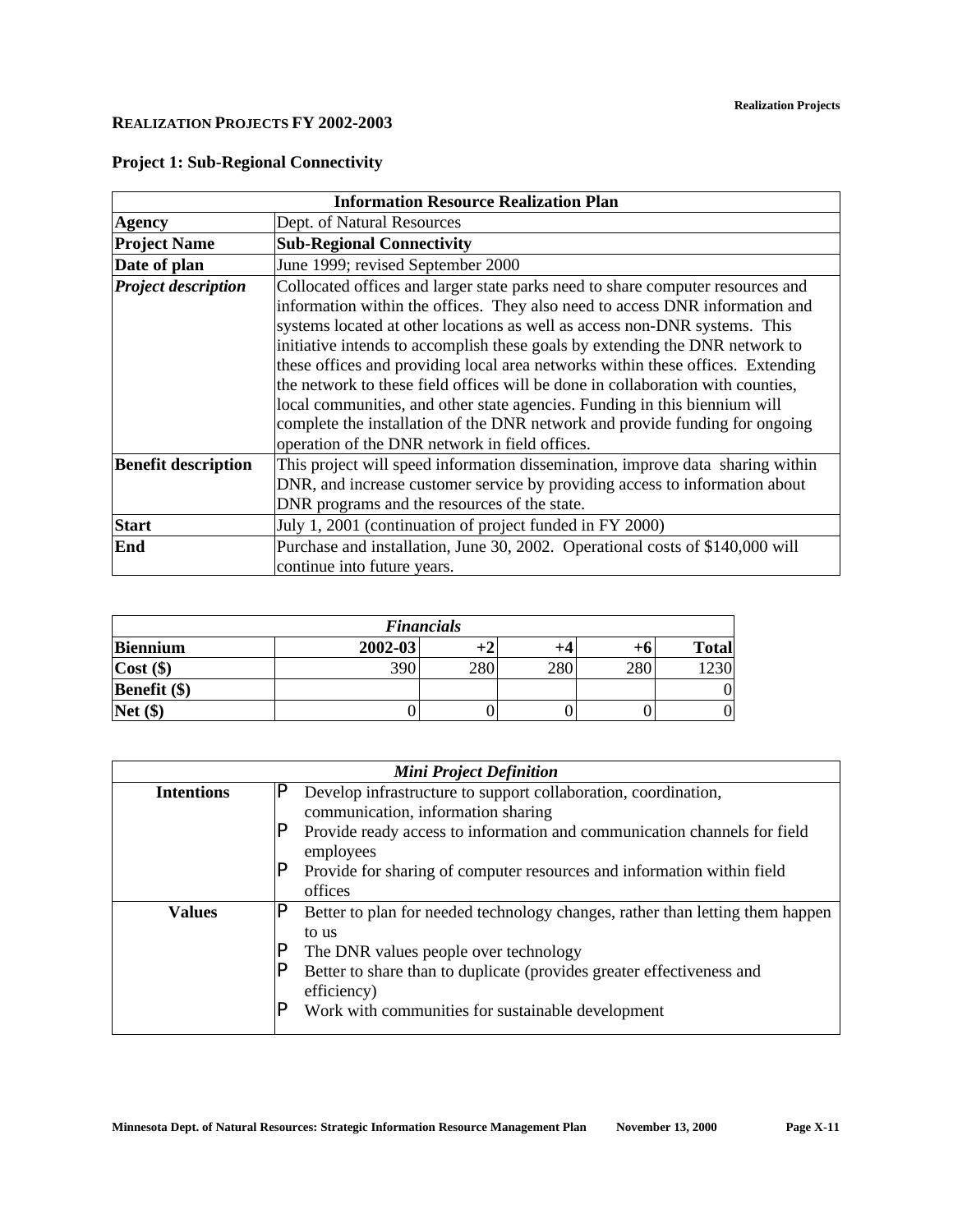### **REALIZATION PROJECTS FY 2002-2003**

| <b>Information Resource Realization Plan</b> |                                                                                                                                                                                                                                                                                                                                                                                                                                                                                                                                                                                                                                                                                                                    |  |  |  |
|----------------------------------------------|--------------------------------------------------------------------------------------------------------------------------------------------------------------------------------------------------------------------------------------------------------------------------------------------------------------------------------------------------------------------------------------------------------------------------------------------------------------------------------------------------------------------------------------------------------------------------------------------------------------------------------------------------------------------------------------------------------------------|--|--|--|
| <b>Agency</b>                                | Dept. of Natural Resources                                                                                                                                                                                                                                                                                                                                                                                                                                                                                                                                                                                                                                                                                         |  |  |  |
| <b>Project Name</b>                          | <b>Sub-Regional Connectivity</b>                                                                                                                                                                                                                                                                                                                                                                                                                                                                                                                                                                                                                                                                                   |  |  |  |
| Date of plan                                 | June 1999; revised September 2000                                                                                                                                                                                                                                                                                                                                                                                                                                                                                                                                                                                                                                                                                  |  |  |  |
| <b>Project description</b>                   | Collocated offices and larger state parks need to share computer resources and<br>information within the offices. They also need to access DNR information and<br>systems located at other locations as well as access non-DNR systems. This<br>initiative intends to accomplish these goals by extending the DNR network to<br>these offices and providing local area networks within these offices. Extending<br>the network to these field offices will be done in collaboration with counties,<br>local communities, and other state agencies. Funding in this biennium will<br>complete the installation of the DNR network and provide funding for ongoing<br>operation of the DNR network in field offices. |  |  |  |
| <b>Benefit description</b>                   | This project will speed information dissemination, improve data sharing within<br>DNR, and increase customer service by providing access to information about<br>DNR programs and the resources of the state.                                                                                                                                                                                                                                                                                                                                                                                                                                                                                                      |  |  |  |
| <b>Start</b>                                 | July 1, 2001 (continuation of project funded in FY 2000)                                                                                                                                                                                                                                                                                                                                                                                                                                                                                                                                                                                                                                                           |  |  |  |
| End                                          | Purchase and installation, June 30, 2002. Operational costs of \$140,000 will<br>continue into future years.                                                                                                                                                                                                                                                                                                                                                                                                                                                                                                                                                                                                       |  |  |  |

## **Project 1: Sub-Regional Connectivity**

| <b>Financials</b> |             |     |     |     |               |  |  |
|-------------------|-------------|-----|-----|-----|---------------|--|--|
| <b>Biennium</b>   | $2002 - 03$ |     | +4  | +o  | <b>Total</b>  |  |  |
| $Cost($ \$)       | 390         | 280 | 280 | 280 | $\mathcal{Q}$ |  |  |
| Benefit (\$)      |             |     |     |     |               |  |  |
| $Net($ \$)        |             |     |     |     |               |  |  |

| <b>Mini Project Definition</b>     |                                                                                       |  |  |  |  |
|------------------------------------|---------------------------------------------------------------------------------------|--|--|--|--|
| <b>Intentions</b>                  | P<br>Develop infrastructure to support collaboration, coordination,                   |  |  |  |  |
| communication, information sharing |                                                                                       |  |  |  |  |
|                                    | Provide ready access to information and communication channels for field<br>employees |  |  |  |  |
|                                    | Provide for sharing of computer resources and information within field                |  |  |  |  |
|                                    | offices                                                                               |  |  |  |  |
| <b>Values</b>                      | Better to plan for needed technology changes, rather than letting them happen         |  |  |  |  |
|                                    | to us                                                                                 |  |  |  |  |
|                                    | The DNR values people over technology                                                 |  |  |  |  |
|                                    | Better to share than to duplicate (provides greater effectiveness and                 |  |  |  |  |
|                                    | efficiency)                                                                           |  |  |  |  |
|                                    | Work with communities for sustainable development                                     |  |  |  |  |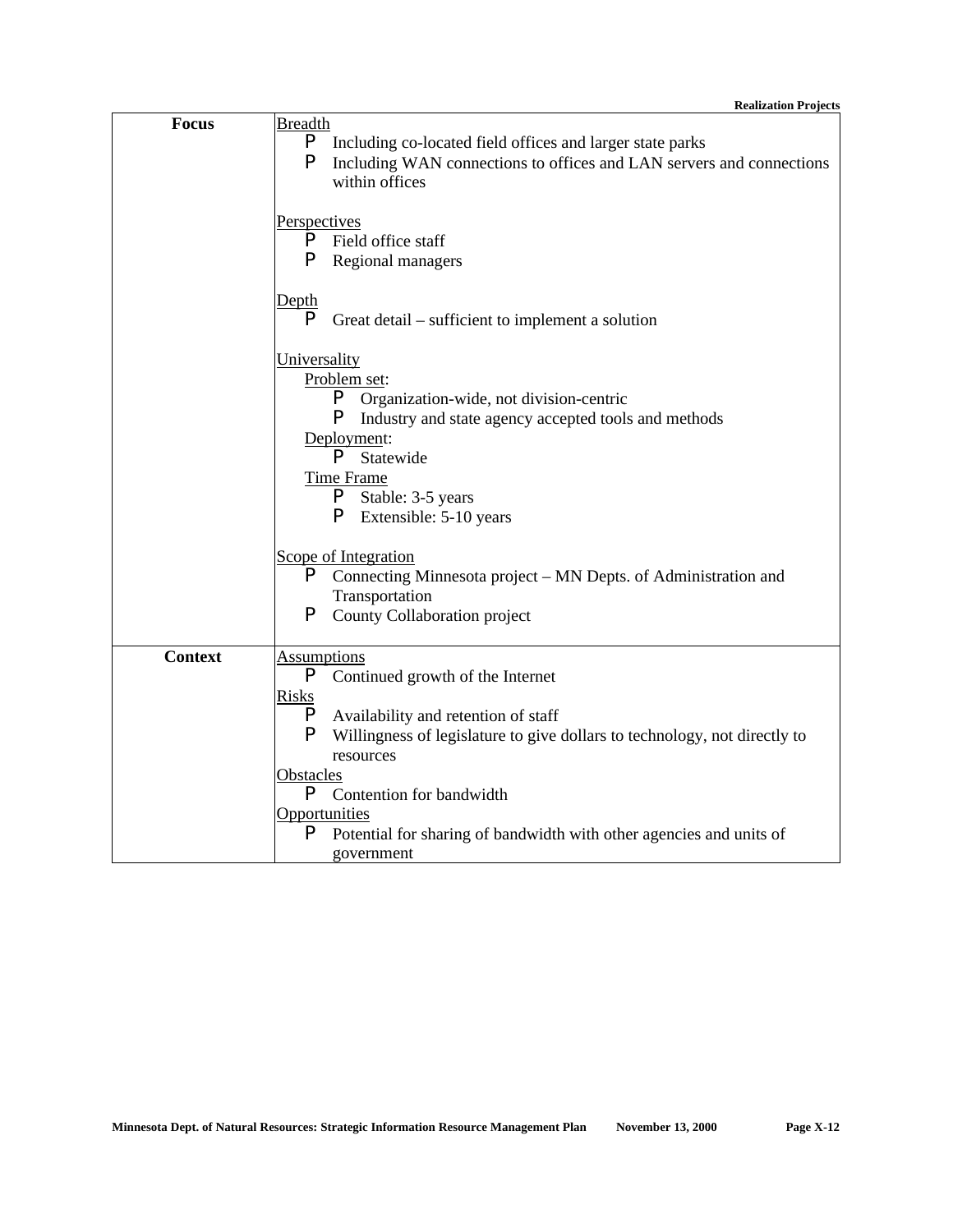| <b>Focus</b>   | <b>Breadth</b>                                                                 |
|----------------|--------------------------------------------------------------------------------|
|                | P<br>Including co-located field offices and larger state parks                 |
|                | P<br>Including WAN connections to offices and LAN servers and connections      |
|                | within offices                                                                 |
|                |                                                                                |
|                | Perspectives                                                                   |
|                | Field office staff<br>P.                                                       |
|                | P<br>Regional managers                                                         |
|                | <u>Depth</u>                                                                   |
|                | P<br>Great detail – sufficient to implement a solution                         |
|                |                                                                                |
|                | <b>Universality</b>                                                            |
|                | Problem set:                                                                   |
|                | P<br>Organization-wide, not division-centric                                   |
|                | P<br>Industry and state agency accepted tools and methods                      |
|                | Deployment:                                                                    |
|                | P<br>Statewide                                                                 |
|                | <b>Time Frame</b>                                                              |
|                | P,<br>Stable: 3-5 years                                                        |
|                | <b>P</b> Extensible: 5-10 years                                                |
|                |                                                                                |
|                | Scope of Integration                                                           |
|                | P<br>Connecting Minnesota project – MN Depts. of Administration and            |
|                | Transportation                                                                 |
|                | P<br>County Collaboration project                                              |
| <b>Context</b> | <b>Assumptions</b>                                                             |
|                | P<br>Continued growth of the Internet                                          |
|                | <b>Risks</b>                                                                   |
|                | P<br>Availability and retention of staff                                       |
|                | P<br>Willingness of legislature to give dollars to technology, not directly to |
|                | resources                                                                      |
|                | Obstacles                                                                      |
|                | P<br>Contention for bandwidth                                                  |
|                | <b>Opportunities</b>                                                           |
|                | P<br>Potential for sharing of bandwidth with other agencies and units of       |
|                | government                                                                     |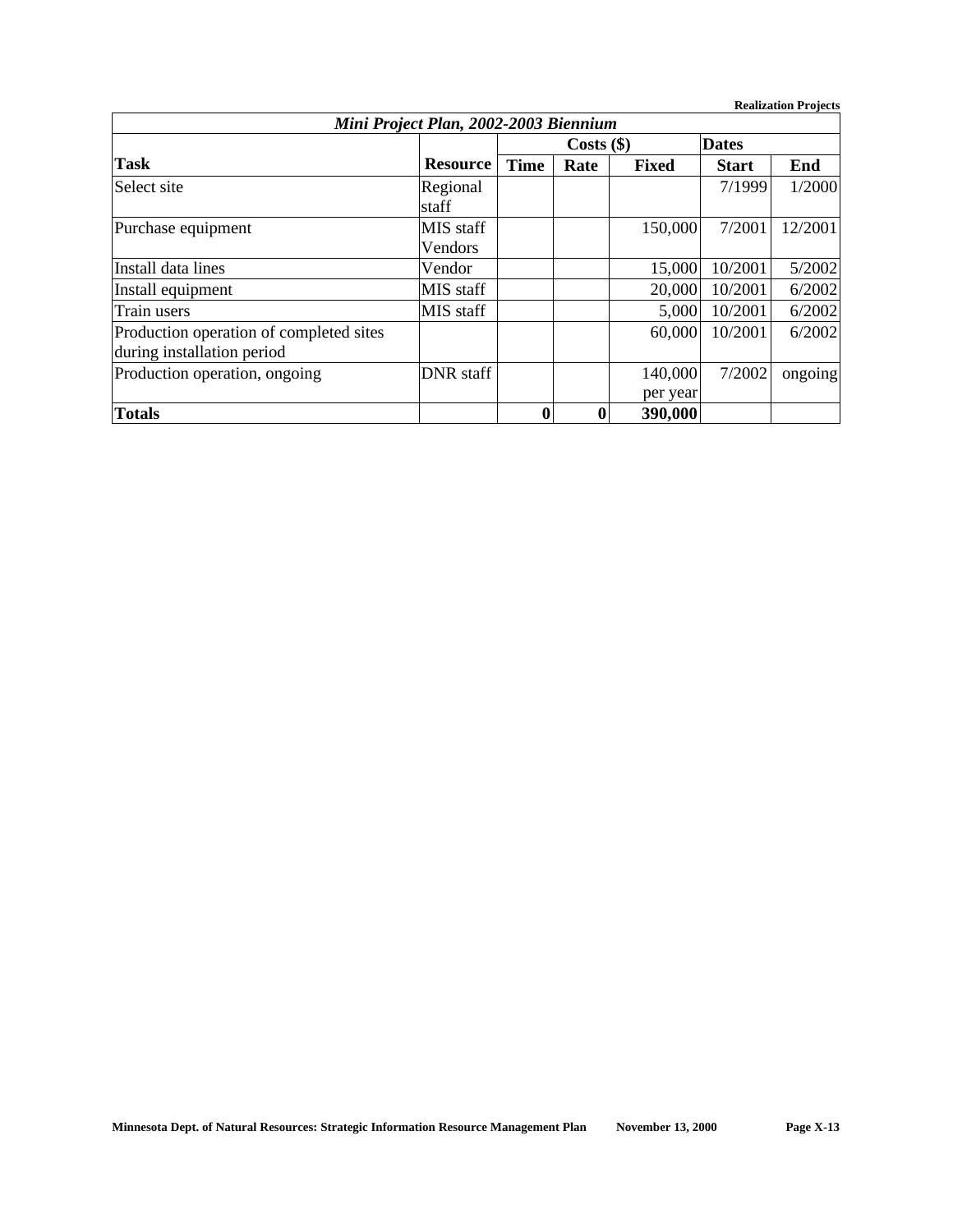**Realization Projects**

| Mini Project Plan, 2002-2003 Biennium                                 |                      |              |          |                     |              |         |  |
|-----------------------------------------------------------------------|----------------------|--------------|----------|---------------------|--------------|---------|--|
|                                                                       |                      | $Costs$ (\$) |          |                     | <b>Dates</b> |         |  |
| <b>Task</b>                                                           | <b>Resource</b>      | <b>Time</b>  | Rate     | <b>Fixed</b>        | <b>Start</b> | End     |  |
| Select site                                                           | Regional<br>staff    |              |          |                     | 7/1999       | 1/2000  |  |
| Purchase equipment                                                    | MIS staff<br>Vendors |              |          | 150,000             | 7/2001       | 12/2001 |  |
| Install data lines                                                    | Vendor               |              |          | 15,000              | 10/2001      | 5/2002  |  |
| Install equipment                                                     | MIS staff            |              |          | 20,000              | 10/2001      | 6/2002  |  |
| Train users                                                           | MIS staff            |              |          | 5,000               | 10/2001      | 6/2002  |  |
| Production operation of completed sites<br>during installation period |                      |              |          | 60,000              | 10/2001      | 6/2002  |  |
| Production operation, ongoing                                         | <b>DNR</b> staff     |              |          | 140,000<br>per year | 7/2002       | ongoing |  |
| <b>Totals</b>                                                         |                      | 0            | $\bf{0}$ | 390,000             |              |         |  |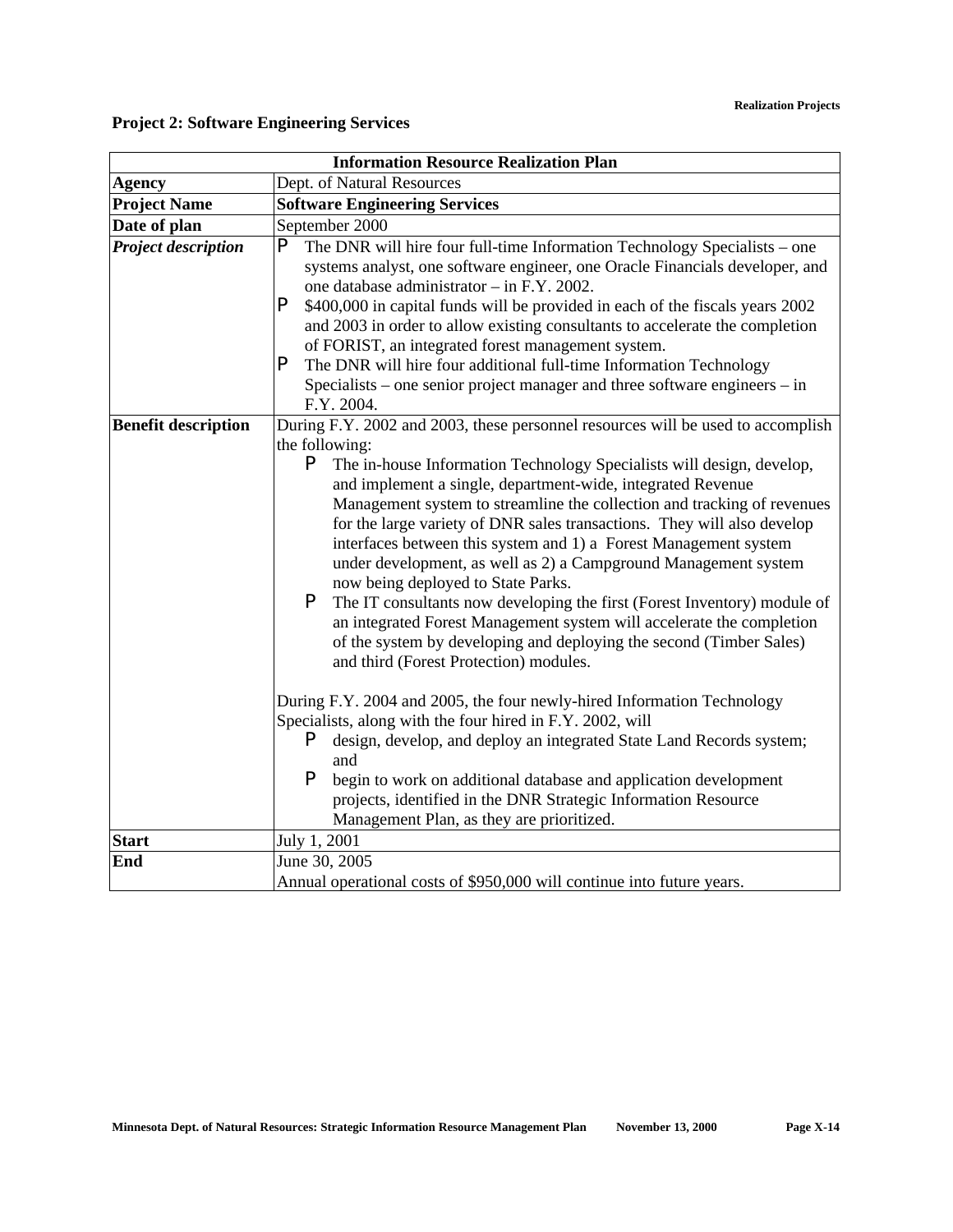|                            | <b>Information Resource Realization Plan</b>                                                                                                                                                                                                                                                                                                                                                                                                                                                                                                                                                                                                                                                                                                                                                                                                                                                                                                                                                                                                                                                                                                                                                                                                                                    |  |  |  |  |
|----------------------------|---------------------------------------------------------------------------------------------------------------------------------------------------------------------------------------------------------------------------------------------------------------------------------------------------------------------------------------------------------------------------------------------------------------------------------------------------------------------------------------------------------------------------------------------------------------------------------------------------------------------------------------------------------------------------------------------------------------------------------------------------------------------------------------------------------------------------------------------------------------------------------------------------------------------------------------------------------------------------------------------------------------------------------------------------------------------------------------------------------------------------------------------------------------------------------------------------------------------------------------------------------------------------------|--|--|--|--|
| <b>Agency</b>              | Dept. of Natural Resources                                                                                                                                                                                                                                                                                                                                                                                                                                                                                                                                                                                                                                                                                                                                                                                                                                                                                                                                                                                                                                                                                                                                                                                                                                                      |  |  |  |  |
| <b>Project Name</b>        | <b>Software Engineering Services</b>                                                                                                                                                                                                                                                                                                                                                                                                                                                                                                                                                                                                                                                                                                                                                                                                                                                                                                                                                                                                                                                                                                                                                                                                                                            |  |  |  |  |
| Date of plan               | September 2000                                                                                                                                                                                                                                                                                                                                                                                                                                                                                                                                                                                                                                                                                                                                                                                                                                                                                                                                                                                                                                                                                                                                                                                                                                                                  |  |  |  |  |
| <b>Project description</b> | P<br>The DNR will hire four full-time Information Technology Specialists - one<br>systems analyst, one software engineer, one Oracle Financials developer, and<br>one database administrator - in F.Y. 2002.<br>P<br>\$400,000 in capital funds will be provided in each of the fiscals years 2002<br>and 2003 in order to allow existing consultants to accelerate the completion<br>of FORIST, an integrated forest management system.<br>P<br>The DNR will hire four additional full-time Information Technology<br>Specialists – one senior project manager and three software engineers – in<br>F.Y. 2004.                                                                                                                                                                                                                                                                                                                                                                                                                                                                                                                                                                                                                                                                 |  |  |  |  |
| <b>Benefit description</b> | During F.Y. 2002 and 2003, these personnel resources will be used to accomplish<br>the following:<br>P<br>The in-house Information Technology Specialists will design, develop,<br>and implement a single, department-wide, integrated Revenue<br>Management system to streamline the collection and tracking of revenues<br>for the large variety of DNR sales transactions. They will also develop<br>interfaces between this system and 1) a Forest Management system<br>under development, as well as 2) a Campground Management system<br>now being deployed to State Parks.<br>P<br>The IT consultants now developing the first (Forest Inventory) module of<br>an integrated Forest Management system will accelerate the completion<br>of the system by developing and deploying the second (Timber Sales)<br>and third (Forest Protection) modules.<br>During F.Y. 2004 and 2005, the four newly-hired Information Technology<br>Specialists, along with the four hired in F.Y. 2002, will<br>P<br>design, develop, and deploy an integrated State Land Records system;<br>and<br>P<br>begin to work on additional database and application development<br>projects, identified in the DNR Strategic Information Resource<br>Management Plan, as they are prioritized. |  |  |  |  |
| <b>Start</b>               | July 1, 2001                                                                                                                                                                                                                                                                                                                                                                                                                                                                                                                                                                                                                                                                                                                                                                                                                                                                                                                                                                                                                                                                                                                                                                                                                                                                    |  |  |  |  |
| End                        | June 30, 2005<br>Annual operational costs of \$950,000 will continue into future years.                                                                                                                                                                                                                                                                                                                                                                                                                                                                                                                                                                                                                                                                                                                                                                                                                                                                                                                                                                                                                                                                                                                                                                                         |  |  |  |  |

# **Project 2: Software Engineering Services**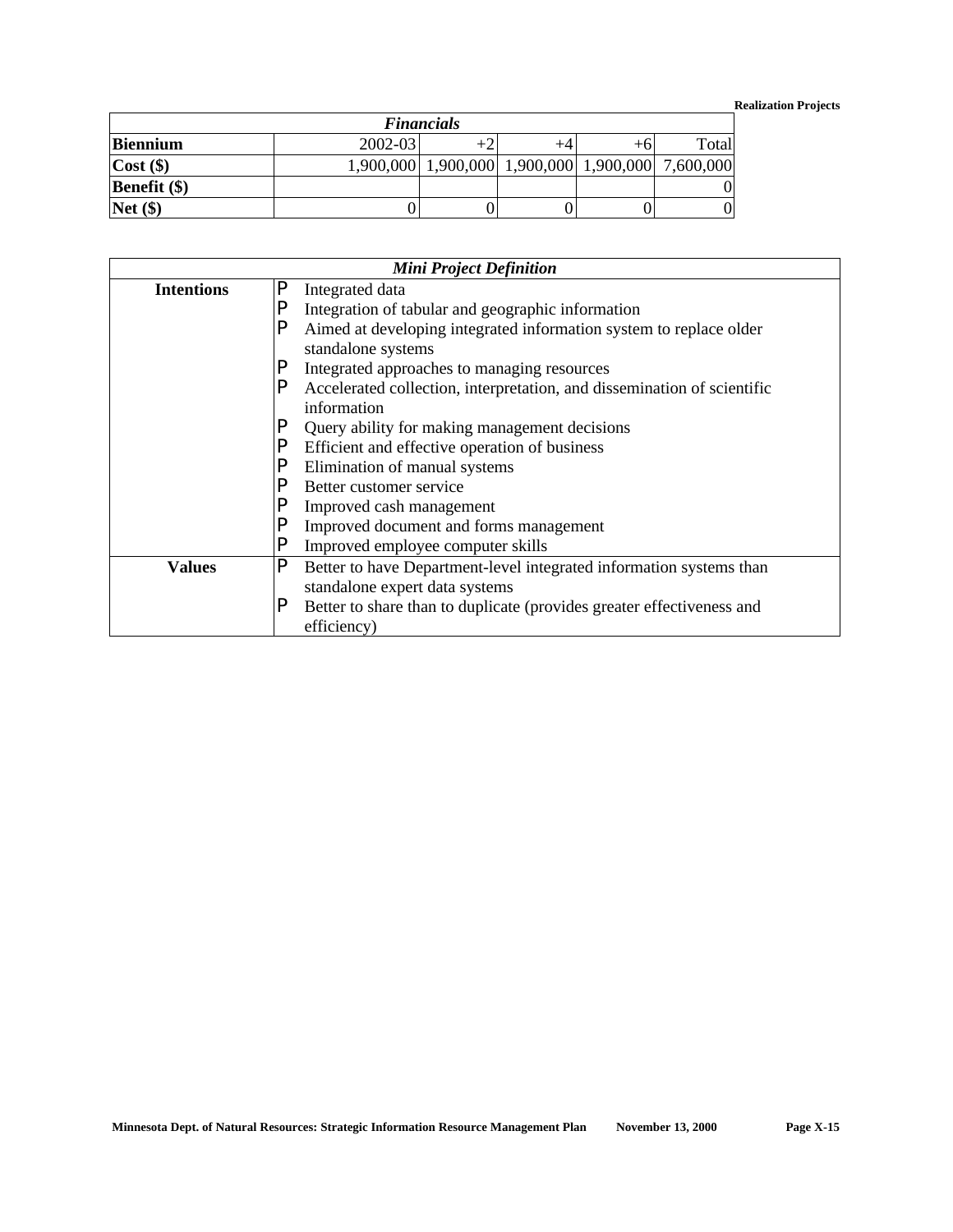### **Realization Projects**

| <b>Financials</b>   |             |  |  |  |                                                   |  |  |  |
|---------------------|-------------|--|--|--|---------------------------------------------------|--|--|--|
| <b>Biennium</b>     | $2002 - 03$ |  |  |  | Total                                             |  |  |  |
| $Cost($ \$)         |             |  |  |  | 1,900,000 1,900,000 1,900,000 1,900,000 7,600,000 |  |  |  |
| <b>Benefit</b> (\$) |             |  |  |  |                                                   |  |  |  |
| Net(                |             |  |  |  |                                                   |  |  |  |

| <b>Mini Project Definition</b> |                                                                              |  |  |  |  |
|--------------------------------|------------------------------------------------------------------------------|--|--|--|--|
| <b>Intentions</b>              | P<br>Integrated data                                                         |  |  |  |  |
|                                | Р<br>Integration of tabular and geographic information                       |  |  |  |  |
|                                | Aimed at developing integrated information system to replace older<br>P      |  |  |  |  |
|                                | standalone systems                                                           |  |  |  |  |
|                                | Integrated approaches to managing resources                                  |  |  |  |  |
|                                | P<br>Accelerated collection, interpretation, and dissemination of scientific |  |  |  |  |
|                                | information                                                                  |  |  |  |  |
|                                | Query ability for making management decisions                                |  |  |  |  |
|                                | Efficient and effective operation of business                                |  |  |  |  |
|                                | Elimination of manual systems                                                |  |  |  |  |
|                                | Better customer service                                                      |  |  |  |  |
|                                | Improved cash management                                                     |  |  |  |  |
|                                | D<br>Improved document and forms management                                  |  |  |  |  |
|                                | P<br>Improved employee computer skills                                       |  |  |  |  |
| <b>Values</b>                  | P<br>Better to have Department-level integrated information systems than     |  |  |  |  |
|                                | standalone expert data systems                                               |  |  |  |  |
|                                | P<br>Better to share than to duplicate (provides greater effectiveness and   |  |  |  |  |
|                                | efficiency)                                                                  |  |  |  |  |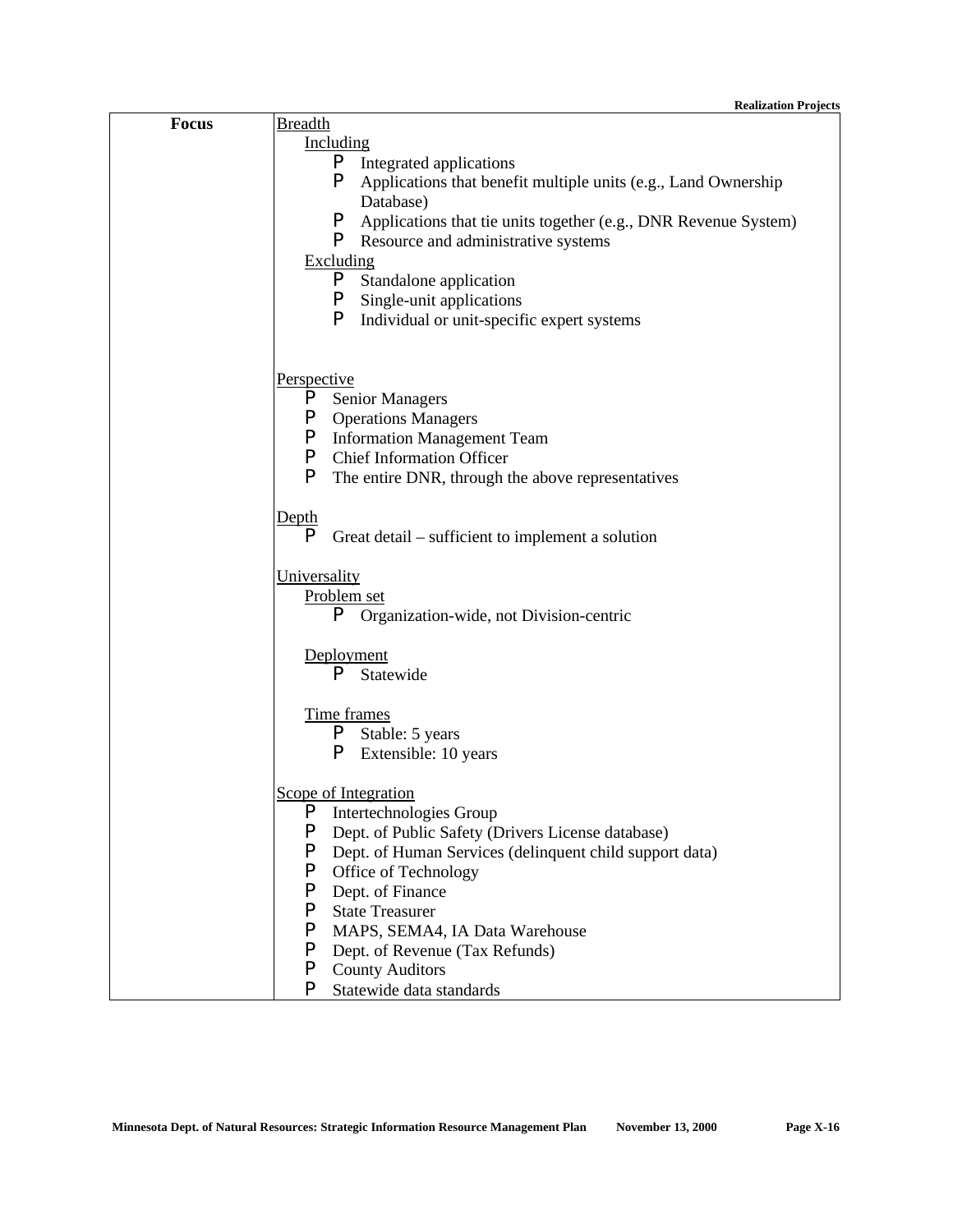### **Realization Projects**

| <b>Focus</b> | <b>Breadth</b>                                                       |
|--------------|----------------------------------------------------------------------|
|              | Including                                                            |
|              | P.<br>Integrated applications                                        |
|              | P<br>Applications that benefit multiple units (e.g., Land Ownership  |
|              | Database)                                                            |
|              | P<br>Applications that tie units together (e.g., DNR Revenue System) |
|              | P.<br>Resource and administrative systems                            |
|              | Excluding                                                            |
|              | P<br>Standalone application                                          |
|              | P.<br>Single-unit applications                                       |
|              | P<br>Individual or unit-specific expert systems                      |
|              |                                                                      |
|              |                                                                      |
|              | Perspective                                                          |
|              | P<br><b>Senior Managers</b>                                          |
|              | P<br><b>Operations Managers</b>                                      |
|              | P.<br><b>Information Management Team</b>                             |
|              | P<br><b>Chief Information Officer</b>                                |
|              | P<br>The entire DNR, through the above representatives               |
|              |                                                                      |
|              | Depth                                                                |
|              | P<br>Great detail – sufficient to implement a solution               |
|              |                                                                      |
|              | Universality                                                         |
|              | Problem set                                                          |
|              | P.<br>Organization-wide, not Division-centric                        |
|              |                                                                      |
|              | Deployment                                                           |
|              | P<br>Statewide                                                       |
|              |                                                                      |
|              | Time frames                                                          |
|              | P.<br>Stable: 5 years                                                |
|              | P<br>Extensible: 10 years                                            |
|              |                                                                      |
|              | Scope of Integration                                                 |
|              | P Intertechnologies Group                                            |
|              | P<br>Dept. of Public Safety (Drivers License database)               |
|              | P<br>Dept. of Human Services (delinquent child support data)         |
|              | P<br>Office of Technology                                            |
|              | P<br>Dept. of Finance                                                |
|              | P<br><b>State Treasurer</b>                                          |
|              | P<br>MAPS, SEMA4, IA Data Warehouse                                  |
|              | P<br>Dept. of Revenue (Tax Refunds)                                  |
|              | <b>County Auditors</b><br>P                                          |
|              | P<br>Statewide data standards                                        |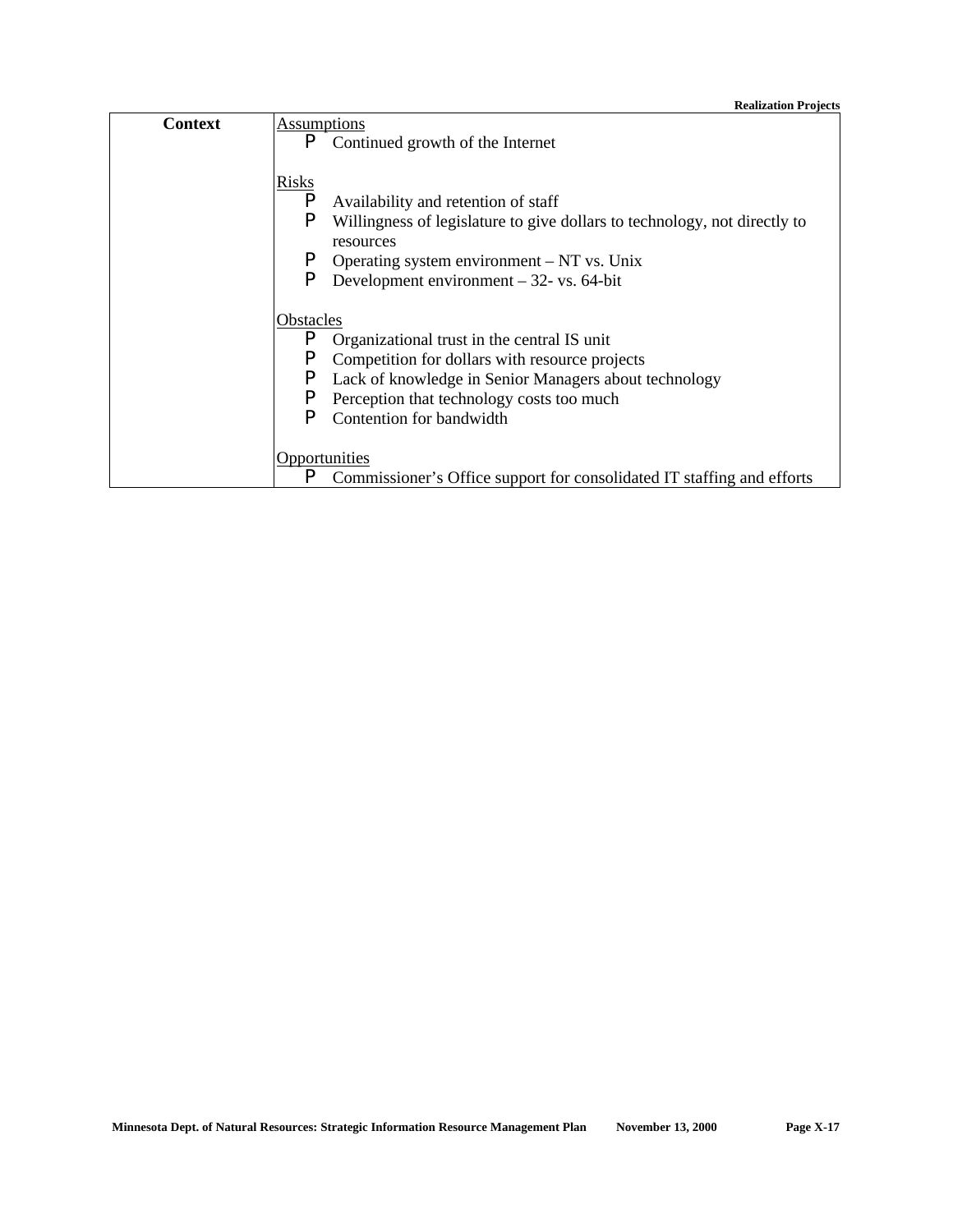| Context | Assumptions                                                                    |  |  |  |  |
|---------|--------------------------------------------------------------------------------|--|--|--|--|
|         | P<br>Continued growth of the Internet                                          |  |  |  |  |
|         |                                                                                |  |  |  |  |
|         | <b>Risks</b>                                                                   |  |  |  |  |
|         | P<br>Availability and retention of staff                                       |  |  |  |  |
|         | P<br>Willingness of legislature to give dollars to technology, not directly to |  |  |  |  |
|         | resources                                                                      |  |  |  |  |
|         | P<br>Operating system environment $-NT$ vs. Unix                               |  |  |  |  |
|         | P<br>Development environment $-32$ - vs. 64-bit                                |  |  |  |  |
|         |                                                                                |  |  |  |  |
|         | Obstacles                                                                      |  |  |  |  |
|         | P<br>Organizational trust in the central IS unit                               |  |  |  |  |
|         | P<br>Competition for dollars with resource projects                            |  |  |  |  |
|         | P<br>Lack of knowledge in Senior Managers about technology                     |  |  |  |  |
|         | P<br>Perception that technology costs too much                                 |  |  |  |  |
|         | P<br>Contention for bandwidth                                                  |  |  |  |  |
|         |                                                                                |  |  |  |  |
|         | Opportunities                                                                  |  |  |  |  |
|         | P<br>Commissioner's Office support for consolidated IT staffing and efforts    |  |  |  |  |